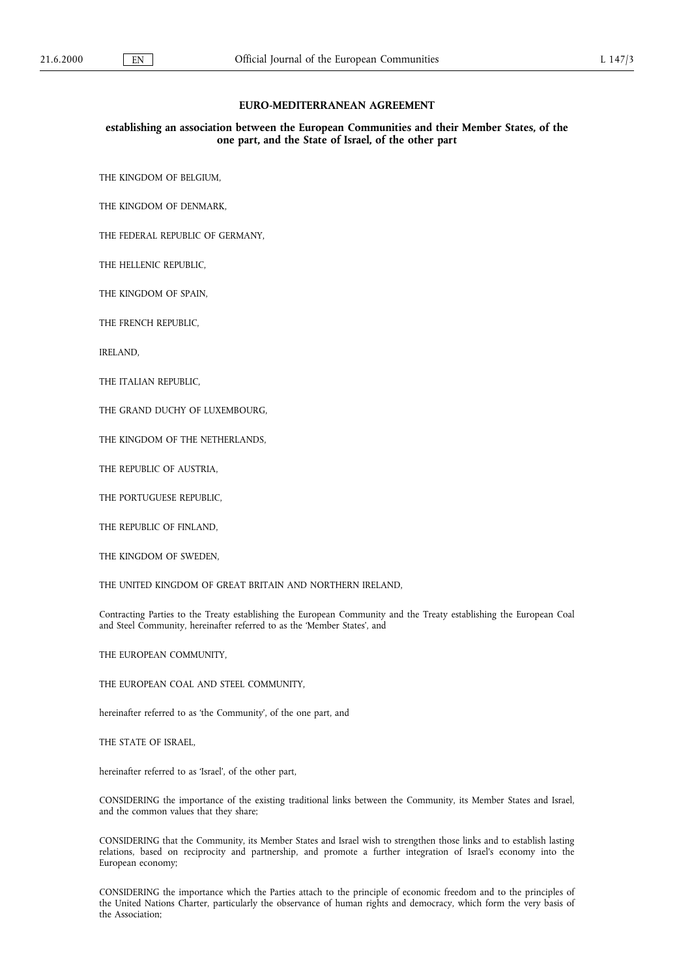#### EURO-MEDITERRANEAN AGREEMENT

## establishing an association between the European Communities and their Member States, of the one part, and the State of Israel, of the other part

THE KINGDOM OF BELGIUM,

THE KINGDOM OF DENMARK,

THE FEDERAL REPUBLIC OF GERMANY,

THE HELLENIC REPUBLIC,

THE KINGDOM OF SPAIN,

THE FRENCH REPUBLIC,

IRELAND,

THE ITALIAN REPUBLIC,

THE GRAND DUCHY OF LUXEMBOURG,

THE KINGDOM OF THE NETHERLANDS,

THE REPUBLIC OF AUSTRIA,

THE PORTUGUESE REPUBLIC,

THE REPUBLIC OF FINLAND,

THE KINGDOM OF SWEDEN,

THE UNITED KINGDOM OF GREAT BRITAIN AND NORTHERN IRELAND,

Contracting Parties to the Treaty establishing the European Community and the Treaty establishing the European Coal and Steel Community, hereinafter referred to as the 'Member States', and

THE EUROPEAN COMMUNITY,

THE EUROPEAN COAL AND STEEL COMMUNITY,

hereinafter referred to as 'the Community', of the one part, and

THE STATE OF ISRAEL,

hereinafter referred to as 'Israel', of the other part,

CONSIDERING the importance of the existing traditional links between the Community, its Member States and Israel, and the common values that they share;

CONSIDERING that the Community, its Member States and Israel wish to strengthen those links and to establish lasting relations, based on reciprocity and partnership, and promote a further integration of Israel's economy into the European economy;

CONSIDERING the importance which the Parties attach to the principle of economic freedom and to the principles of the United Nations Charter, particularly the observance of human rights and democracy, which form the very basis of the Association;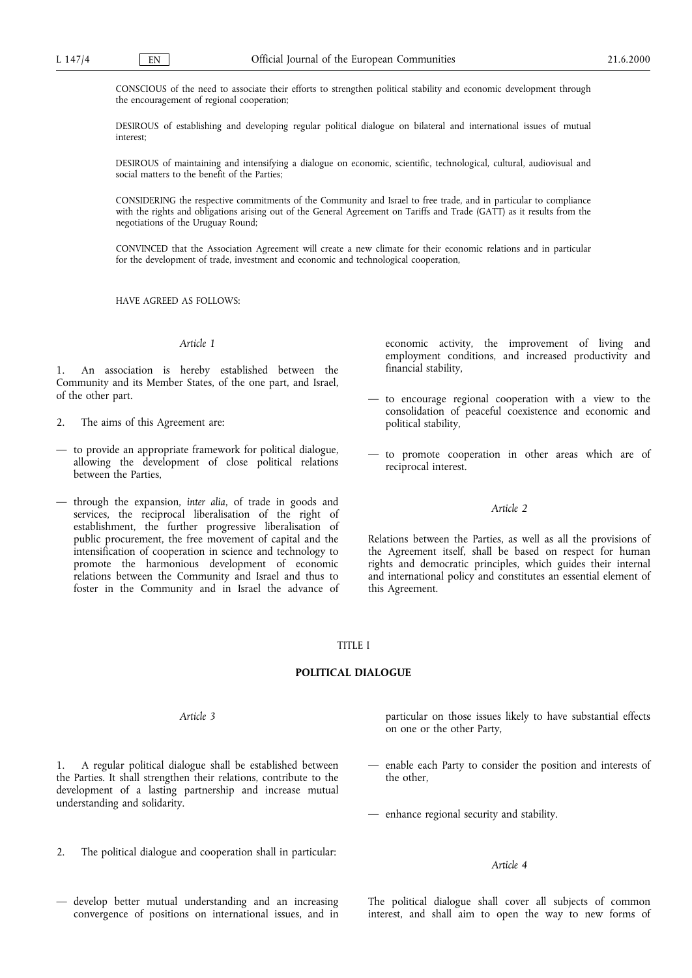CONSCIOUS of the need to associate their efforts to strengthen political stability and economic development through the encouragement of regional cooperation;

DESIROUS of establishing and developing regular political dialogue on bilateral and international issues of mutual interest;

DESIROUS of maintaining and intensifying a dialogue on economic, scientific, technological, cultural, audiovisual and social matters to the benefit of the Parties;

CONSIDERING the respective commitments of the Community and Israel to free trade, and in particular to compliance with the rights and obligations arising out of the General Agreement on Tariffs and Trade (GATT) as it results from the negotiations of the Uruguay Round;

CONVINCED that the Association Agreement will create a new climate for their economic relations and in particular for the development of trade, investment and economic and technological cooperation,

HAVE AGREED AS FOLLOWS:

#### Article 1

An association is hereby established between the Community and its Member States, of the one part, and Israel, of the other part.

- 2. The aims of this Agreement are:
- to provide an appropriate framework for political dialogue, allowing the development of close political relations between the Parties,
- through the expansion, inter alia, of trade in goods and services, the reciprocal liberalisation of the right of establishment, the further progressive liberalisation of public procurement, the free movement of capital and the intensification of cooperation in science and technology to promote the harmonious development of economic relations between the Community and Israel and thus to foster in the Community and in Israel the advance of

economic activity, the improvement of living and employment conditions, and increased productivity and financial stability,

- to encourage regional cooperation with a view to the consolidation of peaceful coexistence and economic and political stability,
- to promote cooperation in other areas which are of reciprocal interest.

#### Article 2

Relations between the Parties, as well as all the provisions of the Agreement itself, shall be based on respect for human rights and democratic principles, which guides their internal and international policy and constitutes an essential element of this Agreement.

### TITLE I

## POLITICAL DIALOGUE

### Article 3

1. A regular political dialogue shall be established between the Parties. It shall strengthen their relations, contribute to the development of a lasting partnership and increase mutual understanding and solidarity.

2. The political dialogue and cooperation shall in particular:

 develop better mutual understanding and an increasing convergence of positions on international issues, and in particular on those issues likely to have substantial effects on one or the other Party,

 enable each Party to consider the position and interests of the other,

enhance regional security and stability.

### Article 4

The political dialogue shall cover all subjects of common interest, and shall aim to open the way to new forms of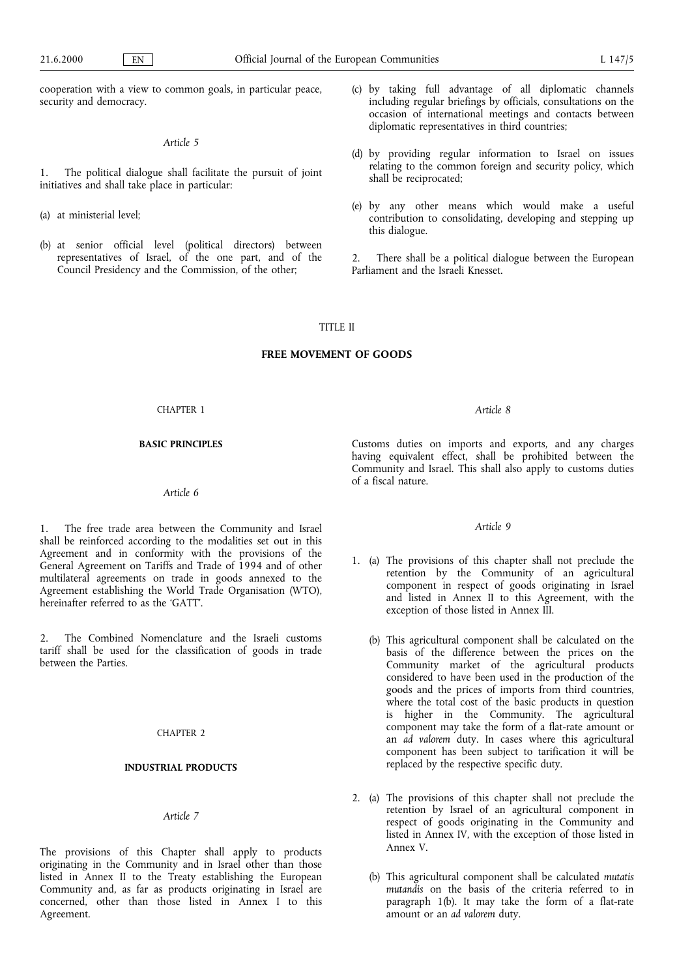cooperation with a view to common goals, in particular peace, security and democracy.

### Article 5

1. The political dialogue shall facilitate the pursuit of joint initiatives and shall take place in particular:

- (a) at ministerial level;
- (b) at senior official level (political directors) between representatives of Israel, of the one part, and of the Council Presidency and the Commission, of the other;
- (c) by taking full advantage of all diplomatic channels including regular briefings by officials, consultations on the occasion of international meetings and contacts between diplomatic representatives in third countries;
- (d) by providing regular information to Israel on issues relating to the common foreign and security policy, which shall be reciprocated;
- (e) by any other means which would make a useful contribution to consolidating, developing and stepping up this dialogue.

2. There shall be a political dialogue between the European Parliament and the Israeli Knesset.

## TITLE II

## FREE MOVEMENT OF GOODS

#### CHAPTER 1

#### BASIC PRINCIPLES

## Article 6

1. The free trade area between the Community and Israel shall be reinforced according to the modalities set out in this Agreement and in conformity with the provisions of the General Agreement on Tariffs and Trade of 1994 and of other multilateral agreements on trade in goods annexed to the Agreement establishing the World Trade Organisation (WTO), hereinafter referred to as the 'GATT'.

2. The Combined Nomenclature and the Israeli customs tariff shall be used for the classification of goods in trade between the Parties.

### CHAPTER 2

## INDUSTRIAL PRODUCTS

## Article 7

The provisions of this Chapter shall apply to products originating in the Community and in Israel other than those listed in Annex II to the Treaty establishing the European Community and, as far as products originating in Israel are concerned, other than those listed in Annex I to this Agreement.

#### Article 8

Customs duties on imports and exports, and any charges having equivalent effect, shall be prohibited between the Community and Israel. This shall also apply to customs duties of a fiscal nature.

## Article 9

- 1. (a) The provisions of this chapter shall not preclude the retention by the Community of an agricultural component in respect of goods originating in Israel and listed in Annex II to this Agreement, with the exception of those listed in Annex III.
	- (b) This agricultural component shall be calculated on the basis of the difference between the prices on the Community market of the agricultural products considered to have been used in the production of the goods and the prices of imports from third countries, where the total cost of the basic products in question is higher in the Community. The agricultural component may take the form of a flat-rate amount or an ad valorem duty. In cases where this agricultural component has been subject to tarification it will be replaced by the respective specific duty.
- 2. (a) The provisions of this chapter shall not preclude the retention by Israel of an agricultural component in respect of goods originating in the Community and listed in Annex IV, with the exception of those listed in Annex V.
	- (b) This agricultural component shall be calculated mutatis mutandis on the basis of the criteria referred to in paragraph 1(b). It may take the form of a flat-rate amount or an ad valorem duty.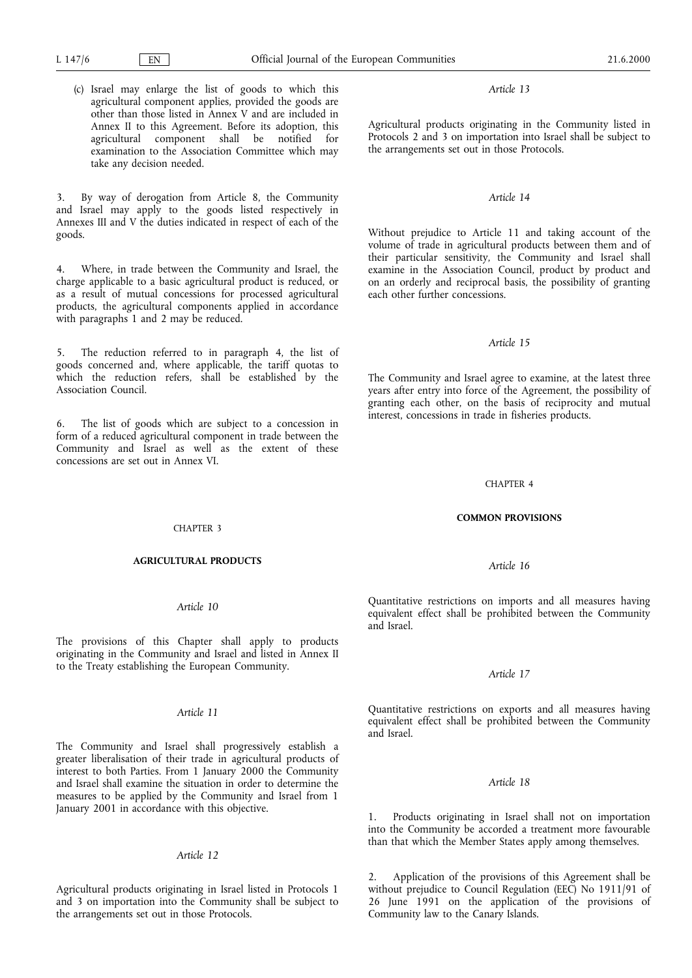#### Article 13

Agricultural products originating in the Community listed in Protocols 2 and 3 on importation into Israel shall be subject to the arrangements set out in those Protocols.

## Article 14

Without prejudice to Article 11 and taking account of the volume of trade in agricultural products between them and of their particular sensitivity, the Community and Israel shall examine in the Association Council, product by product and on an orderly and reciprocal basis, the possibility of granting each other further concessions.

### Article 15

The Community and Israel agree to examine, at the latest three years after entry into force of the Agreement, the possibility of granting each other, on the basis of reciprocity and mutual interest, concessions in trade in fisheries products.

#### CHAPTER 4

#### COMMON PROVISIONS

#### Article 16

Quantitative restrictions on imports and all measures having equivalent effect shall be prohibited between the Community and Israel.

## Article 17

Quantitative restrictions on exports and all measures having equivalent effect shall be prohibited between the Community and Israel.

### Article 18

1. Products originating in Israel shall not on importation into the Community be accorded a treatment more favourable than that which the Member States apply among themselves.

2. Application of the provisions of this Agreement shall be without prejudice to Council Regulation (EEC) No 1911/91 of 26 June 1991 on the application of the provisions of Community law to the Canary Islands.

(c) Israel may enlarge the list of goods to which this agricultural component applies, provided the goods are other than those listed in Annex V and are included in Annex II to this Agreement. Before its adoption, this agricultural component shall be notified for examination to the Association Committee which may take any decision needed.

3. By way of derogation from Article 8, the Community and Israel may apply to the goods listed respectively in Annexes III and V the duties indicated in respect of each of the goods.

4. Where, in trade between the Community and Israel, the charge applicable to a basic agricultural product is reduced, or as a result of mutual concessions for processed agricultural products, the agricultural components applied in accordance with paragraphs 1 and 2 may be reduced.

5. The reduction referred to in paragraph 4, the list of goods concerned and, where applicable, the tariff quotas to which the reduction refers, shall be established by the Association Council.

6. The list of goods which are subject to a concession in form of a reduced agricultural component in trade between the Community and Israel as well as the extent of these concessions are set out in Annex VI.

#### CHAPTER 3

#### AGRICULTURAL PRODUCTS

## Article 10

The provisions of this Chapter shall apply to products originating in the Community and Israel and listed in Annex II to the Treaty establishing the European Community.

## Article 11

The Community and Israel shall progressively establish a greater liberalisation of their trade in agricultural products of interest to both Parties. From 1 January 2000 the Community and Israel shall examine the situation in order to determine the measures to be applied by the Community and Israel from 1 January 2001 in accordance with this objective.

#### Article 12

Agricultural products originating in Israel listed in Protocols 1 and 3 on importation into the Community shall be subject to the arrangements set out in those Protocols.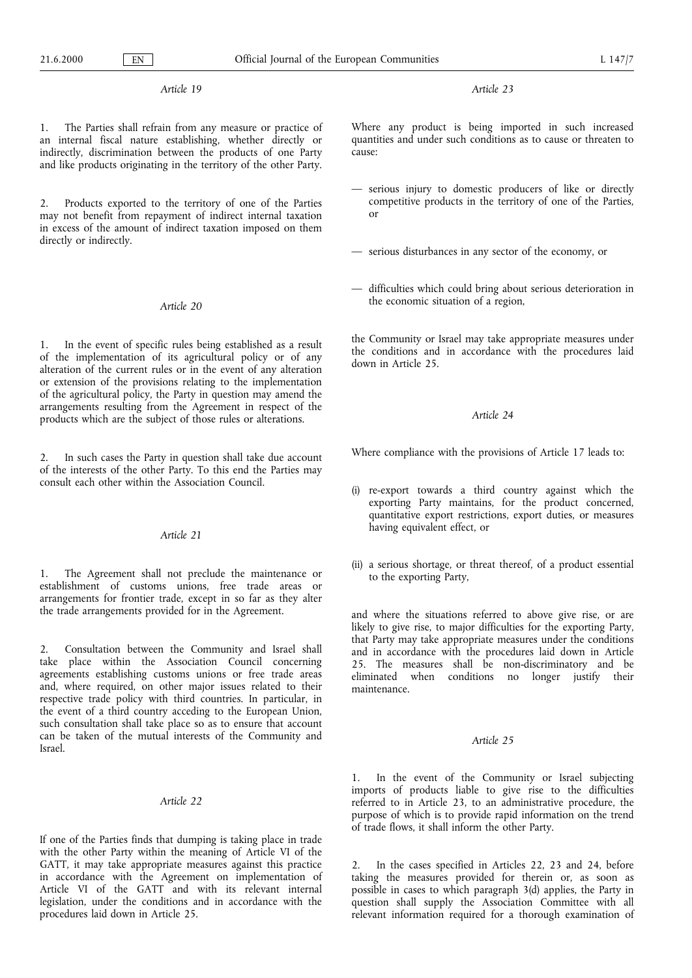#### Article 19

1. The Parties shall refrain from any measure or practice of an internal fiscal nature establishing, whether directly or indirectly, discrimination between the products of one Party and like products originating in the territory of the other Party.

2. Products exported to the territory of one of the Parties may not benefit from repayment of indirect internal taxation in excess of the amount of indirect taxation imposed on them directly or indirectly.

#### Article 20

In the event of specific rules being established as a result of the implementation of its agricultural policy or of any alteration of the current rules or in the event of any alteration or extension of the provisions relating to the implementation of the agricultural policy, the Party in question may amend the arrangements resulting from the Agreement in respect of the products which are the subject of those rules or alterations.

2. In such cases the Party in question shall take due account of the interests of the other Party. To this end the Parties may consult each other within the Association Council.

### Article 21

1. The Agreement shall not preclude the maintenance or establishment of customs unions, free trade areas or arrangements for frontier trade, except in so far as they alter the trade arrangements provided for in the Agreement.

2. Consultation between the Community and Israel shall take place within the Association Council concerning agreements establishing customs unions or free trade areas and, where required, on other major issues related to their respective trade policy with third countries. In particular, in the event of a third country acceding to the European Union, such consultation shall take place so as to ensure that account can be taken of the mutual interests of the Community and Israel.

#### Article 22

If one of the Parties finds that dumping is taking place in trade with the other Party within the meaning of Article VI of the GATT, it may take appropriate measures against this practice in accordance with the Agreement on implementation of Article VI of the GATT and with its relevant internal legislation, under the conditions and in accordance with the procedures laid down in Article 25.

Article 23

Where any product is being imported in such increased quantities and under such conditions as to cause or threaten to cause:

- serious injury to domestic producers of like or directly competitive products in the territory of one of the Parties, or
- $-$  serious disturbances in any sector of the economy, or
- difficulties which could bring about serious deterioration in the economic situation of a region,

the Community or Israel may take appropriate measures under the conditions and in accordance with the procedures laid down in Article 25.

## Article 24

Where compliance with the provisions of Article 17 leads to:

- (i) re-export towards a third country against which the exporting Party maintains, for the product concerned, quantitative export restrictions, export duties, or measures having equivalent effect, or
- (ii) a serious shortage, or threat thereof, of a product essential to the exporting Party,

and where the situations referred to above give rise, or are likely to give rise, to major difficulties for the exporting Party, that Party may take appropriate measures under the conditions and in accordance with the procedures laid down in Article 25. The measures shall be non-discriminatory and be eliminated when conditions no longer justify their maintenance.

### Article 25

1. In the event of the Community or Israel subjecting imports of products liable to give rise to the difficulties referred to in Article 23, to an administrative procedure, the purpose of which is to provide rapid information on the trend of trade flows, it shall inform the other Party.

2. In the cases specified in Articles 22, 23 and 24, before taking the measures provided for therein or, as soon as possible in cases to which paragraph 3(d) applies, the Party in question shall supply the Association Committee with all relevant information required for a thorough examination of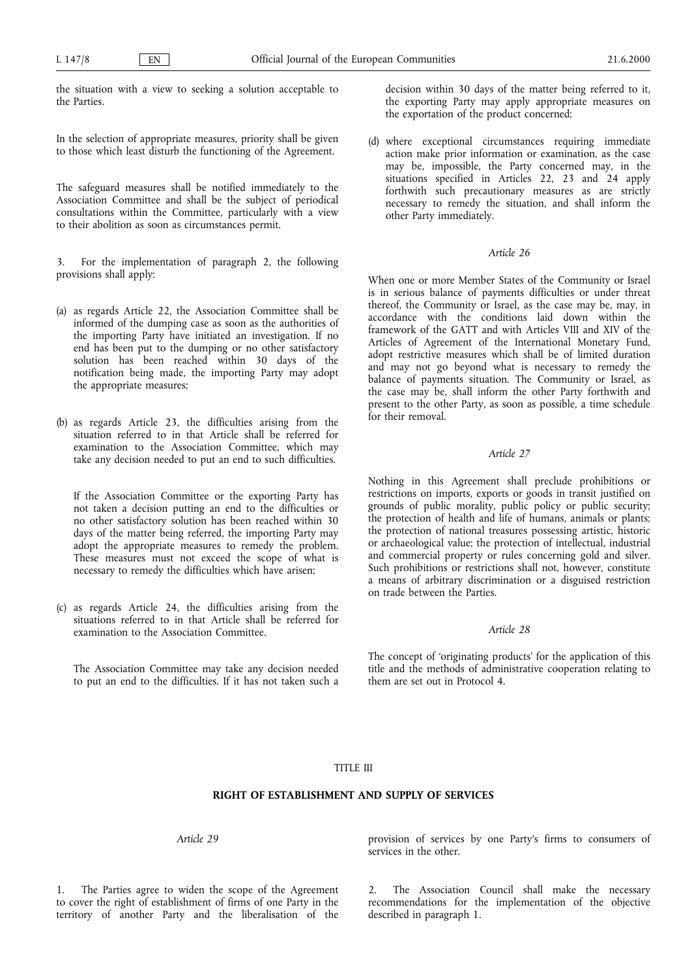the situation with a view to seeking a solution acceptable to the Parties.

In the selection of appropriate measures, priority shall be given to those which least disturb the functioning of the Agreement.

The safeguard measures shall be notified immediately to the Association Committee and shall be the subject of periodical consultations within the Committee, particularly with a view to their abolition as soon as circumstances permit.

3. For the implementation of paragraph 2, the following provisions shall apply:

- (a) as regards Article 22, the Association Committee shall be informed of the dumping case as soon as the authorities of the importing Party have initiated an investigation. If no end has been put to the dumping or no other satisfactory solution has been reached within 30 days of the notification being made, the importing Party may adopt the appropriate measures;
- (b) as regards Article 23, the difficulties arising from the situation referred to in that Article shall be referred for examination to the Association Committee, which may take any decision needed to put an end to such difficulties.

If the Association Committee or the exporting Party has not taken a decision putting an end to the difficulties or no other satisfactory solution has been reached within 30 days of the matter being referred, the importing Party may adopt the appropriate measures to remedy the problem. These measures must not exceed the scope of what is necessary to remedy the difficulties which have arisen;

(c) as regards Article 24, the difficulties arising from the situations referred to in that Article shall be referred for examination to the Association Committee.

The Association Committee may take any decision needed to put an end to the difficulties. If it has not taken such a decision within 30 days of the matter being referred to it, the exporting Party may apply appropriate measures on the exportation of the product concerned;

(d) where exceptional circumstances requiring immediate action make prior information or examination, as the case may be, impossible, the Party concerned may, in the situations specified in Articles 22, 23 and 24 apply forthwith such precautionary measures as are strictly necessary to remedy the situation, and shall inform the other Party immediately.

## Article 26

When one or more Member States of the Community or Israel is in serious balance of payments difficulties or under threat thereof, the Community or Israel, as the case may be, may, in accordance with the conditions laid down within the framework of the GATT and with Articles VIII and XIV of the Articles of Agreement of the International Monetary Fund, adopt restrictive measures which shall be of limited duration and may not go beyond what is necessary to remedy the balance of payments situation. The Community or Israel, as the case may be, shall inform the other Party forthwith and present to the other Party, as soon as possible, a time schedule for their removal.

## Article 27

Nothing in this Agreement shall preclude prohibitions or restrictions on imports, exports or goods in transit justified on grounds of public morality, public policy or public security; the protection of health and life of humans, animals or plants; the protection of national treasures possessing artistic, historic or archaeological value; the protection of intellectual, industrial and commercial property or rules concerning gold and silver. Such prohibitions or restrictions shall not, however, constitute a means of arbitrary discrimination or a disguised restriction on trade between the Parties.

## Article 28

The concept of 'originating products' for the application of this title and the methods of administrative cooperation relating to them are set out in Protocol 4.

## TITLE III

## RIGHT OF ESTABLISHMENT AND SUPPLY OF SERVICES

Article 29

1. The Parties agree to widen the scope of the Agreement to cover the right of establishment of firms of one Party in the territory of another Party and the liberalisation of the

provision of services by one Party's firms to consumers of services in the other.

2. The Association Council shall make the necessary recommendations for the implementation of the objective described in paragraph 1.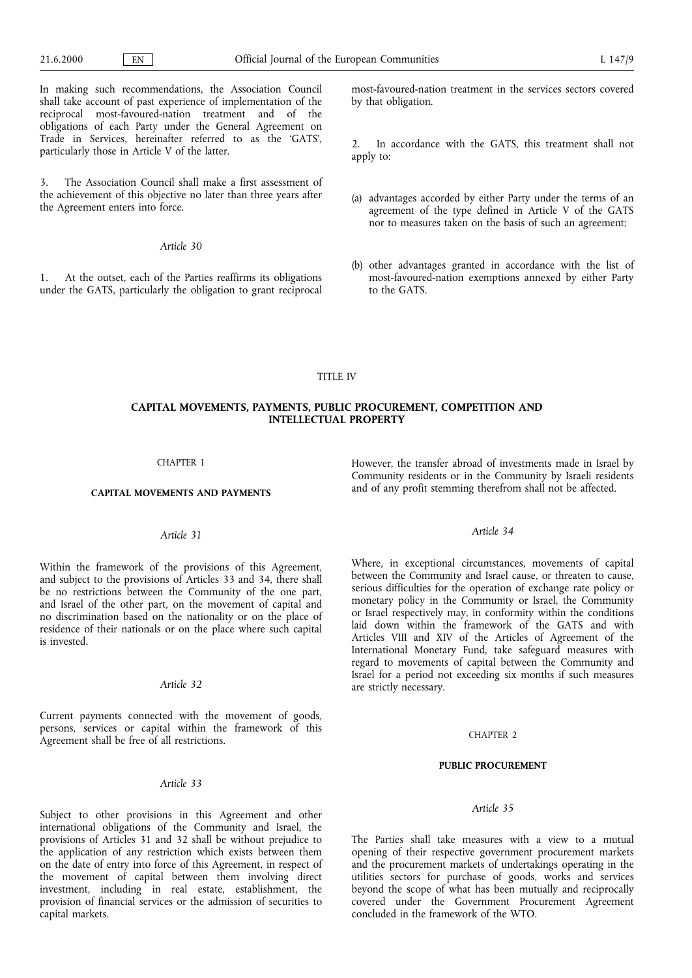In making such recommendations, the Association Council shall take account of past experience of implementation of the reciprocal most-favoured-nation treatment and of the obligations of each Party under the General Agreement on Trade in Services, hereinafter referred to as the GATS, particularly those in Article V of the latter.

The Association Council shall make a first assessment of the achievement of this objective no later than three years after the Agreement enters into force.

#### Article 30

1. At the outset, each of the Parties reaffirms its obligations under the GATS, particularly the obligation to grant reciprocal most-favoured-nation treatment in the services sectors covered by that obligation.

2. In accordance with the GATS, this treatment shall not apply to:

- (a) advantages accorded by either Party under the terms of an agreement of the type defined in Article V of the GATS nor to measures taken on the basis of such an agreement;
- (b) other advantages granted in accordance with the list of most-favoured-nation exemptions annexed by either Party to the GATS.

## TITLE IV

## CAPITAL MOVEMENTS, PAYMENTS, PUBLIC PROCUREMENT, COMPETITION AND INTELLECTUAL PROPERTY

### CHAPTER 1

## CAPITAL MOVEMENTS AND PAYMENTS

### Article 31

Within the framework of the provisions of this Agreement, and subject to the provisions of Articles 33 and 34, there shall be no restrictions between the Community of the one part, and Israel of the other part, on the movement of capital and no discrimination based on the nationality or on the place of residence of their nationals or on the place where such capital is invested.

#### Article 32

Current payments connected with the movement of goods, persons, services or capital within the framework of this Agreement shall be free of all restrictions.

## Article 33

Subject to other provisions in this Agreement and other international obligations of the Community and Israel, the provisions of Articles 31 and 32 shall be without prejudice to the application of any restriction which exists between them on the date of entry into force of this Agreement, in respect of the movement of capital between them involving direct investment, including in real estate, establishment, the provision of financial services or the admission of securities to capital markets.

However, the transfer abroad of investments made in Israel by Community residents or in the Community by Israeli residents and of any profit stemming therefrom shall not be affected.

### Article 34

Where, in exceptional circumstances, movements of capital between the Community and Israel cause, or threaten to cause, serious difficulties for the operation of exchange rate policy or monetary policy in the Community or Israel, the Community or Israel respectively may, in conformity within the conditions laid down within the framework of the GATS and with Articles VIII and XIV of the Articles of Agreement of the International Monetary Fund, take safeguard measures with regard to movements of capital between the Community and Israel for a period not exceeding six months if such measures are strictly necessary.

#### CHAPTER 2

#### PUBLIC PROCUREMENT

#### Article 35

The Parties shall take measures with a view to a mutual opening of their respective government procurement markets and the procurement markets of undertakings operating in the utilities sectors for purchase of goods, works and services beyond the scope of what has been mutually and reciprocally covered under the Government Procurement Agreement concluded in the framework of the WTO.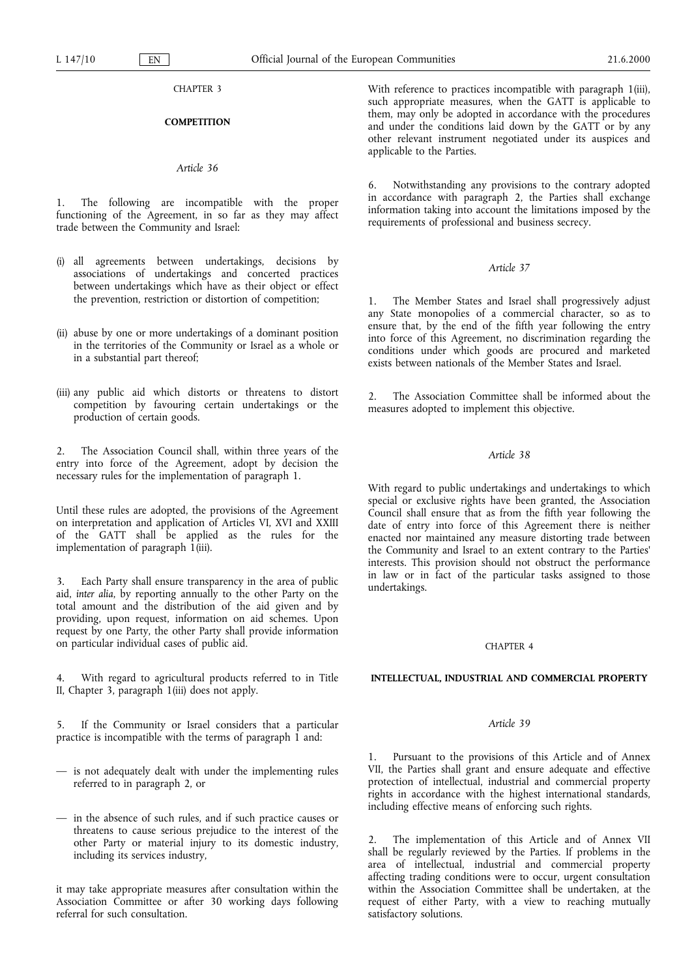CHAPTER 3

## **COMPETITION**

### Article 36

1. The following are incompatible with the proper functioning of the Agreement, in so far as they may affect trade between the Community and Israel:

- (i) all agreements between undertakings, decisions by associations of undertakings and concerted practices between undertakings which have as their object or effect the prevention, restriction or distortion of competition;
- (ii) abuse by one or more undertakings of a dominant position in the territories of the Community or Israel as a whole or in a substantial part thereof;
- (iii) any public aid which distorts or threatens to distort competition by favouring certain undertakings or the production of certain goods.

2. The Association Council shall, within three years of the entry into force of the Agreement, adopt by decision the necessary rules for the implementation of paragraph 1.

Until these rules are adopted, the provisions of the Agreement on interpretation and application of Articles VI, XVI and XXIII of the GATT shall be applied as the rules for the implementation of paragraph 1(iii).

3. Each Party shall ensure transparency in the area of public aid, inter alia, by reporting annually to the other Party on the total amount and the distribution of the aid given and by providing, upon request, information on aid schemes. Upon request by one Party, the other Party shall provide information on particular individual cases of public aid.

With regard to agricultural products referred to in Title II, Chapter 3, paragraph 1(iii) does not apply.

5. If the Community or Israel considers that a particular practice is incompatible with the terms of paragraph 1 and:

- $-$  is not adequately dealt with under the implementing rules referred to in paragraph 2, or
- in the absence of such rules, and if such practice causes or threatens to cause serious prejudice to the interest of the other Party or material injury to its domestic industry, including its services industry,

it may take appropriate measures after consultation within the Association Committee or after 30 working days following referral for such consultation.

With reference to practices incompatible with paragraph 1(iii), such appropriate measures, when the GATT is applicable to them, may only be adopted in accordance with the procedures and under the conditions laid down by the GATT or by any other relevant instrument negotiated under its auspices and applicable to the Parties.

6. Notwithstanding any provisions to the contrary adopted in accordance with paragraph 2, the Parties shall exchange information taking into account the limitations imposed by the requirements of professional and business secrecy.

#### Article 37

1. The Member States and Israel shall progressively adjust any State monopolies of a commercial character, so as to ensure that, by the end of the fifth year following the entry into force of this Agreement, no discrimination regarding the conditions under which goods are procured and marketed exists between nationals of the Member States and Israel.

The Association Committee shall be informed about the measures adopted to implement this objective.

## Article 38

With regard to public undertakings and undertakings to which special or exclusive rights have been granted, the Association Council shall ensure that as from the fifth year following the date of entry into force of this Agreement there is neither enacted nor maintained any measure distorting trade between the Community and Israel to an extent contrary to the Parties' interests. This provision should not obstruct the performance in law or in fact of the particular tasks assigned to those undertakings.

#### CHAPTER 4

## INTELLECTUAL, INDUSTRIAL AND COMMERCIAL PROPERTY

### Article 39

1. Pursuant to the provisions of this Article and of Annex VII, the Parties shall grant and ensure adequate and effective protection of intellectual, industrial and commercial property rights in accordance with the highest international standards, including effective means of enforcing such rights.

The implementation of this Article and of Annex VII shall be regularly reviewed by the Parties. If problems in the area of intellectual, industrial and commercial property affecting trading conditions were to occur, urgent consultation within the Association Committee shall be undertaken, at the request of either Party, with a view to reaching mutually satisfactory solutions.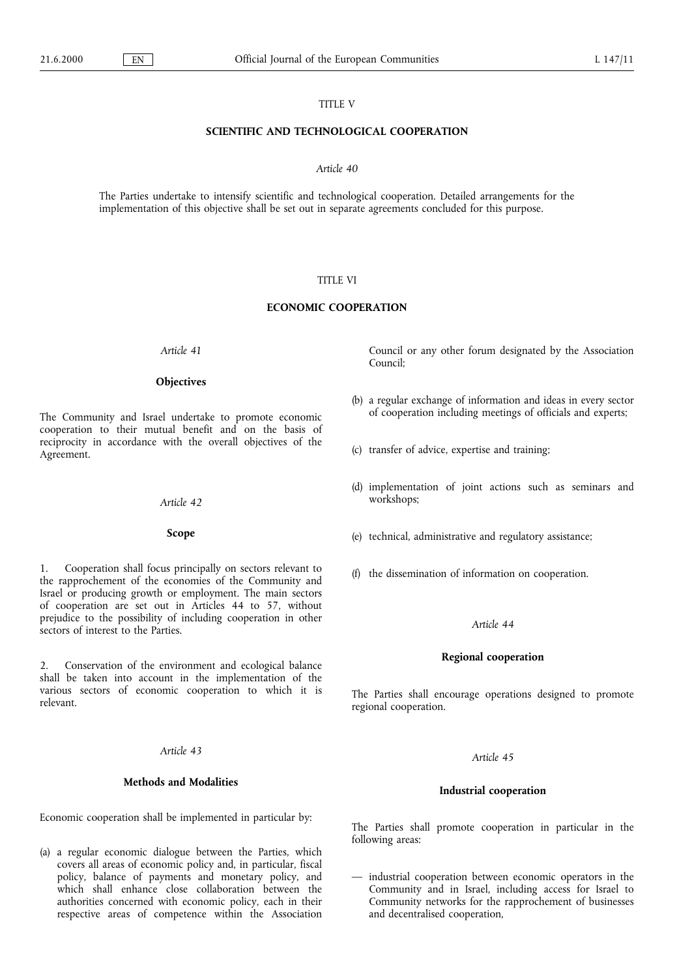## TITLE V

### SCIENTIFIC AND TECHNOLOGICAL COOPERATION

#### Article 40

The Parties undertake to intensify scientific and technological cooperation. Detailed arrangements for the implementation of this objective shall be set out in separate agreements concluded for this purpose.

### TITLE VI

### ECONOMIC COOPERATION

Article 41

#### **Objectives**

The Community and Israel undertake to promote economic cooperation to their mutual benefit and on the basis of reciprocity in accordance with the overall objectives of the Agreement.

## Article 42

### Scope

1. Cooperation shall focus principally on sectors relevant to the rapprochement of the economies of the Community and Israel or producing growth or employment. The main sectors of cooperation are set out in Articles 44 to 57, without prejudice to the possibility of including cooperation in other sectors of interest to the Parties.

2. Conservation of the environment and ecological balance shall be taken into account in the implementation of the various sectors of economic cooperation to which it is relevant.

#### Article 43

### Methods and Modalities

Economic cooperation shall be implemented in particular by:

(a) a regular economic dialogue between the Parties, which covers all areas of economic policy and, in particular, fiscal policy, balance of payments and monetary policy, and which shall enhance close collaboration between the authorities concerned with economic policy, each in their respective areas of competence within the Association Council or any other forum designated by the Association Council;

- (b) a regular exchange of information and ideas in every sector of cooperation including meetings of officials and experts;
- (c) transfer of advice, expertise and training;
- (d) implementation of joint actions such as seminars and workshops;
- (e) technical, administrative and regulatory assistance;
- (f) the dissemination of information on cooperation.

### Article 44

#### Regional cooperation

The Parties shall encourage operations designed to promote regional cooperation.

## Article 45

#### Industrial cooperation

The Parties shall promote cooperation in particular in the following areas:

 $-$  industrial cooperation between economic operators in the Community and in Israel, including access for Israel to Community networks for the rapprochement of businesses and decentralised cooperation,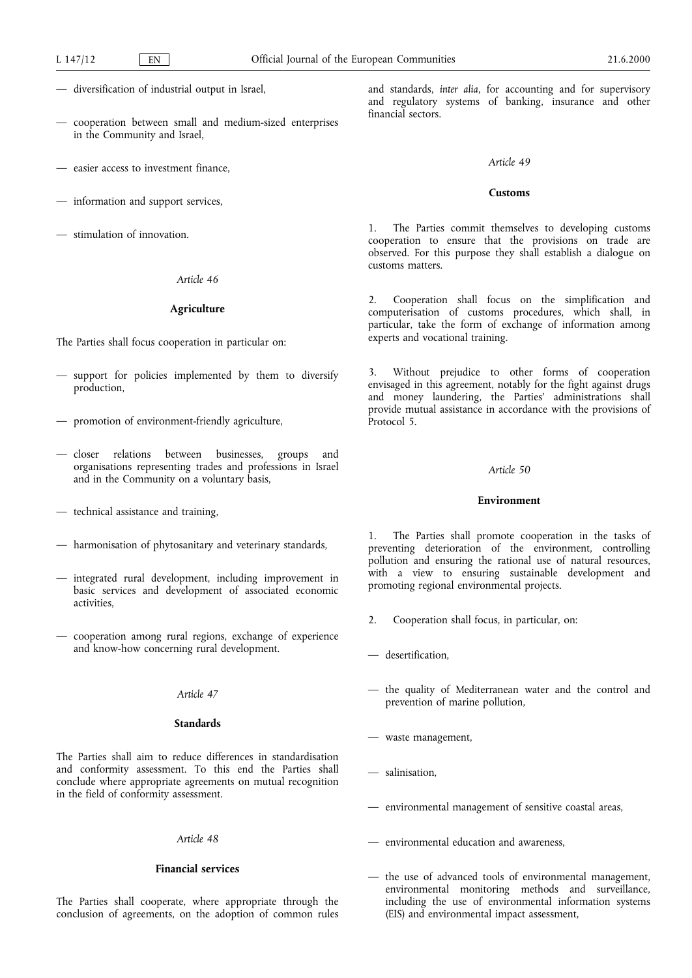- diversification of industrial output in Israel,
- cooperation between small and medium-sized enterprises in the Community and Israel,
- easier access to investment finance,
- $-$  information and support services,
- $-$  stimulation of innovation.

### Article 46

#### Agriculture

The Parties shall focus cooperation in particular on:

- support for policies implemented by them to diversify production,
- promotion of environment-friendly agriculture,
- closer relations between businesses, groups and organisations representing trades and professions in Israel and in the Community on a voluntary basis,
- technical assistance and training,
- harmonisation of phytosanitary and veterinary standards,
- integrated rural development, including improvement in basic services and development of associated economic activities,
- cooperation among rural regions, exchange of experience and know-how concerning rural development.

## Article 47

### **Standards**

The Parties shall aim to reduce differences in standardisation and conformity assessment. To this end the Parties shall conclude where appropriate agreements on mutual recognition in the field of conformity assessment.

### Article 48

## Financial services

The Parties shall cooperate, where appropriate through the conclusion of agreements, on the adoption of common rules and standards, inter alia, for accounting and for supervisory and regulatory systems of banking, insurance and other financial sectors.

#### Article 49

### Customs

1. The Parties commit themselves to developing customs cooperation to ensure that the provisions on trade are observed. For this purpose they shall establish a dialogue on customs matters.

2. Cooperation shall focus on the simplification and computerisation of customs procedures, which shall, in particular, take the form of exchange of information among experts and vocational training.

3. Without prejudice to other forms of cooperation envisaged in this agreement, notably for the fight against drugs and money laundering, the Parties' administrations shall provide mutual assistance in accordance with the provisions of Protocol 5.

#### Article 50

### Environment

1. The Parties shall promote cooperation in the tasks of preventing deterioration of the environment, controlling pollution and ensuring the rational use of natural resources, with a view to ensuring sustainable development and promoting regional environmental projects.

- 2. Cooperation shall focus, in particular, on:
- desertification,
- the quality of Mediterranean water and the control and prevention of marine pollution,
- waste management,
- salinisation,
- environmental management of sensitive coastal areas,
- environmental education and awareness,
- the use of advanced tools of environmental management, environmental monitoring methods and surveillance, including the use of environmental information systems (EIS) and environmental impact assessment,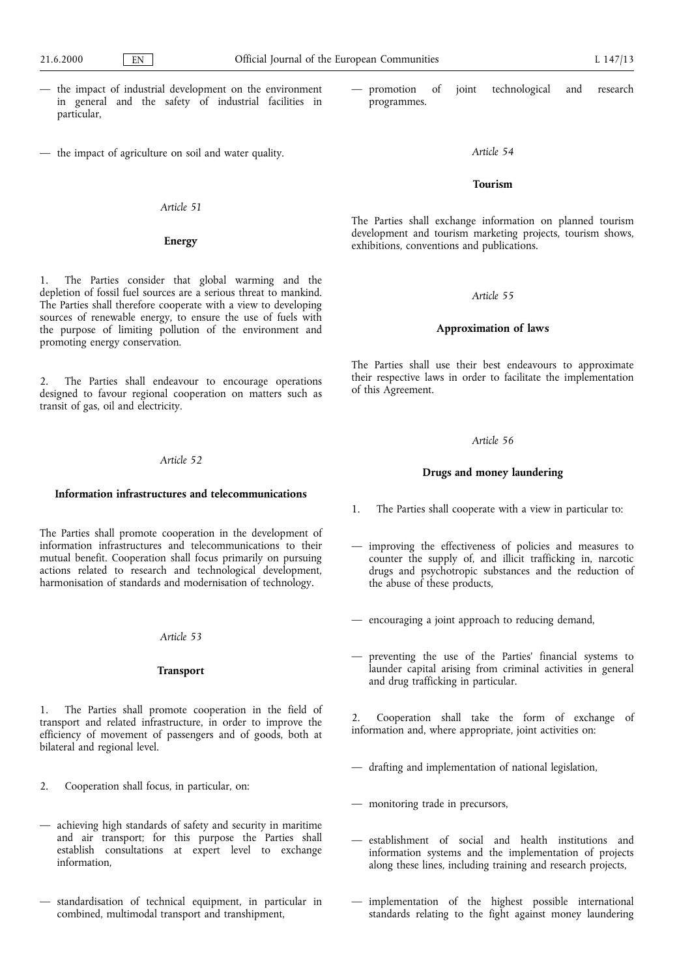- the impact of industrial development on the environment in general and the safety of industrial facilities in particular,
- $-$  the impact of agriculture on soil and water quality.

## Article 51

### Energy

1. The Parties consider that global warming and the depletion of fossil fuel sources are a serious threat to mankind. The Parties shall therefore cooperate with a view to developing sources of renewable energy, to ensure the use of fuels with the purpose of limiting pollution of the environment and promoting energy conservation.

The Parties shall endeavour to encourage operations designed to favour regional cooperation on matters such as transit of gas, oil and electricity.

#### Article 52

#### Information infrastructures and telecommunications

The Parties shall promote cooperation in the development of information infrastructures and telecommunications to their mutual benefit. Cooperation shall focus primarily on pursuing actions related to research and technological development, harmonisation of standards and modernisation of technology.

#### Article 53

### Transport

1. The Parties shall promote cooperation in the field of transport and related infrastructure, in order to improve the efficiency of movement of passengers and of goods, both at bilateral and regional level.

- 2. Cooperation shall focus, in particular, on:
- achieving high standards of safety and security in maritime and air transport; for this purpose the Parties shall establish consultations at expert level to exchange information,
- $-$  standardisation of technical equipment, in particular in combined, multimodal transport and transhipment,

 promotion of joint technological and research programmes.

#### Article 54

## Tourism

The Parties shall exchange information on planned tourism development and tourism marketing projects, tourism shows, exhibitions, conventions and publications.

#### Article 55

#### Approximation of laws

The Parties shall use their best endeavours to approximate their respective laws in order to facilitate the implementation of this Agreement.

### Article 56

### Drugs and money laundering

- 1. The Parties shall cooperate with a view in particular to:
- improving the effectiveness of policies and measures to counter the supply of, and illicit trafficking in, narcotic drugs and psychotropic substances and the reduction of the abuse of these products,
- $-$  encouraging a joint approach to reducing demand,
- preventing the use of the Parties' financial systems to launder capital arising from criminal activities in general and drug trafficking in particular.

2. Cooperation shall take the form of exchange of information and, where appropriate, joint activities on:

- $-$  drafting and implementation of national legislation,
- monitoring trade in precursors,
- establishment of social and health institutions and information systems and the implementation of projects along these lines, including training and research projects,
- implementation of the highest possible international standards relating to the fight against money laundering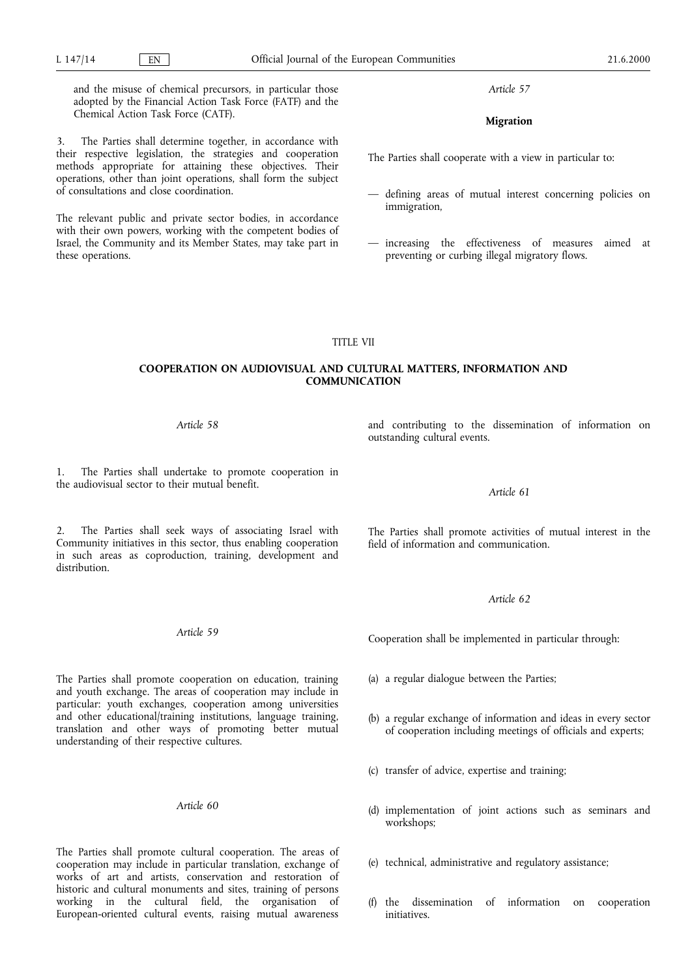these operations.

Chemical Action Task Force (CATF).

of consultations and close coordination.

and the misuse of chemical precursors, in particular those adopted by the Financial Action Task Force (FATF) and the

3. The Parties shall determine together, in accordance with their respective legislation, the strategies and cooperation methods appropriate for attaining these objectives. Their operations, other than joint operations, shall form the subject

The relevant public and private sector bodies, in accordance with their own powers, working with the competent bodies of Israel, the Community and its Member States, may take part in

Article 57

## Migration

The Parties shall cooperate with a view in particular to:

- defining areas of mutual interest concerning policies on immigration,
- $-$  increasing the effectiveness of measures aimed at preventing or curbing illegal migratory flows.

#### TITLE VII

## COOPERATION ON AUDIOVISUAL AND CULTURAL MATTERS, INFORMATION AND **COMMUNICATION**

## Article 58

1. The Parties shall undertake to promote cooperation in the audiovisual sector to their mutual benefit.

2. The Parties shall seek ways of associating Israel with Community initiatives in this sector, thus enabling cooperation in such areas as coproduction, training, development and distribution.

#### Article 59

The Parties shall promote cooperation on education, training and youth exchange. The areas of cooperation may include in particular: youth exchanges, cooperation among universities and other educational/training institutions, language training, translation and other ways of promoting better mutual understanding of their respective cultures.

## Article 60

The Parties shall promote cultural cooperation. The areas of cooperation may include in particular translation, exchange of works of art and artists, conservation and restoration of historic and cultural monuments and sites, training of persons working in the cultural field, the organisation of European-oriented cultural events, raising mutual awareness

and contributing to the dissemination of information on outstanding cultural events.

Article 61

The Parties shall promote activities of mutual interest in the field of information and communication.

#### Article 62

Cooperation shall be implemented in particular through:

- (a) a regular dialogue between the Parties;
- (b) a regular exchange of information and ideas in every sector of cooperation including meetings of officials and experts;
- (c) transfer of advice, expertise and training;
- (d) implementation of joint actions such as seminars and workshops;
- (e) technical, administrative and regulatory assistance;
- (f) the dissemination of information on cooperation initiatives.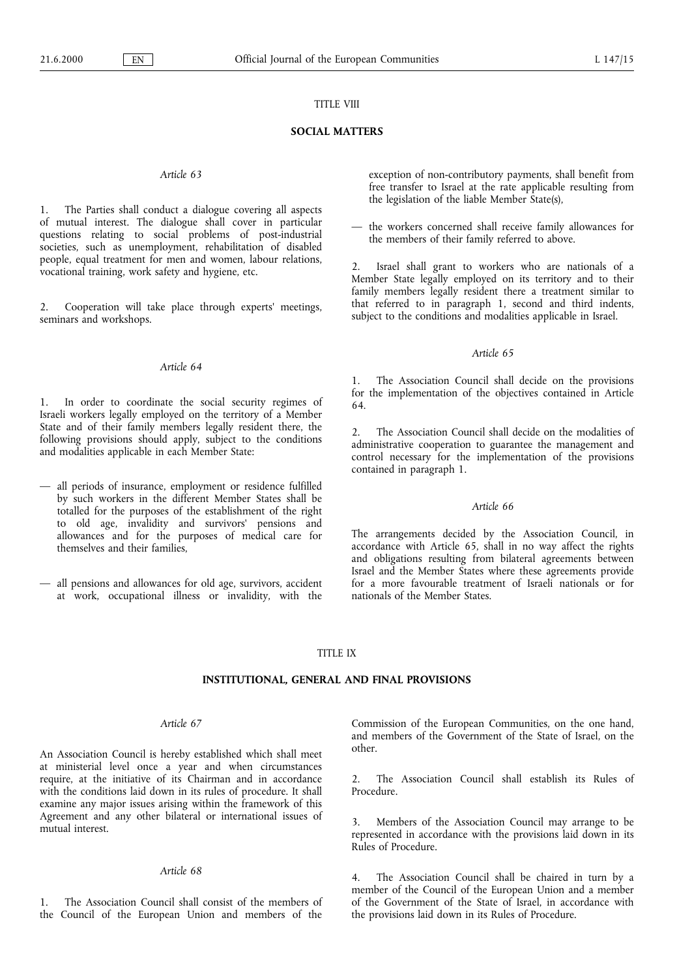## TITLE VIII

## SOCIAL MATTERS

### Article 63

1. The Parties shall conduct a dialogue covering all aspects of mutual interest. The dialogue shall cover in particular questions relating to social problems of post-industrial societies, such as unemployment, rehabilitation of disabled people, equal treatment for men and women, labour relations, vocational training, work safety and hygiene, etc.

2. Cooperation will take place through experts' meetings, seminars and workshops.

### Article 64

In order to coordinate the social security regimes of Israeli workers legally employed on the territory of a Member State and of their family members legally resident there, the following provisions should apply, subject to the conditions and modalities applicable in each Member State:

- all periods of insurance, employment or residence fulfilled by such workers in the different Member States shall be totalled for the purposes of the establishment of the right to old age, invalidity and survivors' pensions and allowances and for the purposes of medical care for themselves and their families,
- all pensions and allowances for old age, survivors, accident at work, occupational illness or invalidity, with the

exception of non-contributory payments, shall benefit from free transfer to Israel at the rate applicable resulting from the legislation of the liable Member State(s),

 $-$  the workers concerned shall receive family allowances for the members of their family referred to above.

Israel shall grant to workers who are nationals of a Member State legally employed on its territory and to their family members legally resident there a treatment similar to that referred to in paragraph 1, second and third indents, subject to the conditions and modalities applicable in Israel.

## Article 65

1. The Association Council shall decide on the provisions for the implementation of the objectives contained in Article 64.

2. The Association Council shall decide on the modalities of administrative cooperation to guarantee the management and control necessary for the implementation of the provisions contained in paragraph 1.

## Article 66

The arrangements decided by the Association Council, in accordance with Article 65, shall in no way affect the rights and obligations resulting from bilateral agreements between Israel and the Member States where these agreements provide for a more favourable treatment of Israeli nationals or for nationals of the Member States.

### TITLE IX

### INSTITUTIONAL, GENERAL AND FINAL PROVISIONS

#### Article 67

An Association Council is hereby established which shall meet at ministerial level once a year and when circumstances require, at the initiative of its Chairman and in accordance with the conditions laid down in its rules of procedure. It shall examine any major issues arising within the framework of this Agreement and any other bilateral or international issues of mutual interest.

## Article 68

1. The Association Council shall consist of the members of the Council of the European Union and members of the Commission of the European Communities, on the one hand, and members of the Government of the State of Israel, on the other.

2. The Association Council shall establish its Rules of Procedure.

3. Members of the Association Council may arrange to be represented in accordance with the provisions laid down in its Rules of Procedure.

4. The Association Council shall be chaired in turn by a member of the Council of the European Union and a member of the Government of the State of Israel, in accordance with the provisions laid down in its Rules of Procedure.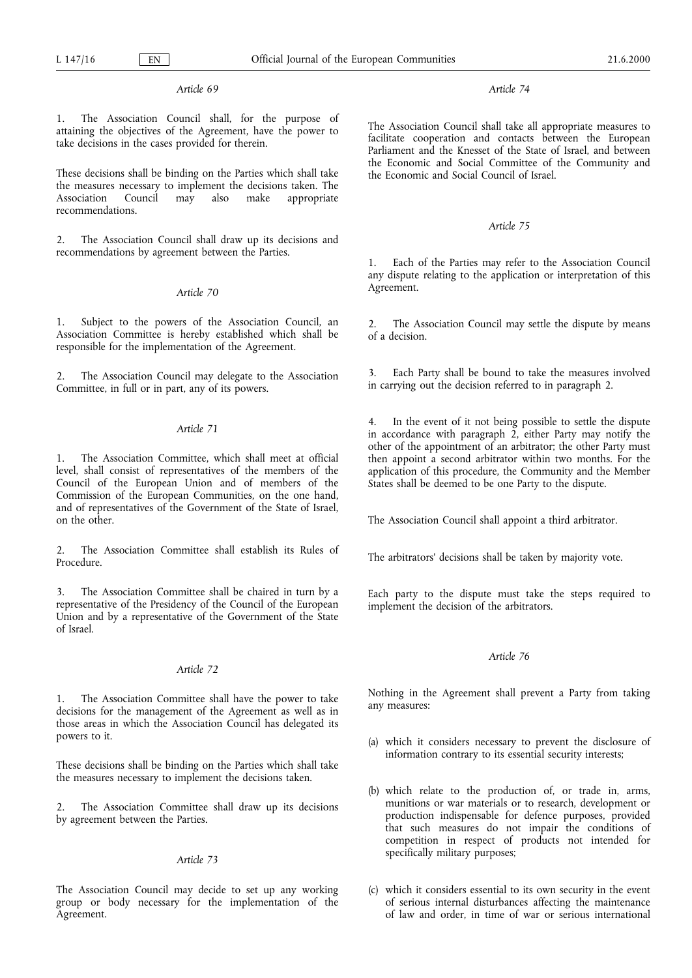## Article 69

1. The Association Council shall, for the purpose of attaining the objectives of the Agreement, have the power to take decisions in the cases provided for therein.

These decisions shall be binding on the Parties which shall take the measures necessary to implement the decisions taken. The Association Council may also make appropriate recommendations.

2. The Association Council shall draw up its decisions and recommendations by agreement between the Parties.

## Article 70

1. Subject to the powers of the Association Council, an Association Committee is hereby established which shall be responsible for the implementation of the Agreement.

2. The Association Council may delegate to the Association Committee, in full or in part, any of its powers.

## Article 71

1. The Association Committee, which shall meet at official level, shall consist of representatives of the members of the Council of the European Union and of members of the Commission of the European Communities, on the one hand, and of representatives of the Government of the State of Israel, on the other.

2. The Association Committee shall establish its Rules of Procedure.

3. The Association Committee shall be chaired in turn by a representative of the Presidency of the Council of the European Union and by a representative of the Government of the State of Israel.

## Article 72

1. The Association Committee shall have the power to take decisions for the management of the Agreement as well as in those areas in which the Association Council has delegated its powers to it.

These decisions shall be binding on the Parties which shall take the measures necessary to implement the decisions taken.

The Association Committee shall draw up its decisions by agreement between the Parties.

### Article 73

The Association Council may decide to set up any working group or body necessary for the implementation of the Agreement.

### Article 74

The Association Council shall take all appropriate measures to facilitate cooperation and contacts between the European Parliament and the Knesset of the State of Israel, and between the Economic and Social Committee of the Community and the Economic and Social Council of Israel.

# Article 75

1. Each of the Parties may refer to the Association Council any dispute relating to the application or interpretation of this Agreement.

2. The Association Council may settle the dispute by means of a decision.

3. Each Party shall be bound to take the measures involved in carrying out the decision referred to in paragraph 2.

In the event of it not being possible to settle the dispute in accordance with paragraph 2, either Party may notify the other of the appointment of an arbitrator; the other Party must then appoint a second arbitrator within two months. For the application of this procedure, the Community and the Member States shall be deemed to be one Party to the dispute.

The Association Council shall appoint a third arbitrator.

The arbitrators' decisions shall be taken by majority vote.

Each party to the dispute must take the steps required to implement the decision of the arbitrators.

## Article 76

Nothing in the Agreement shall prevent a Party from taking any measures:

- (a) which it considers necessary to prevent the disclosure of information contrary to its essential security interests;
- (b) which relate to the production of, or trade in, arms, munitions or war materials or to research, development or production indispensable for defence purposes, provided that such measures do not impair the conditions of competition in respect of products not intended for specifically military purposes;
- (c) which it considers essential to its own security in the event of serious internal disturbances affecting the maintenance of law and order, in time of war or serious international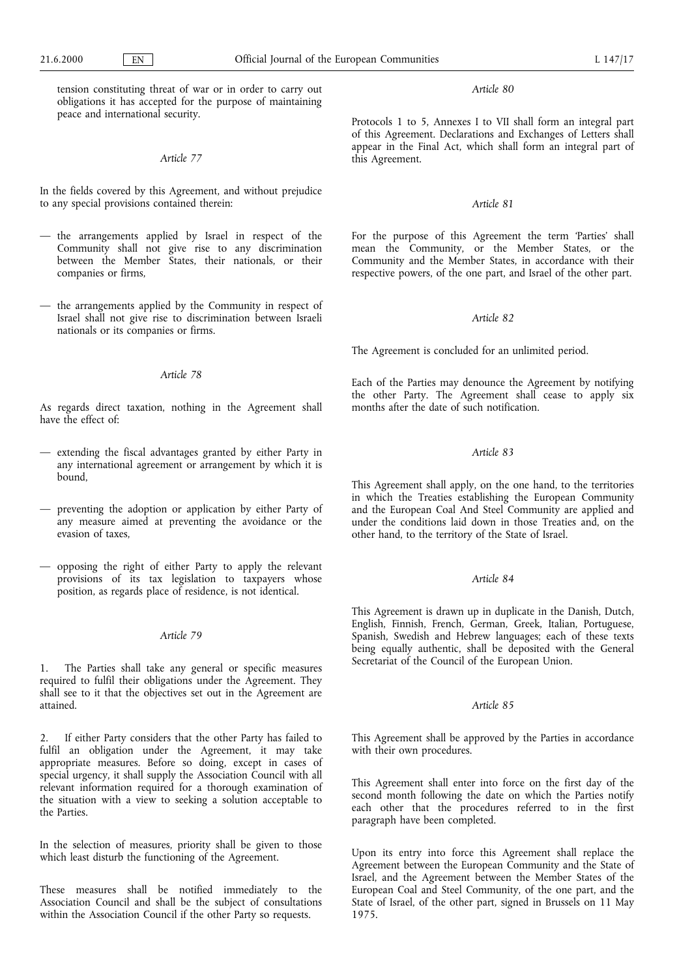tension constituting threat of war or in order to carry out obligations it has accepted for the purpose of maintaining peace and international security.

### Article 77

In the fields covered by this Agreement, and without prejudice to any special provisions contained therein:

- $-$  the arrangements applied by Israel in respect of the Community shall not give rise to any discrimination between the Member States, their nationals, or their companies or firms,
- the arrangements applied by the Community in respect of Israel shall not give rise to discrimination between Israeli nationals or its companies or firms.

## Article 78

As regards direct taxation, nothing in the Agreement shall have the effect of:

- extending the fiscal advantages granted by either Party in any international agreement or arrangement by which it is bound,
- preventing the adoption or application by either Party of any measure aimed at preventing the avoidance or the evasion of taxes,
- opposing the right of either Party to apply the relevant provisions of its tax legislation to taxpayers whose position, as regards place of residence, is not identical.

## Article 79

The Parties shall take any general or specific measures required to fulfil their obligations under the Agreement. They shall see to it that the objectives set out in the Agreement are attained.

2. If either Party considers that the other Party has failed to fulfil an obligation under the Agreement, it may take appropriate measures. Before so doing, except in cases of special urgency, it shall supply the Association Council with all relevant information required for a thorough examination of the situation with a view to seeking a solution acceptable to the Parties.

In the selection of measures, priority shall be given to those which least disturb the functioning of the Agreement.

These measures shall be notified immediately to the Association Council and shall be the subject of consultations within the Association Council if the other Party so requests.

Article 80

Protocols 1 to 5, Annexes I to VII shall form an integral part of this Agreement. Declarations and Exchanges of Letters shall appear in the Final Act, which shall form an integral part of this Agreement.

### Article 81

For the purpose of this Agreement the term 'Parties' shall mean the Community, or the Member States, or the Community and the Member States, in accordance with their respective powers, of the one part, and Israel of the other part.

## Article 82

The Agreement is concluded for an unlimited period.

Each of the Parties may denounce the Agreement by notifying the other Party. The Agreement shall cease to apply six months after the date of such notification.

# Article 83

This Agreement shall apply, on the one hand, to the territories in which the Treaties establishing the European Community and the European Coal And Steel Community are applied and under the conditions laid down in those Treaties and, on the other hand, to the territory of the State of Israel.

## Article 84

This Agreement is drawn up in duplicate in the Danish, Dutch, English, Finnish, French, German, Greek, Italian, Portuguese, Spanish, Swedish and Hebrew languages; each of these texts being equally authentic, shall be deposited with the General Secretariat of the Council of the European Union.

## Article 85

This Agreement shall be approved by the Parties in accordance with their own procedures.

This Agreement shall enter into force on the first day of the second month following the date on which the Parties notify each other that the procedures referred to in the first paragraph have been completed.

Upon its entry into force this Agreement shall replace the Agreement between the European Community and the State of Israel, and the Agreement between the Member States of the European Coal and Steel Community, of the one part, and the State of Israel, of the other part, signed in Brussels on 11 May 1975.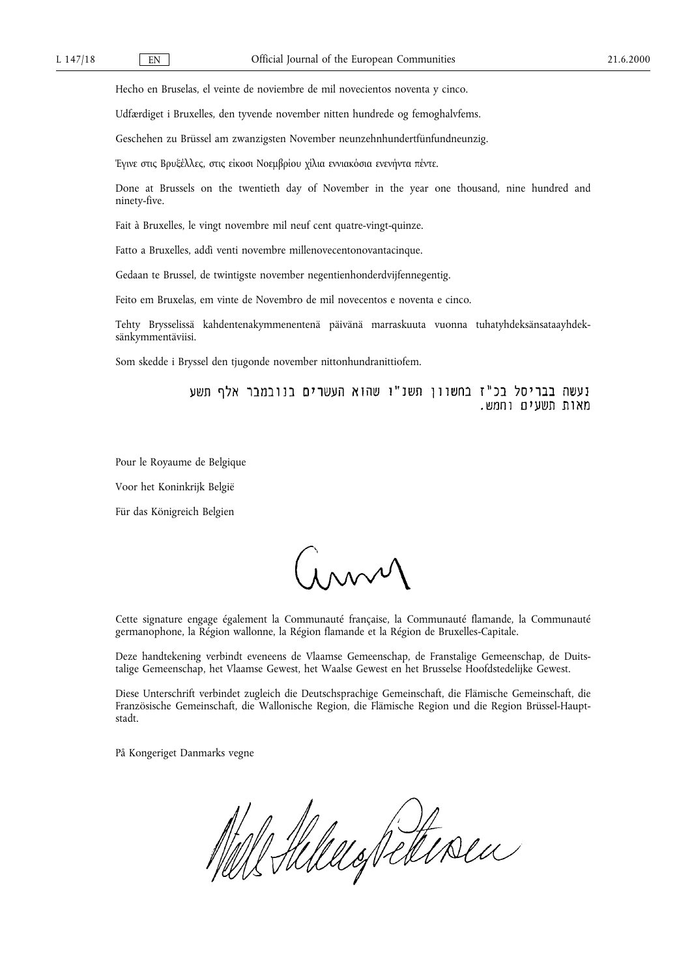Hecho en Bruselas, el veinte de noviembre de mil novecientos noventa y cinco.

Udfærdiget i Bruxelles, den tyvende november nitten hundrede og femoghalvfems.

Geschehen zu Brüssel am zwanzigsten November neunzehnhundertfünfundneunzig.

Έγινε στις Βρυξέλλες, στις είκοσι Νοεμβρίου χίλια εννιακόσια ενενήντα πέντε.

Done at Brussels on the twentieth day of November in the year one thousand, nine hundred and ninety-five.

Fait à Bruxelles, le vingt novembre mil neuf cent quatre-vingt-quinze.

Fatto a Bruxelles, addì venti novembre millenovecentonovantacinque.

Gedaan te Brussel, de twintigste november negentienhonderdvijfennegentig.

Feito em Bruxelas, em vinte de Novembro de mil novecentos e noventa e cinco.

Tehty Brysselissä kahdentenakymmenentenä päivänä marraskuuta vuonna tuhatyhdeksänsataayhdeksänkymmentäviisi.

Som skedde i Bryssel den tjugonde november nittonhundranittiofem.

נעשה בבריסל בכ"ז בחשוון תשנ"ו שהוא העשרים בנובמבר אלף תשע מאות תשעים וחמש.

Pour le Royaume de Belgique

Voor het Koninkrijk België

Für das Königreich Belgien

 $\int_{1}^{\infty}$ 

Cette signature engage également la Communauté française, la Communauté flamande, la Communauté germanophone, la Région wallonne, la Région flamande et la Région de Bruxelles-Capitale.

Deze handtekening verbindt eveneens de Vlaamse Gemeenschap, de Franstalige Gemeenschap, de Duitstalige Gemeenschap, het Vlaamse Gewest, het Waalse Gewest en het Brusselse Hoofdstedelijke Gewest.

Diese Unterschrift verbindet zugleich die Deutschsprachige Gemeinschaft, die Flämische Gemeinschaft, die Französische Gemeinschaft, die Wallonische Region, die Flämische Region und die Region Brüssel-Hauptstadt.

På Kongeriget Danmarks vegne

Mill Hillelo Retiren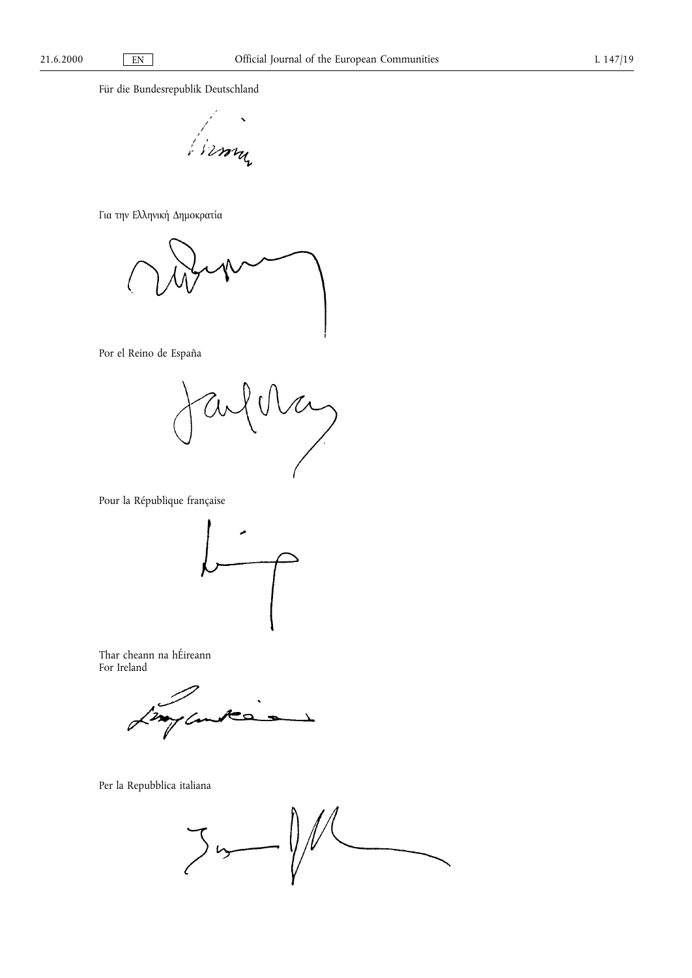Für die Bundesrepublik Deutschland

from

Για την Ελληνική Δημοκρατία

Por el Reino de España

aufellan

Pour la République française



Thar cheann na hÉireann For Ireland

Ł

Per la Repubblica italiana

 $3 - 11$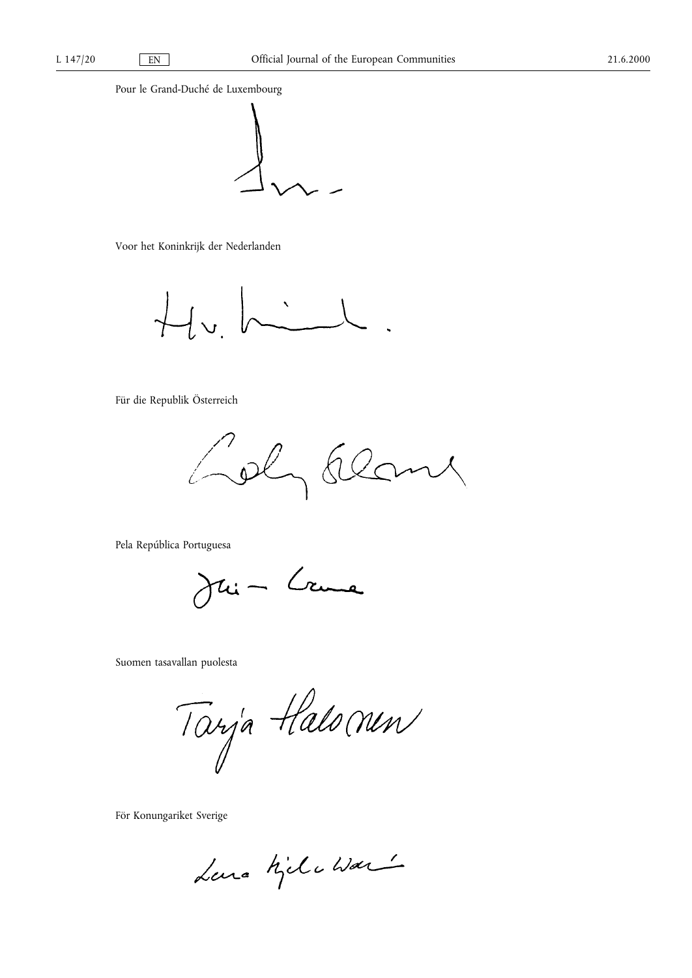Pour le Grand-Duché de Luxembourg



Voor het Koninkrijk der Nederlanden

 $Hv$  hill

Für die Republik Österreich

Loly Ele my

Pela República Portuguesa

Jui- Crume

Suomen tasavallan puolesta

Tarja Halomen

För Konungariket Sverige

Lara Kilchar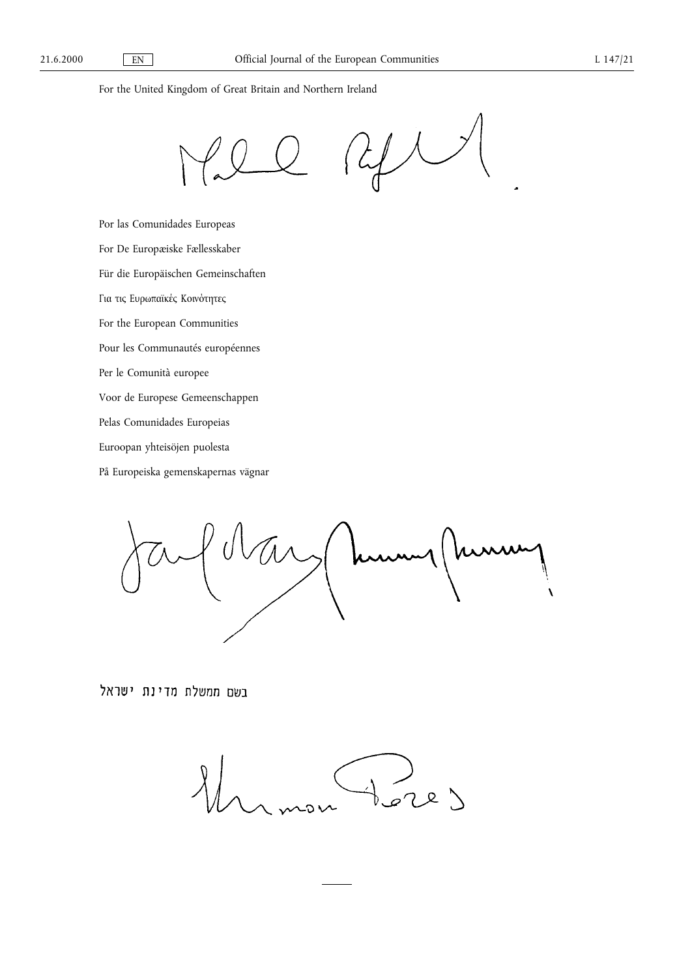For the United Kingdom of Great Britain and Northern Ireland

 $\mathcal{L}$ 

Por las Comunidades Europeas For De Europæiske Fællesskaber Für die Europäischen Gemeinschaften Για τις Ευρωπαϊκές Κοινότητες For the European Communities Pour les Communautés européennes Per le Comunità europee Voor de Europese Gemeenschappen Pelas Comunidades Europeias Euroopan yhteisöjen puolesta

På Europeiska gemenskapernas vägnar

hu  $\overline{\mathbf{A}}$ 

בשם ממשלת מדינת ישראל

 $22)$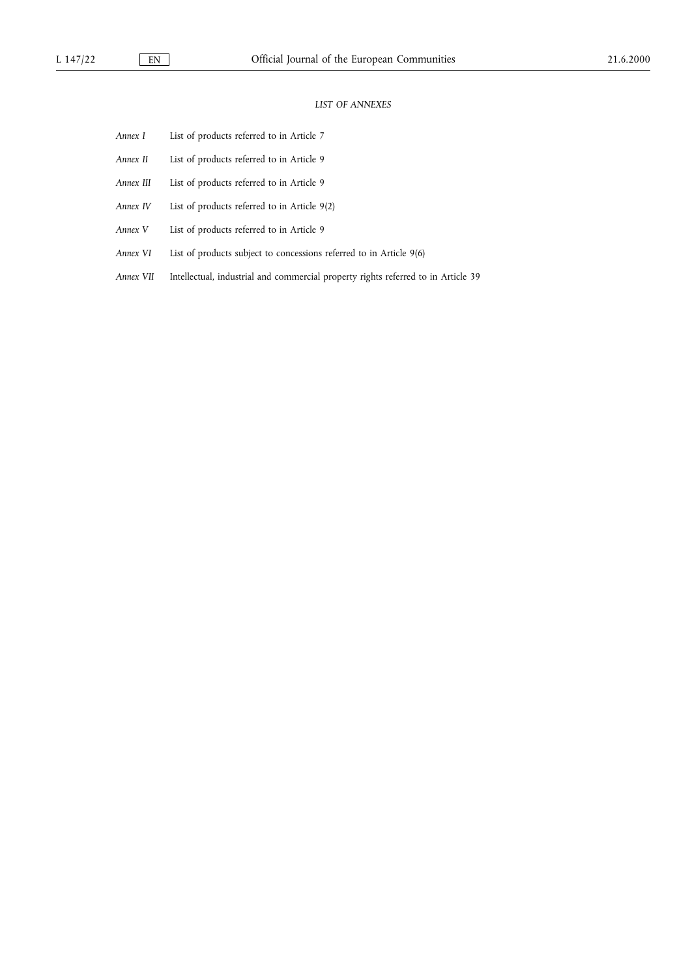## LIST OF ANNEXES

- Annex I List of products referred to in Article 7
- Annex II List of products referred to in Article 9
- Annex III List of products referred to in Article 9
- Annex IV List of products referred to in Article 9(2)
- Annex V List of products referred to in Article 9
- Annex VI List of products subject to concessions referred to in Article 9(6)
- Annex VII Intellectual, industrial and commercial property rights referred to in Article 39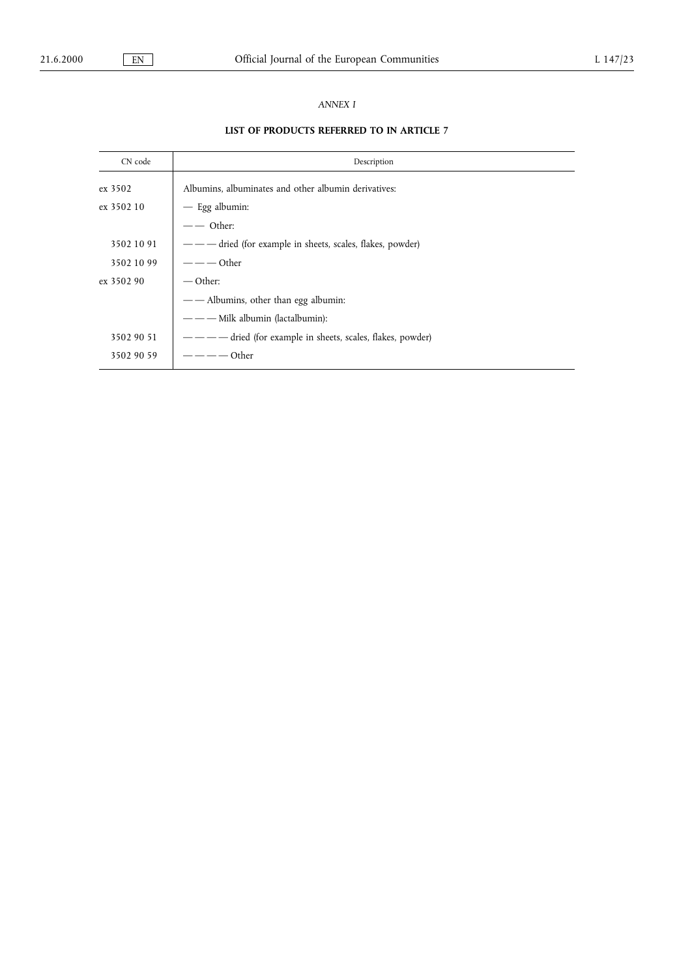# ANNEX I

# LIST OF PRODUCTS REFERRED TO IN ARTICLE 7

| CN code    | Description                                           |  |  |  |
|------------|-------------------------------------------------------|--|--|--|
| ex 3502    | Albumins, albuminates and other albumin derivatives:  |  |  |  |
| ex 3502 10 | $-$ Egg albumin:                                      |  |  |  |
|            | - — Other:                                            |  |  |  |
| 3502 10 91 |                                                       |  |  |  |
| 3502 10 99 | - — — Other                                           |  |  |  |
| ex 3502 90 | $\sim$ Other:                                         |  |  |  |
|            | — — Albumins, other than egg albumin:                 |  |  |  |
|            | - — Milk albumin (lactalbumin):                       |  |  |  |
| 3502 90 51 | dried (for example in sheets, scales, flakes, powder) |  |  |  |
| 3502 90 59 | Other                                                 |  |  |  |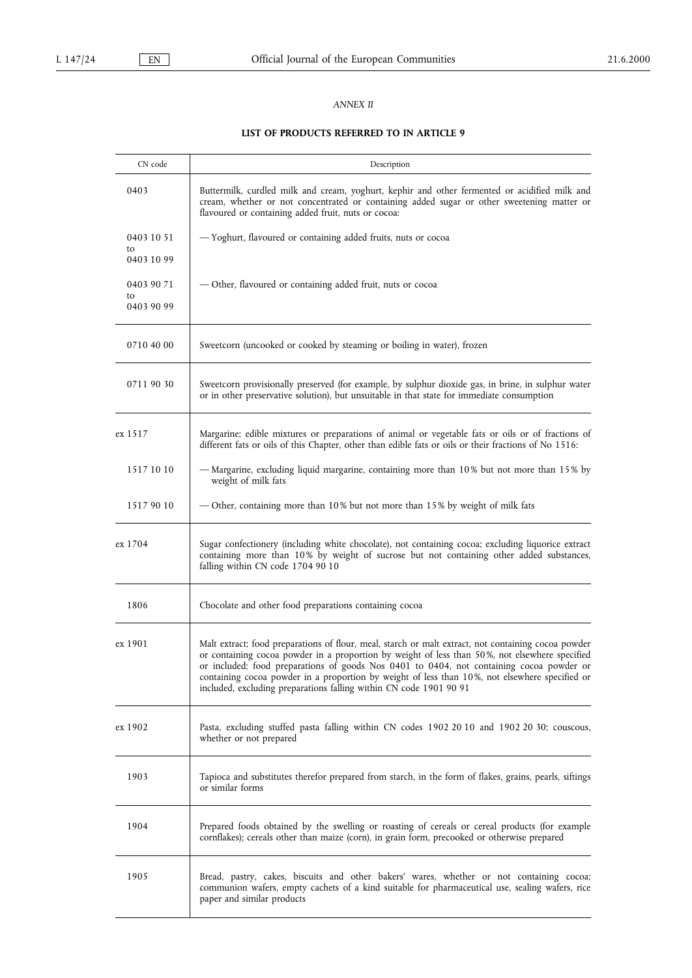## ANNEX II

# LIST OF PRODUCTS REFERRED TO IN ARTICLE 9

| CN code          | Description                                                                                                                                                                                                                                                                                                                                                                                                                                                               |
|------------------|---------------------------------------------------------------------------------------------------------------------------------------------------------------------------------------------------------------------------------------------------------------------------------------------------------------------------------------------------------------------------------------------------------------------------------------------------------------------------|
| 0403             | Buttermilk, curdled milk and cream, yoghurt, kephir and other fermented or acidified milk and<br>cream, whether or not concentrated or containing added sugar or other sweetening matter or<br>flavoured or containing added fruit, nuts or cocoa:                                                                                                                                                                                                                        |
| 0403 10 51       | — Yoghurt, flavoured or containing added fruits, nuts or cocoa                                                                                                                                                                                                                                                                                                                                                                                                            |
| to<br>0403 10 99 |                                                                                                                                                                                                                                                                                                                                                                                                                                                                           |
| 0403 90 71       | — Other, flavoured or containing added fruit, nuts or cocoa                                                                                                                                                                                                                                                                                                                                                                                                               |
| to<br>0403 90 99 |                                                                                                                                                                                                                                                                                                                                                                                                                                                                           |
|                  |                                                                                                                                                                                                                                                                                                                                                                                                                                                                           |
| 0710 40 00       | Sweetcorn (uncooked or cooked by steaming or boiling in water), frozen                                                                                                                                                                                                                                                                                                                                                                                                    |
| 0711 90 30       | Sweetcorn provisionally preserved (for example, by sulphur dioxide gas, in brine, in sulphur water<br>or in other preservative solution), but unsuitable in that state for immediate consumption                                                                                                                                                                                                                                                                          |
| ex 1517          | Margarine; edible mixtures or preparations of animal or vegetable fats or oils or of fractions of<br>different fats or oils of this Chapter, other than edible fats or oils or their fractions of No 1516:                                                                                                                                                                                                                                                                |
| 1517 10 10       | — Margarine, excluding liquid margarine, containing more than 10% but not more than 15% by<br>weight of milk fats                                                                                                                                                                                                                                                                                                                                                         |
| 1517 90 10       | — Other, containing more than 10% but not more than 15% by weight of milk fats                                                                                                                                                                                                                                                                                                                                                                                            |
| ex 1704          | Sugar confectionery (including white chocolate), not containing cocoa; excluding liquorice extract<br>containing more than 10% by weight of sucrose but not containing other added substances,<br>falling within CN code 1704 90 10                                                                                                                                                                                                                                       |
| 1806             | Chocolate and other food preparations containing cocoa                                                                                                                                                                                                                                                                                                                                                                                                                    |
| ex 1901          | Malt extract; food preparations of flour, meal, starch or malt extract, not containing cocoa powder<br>or containing cocoa powder in a proportion by weight of less than 50%, not elsewhere specified<br>or included; food preparations of goods Nos 0401 to 0404, not containing cocoa powder or<br>containing cocoa powder in a proportion by weight of less than 10%, not elsewhere specified or<br>included, excluding preparations falling within CN code 1901 90 91 |
| ex 1902          | Pasta, excluding stuffed pasta falling within CN codes 1902 20 10 and 1902 20 30; couscous,<br>whether or not prepared                                                                                                                                                                                                                                                                                                                                                    |
| 1903             | Tapioca and substitutes therefor prepared from starch, in the form of flakes, grains, pearls, siftings<br>or similar forms                                                                                                                                                                                                                                                                                                                                                |
| 1904             | Prepared foods obtained by the swelling or roasting of cereals or cereal products (for example<br>cornflakes); cereals other than maize (corn), in grain form, precooked or otherwise prepared                                                                                                                                                                                                                                                                            |
| 1905             | Bread, pastry, cakes, biscuits and other bakers' wares, whether or not containing cocoa;<br>communion wafers, empty cachets of a kind suitable for pharmaceutical use, sealing wafers, rice<br>paper and similar products                                                                                                                                                                                                                                                 |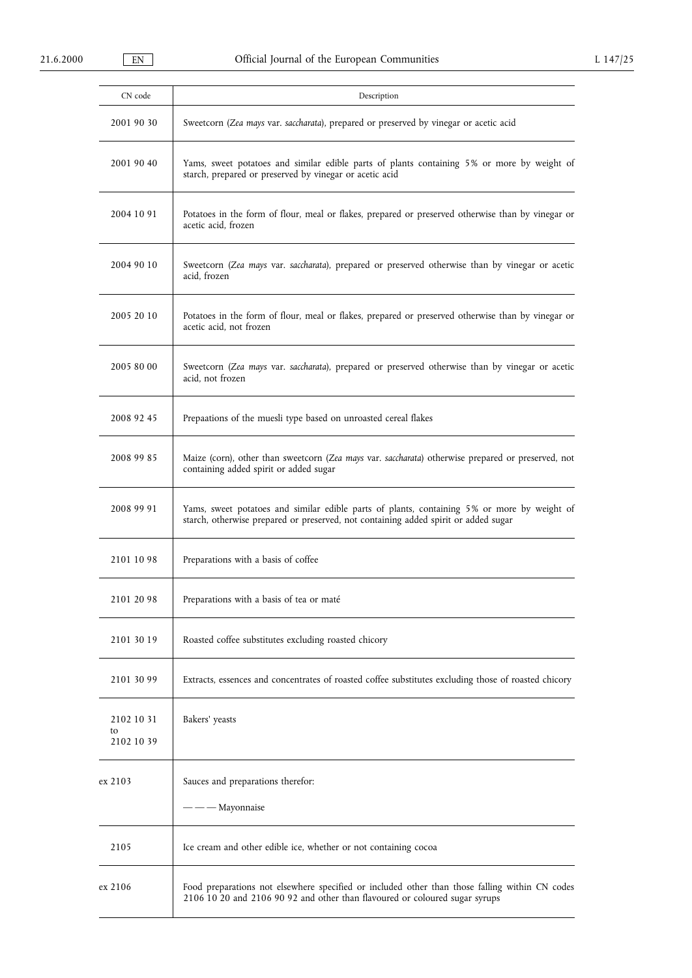| CN code                        | Description                                                                                                                                                                        |
|--------------------------------|------------------------------------------------------------------------------------------------------------------------------------------------------------------------------------|
| 2001 90 30                     | Sweetcorn (Zea mays var. saccharata), prepared or preserved by vinegar or acetic acid                                                                                              |
| 2001 90 40                     | Yams, sweet potatoes and similar edible parts of plants containing 5% or more by weight of<br>starch, prepared or preserved by vinegar or acetic acid                              |
| 2004 10 91                     | Potatoes in the form of flour, meal or flakes, prepared or preserved otherwise than by vinegar or<br>acetic acid, frozen                                                           |
| 2004 90 10                     | Sweetcorn (Zea mays var. saccharata), prepared or preserved otherwise than by vinegar or acetic<br>acid, frozen                                                                    |
| 2005 20 10                     | Potatoes in the form of flour, meal or flakes, prepared or preserved otherwise than by vinegar or<br>acetic acid, not frozen                                                       |
| 2005 80 00                     | Sweetcorn (Zea mays var. saccharata), prepared or preserved otherwise than by vinegar or acetic<br>acid, not frozen                                                                |
| 2008 92 45                     | Prepaations of the muesli type based on unroasted cereal flakes                                                                                                                    |
| 2008 99 85                     | Maize (corn), other than sweetcorn (Zea mays var. saccharata) otherwise prepared or preserved, not<br>containing added spirit or added sugar                                       |
| 2008 99 91                     | Yams, sweet potatoes and similar edible parts of plants, containing 5% or more by weight of<br>starch, otherwise prepared or preserved, not containing added spirit or added sugar |
| 2101 10 98                     | Preparations with a basis of coffee                                                                                                                                                |
| 2101 20 98                     | Preparations with a basis of tea or maté                                                                                                                                           |
| 2101 30 19                     | Roasted coffee substitutes excluding roasted chicory                                                                                                                               |
| 2101 30 99                     | Extracts, essences and concentrates of roasted coffee substitutes excluding those of roasted chicory                                                                               |
| 2102 10 31<br>to<br>2102 10 39 | Bakers' yeasts                                                                                                                                                                     |
| ex 2103                        | Sauces and preparations therefor:<br>– Mayonnaise                                                                                                                                  |
| 2105                           | Ice cream and other edible ice, whether or not containing cocoa                                                                                                                    |
| ex 2106                        | Food preparations not elsewhere specified or included other than those falling within CN codes<br>2106 10 20 and 2106 90 92 and other than flavoured or coloured sugar syrups      |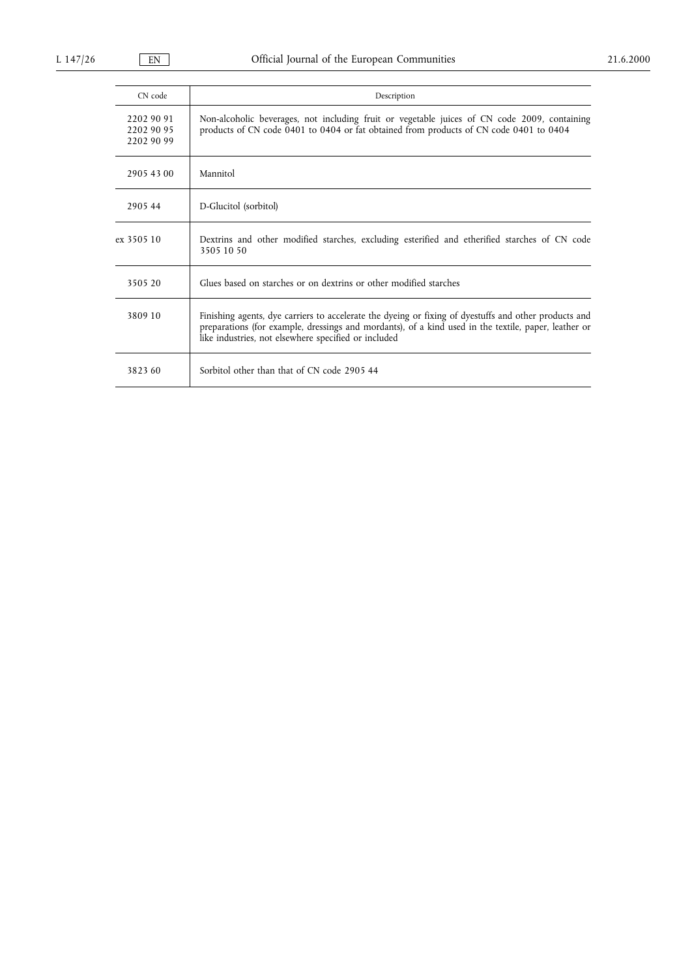| CN code                                | Description                                                                                                                                                                                                                                                           |
|----------------------------------------|-----------------------------------------------------------------------------------------------------------------------------------------------------------------------------------------------------------------------------------------------------------------------|
| 2202 90 91<br>2202 90 95<br>2202 90 99 | Non-alcoholic beverages, not including fruit or vegetable juices of CN code 2009, containing<br>products of CN code 0401 to 0404 or fat obtained from products of CN code 0401 to 0404                                                                                |
| 2905 43 00                             | Mannitol                                                                                                                                                                                                                                                              |
| 290544                                 | D-Glucitol (sorbitol)                                                                                                                                                                                                                                                 |
| ex 3505 10                             | Dextrins and other modified starches, excluding esterified and etherified starches of CN code<br>3505 10 50                                                                                                                                                           |
| 3505 20                                | Glues based on starches or on dextrins or other modified starches                                                                                                                                                                                                     |
| 3809 10                                | Finishing agents, dye carriers to accelerate the dyeing or fixing of dyestuffs and other products and<br>preparations (for example, dressings and mordants), of a kind used in the textile, paper, leather or<br>like industries, not elsewhere specified or included |
| 3823 60                                | Sorbitol other than that of CN code 2905.44                                                                                                                                                                                                                           |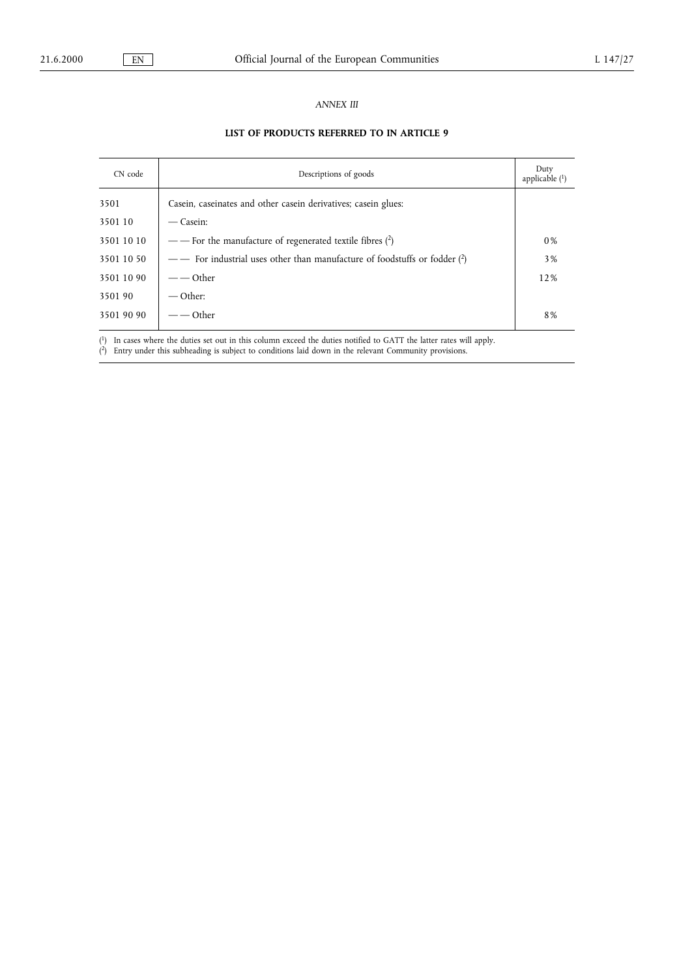## ANNEX III

# LIST OF PRODUCTS REFERRED TO IN ARTICLE 9

| CN code    | Descriptions of goods                                                      |     |
|------------|----------------------------------------------------------------------------|-----|
| 3501       | Casein, caseinates and other casein derivatives; casein glues:             |     |
| 3501 10    | — Casein:                                                                  |     |
| 3501 10 10 | — For the manufacture of regenerated textile fibres $(2)$                  | 0%  |
| 3501 10 50 | — For industrial uses other than manufacture of foodstuffs or fodder $(2)$ | 3%  |
| 3501 10 90 | $ -$ Other                                                                 | 12% |
| 3501 90    | $-$ Other:                                                                 |     |
| 3501 90 90 | Other                                                                      | 8%  |

( 1) In cases where the duties set out in this column exceed the duties notified to GATT the latter rates will apply.

( 2) Entry under this subheading is subject to conditions laid down in the relevant Community provisions.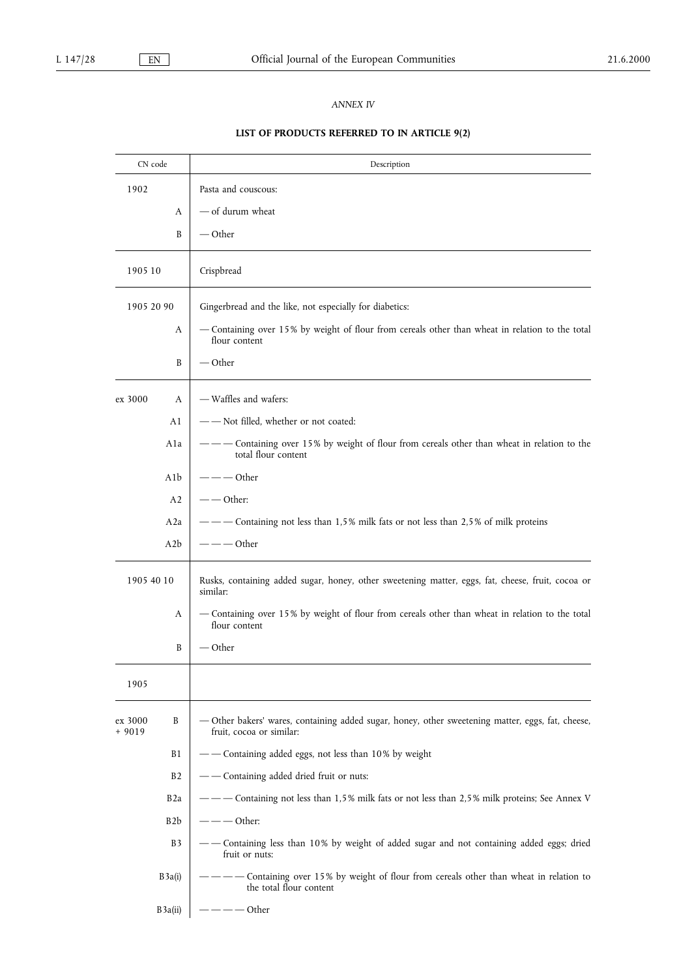## ANNEX IV

# LIST OF PRODUCTS REFERRED TO IN ARTICLE 9(2)

| CN code            |                  | Description                                                                                                                   |  |  |  |  |  |  |
|--------------------|------------------|-------------------------------------------------------------------------------------------------------------------------------|--|--|--|--|--|--|
| 1902               |                  | Pasta and couscous:                                                                                                           |  |  |  |  |  |  |
|                    | A                | — of durum wheat                                                                                                              |  |  |  |  |  |  |
|                    | B                | — Other                                                                                                                       |  |  |  |  |  |  |
| 1905 10            |                  | Crispbread                                                                                                                    |  |  |  |  |  |  |
| 1905 20 90         |                  | Gingerbread and the like, not especially for diabetics:                                                                       |  |  |  |  |  |  |
|                    | A                | - Containing over 15% by weight of flour from cereals other than wheat in relation to the total<br>flour content              |  |  |  |  |  |  |
|                    | B                | $-$ Other                                                                                                                     |  |  |  |  |  |  |
| ex 3000            | A                | - Waffles and wafers:                                                                                                         |  |  |  |  |  |  |
|                    | A1               | - - Not filled, whether or not coated:                                                                                        |  |  |  |  |  |  |
|                    | A1a              | Containing over 15% by weight of flour from cereals other than wheat in relation to the<br>total flour content                |  |  |  |  |  |  |
|                    | A1b              | - — — Other                                                                                                                   |  |  |  |  |  |  |
|                    | A <sub>2</sub>   | $-$ Other:                                                                                                                    |  |  |  |  |  |  |
|                    | A <sub>2</sub> a | -- Containing not less than 1,5% milk fats or not less than 2,5% of milk proteins                                             |  |  |  |  |  |  |
|                    | A2b              | – — — Other                                                                                                                   |  |  |  |  |  |  |
| 1905 40 10         |                  | Rusks, containing added sugar, honey, other sweetening matter, eggs, fat, cheese, fruit, cocoa or<br>similar:                 |  |  |  |  |  |  |
|                    | A                | - Containing over 15% by weight of flour from cereals other than wheat in relation to the total<br>flour content              |  |  |  |  |  |  |
|                    | B                | — Other                                                                                                                       |  |  |  |  |  |  |
| 1905               |                  |                                                                                                                               |  |  |  |  |  |  |
| ex 3000<br>$+9019$ | B                | - Other bakers' wares, containing added sugar, honey, other sweetening matter, eggs, fat, cheese,<br>fruit, cocoa or similar: |  |  |  |  |  |  |
|                    | B1               | - - Containing added eggs, not less than 10% by weight                                                                        |  |  |  |  |  |  |
|                    | B <sub>2</sub>   | - - Containing added dried fruit or nuts:                                                                                     |  |  |  |  |  |  |
|                    | B <sub>2</sub> a | --- Containing not less than 1,5% milk fats or not less than 2,5% milk proteins; See Annex V                                  |  |  |  |  |  |  |
|                    | B <sub>2</sub> b | $---$ Other:                                                                                                                  |  |  |  |  |  |  |
|                    | B3               | Containing less than 10% by weight of added sugar and not containing added eggs; dried<br>fruit or nuts:                      |  |  |  |  |  |  |
|                    | B3a(i)           | - Containing over 15% by weight of flour from cereals other than wheat in relation to<br>the total flour content              |  |  |  |  |  |  |
|                    | B3a(ii)          | $---$ Other                                                                                                                   |  |  |  |  |  |  |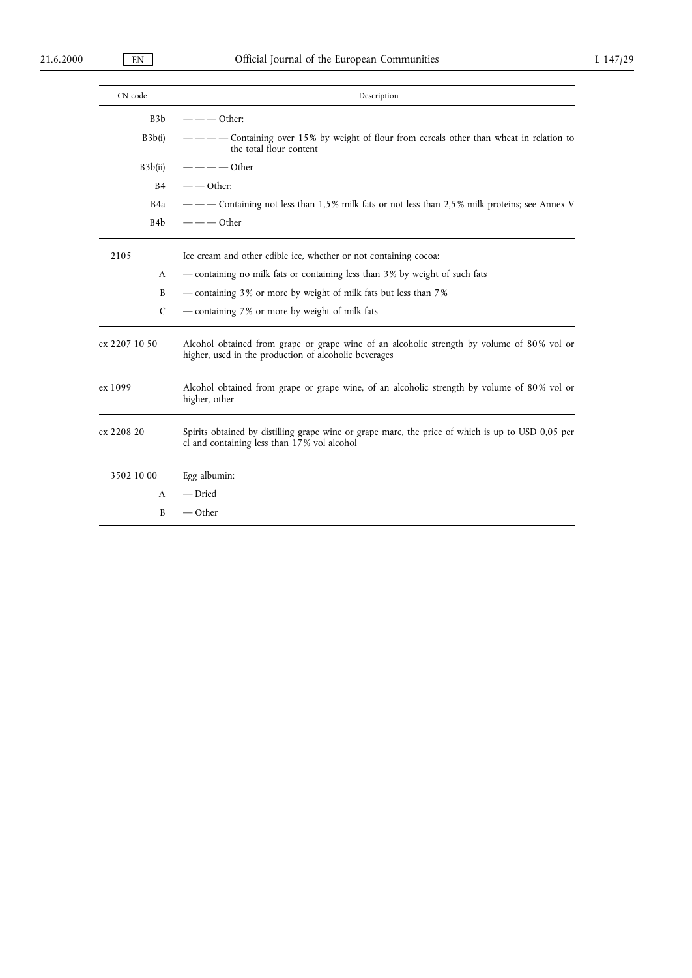| CN code                | Description                                                                                                                                         |  |  |  |
|------------------------|-----------------------------------------------------------------------------------------------------------------------------------------------------|--|--|--|
| B3b                    | $---$ Other:                                                                                                                                        |  |  |  |
| B3b(i)                 | - Containing over 15% by weight of flour from cereals other than wheat in relation to<br>the total flour content                                    |  |  |  |
| $---$ Other<br>B3b(ii) |                                                                                                                                                     |  |  |  |
| <b>B4</b>              | $-$ - Other:                                                                                                                                        |  |  |  |
| B <sub>4</sub> a       | — — Containing not less than 1,5% milk fats or not less than 2,5% milk proteins; see Annex V                                                        |  |  |  |
| B <sub>4</sub> b       | $---$ Other                                                                                                                                         |  |  |  |
| 2105                   | Ice cream and other edible ice, whether or not containing cocoa:                                                                                    |  |  |  |
| A                      | — containing no milk fats or containing less than 3% by weight of such fats                                                                         |  |  |  |
| B                      | - containing 3% or more by weight of milk fats but less than 7%                                                                                     |  |  |  |
| $\mathsf{C}$           | - containing 7% or more by weight of milk fats                                                                                                      |  |  |  |
| ex 2207 10 50          | Alcohol obtained from grape or grape wine of an alcoholic strength by volume of 80% vol or<br>higher, used in the production of alcoholic beverages |  |  |  |
| ex 1099                | Alcohol obtained from grape or grape wine, of an alcoholic strength by volume of 80% vol or<br>higher, other                                        |  |  |  |
| ex 2208 20             | Spirits obtained by distilling grape wine or grape marc, the price of which is up to USD 0,05 per<br>cl and containing less than 17% vol alcohol    |  |  |  |
| 3502 10 00             | Egg albumin:                                                                                                                                        |  |  |  |
| A                      | — Dried                                                                                                                                             |  |  |  |
| B                      | — Other                                                                                                                                             |  |  |  |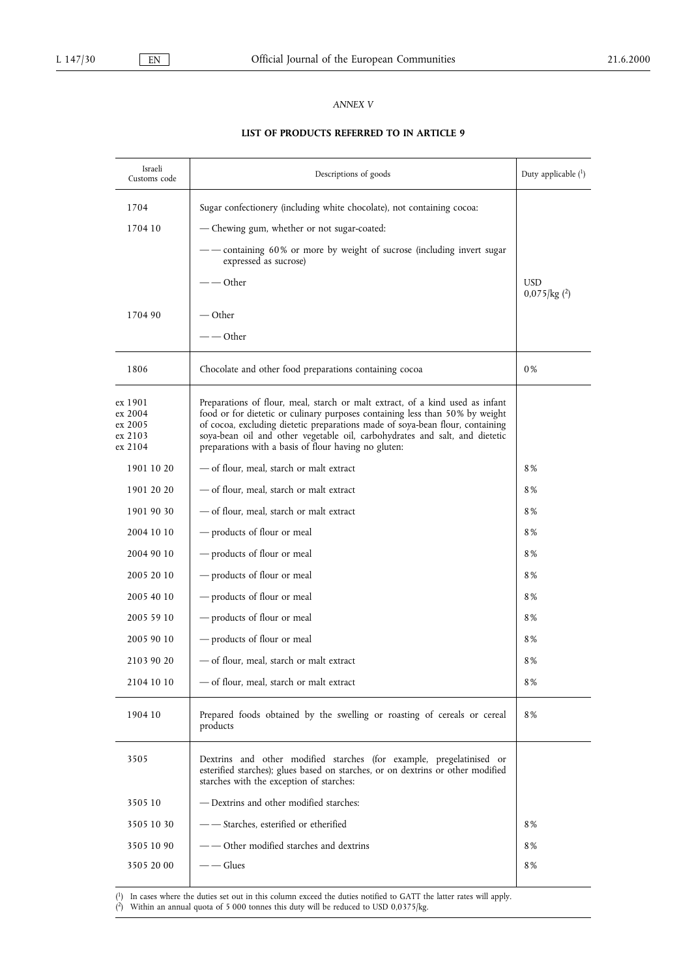## ANNEX V

## LIST OF PRODUCTS REFERRED TO IN ARTICLE 9

| Israeli<br>Customs code                             | Descriptions of goods                                                                                                                                                                                                                                                                                                                                                                 | Duty applicable $(1)$                      |
|-----------------------------------------------------|---------------------------------------------------------------------------------------------------------------------------------------------------------------------------------------------------------------------------------------------------------------------------------------------------------------------------------------------------------------------------------------|--------------------------------------------|
| 1704                                                | Sugar confectionery (including white chocolate), not containing cocoa:                                                                                                                                                                                                                                                                                                                |                                            |
| 1704 10                                             | - Chewing gum, whether or not sugar-coated:                                                                                                                                                                                                                                                                                                                                           |                                            |
|                                                     | containing 60% or more by weight of sucrose (including invert sugar<br>expressed as sucrose)                                                                                                                                                                                                                                                                                          |                                            |
|                                                     | Other                                                                                                                                                                                                                                                                                                                                                                                 | <b>USD</b><br>$0.075$ /kg ( <sup>2</sup> ) |
| 1704 90                                             | — Other                                                                                                                                                                                                                                                                                                                                                                               |                                            |
|                                                     | - — Other                                                                                                                                                                                                                                                                                                                                                                             |                                            |
| 1806                                                | Chocolate and other food preparations containing cocoa                                                                                                                                                                                                                                                                                                                                | 0%                                         |
| ex 1901<br>ex 2004<br>ex 2005<br>ex 2103<br>ex 2104 | Preparations of flour, meal, starch or malt extract, of a kind used as infant<br>food or for dietetic or culinary purposes containing less than 50% by weight<br>of cocoa, excluding dietetic preparations made of soya-bean flour, containing<br>soya-bean oil and other vegetable oil, carbohydrates and salt, and dietetic<br>preparations with a basis of flour having no gluten: |                                            |
| 1901 10 20                                          | - of flour, meal, starch or malt extract                                                                                                                                                                                                                                                                                                                                              | 8%                                         |
| 1901 20 20                                          | - of flour, meal, starch or malt extract                                                                                                                                                                                                                                                                                                                                              | 8%                                         |
| 1901 90 30                                          | - of flour, meal, starch or malt extract                                                                                                                                                                                                                                                                                                                                              | 8%                                         |
| 2004 10 10                                          | - products of flour or meal                                                                                                                                                                                                                                                                                                                                                           | 8%                                         |
| 2004 90 10                                          | - products of flour or meal                                                                                                                                                                                                                                                                                                                                                           | 8%                                         |
| 2005 20 10                                          | - products of flour or meal                                                                                                                                                                                                                                                                                                                                                           | 8%                                         |
| 2005 40 10                                          | - products of flour or meal                                                                                                                                                                                                                                                                                                                                                           | 8%                                         |
| 2005 59 10                                          | - products of flour or meal                                                                                                                                                                                                                                                                                                                                                           | 8%                                         |
| 2005 90 10                                          | - products of flour or meal                                                                                                                                                                                                                                                                                                                                                           | 8%                                         |
| 2103 90 20                                          | - of flour, meal, starch or malt extract                                                                                                                                                                                                                                                                                                                                              | 8%                                         |
| 2104 10 10                                          | - of flour, meal, starch or malt extract                                                                                                                                                                                                                                                                                                                                              | 8%                                         |
| 1904 10                                             | Prepared foods obtained by the swelling or roasting of cereals or cereal<br>products                                                                                                                                                                                                                                                                                                  | 8%                                         |
| 3505                                                | Dextrins and other modified starches (for example, pregelatinised or<br>esterified starches); glues based on starches, or on dextrins or other modified<br>starches with the exception of starches:                                                                                                                                                                                   |                                            |
| 3505 10                                             | — Dextrins and other modified starches:                                                                                                                                                                                                                                                                                                                                               |                                            |
| 3505 10 30                                          | - Starches, esterified or etherified                                                                                                                                                                                                                                                                                                                                                  | 8%                                         |
| 3505 10 90                                          | Other modified starches and dextrins                                                                                                                                                                                                                                                                                                                                                  | 8%                                         |
| 3505 20 00                                          | — Glues                                                                                                                                                                                                                                                                                                                                                                               | 8%                                         |

( 1) In cases where the duties set out in this column exceed the duties notified to GATT the latter rates will apply.

( 2) Within an annual quota of 5 000 tonnes this duty will be reduced to USD 0,0375/kg.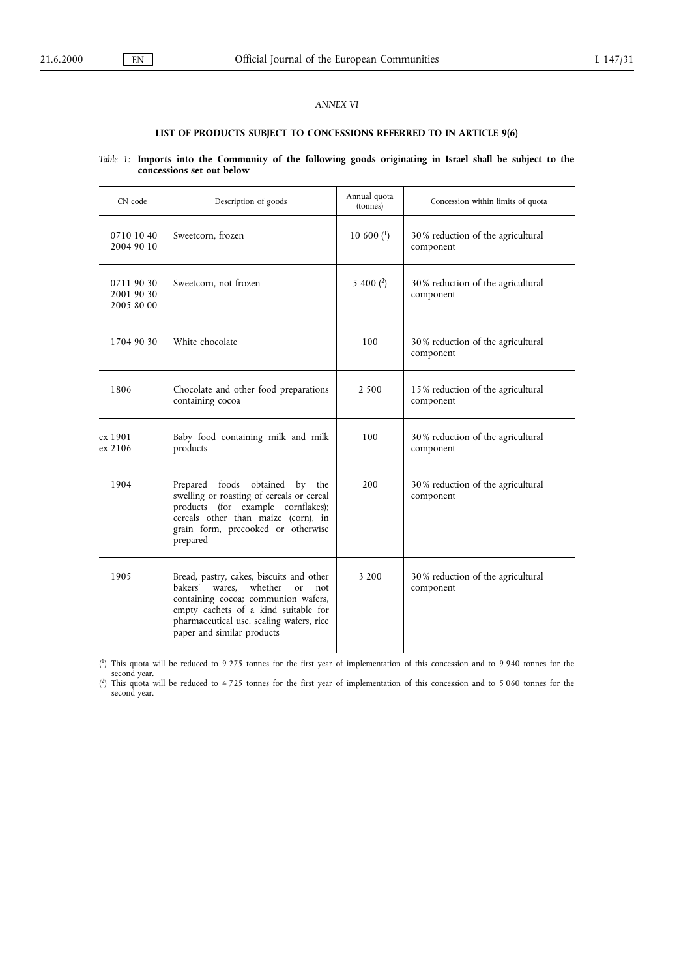## ANNEX VI

# LIST OF PRODUCTS SUBJECT TO CONCESSIONS REFERRED TO IN ARTICLE 9(6)

## Table 1: Imports into the Community of the following goods originating in Israel shall be subject to the concessions set out below

| CN code                                | Description of goods                                                                                                                                                                                                                              | Annual quota<br>(tonnes) | Concession within limits of quota              |
|----------------------------------------|---------------------------------------------------------------------------------------------------------------------------------------------------------------------------------------------------------------------------------------------------|--------------------------|------------------------------------------------|
| 0710 10 40<br>2004 90 10               | Sweetcorn, frozen                                                                                                                                                                                                                                 | $10600$ $(^1)$           | 30% reduction of the agricultural<br>component |
| 0711 90 30<br>2001 90 30<br>2005 80 00 | Sweetcorn, not frozen                                                                                                                                                                                                                             | 5 400 $(2)$              | 30% reduction of the agricultural<br>component |
| 1704 90 30                             | White chocolate                                                                                                                                                                                                                                   | 100                      | 30% reduction of the agricultural<br>component |
| 1806                                   | Chocolate and other food preparations<br>containing cocoa                                                                                                                                                                                         | 2 500                    | 15% reduction of the agricultural<br>component |
| ex 1901<br>ex 2106                     | Baby food containing milk and milk<br>products                                                                                                                                                                                                    | 100                      | 30% reduction of the agricultural<br>component |
| 1904                                   | foods obtained<br>Prepared<br>by the<br>swelling or roasting of cereals or cereal<br>products (for example cornflakes);<br>cereals other than maize (corn), in<br>grain form, precooked or otherwise<br>prepared                                  | 200                      | 30% reduction of the agricultural<br>component |
| 1905                                   | Bread, pastry, cakes, biscuits and other<br>bakers' wares,<br>whether<br>$\alpha$<br>not<br>containing cocoa; communion wafers,<br>empty cachets of a kind suitable for<br>pharmaceutical use, sealing wafers, rice<br>paper and similar products | 3 200                    | 30% reduction of the agricultural<br>component |

( 1) This quota will be reduced to 9 275 tonnes for the first year of implementation of this concession and to 9 940 tonnes for the second year.

( 2) This quota will be reduced to 4 725 tonnes for the first year of implementation of this concession and to 5 060 tonnes for the second year.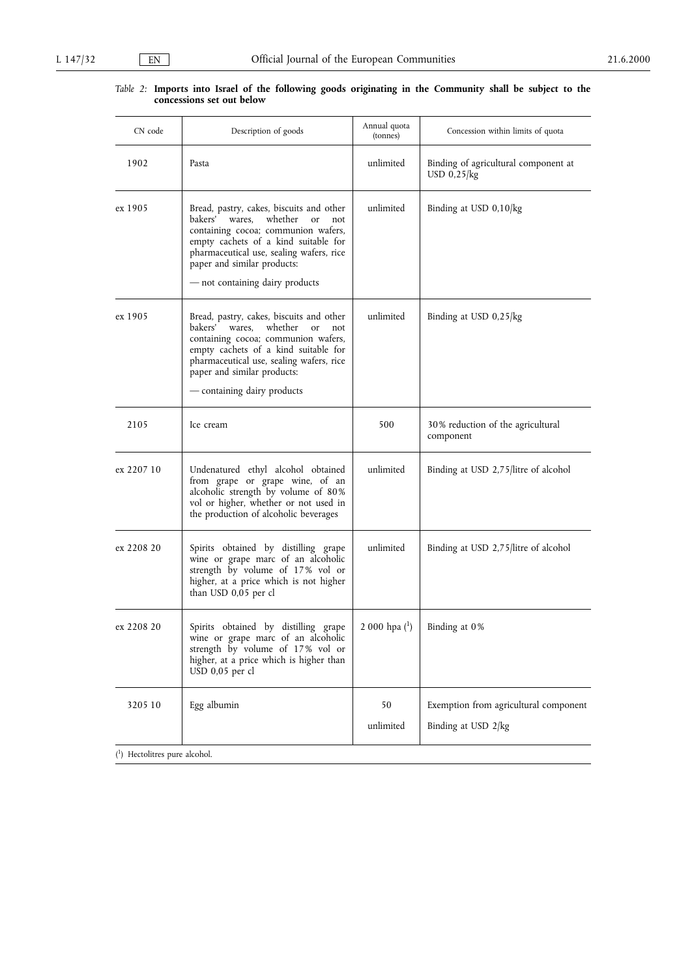#### Table 2: Imports into Israel of the following goods originating in the Community shall be subject to the concessions set out below

| CN code                       | Description of goods                                                                                                                                                                                                                                                                          | Annual quota<br>(tonnes) | Concession within limits of quota                      |
|-------------------------------|-----------------------------------------------------------------------------------------------------------------------------------------------------------------------------------------------------------------------------------------------------------------------------------------------|--------------------------|--------------------------------------------------------|
| 1902                          | Pasta                                                                                                                                                                                                                                                                                         | unlimited                | Binding of agricultural component at<br>USD $0,25$ /kg |
| ex 1905                       | Bread, pastry, cakes, biscuits and other<br>wares,<br>whether<br>bakers'<br><sub>or</sub><br>not<br>containing cocoa; communion wafers,<br>empty cachets of a kind suitable for<br>pharmaceutical use, sealing wafers, rice<br>paper and similar products:<br>- not containing dairy products | unlimited                | Binding at USD 0,10/kg                                 |
| ex 1905                       | Bread, pastry, cakes, biscuits and other<br>bakers' wares,<br>whether<br><b>or</b><br>not<br>containing cocoa; communion wafers,<br>empty cachets of a kind suitable for<br>pharmaceutical use, sealing wafers, rice<br>paper and similar products:<br>- containing dairy products            | unlimited                | Binding at USD 0,25/kg                                 |
| 2105                          | Ice cream                                                                                                                                                                                                                                                                                     | 500                      | 30% reduction of the agricultural<br>component         |
| ex 2207 10                    | Undenatured ethyl alcohol obtained<br>from grape or grape wine, of an<br>alcoholic strength by volume of 80%<br>vol or higher, whether or not used in<br>the production of alcoholic beverages                                                                                                | unlimited                | Binding at USD 2,75/litre of alcohol                   |
| ex 2208 20                    | Spirits obtained by distilling grape<br>wine or grape marc of an alcoholic<br>strength by volume of 17% vol or<br>higher, at a price which is not higher<br>than USD 0,05 per cl                                                                                                              | unlimited                | Binding at USD 2,75/litre of alcohol                   |
| ex 2208 20                    | Spirits obtained by distilling grape<br>wine or grape marc of an alcoholic<br>strength by volume of 17% vol or<br>higher, at a price which is higher than<br>USD 0,05 per cl                                                                                                                  | 2 000 hpa (1)            | Binding at 0%                                          |
| 3205 10                       | Egg albumin                                                                                                                                                                                                                                                                                   | 50                       | Exemption from agricultural component                  |
|                               |                                                                                                                                                                                                                                                                                               | unlimited                | Binding at USD 2/kg                                    |
| (1) Hectolitres pure alcohol. |                                                                                                                                                                                                                                                                                               |                          |                                                        |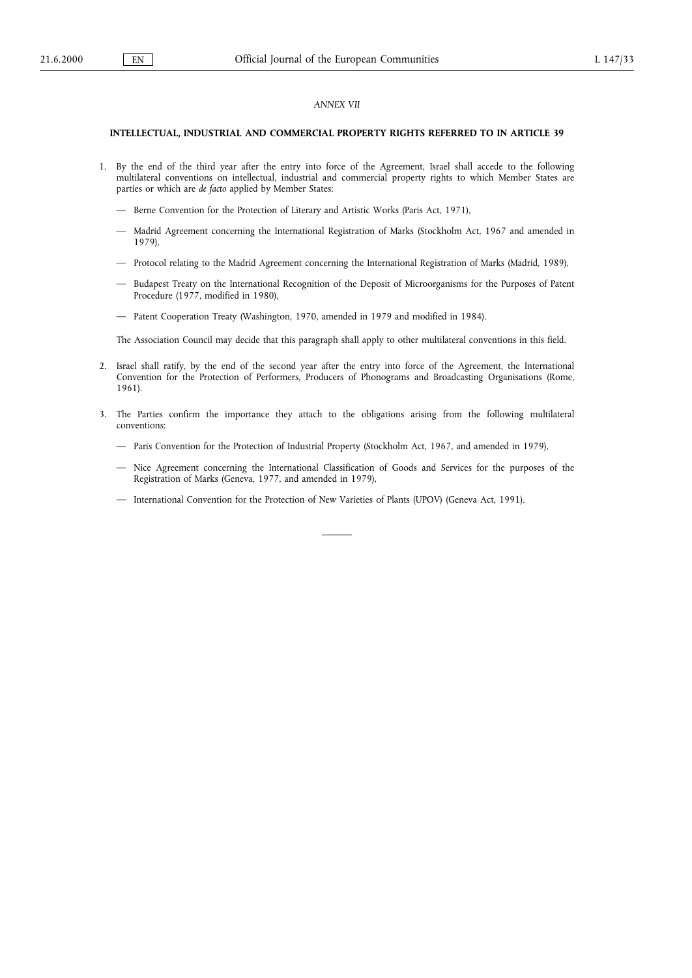#### ANNEX VII

#### INTELLECTUAL, INDUSTRIAL AND COMMERCIAL PROPERTY RIGHTS REFERRED TO IN ARTICLE 39

- 1. By the end of the third year after the entry into force of the Agreement, Israel shall accede to the following multilateral conventions on intellectual, industrial and commercial property rights to which Member States are parties or which are de facto applied by Member States:
	- Berne Convention for the Protection of Literary and Artistic Works (Paris Act, 1971),
	- Madrid Agreement concerning the International Registration of Marks (Stockholm Act, 1967 and amended in 1979),
	- Protocol relating to the Madrid Agreement concerning the International Registration of Marks (Madrid, 1989),
	- Budapest Treaty on the International Recognition of the Deposit of Microorganisms for the Purposes of Patent Procedure (1977, modified in 1980),
	- Patent Cooperation Treaty (Washington, 1970, amended in 1979 and modified in 1984).

The Association Council may decide that this paragraph shall apply to other multilateral conventions in this field.

- 2. Israel shall ratify, by the end of the second year after the entry into force of the Agreement, the International Convention for the Protection of Performers, Producers of Phonograms and Broadcasting Organisations (Rome, 1961).
- 3. The Parties confirm the importance they attach to the obligations arising from the following multilateral conventions:
	- Paris Convention for the Protection of Industrial Property (Stockholm Act, 1967, and amended in 1979),
	- Nice Agreement concerning the International Classification of Goods and Services for the purposes of the Registration of Marks (Geneva, 1977, and amended in 1979),
	- International Convention for the Protection of New Varieties of Plants (UPOV) (Geneva Act, 1991).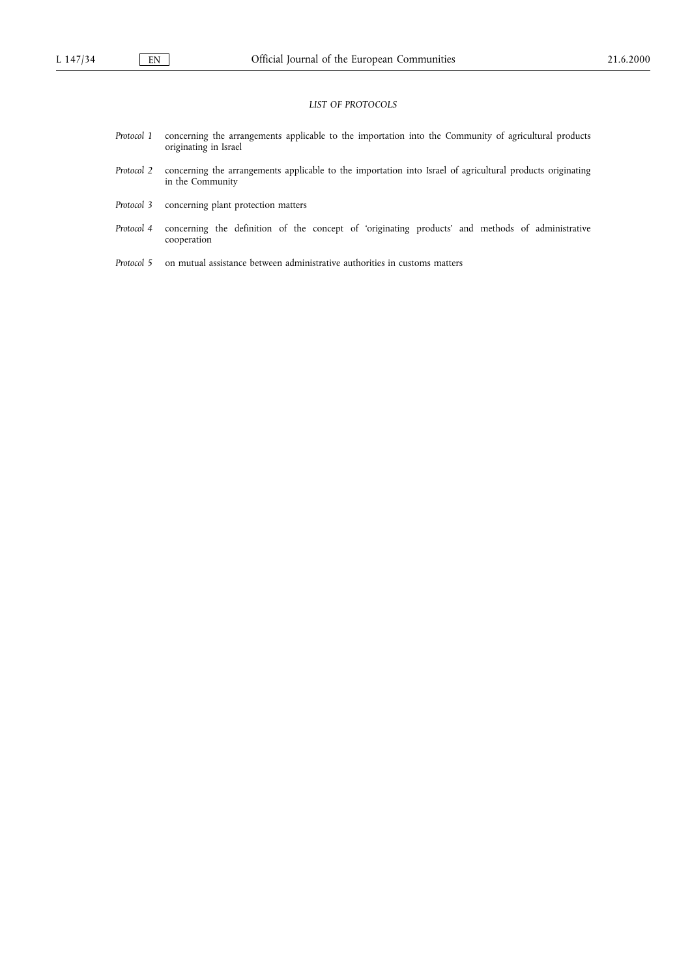#### LIST OF PROTOCOLS

- Protocol 1 concerning the arrangements applicable to the importation into the Community of agricultural products originating in Israel
- Protocol 2 concerning the arrangements applicable to the importation into Israel of agricultural products originating in the Community
- Protocol 3 concerning plant protection matters
- Protocol 4 concerning the definition of the concept of 'originating products' and methods of administrative cooperation
- Protocol 5 on mutual assistance between administrative authorities in customs matters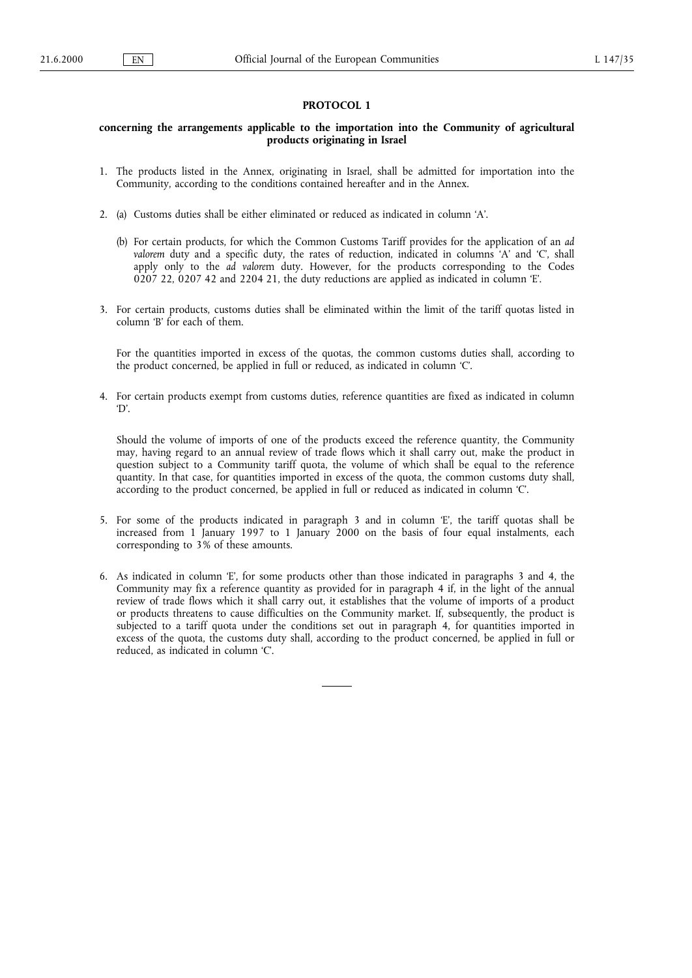## PROTOCOL 1

## concerning the arrangements applicable to the importation into the Community of agricultural products originating in Israel

- 1. The products listed in the Annex, originating in Israel, shall be admitted for importation into the Community, according to the conditions contained hereafter and in the Annex.
- 2. (a) Customs duties shall be either eliminated or reduced as indicated in column 'A'.
	- (b) For certain products, for which the Common Customs Tariff provides for the application of an ad valorem duty and a specific duty, the rates of reduction, indicated in columns  $A'$  and  $C$ , shall apply only to the ad valorem duty. However, for the products corresponding to the Codes 0207 22, 0207 42 and 2204 21, the duty reductions are applied as indicated in column  $E$ .
- 3. For certain products, customs duties shall be eliminated within the limit of the tariff quotas listed in column 'B' for each of them.

For the quantities imported in excess of the quotas, the common customs duties shall, according to the product concerned, be applied in full or reduced, as indicated in column 'C'.

4. For certain products exempt from customs duties, reference quantities are fixed as indicated in column 'D'

Should the volume of imports of one of the products exceed the reference quantity, the Community may, having regard to an annual review of trade flows which it shall carry out, make the product in question subject to a Community tariff quota, the volume of which shall be equal to the reference quantity. In that case, for quantities imported in excess of the quota, the common customs duty shall, according to the product concerned, be applied in full or reduced as indicated in column C.

- 5. For some of the products indicated in paragraph 3 and in column E, the tariff quotas shall be increased from 1 January 1997 to 1 January 2000 on the basis of four equal instalments, each corresponding to 3% of these amounts.
- 6. As indicated in column E, for some products other than those indicated in paragraphs 3 and 4, the Community may fix a reference quantity as provided for in paragraph 4 if, in the light of the annual review of trade flows which it shall carry out, it establishes that the volume of imports of a product or products threatens to cause difficulties on the Community market. If, subsequently, the product is subjected to a tariff quota under the conditions set out in paragraph 4, for quantities imported in excess of the quota, the customs duty shall, according to the product concerned, be applied in full or reduced, as indicated in column 'C'.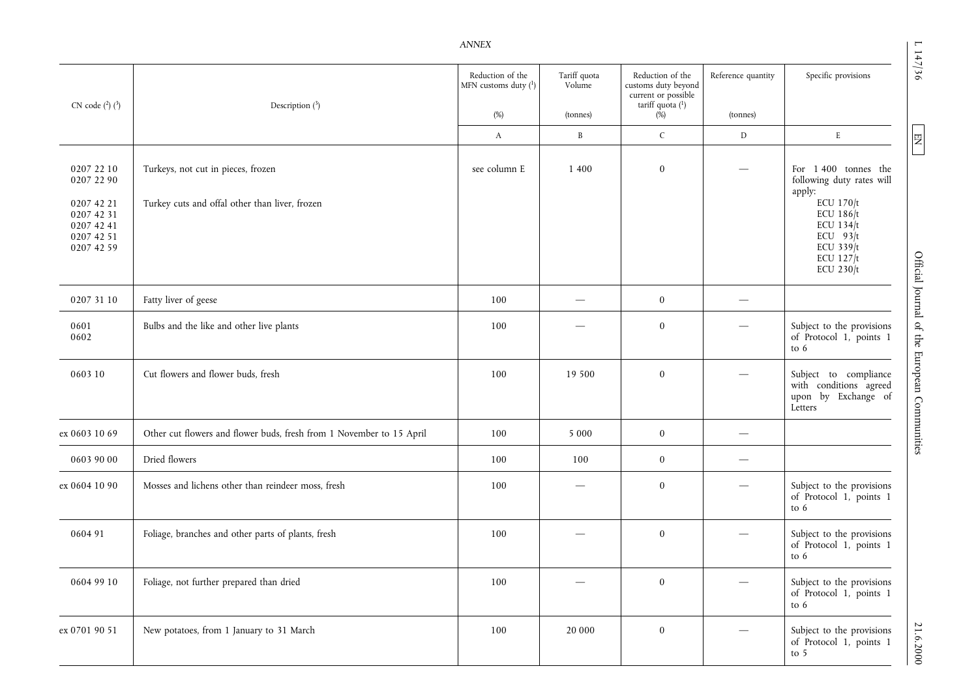|                                                                    |                                                                      | <b>ANNEX</b>                                |                        |                                                                                    |                                |                                                                                              |
|--------------------------------------------------------------------|----------------------------------------------------------------------|---------------------------------------------|------------------------|------------------------------------------------------------------------------------|--------------------------------|----------------------------------------------------------------------------------------------|
| CN code $(^{2})$ $(^{3})$                                          | Description $(^3)$                                                   | Reduction of the<br>MFN customs duty $(^1)$ | Tariff quota<br>Volume | Reduction of the<br>customs duty beyond<br>current or possible<br>tariff quota (1) | Reference quantity             | Specific provisions                                                                          |
|                                                                    |                                                                      | $(\%)$                                      | (tonnes)               | (%)                                                                                | (tonnes)                       |                                                                                              |
|                                                                    |                                                                      | A                                           | $\, {\bf B}$           | $\mathsf C$                                                                        | D                              | $\mathbf E$                                                                                  |
| 0207 22 10<br>0207 22 90                                           | Turkeys, not cut in pieces, frozen                                   | see column E                                | 1 400                  | $\bf{0}$                                                                           |                                | For 1400 tonnes the<br>following duty rates will<br>apply:                                   |
| 0207 42 21<br>0207 42 31<br>0207 42 41<br>0207 42 51<br>0207 42 59 | Turkey cuts and offal other than liver, frozen                       |                                             |                        |                                                                                    |                                | ECU 170/t<br>ECU 186/t<br>ECU $134/t$<br>ECU $93/t$<br>ECU 339/t<br>ECU $127/t$<br>ECU 230/t |
| 0207 31 10                                                         | Fatty liver of geese                                                 | 100                                         |                        | $\bf{0}$                                                                           |                                |                                                                                              |
| 0601<br>0602                                                       | Bulbs and the like and other live plants                             | 100                                         |                        | $\bf{0}$                                                                           |                                | Subject to the provisions<br>of Protocol 1, points 1<br>to $6$                               |
| 0603 10                                                            | Cut flowers and flower buds, fresh                                   | 100                                         | 19 500                 | $\bf{0}$                                                                           |                                | Subject to compliance<br>with conditions agreed<br>upon by Exchange of<br>Letters            |
| ex 0603 10 69                                                      | Other cut flowers and flower buds, fresh from 1 November to 15 April | 100                                         | 5 0 0 0                | $\bf{0}$                                                                           |                                |                                                                                              |
| 0603 90 00                                                         | Dried flowers                                                        | 100                                         | 100                    | $\bf{0}$                                                                           | $\overbrace{\phantom{123321}}$ |                                                                                              |
| ex 0604 10 90                                                      | Mosses and lichens other than reindeer moss, fresh                   | 100                                         |                        | $\bf{0}$                                                                           |                                | Subject to the provisions<br>of Protocol 1, points 1<br>to $6$                               |
| 060491                                                             | Foliage, branches and other parts of plants, fresh                   | 100                                         |                        | $\bf{0}$                                                                           |                                | Subject to the provisions<br>of Protocol 1, points 1<br>to 6                                 |
| 0604 99 10                                                         | Foliage, not further prepared than dried                             | 100                                         |                        | $\bf{0}$                                                                           |                                | Subject to the provisions<br>of Protocol 1, points 1<br>to 6                                 |
| ex 0701 90 51                                                      | New potatoes, from 1 January to 31 March                             | 100                                         | 20 000                 | $\bf{0}$                                                                           |                                | Subject to the provisions<br>of Protocol 1, points 1<br>to $5$                               |

L 147/36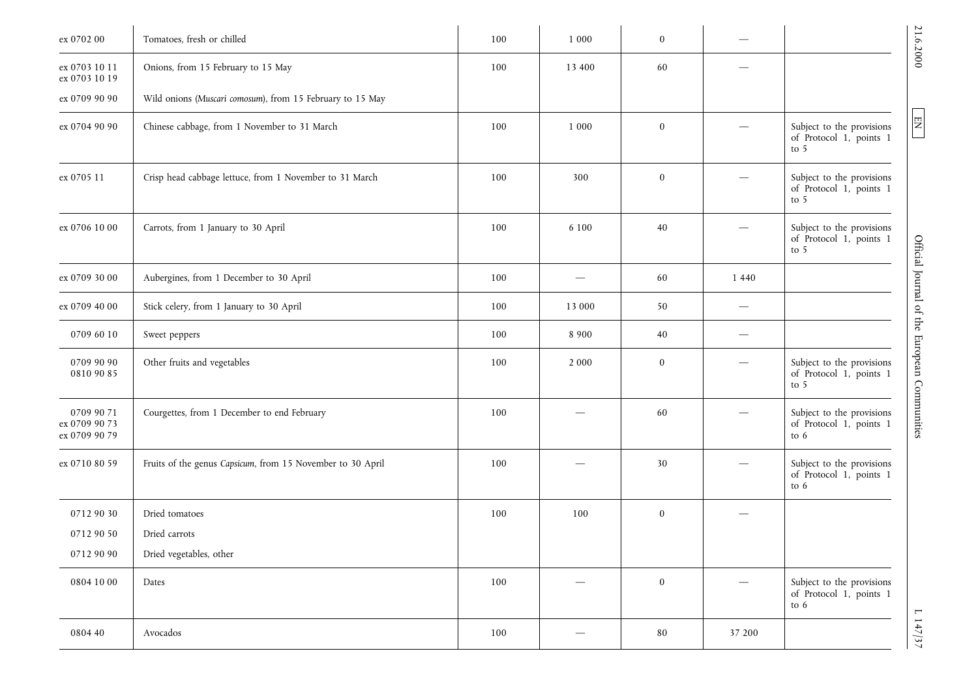| ex 0702 00                                   | Tomatoes, fresh or chilled                                 | 100 | 1 0 0 0                         | $\bf{0}$         |                          | 21.6.2000                                                                                                      |
|----------------------------------------------|------------------------------------------------------------|-----|---------------------------------|------------------|--------------------------|----------------------------------------------------------------------------------------------------------------|
| ex 0703 10 11<br>ex 0703 10 19               | Onions, from 15 February to 15 May                         | 100 | 13 400                          | 60               |                          |                                                                                                                |
| ex 0709 90 90                                | Wild onions (Muscari comosum), from 15 February to 15 May  |     |                                 |                  |                          |                                                                                                                |
| ex 0704 90 90                                | Chinese cabbage, from 1 November to 31 March               | 100 | 1 0 0 0                         | $\boldsymbol{0}$ |                          | $\boxed{\text{EN}}$<br>Subject to the provisions<br>of Protocol 1, points 1<br>to 5                            |
| ex 0705 11                                   | Crisp head cabbage lettuce, from 1 November to 31 March    | 100 | 300                             | $\mathbf{0}$     |                          | Subject to the provisions<br>of Protocol 1, points 1<br>to 5                                                   |
| ex 0706 10 00                                | Carrots, from 1 January to 30 April                        | 100 | 6 100                           | 40               |                          | Subject to the provisions<br>of Protocol 1, points 1<br>to 5                                                   |
| ex 0709 30 00                                | Aubergines, from 1 December to 30 April                    | 100 |                                 | 60               | 1 4 4 0                  |                                                                                                                |
| ex 0709 40 00                                | Stick celery, from 1 January to 30 April                   | 100 | 13 000                          | 50               | —                        |                                                                                                                |
| 0709 60 10                                   | Sweet peppers                                              | 100 | 8 9 0 0                         | 40               | $\overline{\phantom{0}}$ |                                                                                                                |
| 0709 90 90<br>0810 90 85                     | Other fruits and vegetables                                | 100 | 2 0 0 0                         | $\mathbf{0}$     |                          | Official Journal of the European Communities<br>Subject to the provisions<br>of Protocol 1, points 1<br>to $5$ |
| 0709 90 71<br>ex 0709 90 73<br>ex 0709 90 79 | Courgettes, from 1 December to end February                | 100 |                                 | 60               |                          | Subject to the provisions<br>of Protocol 1, points 1<br>to 6                                                   |
| ex 0710 80 59                                | Fruits of the genus Capsicum, from 15 November to 30 April | 100 |                                 | 30               |                          | Subject to the provisions<br>of Protocol 1, points 1<br>to $6$                                                 |
| 0712 90 30                                   | Dried tomatoes                                             | 100 | 100                             | $\mathbf{0}$     |                          |                                                                                                                |
| 0712 90 50                                   | Dried carrots                                              |     |                                 |                  |                          |                                                                                                                |
| 0712 90 90                                   | Dried vegetables, other                                    |     |                                 |                  |                          |                                                                                                                |
| 0804 10 00                                   | Dates                                                      | 100 | $\overline{\phantom{0}}$        | $\boldsymbol{0}$ |                          | Subject to the provisions<br>of Protocol 1, points 1<br>to 6                                                   |
| 0804 40                                      | Avocados                                                   | 100 | $\overbrace{\qquad \qquad }^{}$ | $\bf 80$         | 37 200                   | 1147/37                                                                                                        |

L 147/37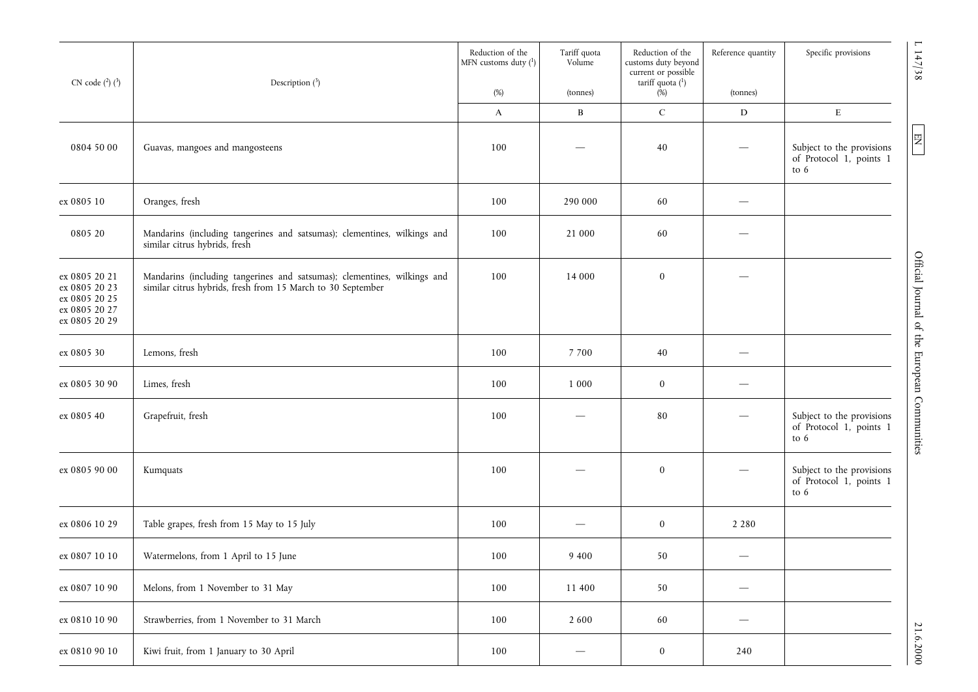| CN code $(^{2})$ $(^{3})$                                                         | Description $(^{3})$                                                                                                                    | Reduction of the<br>MFN customs duty $(^1)$<br>(%) | Tariff quota<br>Volume<br>(tonnes) | Reduction of the<br>customs duty beyond<br>current or possible<br>tariff quota $(^{1})$<br>$(\%)$ | Reference quantity<br>(tonnes) | $\mathsf{L}$<br>Specific provisions<br>147/38                                        |
|-----------------------------------------------------------------------------------|-----------------------------------------------------------------------------------------------------------------------------------------|----------------------------------------------------|------------------------------------|---------------------------------------------------------------------------------------------------|--------------------------------|--------------------------------------------------------------------------------------|
|                                                                                   |                                                                                                                                         | A                                                  | $\, {\bf B}$                       | ${\bf C}$                                                                                         | $\mathbf D$                    | $\mathbf E$                                                                          |
| 0804 50 00                                                                        | Guavas, mangoes and mangosteens                                                                                                         | 100                                                |                                    | $40\,$                                                                                            |                                | 罔<br>Subject to the provisions<br>of Protocol 1, points 1<br>to 6                    |
| ex 0805 10                                                                        | Oranges, fresh                                                                                                                          | 100                                                | 290 000                            | 60                                                                                                |                                |                                                                                      |
| 0805 20                                                                           | Mandarins (including tangerines and satsumas); clementines, wilkings and<br>similar citrus hybrids, fresh                               | 100                                                | 21 000                             | 60                                                                                                |                                |                                                                                      |
| ex 0805 20 21<br>ex 0805 20 23<br>ex 0805 20 25<br>ex 0805 20 27<br>ex 0805 20 29 | Mandarins (including tangerines and satsumas); clementines, wilkings and<br>similar citrus hybrids, fresh from 15 March to 30 September | 100                                                | 14 000                             | $\bf{0}$                                                                                          |                                | Official Journal of the                                                              |
| ex 0805 30                                                                        | Lemons, fresh                                                                                                                           | 100                                                | 7 700                              | 40                                                                                                |                                |                                                                                      |
| ex 0805 30 90                                                                     | Limes, fresh                                                                                                                            | 100                                                | 1 0 0 0                            | $\bf{0}$                                                                                          |                                |                                                                                      |
| ex 0805 40                                                                        | Grapefruit, fresh                                                                                                                       | 100                                                |                                    | 80                                                                                                |                                | European Communities<br>Subject to the provisions<br>of Protocol 1, points 1<br>to 6 |
| ex 0805 90 00                                                                     | Kumquats                                                                                                                                | 100                                                |                                    | $\bf{0}$                                                                                          |                                | Subject to the provisions<br>of Protocol 1, points 1<br>to 6                         |
| ex 0806 10 29                                                                     | Table grapes, fresh from 15 May to 15 July                                                                                              | 100                                                |                                    | $\bf{0}$                                                                                          | 2 2 8 0                        |                                                                                      |
| ex 0807 10 10                                                                     | Watermelons, from 1 April to 15 June                                                                                                    | 100                                                | $9\;400$                           | 50                                                                                                |                                |                                                                                      |
| ex 0807 10 90                                                                     | Melons, from 1 November to 31 May                                                                                                       | 100                                                | 11 400                             | 50                                                                                                | $\qquad \qquad -$              |                                                                                      |
| ex 0810 10 90                                                                     | Strawberries, from 1 November to 31 March                                                                                               | 100                                                | 2 600                              | 60                                                                                                | $\overbrace{\phantom{aaaaa}}$  |                                                                                      |
| ex 0810 90 10                                                                     | Kiwi fruit, from 1 January to 30 April                                                                                                  | 100                                                | —                                  | $\boldsymbol{0}$                                                                                  | 240                            | 21.6.2000                                                                            |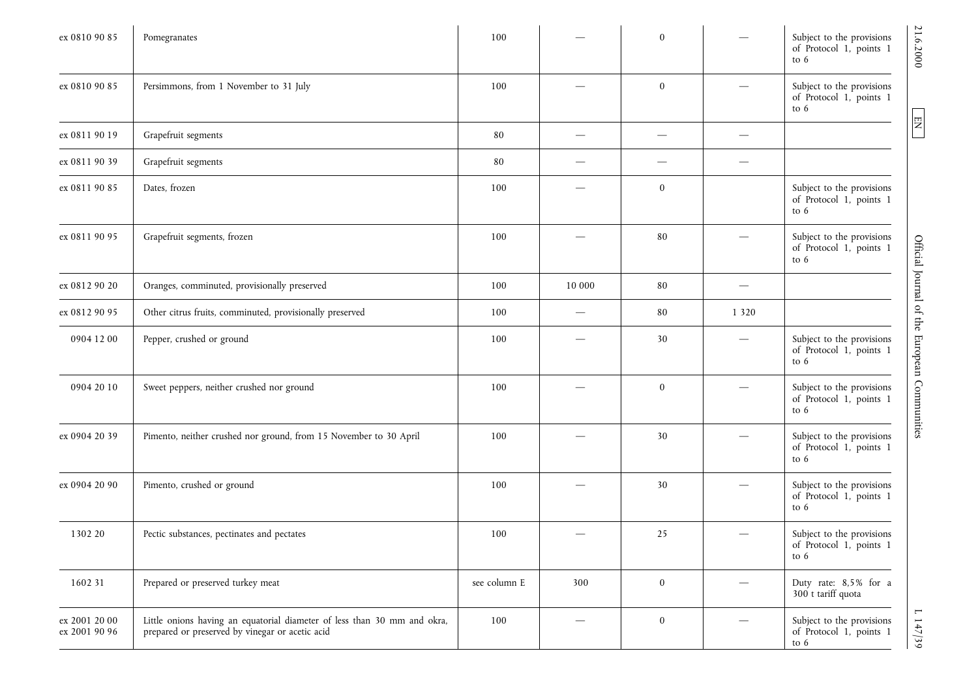| ex 0810 90 85                  | Pomegranates                                                                                                                | 100          |                          | $\bf{0}$     |         | Subject to the provisions<br>of Protocol 1, points 1<br>to $6$ | 21.6.2000                                    |
|--------------------------------|-----------------------------------------------------------------------------------------------------------------------------|--------------|--------------------------|--------------|---------|----------------------------------------------------------------|----------------------------------------------|
| ex 0810 90 85                  | Persimmons, from 1 November to 31 July                                                                                      | 100          |                          | $\bf{0}$     |         | Subject to the provisions<br>of Protocol 1, points 1<br>to $6$ |                                              |
| ex 0811 90 19                  | Grapefruit segments                                                                                                         | 80           |                          |              |         |                                                                | $\boxed{\text{EN}}$                          |
| ex 0811 90 39                  | Grapefruit segments                                                                                                         | 80           | $\overline{\phantom{0}}$ |              |         |                                                                |                                              |
| ex 0811 90 85                  | Dates, frozen                                                                                                               | 100          |                          | $\mathbf{0}$ |         | Subject to the provisions<br>of Protocol 1, points 1<br>to $6$ |                                              |
| ex 0811 90 95                  | Grapefruit segments, frozen                                                                                                 | 100          |                          | 80           |         | Subject to the provisions<br>of Protocol 1, points 1<br>to $6$ |                                              |
| ex 0812 90 20                  | Oranges, comminuted, provisionally preserved                                                                                | 100          | 10 000                   | 80           |         |                                                                |                                              |
| ex 0812 90 95                  | Other citrus fruits, comminuted, provisionally preserved                                                                    | 100          |                          | 80           | 1 3 2 0 |                                                                |                                              |
| 0904 12 00                     | Pepper, crushed or ground                                                                                                   | 100          |                          | 30           |         | Subject to the provisions<br>of Protocol 1, points 1<br>to $6$ |                                              |
| 0904 20 10                     | Sweet peppers, neither crushed nor ground                                                                                   | 100          |                          | $\bf{0}$     |         | Subject to the provisions<br>of Protocol 1, points 1<br>to $6$ | Official Journal of the European Communities |
| ex 0904 20 39                  | Pimento, neither crushed nor ground, from 15 November to 30 April                                                           | 100          |                          | 30           |         | Subject to the provisions<br>of Protocol 1, points 1<br>to $6$ |                                              |
| ex 0904 20 90                  | Pimento, crushed or ground                                                                                                  | 100          |                          | 30           |         | Subject to the provisions<br>of Protocol 1, points 1<br>to $6$ |                                              |
| 1302 20                        | Pectic substances, pectinates and pectates                                                                                  | 100          |                          | 25           |         | Subject to the provisions<br>of Protocol 1, points 1<br>to $6$ |                                              |
| 1602 31                        | Prepared or preserved turkey meat                                                                                           | see column E | 300                      | $\bf{0}$     |         | Duty rate: 8,5% for a<br>300 t tariff quota                    |                                              |
| ex 2001 20 00<br>ex 2001 90 96 | Little onions having an equatorial diameter of less than 30 mm and okra,<br>prepared or preserved by vinegar or acetic acid | 100          | $\overline{\phantom{m}}$ | $\bf{0}$     |         | Subject to the provisions<br>of Protocol 1, points 1<br>to $6$ | $L$ 147/39                                   |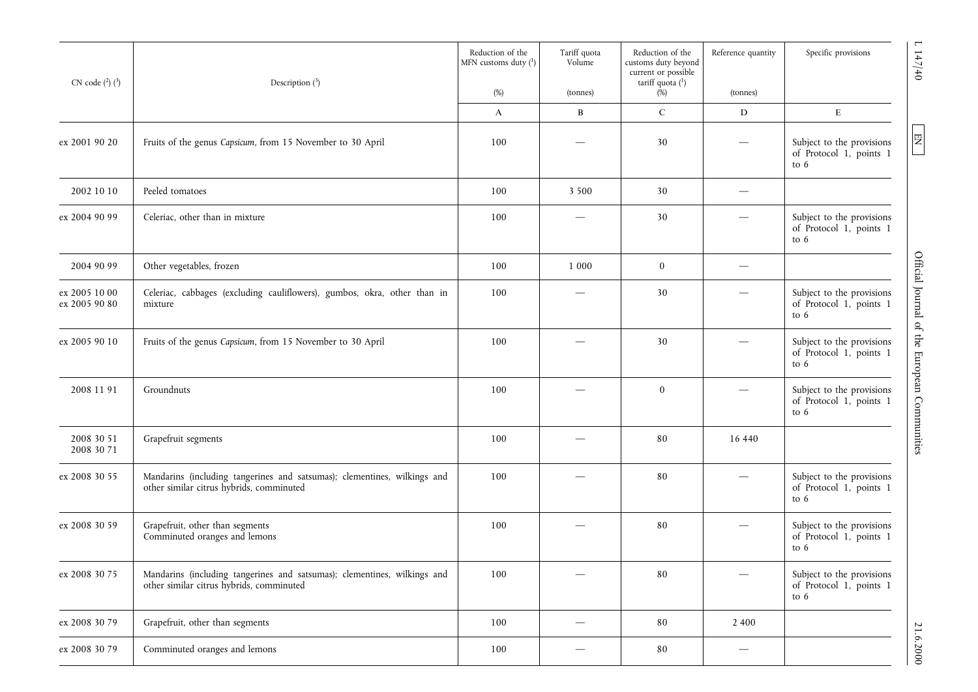| CN code $(^{2})$ $(^{3})$      | Description $(^3)$                                                                                                   | Reduction of the<br>MFN customs duty (1) | Tariff quota<br>Volume | Reduction of the<br>customs duty beyond<br>current or possible<br>tariff quota $(1)$ | Reference quantity              | Specific provisions                                            |
|--------------------------------|----------------------------------------------------------------------------------------------------------------------|------------------------------------------|------------------------|--------------------------------------------------------------------------------------|---------------------------------|----------------------------------------------------------------|
|                                |                                                                                                                      | $(\%)$                                   | (tonnes)               | (%)                                                                                  | (tonnes)                        |                                                                |
|                                |                                                                                                                      | A                                        | B                      | $\mathsf{C}$                                                                         | D                               | ${\bf E}$                                                      |
| ex 2001 90 20                  | Fruits of the genus Capsicum, from 15 November to 30 April                                                           | 100                                      |                        | 30                                                                                   |                                 | Subject to the provisions<br>of Protocol 1, points 1<br>to 6   |
| 2002 10 10                     | Peeled tomatoes                                                                                                      | 100                                      | 3 5 0 0                | 30                                                                                   | $\hspace{0.05cm}$               |                                                                |
| ex 2004 90 99                  | Celeriac, other than in mixture                                                                                      | 100                                      |                        | 30                                                                                   |                                 | Subject to the provisions<br>of Protocol 1, points 1<br>to 6   |
| 2004 90 99                     | Other vegetables, frozen                                                                                             | 100                                      | 1 0 0 0                | $\bf{0}$                                                                             | $\overline{\phantom{m}}$        |                                                                |
| ex 2005 10 00<br>ex 2005 90 80 | Celeriac, cabbages (excluding cauliflowers), gumbos, okra, other than in<br>mixture                                  | 100                                      |                        | 30                                                                                   |                                 | Subject to the provisions<br>of Protocol 1, points 1<br>to 6   |
| ex 2005 90 10                  | Fruits of the genus Capsicum, from 15 November to 30 April                                                           | 100                                      |                        | 30                                                                                   |                                 | Subject to the provisions<br>of Protocol 1, points 1<br>to 6   |
| 2008 11 91                     | Groundnuts                                                                                                           | 100                                      |                        | $\mathbf{0}$                                                                         |                                 | Subject to the provisions<br>of Protocol 1, points 1<br>to 6   |
| 2008 30 51<br>2008 30 71       | Grapefruit segments                                                                                                  | 100                                      |                        | 80                                                                                   | 16 440                          |                                                                |
| ex 2008 30 55                  | Mandarins (including tangerines and satsumas); clementines, wilkings and<br>other similar citrus hybrids, comminuted | 100                                      |                        | 80                                                                                   |                                 | Subject to the provisions<br>of Protocol 1, points 1<br>to $6$ |
| ex 2008 30 59                  | Grapefruit, other than segments<br>Comminuted oranges and lemons                                                     | 100                                      |                        | 80                                                                                   |                                 | Subject to the provisions<br>of Protocol 1, points 1<br>to $6$ |
| ex 2008 30 75                  | Mandarins (including tangerines and satsumas); clementines, wilkings and<br>other similar citrus hybrids, comminuted | 100                                      |                        | 80                                                                                   |                                 | Subject to the provisions<br>of Protocol 1, points 1<br>to $6$ |
| ex 2008 30 79                  | Grapefruit, other than segments                                                                                      | 100                                      |                        | 80                                                                                   | 2 4 0 0                         |                                                                |
| ex 2008 30 79                  | Comminuted oranges and lemons                                                                                        | 100                                      |                        | 80                                                                                   | $\hspace{0.1mm}-\hspace{0.1mm}$ |                                                                |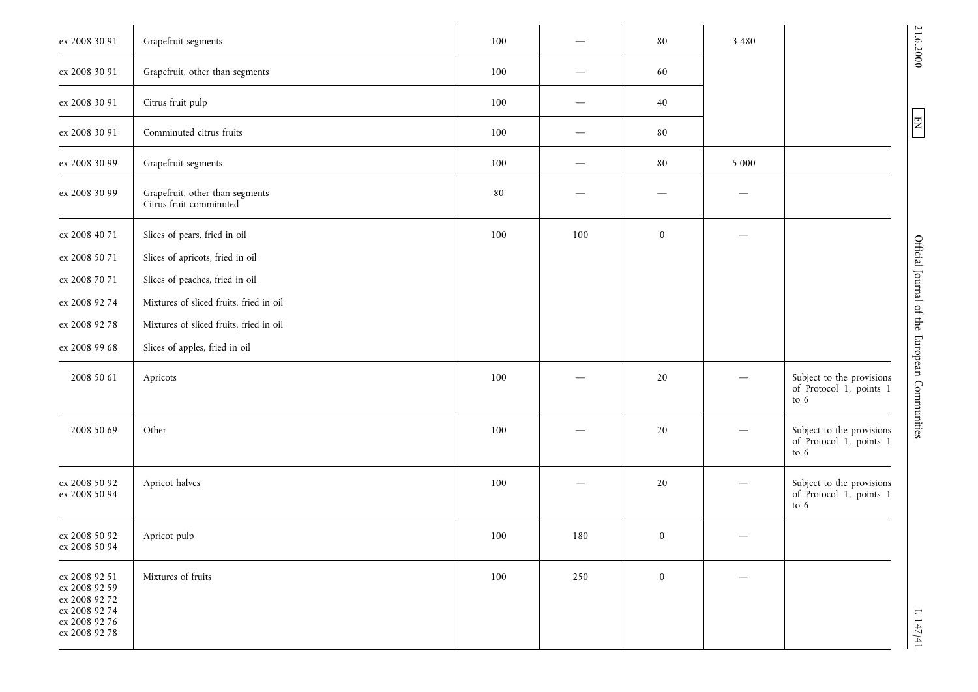| ex 2008 30 91                                                                                      | Grapefruit segments                                        | 100 |     | 80       | 3 4 8 0 |                                                                | 21.6.2000                                    |
|----------------------------------------------------------------------------------------------------|------------------------------------------------------------|-----|-----|----------|---------|----------------------------------------------------------------|----------------------------------------------|
| ex 2008 30 91                                                                                      | Grapefruit, other than segments                            | 100 |     | 60       |         |                                                                |                                              |
| ex 2008 30 91                                                                                      | Citrus fruit pulp                                          | 100 |     | 40       |         |                                                                |                                              |
| ex 2008 30 91                                                                                      | Comminuted citrus fruits                                   | 100 |     | 80       |         |                                                                | $\boxed{\text{N} \Xi}$                       |
| ex 2008 30 99                                                                                      | Grapefruit segments                                        | 100 |     | 80       | 5 0 0 0 |                                                                |                                              |
| ex 2008 30 99                                                                                      | Grapefruit, other than segments<br>Citrus fruit comminuted | 80  |     |          |         |                                                                |                                              |
| ex 2008 40 71                                                                                      | Slices of pears, fried in oil                              | 100 | 100 | $\bf{0}$ |         |                                                                |                                              |
| ex 2008 50 71                                                                                      | Slices of apricots, fried in oil                           |     |     |          |         |                                                                |                                              |
| ex 2008 70 71                                                                                      | Slices of peaches, fried in oil                            |     |     |          |         |                                                                |                                              |
| ex 2008 92 74                                                                                      | Mixtures of sliced fruits, fried in oil                    |     |     |          |         |                                                                |                                              |
| ex 2008 92 78                                                                                      | Mixtures of sliced fruits, fried in oil                    |     |     |          |         |                                                                |                                              |
| ex 2008 99 68                                                                                      | Slices of apples, fried in oil                             |     |     |          |         |                                                                |                                              |
| 2008 50 61                                                                                         | Apricots                                                   | 100 |     | 20       |         | Subject to the provisions<br>of Protocol 1, points 1<br>to $6$ | Official Journal of the European Communities |
| 2008 50 69                                                                                         | Other                                                      | 100 |     | 20       |         | Subject to the provisions<br>of Protocol 1, points 1<br>to $6$ |                                              |
| ex 2008 50 92<br>ex 2008 50 94                                                                     | Apricot halves                                             | 100 |     | 20       |         | Subject to the provisions<br>of Protocol 1, points 1<br>to $6$ |                                              |
| ex 2008 50 92<br>ex 2008 50 94                                                                     | Apricot pulp                                               | 100 | 180 | $\bf{0}$ |         |                                                                |                                              |
| ex 2008 92 51<br>ex 2008 92 59<br>ex 2008 92 72<br>ex 2008 92 74<br>ex 2008 92 76<br>ex 2008 92 78 | Mixtures of fruits                                         | 100 | 250 | $\bf{0}$ |         |                                                                | $1 + 1/4$                                    |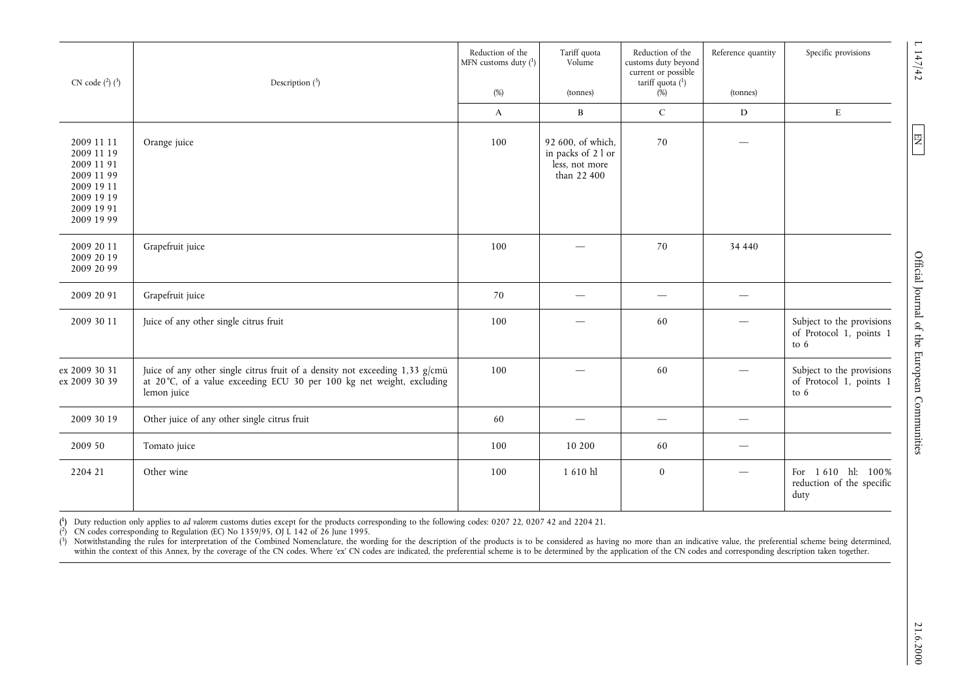| CN code $(^{2})$ $(^{3})$                                                                                    | Description $(^3)$                                                                                                                                                                                                                                                                                                                                                                                                                                                                                                                                                                                                                                                                                                           | Reduction of the<br>MFN customs duty $(^1)$ | Tariff quota<br>Volume                                                        | Reduction of the<br>customs duty beyond<br>current or possible<br>tariff quota $(^1)$ | Reference quantity | Specific provisions<br>147/42                                                                                |
|--------------------------------------------------------------------------------------------------------------|------------------------------------------------------------------------------------------------------------------------------------------------------------------------------------------------------------------------------------------------------------------------------------------------------------------------------------------------------------------------------------------------------------------------------------------------------------------------------------------------------------------------------------------------------------------------------------------------------------------------------------------------------------------------------------------------------------------------------|---------------------------------------------|-------------------------------------------------------------------------------|---------------------------------------------------------------------------------------|--------------------|--------------------------------------------------------------------------------------------------------------|
|                                                                                                              |                                                                                                                                                                                                                                                                                                                                                                                                                                                                                                                                                                                                                                                                                                                              | $(\%)$                                      | (tonnes)                                                                      | $(\%)$                                                                                | (tonnes)           |                                                                                                              |
| 2009 11 11<br>2009 11 19<br>2009 11 91<br>2009 11 99<br>2009 19 11<br>2009 19 19<br>2009 19 91<br>2009 19 99 | Orange juice                                                                                                                                                                                                                                                                                                                                                                                                                                                                                                                                                                                                                                                                                                                 | A<br>100                                    | B<br>92 600, of which,<br>in packs of 2 l or<br>less, not more<br>than 22 400 | $\mathsf C$<br>70                                                                     | $\mathbf D$        | $\mathbf E$<br>尼                                                                                             |
| 2009 20 11<br>2009 20 19<br>2009 20 99                                                                       | Grapefruit juice                                                                                                                                                                                                                                                                                                                                                                                                                                                                                                                                                                                                                                                                                                             | 100                                         |                                                                               | 70                                                                                    | 34 440             |                                                                                                              |
| 2009 20 91                                                                                                   | Grapefruit juice                                                                                                                                                                                                                                                                                                                                                                                                                                                                                                                                                                                                                                                                                                             | 70                                          | $\overline{\phantom{m}}$                                                      |                                                                                       | $\hspace{0.05cm}$  |                                                                                                              |
| 2009 30 11                                                                                                   | Juice of any other single citrus fruit                                                                                                                                                                                                                                                                                                                                                                                                                                                                                                                                                                                                                                                                                       | 100                                         |                                                                               | 60                                                                                    |                    | Official Journal of the European Communities<br>Subject to the provisions<br>of Protocol 1, points 1<br>to 6 |
| ex 2009 30 31<br>ex 2009 30 39                                                                               | Juice of any other single citrus fruit of a density not exceeding 1,33 g/cmü<br>at 20°C, of a value exceeding ECU 30 per 100 kg net weight, excluding<br>lemon juice                                                                                                                                                                                                                                                                                                                                                                                                                                                                                                                                                         | 100                                         |                                                                               | 60                                                                                    |                    | Subject to the provisions<br>of Protocol 1, points 1<br>to $6$                                               |
| 2009 30 19                                                                                                   | Other juice of any other single citrus fruit                                                                                                                                                                                                                                                                                                                                                                                                                                                                                                                                                                                                                                                                                 | 60                                          | $\overline{\phantom{m}}$                                                      | $\qquad \qquad -$                                                                     | $\hspace{0.05cm}$  |                                                                                                              |
| 2009 50                                                                                                      | Tomato juice                                                                                                                                                                                                                                                                                                                                                                                                                                                                                                                                                                                                                                                                                                                 | 100                                         | 10 200                                                                        | 60                                                                                    |                    |                                                                                                              |
| 2204 21                                                                                                      | Other wine                                                                                                                                                                                                                                                                                                                                                                                                                                                                                                                                                                                                                                                                                                                   | 100                                         | 1 610 hl                                                                      | $\bf{0}$                                                                              |                    | For 1610 hl: 100%<br>reduction of the specific<br>duty                                                       |
| $\binom{2}{ }$                                                                                               | ( <sup>1</sup> ) Duty reduction only applies to ad valorem customs duties except for the products corresponding to the following codes: 0207 22, 0207 42 and 2204 21.<br>CN codes corresponding to Regulation (EC) No 1359/95, OJ L 142 of 26 June 1995.<br>(3) Notwithstanding the rules for interpretation of the Combined Nomenclature, the wording for the description of the products is to be considered as having no more than an indicative value, the preferential scheme being d<br>within the context of this Annex, by the coverage of the CN codes. Where 'ex' CN codes are indicated, the preferential scheme is to be determined by the application of the CN codes and corresponding description taken toget |                                             |                                                                               |                                                                                       |                    |                                                                                                              |
|                                                                                                              |                                                                                                                                                                                                                                                                                                                                                                                                                                                                                                                                                                                                                                                                                                                              |                                             |                                                                               |                                                                                       |                    |                                                                                                              |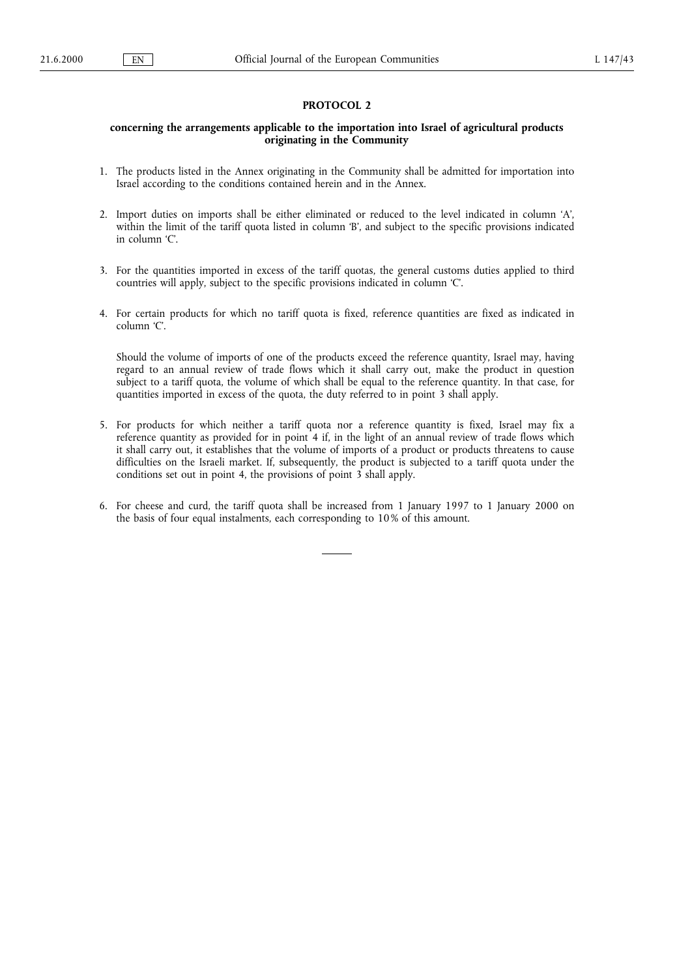# PROTOCOL 2

# concerning the arrangements applicable to the importation into Israel of agricultural products originating in the Community

- 1. The products listed in the Annex originating in the Community shall be admitted for importation into Israel according to the conditions contained herein and in the Annex.
- 2. Import duties on imports shall be either eliminated or reduced to the level indicated in column 'A', within the limit of the tariff quota listed in column 'B', and subject to the specific provisions indicated in column 'C'.
- 3. For the quantities imported in excess of the tariff quotas, the general customs duties applied to third countries will apply, subject to the specific provisions indicated in column C.
- 4. For certain products for which no tariff quota is fixed, reference quantities are fixed as indicated in column 'C'.

Should the volume of imports of one of the products exceed the reference quantity, Israel may, having regard to an annual review of trade flows which it shall carry out, make the product in question subject to a tariff quota, the volume of which shall be equal to the reference quantity. In that case, for quantities imported in excess of the quota, the duty referred to in point 3 shall apply.

- 5. For products for which neither a tariff quota nor a reference quantity is fixed, Israel may fix a reference quantity as provided for in point 4 if, in the light of an annual review of trade flows which it shall carry out, it establishes that the volume of imports of a product or products threatens to cause difficulties on the Israeli market. If, subsequently, the product is subjected to a tariff quota under the conditions set out in point 4, the provisions of point 3 shall apply.
- 6. For cheese and curd, the tariff quota shall be increased from 1 January 1997 to 1 January 2000 on the basis of four equal instalments, each corresponding to 10% of this amount.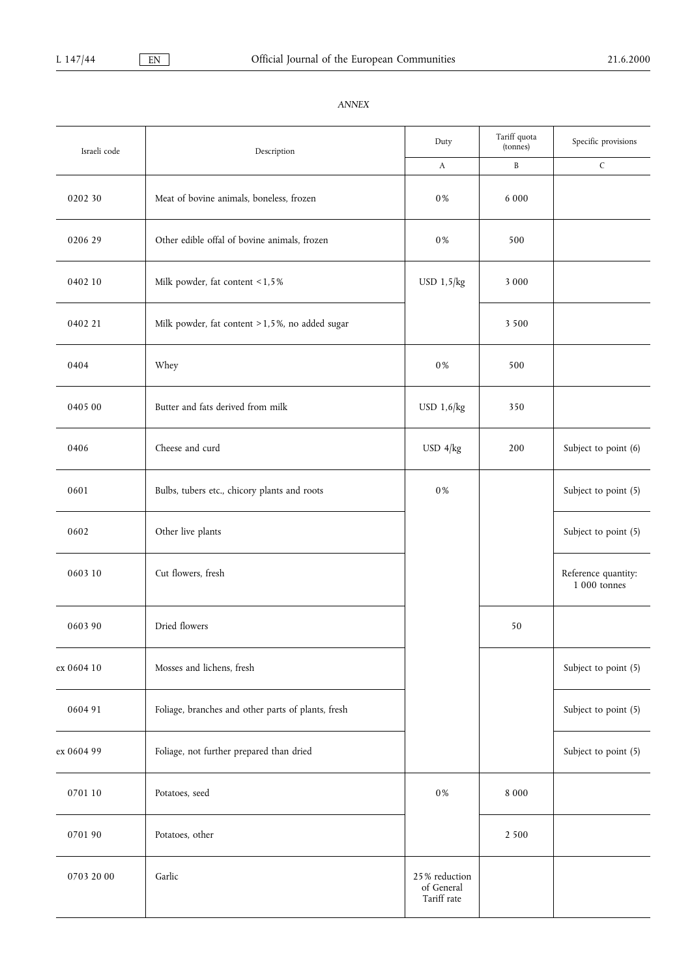| Israeli code | Description                                        |                                            | Tariff quota<br>(tonnes) | Specific provisions                 |
|--------------|----------------------------------------------------|--------------------------------------------|--------------------------|-------------------------------------|
|              |                                                    | A                                          | $\, {\bf B}$             | $\mathsf C$                         |
| 0202 30      | Meat of bovine animals, boneless, frozen           | $0\,\%$                                    | 6 0 0 0                  |                                     |
| 0206 29      | Other edible offal of bovine animals, frozen       | $0\,\%$                                    | 500                      |                                     |
| 0402 10      | Milk powder, fat content < 1,5%                    | $USD$ 1,5 $/kg$                            | 3 0 0 0                  |                                     |
| 0402 21      | Milk powder, fat content > 1,5%, no added sugar    |                                            | 3 5 0 0                  |                                     |
| 0404         | Whey                                               | $0\,\%$                                    | 500                      |                                     |
| 0405 00      | Butter and fats derived from milk                  | USD 1,6/kg                                 | 350                      |                                     |
| 0406         | Cheese and curd                                    | $USD$ 4/kg                                 | 200                      | Subject to point (6)                |
| 0601         | Bulbs, tubers etc., chicory plants and roots       | 0%                                         |                          | Subject to point (5)                |
| 0602         | Other live plants                                  |                                            |                          | Subject to point (5)                |
| 0603 10      | Cut flowers, fresh                                 |                                            |                          | Reference quantity:<br>1 000 tonnes |
| 0603 90      | Dried flowers                                      |                                            | 50                       |                                     |
| ex 0604 10   | Mosses and lichens, fresh                          |                                            |                          | Subject to point (5)                |
| 0604 91      | Foliage, branches and other parts of plants, fresh |                                            |                          | Subject to point (5)                |
| ex 0604 99   | Foliage, not further prepared than dried           |                                            |                          | Subject to point (5)                |
| 0701 10      | Potatoes, seed                                     | $0\,\%$                                    | $8\ 000$                 |                                     |
| 0701 90      | Potatoes, other                                    |                                            | 2 5 0 0                  |                                     |
| 0703 20 00   | Garlic                                             | 25% reduction<br>of General<br>Tariff rate |                          |                                     |

# ANNEX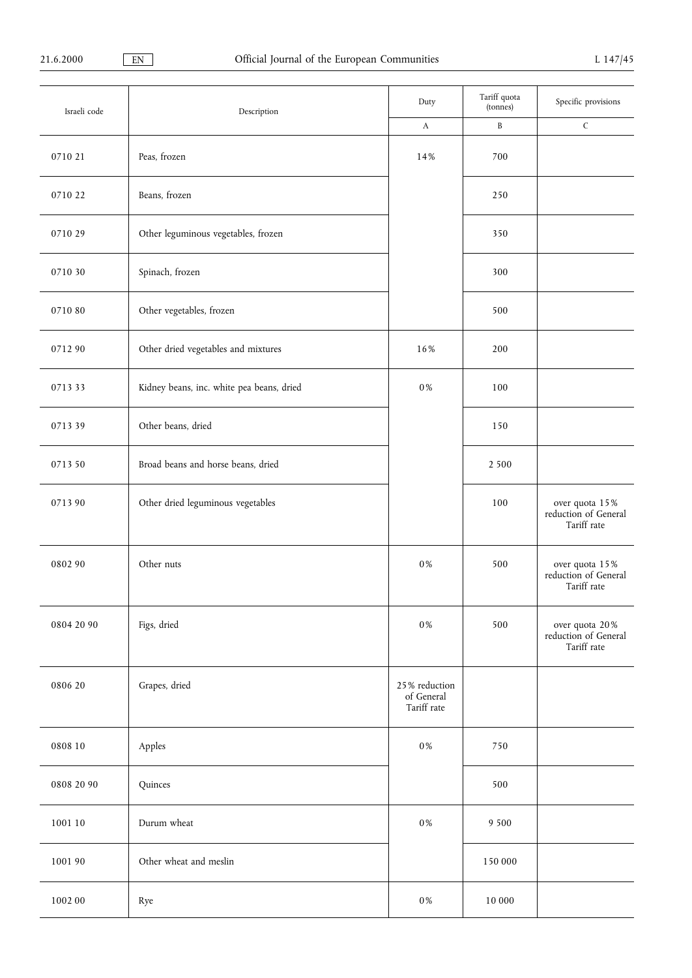| Israeli code | Description                               | Duty                                       | Tariff quota<br>(tonnes) | Specific provisions                                   |
|--------------|-------------------------------------------|--------------------------------------------|--------------------------|-------------------------------------------------------|
|              |                                           | $\boldsymbol{A}$                           | $\, {\bf B}$             | $\mathsf C$                                           |
| 0710 21      | Peas, frozen                              | 14%                                        | 700                      |                                                       |
| 071022       | Beans, frozen                             |                                            | 250                      |                                                       |
| 0710 29      | Other leguminous vegetables, frozen       |                                            | 350                      |                                                       |
| 0710 30      | Spinach, frozen                           |                                            | 300                      |                                                       |
| 071080       | Other vegetables, frozen                  |                                            | 500                      |                                                       |
| 071290       | Other dried vegetables and mixtures       | 16%                                        | 200                      |                                                       |
| 071333       | Kidney beans, inc. white pea beans, dried | $0\,\%$                                    | 100                      |                                                       |
| 071339       | Other beans, dried                        |                                            | 150                      |                                                       |
| 0713 50      | Broad beans and horse beans, dried        |                                            | 2 5 0 0                  |                                                       |
| 071390       | Other dried leguminous vegetables         |                                            | 100                      | over quota 15%<br>reduction of General<br>Tariff rate |
| 0802 90      | Other nuts                                | 0%                                         | 500                      | over quota 15%<br>reduction of General<br>Tariff rate |
| 0804 20 90   | Figs, dried                               | $0\,\%$                                    | 500                      | over quota 20%<br>reduction of General<br>Tariff rate |
| 0806 20      | Grapes, dried                             | 25% reduction<br>of General<br>Tariff rate |                          |                                                       |
| 0808 10      | Apples                                    | $0\,\%$                                    | 750                      |                                                       |
| 0808 20 90   | Quinces                                   |                                            | 500                      |                                                       |
| 1001 10      | Durum wheat                               | $0\,\%$                                    | 9 5 0 0                  |                                                       |
| 1001 90      | Other wheat and meslin                    |                                            | 150 000                  |                                                       |
| 1002 00      | Rye                                       | $0\,\%$                                    | $10\;000$                |                                                       |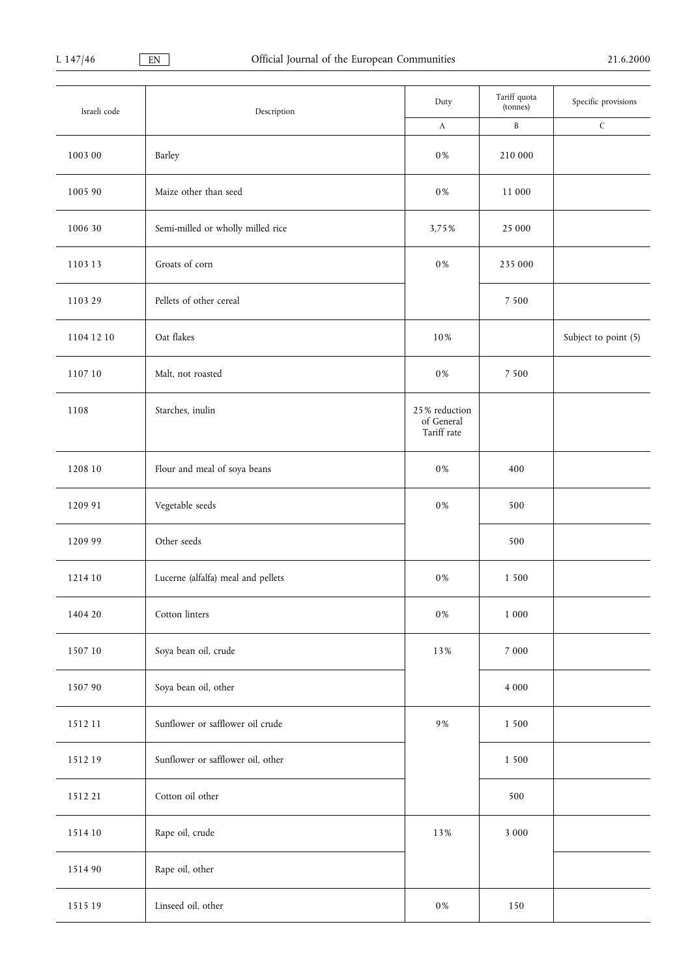| Israeli code | Description                        | Duty                                       | Tariff quota<br>(tonnes) | Specific provisions  |
|--------------|------------------------------------|--------------------------------------------|--------------------------|----------------------|
|              |                                    | $\mathbf{A}$                               | $\, {\bf B}$             | $\mathsf C$          |
| 1003 00      | Barley                             | $0\,\%$                                    | 210 000                  |                      |
| 1005 90      | Maize other than seed              | $0\,\%$                                    | 11 000                   |                      |
| 1006 30      | Semi-milled or wholly milled rice  | 3,75%                                      | 25 000                   |                      |
| 110313       | Groats of corn                     | $0\,\%$                                    | 235 000                  |                      |
| 1103 29      | Pellets of other cereal            |                                            | 7 5 0 0                  |                      |
| 1104 12 10   | Oat flakes                         | 10%                                        |                          | Subject to point (5) |
| 1107 10      | Malt, not roasted                  | $0\,\%$                                    | 7 5 0 0                  |                      |
| 1108         | Starches, inulin                   | 25% reduction<br>of General<br>Tariff rate |                          |                      |
| 1208 10      | Flour and meal of soya beans       | $0\,\%$                                    | 400                      |                      |
| 1209 91      | Vegetable seeds                    | $0\,\%$                                    | 500                      |                      |
| 1209 99      | Other seeds                        |                                            | 500                      |                      |
| 1214 10      | Lucerne (alfalfa) meal and pellets | $0\,\%$                                    | 1 500                    |                      |
| 1404 20      | Cotton linters                     | $0\,\%$                                    | $1\;000$                 |                      |
| 1507 10      | Soya bean oil, crude               | 13%                                        | 7 000                    |                      |
| 1507 90      | Soya bean oil, other               |                                            | $4\;000$                 |                      |
| 151211       | Sunflower or safflower oil crude   | $9\,\%$                                    | 1 500                    |                      |
| 151219       | Sunflower or safflower oil, other  |                                            | 1 500                    |                      |
| 1512 21      | Cotton oil other                   |                                            | 500                      |                      |
| 1514 10      | Rape oil, crude                    | 13%                                        | 3 000                    |                      |
| 1514 90      | Rape oil, other                    |                                            |                          |                      |
| 1515 19      | Linseed oil, other                 | $0\,\%$                                    | 150                      |                      |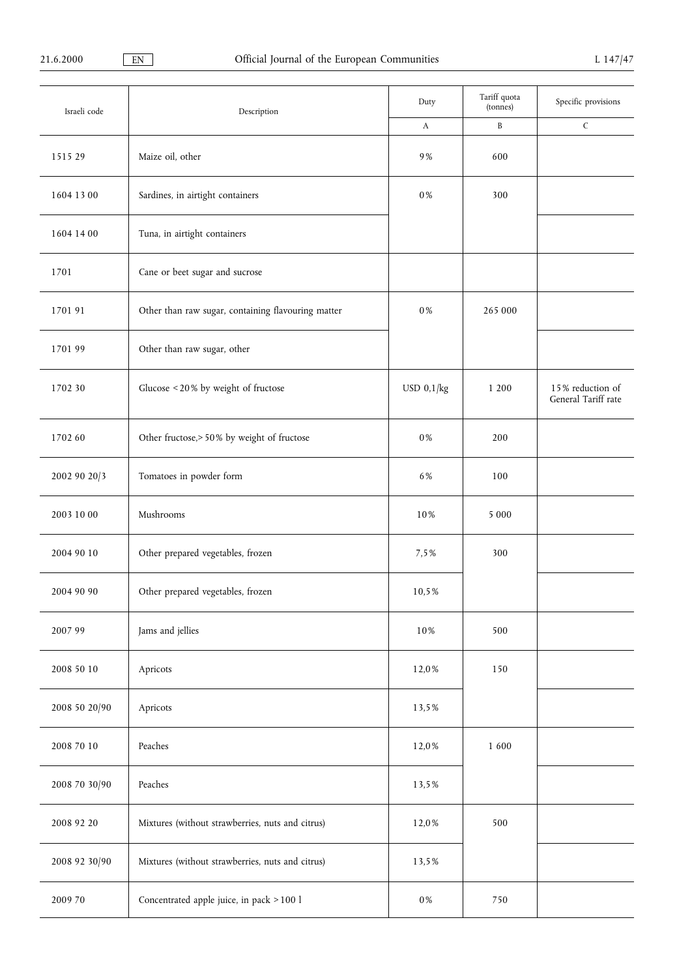| Israeli code  | Description                                        | Duty    | Tariff quota<br>(tonnes) | Specific provisions                     |
|---------------|----------------------------------------------------|---------|--------------------------|-----------------------------------------|
|               |                                                    | A       | $\, {\bf B}$             | $\mathsf C$                             |
| 1515 29       | Maize oil, other                                   | 9%      | 600                      |                                         |
| 1604 13 00    | Sardines, in airtight containers                   | 0%      | 300                      |                                         |
| 1604 14 00    | Tuna, in airtight containers                       |         |                          |                                         |
| 1701          | Cane or beet sugar and sucrose                     |         |                          |                                         |
| 1701 91       | Other than raw sugar, containing flavouring matter | 0%      | 265 000                  |                                         |
| 170199        | Other than raw sugar, other                        |         |                          |                                         |
| 1702 30       | Glucose < 20% by weight of fructose                |         | 1 200                    | 15% reduction of<br>General Tariff rate |
| 1702 60       | Other fructose, > 50% by weight of fructose        | 0%      | 200                      |                                         |
| 2002 90 20/3  | Tomatoes in powder form                            | 6%      | 100                      |                                         |
| 2003 10 00    | Mushrooms                                          | 10%     | 5 0 0 0                  |                                         |
| 2004 90 10    | Other prepared vegetables, frozen                  | 7,5%    | 300                      |                                         |
| 2004 90 90    | Other prepared vegetables, frozen                  | 10,5%   |                          |                                         |
| 2007 99       | Jams and jellies                                   | 10%     | 500                      |                                         |
| 2008 50 10    | Apricots                                           | 12,0%   | 150                      |                                         |
| 2008 50 20/90 | Apricots                                           | 13,5%   |                          |                                         |
| 2008 70 10    | Peaches                                            | 12,0%   | 1600                     |                                         |
| 2008 70 30/90 | Peaches                                            | 13,5%   |                          |                                         |
| 2008 92 20    | Mixtures (without strawberries, nuts and citrus)   |         | 500                      |                                         |
| 2008 92 30/90 | Mixtures (without strawberries, nuts and citrus)   |         |                          |                                         |
| 2009 70       | Concentrated apple juice, in pack > 100 l          | $0\,\%$ | 750                      |                                         |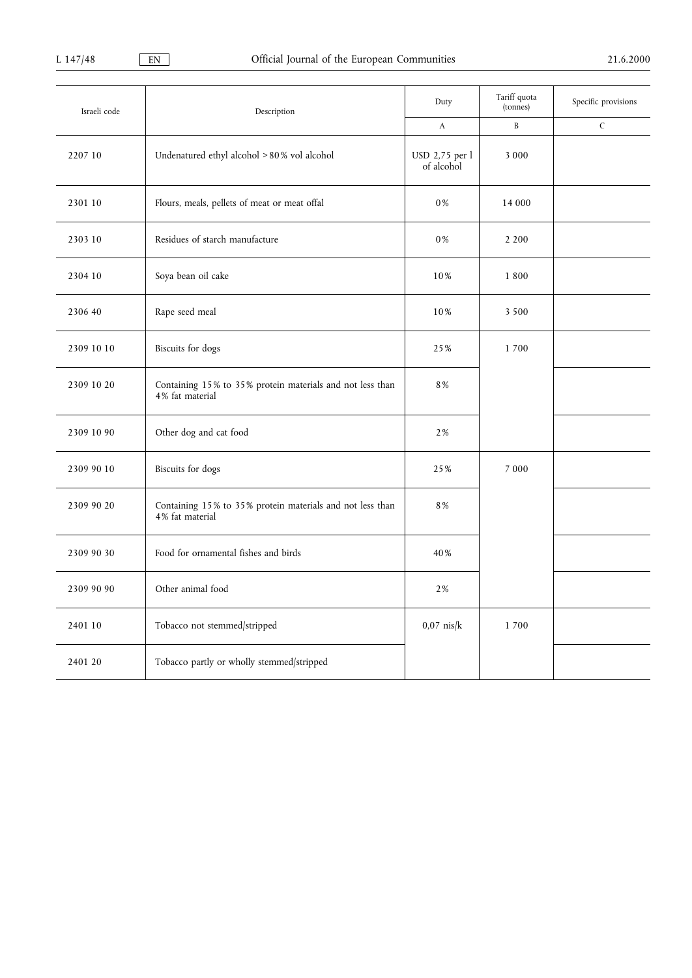| Israeli code<br>Description |                                                                              | Duty                         | Tariff quota<br>(tonnes) | Specific provisions |
|-----------------------------|------------------------------------------------------------------------------|------------------------------|--------------------------|---------------------|
|                             |                                                                              | $\mathbf{A}$                 | B                        | $\mathsf C$         |
| 2207 10                     | Undenatured ethyl alcohol > 80% vol alcohol                                  | USD 2,75 per l<br>of alcohol | 3 0 0 0                  |                     |
| 2301 10                     | Flours, meals, pellets of meat or meat offal                                 | 0%                           | 14 000                   |                     |
| 2303 10                     | Residues of starch manufacture                                               | 0%                           | 2 2 0 0                  |                     |
| 2304 10                     | Soya bean oil cake                                                           | 10%                          | 1800                     |                     |
| 2306 40                     | Rape seed meal                                                               | 10%                          | 3 5 0 0                  |                     |
| 2309 10 10                  | <b>Biscuits</b> for dogs                                                     | 25%                          | 1700                     |                     |
| 2309 10 20                  | Containing 15% to 35% protein materials and not less than<br>4% fat material | 8%                           |                          |                     |
| 2309 10 90                  | Other dog and cat food                                                       | 2%                           |                          |                     |
| 2309 90 10                  | <b>Biscuits</b> for dogs                                                     | 25%                          | 7 0 0 0                  |                     |
| 2309 90 20                  | Containing 15% to 35% protein materials and not less than<br>4% fat material | 8%                           |                          |                     |
| 2309 90 30                  | Food for ornamental fishes and birds                                         | 40%                          |                          |                     |
| 2309 90 90                  | Other animal food                                                            | 2%                           |                          |                     |
| 2401 10                     | Tobacco not stemmed/stripped                                                 | $0.07$ nis/ $k$              | 1700                     |                     |
| 2401 20                     | Tobacco partly or wholly stemmed/stripped                                    |                              |                          |                     |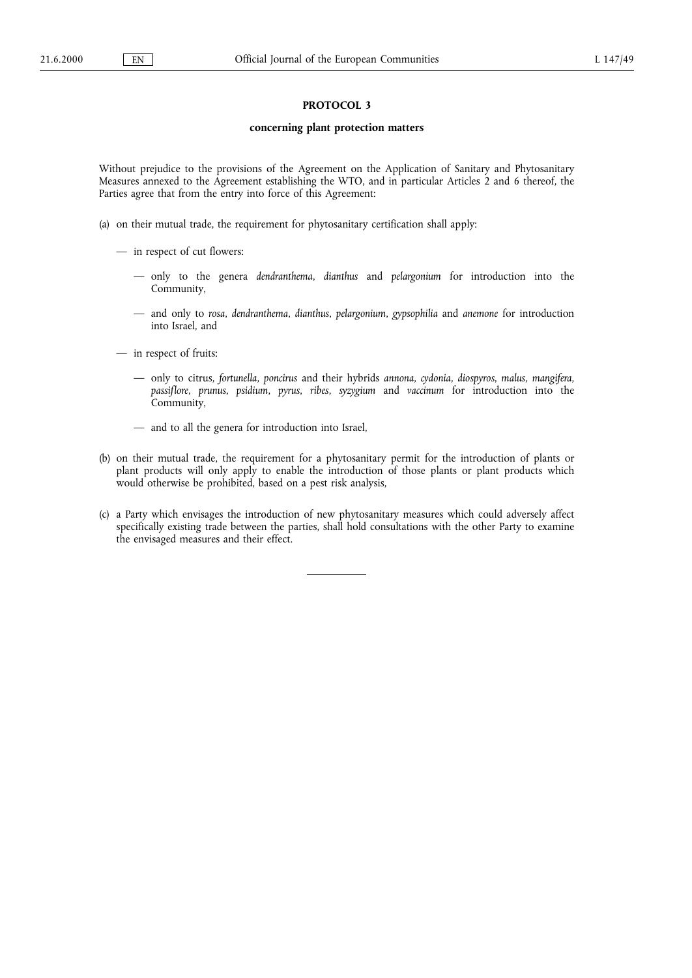# PROTOCOL 3

# concerning plant protection matters

Without prejudice to the provisions of the Agreement on the Application of Sanitary and Phytosanitary Measures annexed to the Agreement establishing the WTO, and in particular Articles 2 and 6 thereof, the Parties agree that from the entry into force of this Agreement:

- (a) on their mutual trade, the requirement for phytosanitary certification shall apply:
	- in respect of cut flowers:
		- only to the genera dendranthema, dianthus and pelargonium for introduction into the Community,
		- and only to rosa, dendranthema, dianthus, pelargonium, gypsophilia and anemone for introduction into Israel, and
	- in respect of fruits:
		- only to citrus, fortunella, poncirus and their hybrids annona, cydonia, diospyros, malus, mangifera, passiflore, prunus, psidium, pyrus, ribes, syzygium and vaccinum for introduction into the Community,
		- and to all the genera for introduction into Israel,
- (b) on their mutual trade, the requirement for a phytosanitary permit for the introduction of plants or plant products will only apply to enable the introduction of those plants or plant products which would otherwise be prohibited, based on a pest risk analysis,
- (c) a Party which envisages the introduction of new phytosanitary measures which could adversely affect specifically existing trade between the parties, shall hold consultations with the other Party to examine the envisaged measures and their effect.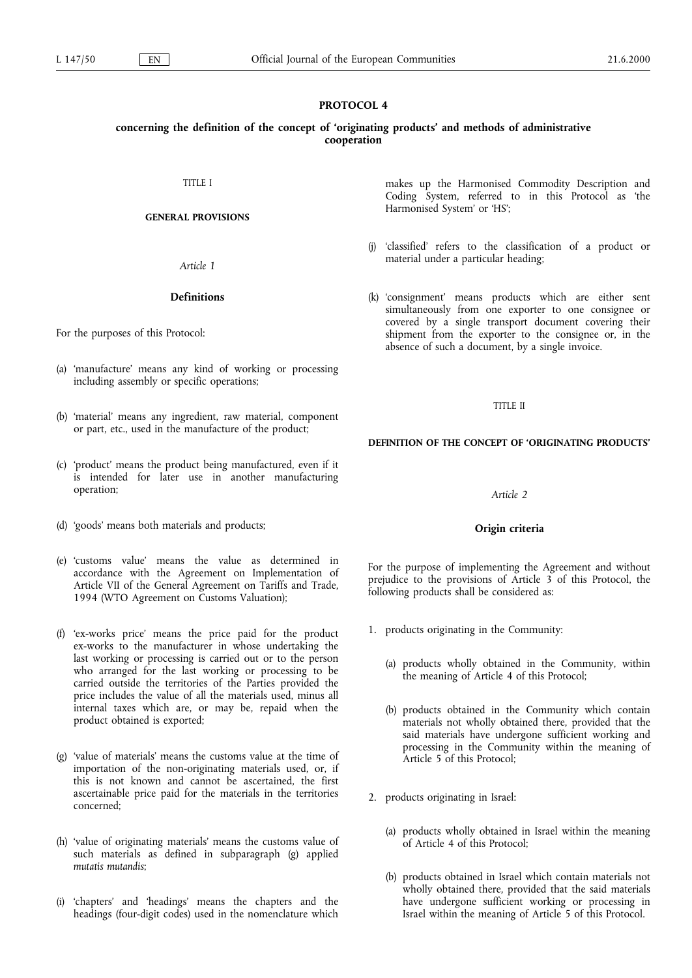# PROTOCOL 4

# concerning the definition of the concept of 'originating products' and methods of administrative cooperation

TITLE I

## GENERAL PROVISIONS

Article 1

# Definitions

For the purposes of this Protocol:

- (a) 'manufacture' means any kind of working or processing including assembly or specific operations;
- (b) 'material' means any ingredient, raw material, component or part, etc., used in the manufacture of the product;
- (c) 'product' means the product being manufactured, even if it is intended for later use in another manufacturing operation;
- (d) 'goods' means both materials and products;
- (e) 'customs value' means the value as determined in accordance with the Agreement on Implementation of Article VII of the General Agreement on Tariffs and Trade, 1994 (WTO Agreement on Customs Valuation);
- (f) ex-works price means the price paid for the product ex-works to the manufacturer in whose undertaking the last working or processing is carried out or to the person who arranged for the last working or processing to be carried outside the territories of the Parties provided the price includes the value of all the materials used, minus all internal taxes which are, or may be, repaid when the product obtained is exported;
- $(g)$  'value of materials' means the customs value at the time of importation of the non-originating materials used, or, if this is not known and cannot be ascertained, the first ascertainable price paid for the materials in the territories concerned;
- (h) 'value of originating materials' means the customs value of such materials as defined in subparagraph (g) applied mutatis mutandis;
- 'chapters' and 'headings' means the chapters and the headings (four-digit codes) used in the nomenclature which

makes up the Harmonised Commodity Description and Coding System, referred to in this Protocol as the Harmonised System' or 'HS';

- (j) 'classified' refers to the classification of a product or material under a particular heading;
- (k) 'consignment' means products which are either sent simultaneously from one exporter to one consignee or covered by a single transport document covering their shipment from the exporter to the consignee or, in the absence of such a document, by a single invoice.

### TITLE II

## DEFINITION OF THE CONCEPT OF 'ORIGINATING PRODUCTS'

# Article 2

## Origin criteria

For the purpose of implementing the Agreement and without prejudice to the provisions of Article 3 of this Protocol, the following products shall be considered as:

- 1. products originating in the Community:
	- (a) products wholly obtained in the Community, within the meaning of Article 4 of this Protocol;
	- (b) products obtained in the Community which contain materials not wholly obtained there, provided that the said materials have undergone sufficient working and processing in the Community within the meaning of Article 5 of this Protocol;
- 2. products originating in Israel:
	- (a) products wholly obtained in Israel within the meaning of Article 4 of this Protocol;
	- (b) products obtained in Israel which contain materials not wholly obtained there, provided that the said materials have undergone sufficient working or processing in Israel within the meaning of Article 5 of this Protocol.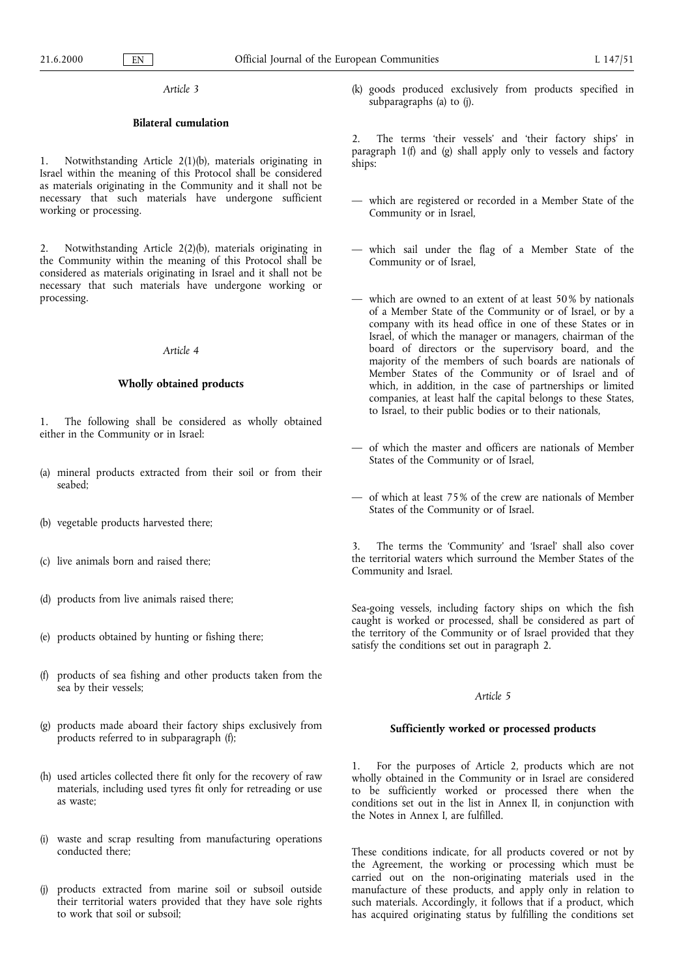Article 3

# Bilateral cumulation

Notwithstanding Article 2(1)(b), materials originating in Israel within the meaning of this Protocol shall be considered as materials originating in the Community and it shall not be necessary that such materials have undergone sufficient working or processing.

2. Notwithstanding Article 2(2)(b), materials originating in the Community within the meaning of this Protocol shall be considered as materials originating in Israel and it shall not be necessary that such materials have undergone working or processing.

#### Article 4

#### Wholly obtained products

The following shall be considered as wholly obtained either in the Community or in Israel:

- (a) mineral products extracted from their soil or from their seabed;
- (b) vegetable products harvested there;
- (c) live animals born and raised there;
- (d) products from live animals raised there;
- (e) products obtained by hunting or fishing there;
- (f) products of sea fishing and other products taken from the sea by their vessels;
- (g) products made aboard their factory ships exclusively from products referred to in subparagraph (f);
- (h) used articles collected there fit only for the recovery of raw materials, including used tyres fit only for retreading or use as waste;
- (i) waste and scrap resulting from manufacturing operations conducted there;
- (j) products extracted from marine soil or subsoil outside their territorial waters provided that they have sole rights to work that soil or subsoil;

(k) goods produced exclusively from products specified in subparagraphs (a) to (j).

2. The terms 'their vessels' and 'their factory ships' in paragraph 1(f) and (g) shall apply only to vessels and factory ships:

- which are registered or recorded in a Member State of the Community or in Israel,
- which sail under the flag of a Member State of the Community or of Israel,
- which are owned to an extent of at least 50% by nationals of a Member State of the Community or of Israel, or by a company with its head office in one of these States or in Israel, of which the manager or managers, chairman of the board of directors or the supervisory board, and the majority of the members of such boards are nationals of Member States of the Community or of Israel and of which, in addition, in the case of partnerships or limited companies, at least half the capital belongs to these States, to Israel, to their public bodies or to their nationals,
- of which the master and officers are nationals of Member States of the Community or of Israel,
- of which at least 75% of the crew are nationals of Member States of the Community or of Israel.

The terms the 'Community' and 'Israel' shall also cover the territorial waters which surround the Member States of the Community and Israel.

Sea-going vessels, including factory ships on which the fish caught is worked or processed, shall be considered as part of the territory of the Community or of Israel provided that they satisfy the conditions set out in paragraph 2.

#### Article 5

# Sufficiently worked or processed products

1. For the purposes of Article 2, products which are not wholly obtained in the Community or in Israel are considered to be sufficiently worked or processed there when the conditions set out in the list in Annex II, in conjunction with the Notes in Annex I, are fulfilled.

These conditions indicate, for all products covered or not by the Agreement, the working or processing which must be carried out on the non-originating materials used in the manufacture of these products, and apply only in relation to such materials. Accordingly, it follows that if a product, which has acquired originating status by fulfilling the conditions set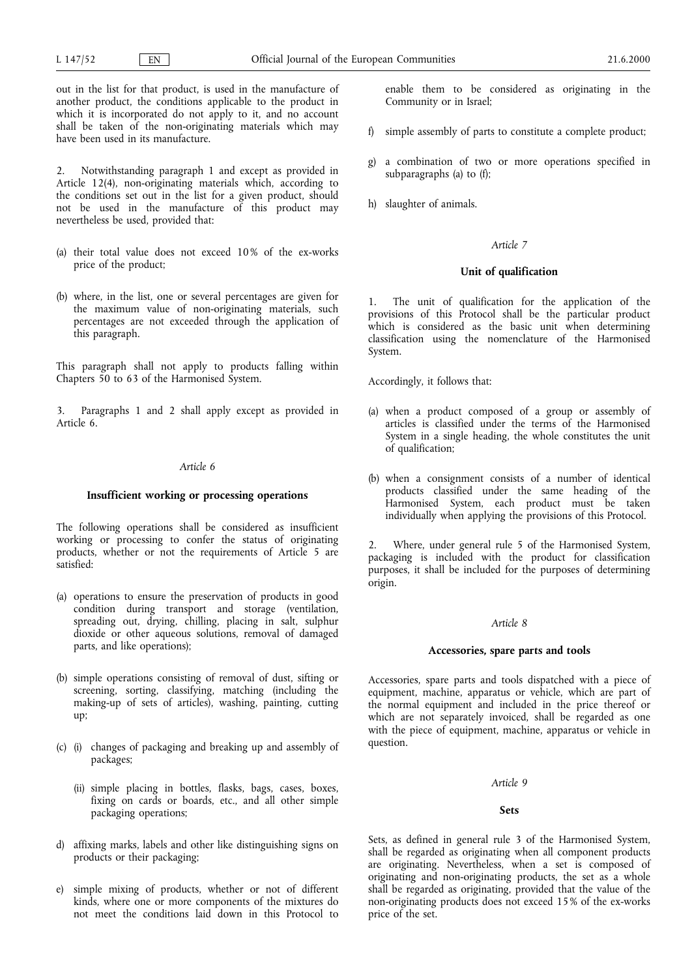out in the list for that product, is used in the manufacture of another product, the conditions applicable to the product in which it is incorporated do not apply to it, and no account shall be taken of the non-originating materials which may have been used in its manufacture.

2. Notwithstanding paragraph 1 and except as provided in Article 12(4), non-originating materials which, according to the conditions set out in the list for a given product, should not be used in the manufacture of this product may nevertheless be used, provided that:

- (a) their total value does not exceed 10% of the ex-works price of the product;
- (b) where, in the list, one or several percentages are given for the maximum value of non-originating materials, such percentages are not exceeded through the application of this paragraph.

This paragraph shall not apply to products falling within Chapters 50 to 63 of the Harmonised System.

3. Paragraphs 1 and 2 shall apply except as provided in Article 6.

# Article 6

## Insufficient working or processing operations

The following operations shall be considered as insufficient working or processing to confer the status of originating products, whether or not the requirements of Article 5 are satisfied:

- (a) operations to ensure the preservation of products in good condition during transport and storage (ventilation, spreading out, drying, chilling, placing in salt, sulphur dioxide or other aqueous solutions, removal of damaged parts, and like operations);
- (b) simple operations consisting of removal of dust, sifting or screening, sorting, classifying, matching (including the making-up of sets of articles), washing, painting, cutting up;
- (c) (i) changes of packaging and breaking up and assembly of packages;
	- (ii) simple placing in bottles, flasks, bags, cases, boxes, fixing on cards or boards, etc., and all other simple packaging operations;
- d) affixing marks, labels and other like distinguishing signs on products or their packaging;
- e) simple mixing of products, whether or not of different kinds, where one or more components of the mixtures do not meet the conditions laid down in this Protocol to

enable them to be considered as originating in the Community or in Israel;

- f) simple assembly of parts to constitute a complete product;
- g) a combination of two or more operations specified in subparagraphs (a) to (f);
- h) slaughter of animals.

## Article 7

# Unit of qualification

1. The unit of qualification for the application of the provisions of this Protocol shall be the particular product which is considered as the basic unit when determining classification using the nomenclature of the Harmonised System.

Accordingly, it follows that:

- (a) when a product composed of a group or assembly of articles is classified under the terms of the Harmonised System in a single heading, the whole constitutes the unit of qualification;
- (b) when a consignment consists of a number of identical products classified under the same heading of the Harmonised System, each product must be taken individually when applying the provisions of this Protocol.

2. Where, under general rule 5 of the Harmonised System, packaging is included with the product for classification purposes, it shall be included for the purposes of determining origin.

#### Article 8

## Accessories, spare parts and tools

Accessories, spare parts and tools dispatched with a piece of equipment, machine, apparatus or vehicle, which are part of the normal equipment and included in the price thereof or which are not separately invoiced, shall be regarded as one with the piece of equipment, machine, apparatus or vehicle in question.

#### Article 9

#### Sets

Sets, as defined in general rule 3 of the Harmonised System, shall be regarded as originating when all component products are originating. Nevertheless, when a set is composed of originating and non-originating products, the set as a whole shall be regarded as originating, provided that the value of the non-originating products does not exceed 15% of the ex-works price of the set.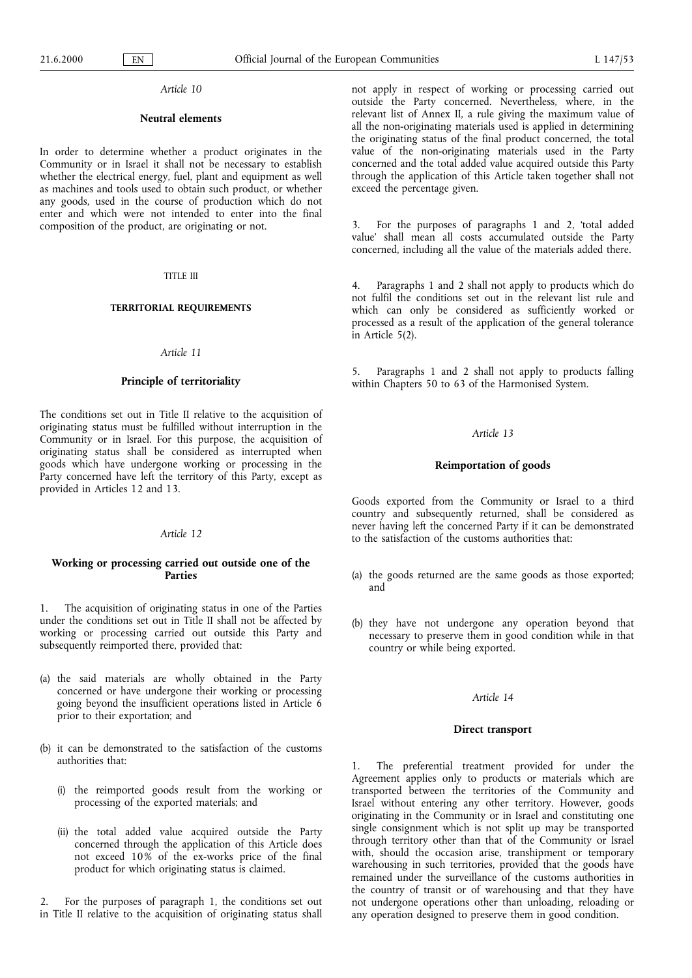#### Article 10

## Neutral elements

In order to determine whether a product originates in the Community or in Israel it shall not be necessary to establish whether the electrical energy, fuel, plant and equipment as well as machines and tools used to obtain such product, or whether any goods, used in the course of production which do not enter and which were not intended to enter into the final composition of the product, are originating or not.

#### TITLE III

## TERRITORIAL REQUIREMENTS

## Article 11

## Principle of territoriality

The conditions set out in Title II relative to the acquisition of originating status must be fulfilled without interruption in the Community or in Israel. For this purpose, the acquisition of originating status shall be considered as interrupted when goods which have undergone working or processing in the Party concerned have left the territory of this Party, except as provided in Articles 12 and 13.

#### Article 12

# Working or processing carried out outside one of the Parties

1. The acquisition of originating status in one of the Parties under the conditions set out in Title II shall not be affected by working or processing carried out outside this Party and subsequently reimported there, provided that:

- (a) the said materials are wholly obtained in the Party concerned or have undergone their working or processing going beyond the insufficient operations listed in Article 6 prior to their exportation; and
- (b) it can be demonstrated to the satisfaction of the customs authorities that:
	- (i) the reimported goods result from the working or processing of the exported materials; and
	- (ii) the total added value acquired outside the Party concerned through the application of this Article does not exceed 10% of the ex-works price of the final product for which originating status is claimed.

2. For the purposes of paragraph 1, the conditions set out in Title II relative to the acquisition of originating status shall not apply in respect of working or processing carried out outside the Party concerned. Nevertheless, where, in the relevant list of Annex II, a rule giving the maximum value of all the non-originating materials used is applied in determining the originating status of the final product concerned, the total value of the non-originating materials used in the Party concerned and the total added value acquired outside this Party through the application of this Article taken together shall not exceed the percentage given.

3. For the purposes of paragraphs 1 and 2, total added value' shall mean all costs accumulated outside the Party concerned, including all the value of the materials added there.

4. Paragraphs 1 and 2 shall not apply to products which do not fulfil the conditions set out in the relevant list rule and which can only be considered as sufficiently worked or processed as a result of the application of the general tolerance in Article 5(2).

5. Paragraphs 1 and 2 shall not apply to products falling within Chapters 50 to 63 of the Harmonised System.

### Article 13

## Reimportation of goods

Goods exported from the Community or Israel to a third country and subsequently returned, shall be considered as never having left the concerned Party if it can be demonstrated to the satisfaction of the customs authorities that:

- (a) the goods returned are the same goods as those exported; and
- (b) they have not undergone any operation beyond that necessary to preserve them in good condition while in that country or while being exported.

## Article 14

## Direct transport

1. The preferential treatment provided for under the Agreement applies only to products or materials which are transported between the territories of the Community and Israel without entering any other territory. However, goods originating in the Community or in Israel and constituting one single consignment which is not split up may be transported through territory other than that of the Community or Israel with, should the occasion arise, transhipment or temporary warehousing in such territories, provided that the goods have remained under the surveillance of the customs authorities in the country of transit or of warehousing and that they have not undergone operations other than unloading, reloading or any operation designed to preserve them in good condition.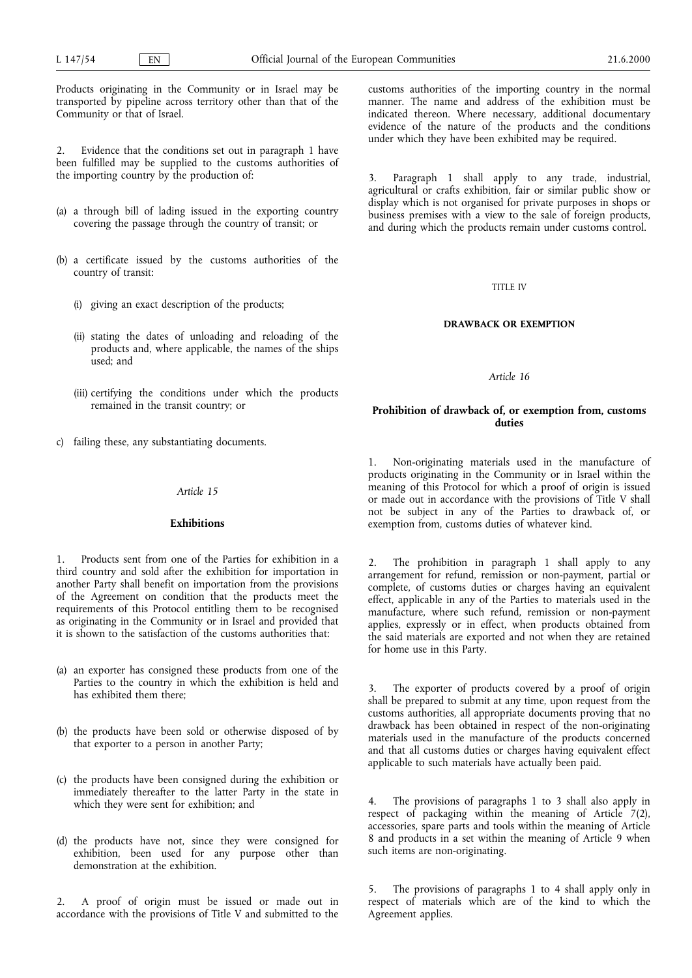Products originating in the Community or in Israel may be transported by pipeline across territory other than that of the Community or that of Israel.

2. Evidence that the conditions set out in paragraph 1 have been fulfilled may be supplied to the customs authorities of the importing country by the production of:

- (a) a through bill of lading issued in the exporting country covering the passage through the country of transit; or
- (b) a certificate issued by the customs authorities of the country of transit:
	- (i) giving an exact description of the products;
	- (ii) stating the dates of unloading and reloading of the products and, where applicable, the names of the ships used; and
	- (iii) certifying the conditions under which the products remained in the transit country; or
- c) failing these, any substantiating documents.

# Article 15

## Exhibitions

Products sent from one of the Parties for exhibition in a third country and sold after the exhibition for importation in another Party shall benefit on importation from the provisions of the Agreement on condition that the products meet the requirements of this Protocol entitling them to be recognised as originating in the Community or in Israel and provided that it is shown to the satisfaction of the customs authorities that:

- (a) an exporter has consigned these products from one of the Parties to the country in which the exhibition is held and has exhibited them there;
- (b) the products have been sold or otherwise disposed of by that exporter to a person in another Party;
- (c) the products have been consigned during the exhibition or immediately thereafter to the latter Party in the state in which they were sent for exhibition; and
- (d) the products have not, since they were consigned for exhibition, been used for any purpose other than demonstration at the exhibition.

2. A proof of origin must be issued or made out in accordance with the provisions of Title V and submitted to the customs authorities of the importing country in the normal manner. The name and address of the exhibition must be indicated thereon. Where necessary, additional documentary evidence of the nature of the products and the conditions under which they have been exhibited may be required.

3. Paragraph 1 shall apply to any trade, industrial, agricultural or crafts exhibition, fair or similar public show or display which is not organised for private purposes in shops or business premises with a view to the sale of foreign products, and during which the products remain under customs control.

### TITLE IV

#### DRAWBACK OR EXEMPTION

Article 16

# Prohibition of drawback of, or exemption from, customs duties

1. Non-originating materials used in the manufacture of products originating in the Community or in Israel within the meaning of this Protocol for which a proof of origin is issued or made out in accordance with the provisions of Title V shall not be subject in any of the Parties to drawback of, or exemption from, customs duties of whatever kind.

2. The prohibition in paragraph 1 shall apply to any arrangement for refund, remission or non-payment, partial or complete, of customs duties or charges having an equivalent effect, applicable in any of the Parties to materials used in the manufacture, where such refund, remission or non-payment applies, expressly or in effect, when products obtained from the said materials are exported and not when they are retained for home use in this Party.

3. The exporter of products covered by a proof of origin shall be prepared to submit at any time, upon request from the customs authorities, all appropriate documents proving that no drawback has been obtained in respect of the non-originating materials used in the manufacture of the products concerned and that all customs duties or charges having equivalent effect applicable to such materials have actually been paid.

The provisions of paragraphs 1 to 3 shall also apply in respect of packaging within the meaning of Article  $7(2)$ , accessories, spare parts and tools within the meaning of Article 8 and products in a set within the meaning of Article 9 when such items are non-originating.

5. The provisions of paragraphs 1 to 4 shall apply only in respect of materials which are of the kind to which the Agreement applies.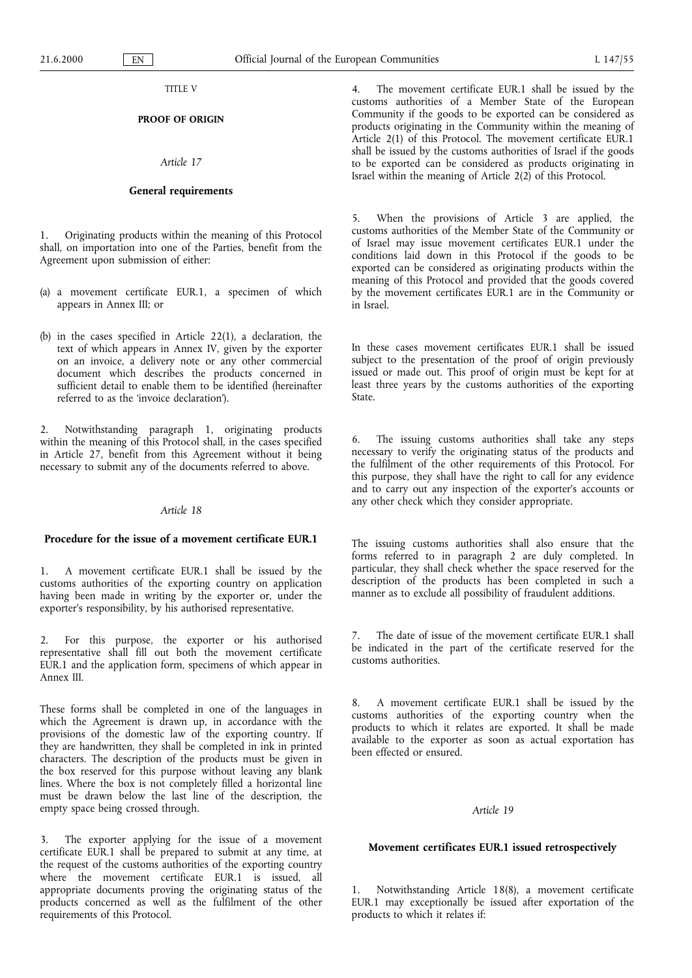## TITLE V

# PROOF OF ORIGIN

# Article 17

### General requirements

1. Originating products within the meaning of this Protocol shall, on importation into one of the Parties, benefit from the Agreement upon submission of either:

- (a) a movement certificate EUR.1, a specimen of which appears in Annex III; or
- (b) in the cases specified in Article 22(1), a declaration, the text of which appears in Annex IV, given by the exporter on an invoice, a delivery note or any other commercial document which describes the products concerned in sufficient detail to enable them to be identified (hereinafter referred to as the invoice declaration).

2. Notwithstanding paragraph 1, originating products within the meaning of this Protocol shall, in the cases specified in Article 27, benefit from this Agreement without it being necessary to submit any of the documents referred to above.

#### Article 18

# Procedure for the issue of a movement certificate EUR.1

1. A movement certificate EUR.1 shall be issued by the customs authorities of the exporting country on application having been made in writing by the exporter or, under the exporter's responsibility, by his authorised representative.

2. For this purpose, the exporter or his authorised representative shall fill out both the movement certificate EUR.1 and the application form, specimens of which appear in Annex III.

These forms shall be completed in one of the languages in which the Agreement is drawn up, in accordance with the provisions of the domestic law of the exporting country. If they are handwritten, they shall be completed in ink in printed characters. The description of the products must be given in the box reserved for this purpose without leaving any blank lines. Where the box is not completely filled a horizontal line must be drawn below the last line of the description, the empty space being crossed through.

3. The exporter applying for the issue of a movement certificate EUR.1 shall be prepared to submit at any time, at the request of the customs authorities of the exporting country where the movement certificate EUR.1 is issued, all appropriate documents proving the originating status of the products concerned as well as the fulfilment of the other requirements of this Protocol.

4. The movement certificate EUR.1 shall be issued by the customs authorities of a Member State of the European Community if the goods to be exported can be considered as products originating in the Community within the meaning of Article 2(1) of this Protocol. The movement certificate EUR.1 shall be issued by the customs authorities of Israel if the goods to be exported can be considered as products originating in Israel within the meaning of Article 2(2) of this Protocol.

5. When the provisions of Article 3 are applied, the customs authorities of the Member State of the Community or of Israel may issue movement certificates EUR.1 under the conditions laid down in this Protocol if the goods to be exported can be considered as originating products within the meaning of this Protocol and provided that the goods covered by the movement certificates EUR.1 are in the Community or in Israel.

In these cases movement certificates EUR.1 shall be issued subject to the presentation of the proof of origin previously issued or made out. This proof of origin must be kept for at least three years by the customs authorities of the exporting State.

6. The issuing customs authorities shall take any steps necessary to verify the originating status of the products and the fulfilment of the other requirements of this Protocol. For this purpose, they shall have the right to call for any evidence and to carry out any inspection of the exporter's accounts or any other check which they consider appropriate.

The issuing customs authorities shall also ensure that the forms referred to in paragraph 2 are duly completed. In particular, they shall check whether the space reserved for the description of the products has been completed in such a manner as to exclude all possibility of fraudulent additions.

7. The date of issue of the movement certificate EUR.1 shall be indicated in the part of the certificate reserved for the customs authorities.

8. A movement certificate EUR.1 shall be issued by the customs authorities of the exporting country when the products to which it relates are exported. It shall be made available to the exporter as soon as actual exportation has been effected or ensured.

#### Article 19

## Movement certificates EUR.1 issued retrospectively

1. Notwithstanding Article 18(8), a movement certificate EUR.1 may exceptionally be issued after exportation of the products to which it relates if: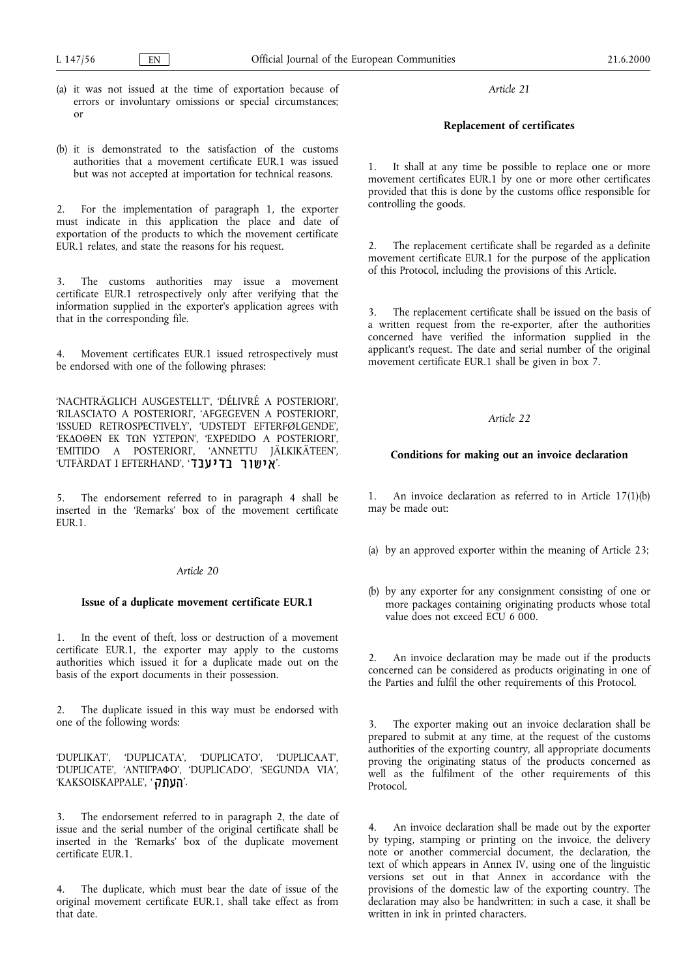- (a) it was not issued at the time of exportation because of errors or involuntary omissions or special circumstances; or
- (b) it is demonstrated to the satisfaction of the customs authorities that a movement certificate EUR.1 was issued but was not accepted at importation for technical reasons.

2. For the implementation of paragraph 1, the exporter must indicate in this application the place and date of exportation of the products to which the movement certificate EUR.1 relates, and state the reasons for his request.

3. The customs authorities may issue a movement certificate EUR.1 retrospectively only after verifying that the information supplied in the exporter's application agrees with that in the corresponding file.

4. Movement certificates EUR.1 issued retrospectively must be endorsed with one of the following phrases:

NACHTRÄGLICH AUSGESTELLT, DÉLIVRÉ A POSTERIORI, 'RILASCIATO A POSTERIORI', 'AFGEGEVEN A POSTERIORI', ISSUED RETROSPECTIVELY, UDSTEDT EFTERFØLGENDE, 'ΕΚΔΟΘΕΝ ΕΚ ΤΩΝ ΥΣΤΕΡΩΝ', 'ΕΧΡΕDIDO A POSTERIORI', 'EMITIDO A POSTERIORI', 'ANNETTU JÄLKIKÄTEEN', UTFÄRDAT I EFTERHAND, .

5. The endorsement referred to in paragraph 4 shall be inserted in the 'Remarks' box of the movement certificate EUR.1.

## Article 20

## Issue of a duplicate movement certificate EUR.1

1. In the event of theft, loss or destruction of a movement certificate EUR.1, the exporter may apply to the customs authorities which issued it for a duplicate made out on the basis of the export documents in their possession.

2. The duplicate issued in this way must be endorsed with one of the following words:

DUPLIKAT, DUPLICATA, DUPLICATO, DUPLICAAT, 'DUPLICATE', 'ANTIFPAФO', 'DUPLICADO', 'SEGUNDA VIA', 'KAKSOISKAPPALE', 'העתק

3. The endorsement referred to in paragraph 2, the date of issue and the serial number of the original certificate shall be inserted in the 'Remarks' box of the duplicate movement certificate EUR.1.

4. The duplicate, which must bear the date of issue of the original movement certificate EUR.1, shall take effect as from that date.

Article 21

# Replacement of certificates

1. It shall at any time be possible to replace one or more movement certificates EUR.1 by one or more other certificates provided that this is done by the customs office responsible for controlling the goods.

2. The replacement certificate shall be regarded as a definite movement certificate EUR.1 for the purpose of the application of this Protocol, including the provisions of this Article.

The replacement certificate shall be issued on the basis of a written request from the re-exporter, after the authorities concerned have verified the information supplied in the applicant's request. The date and serial number of the original movement certificate EUR.1 shall be given in box 7.

# Article 22

# Conditions for making out an invoice declaration

1. An invoice declaration as referred to in Article 17(1)(b) may be made out:

- (a) by an approved exporter within the meaning of Article 23;
- (b) by any exporter for any consignment consisting of one or more packages containing originating products whose total value does not exceed ECU 6 000.

2. An invoice declaration may be made out if the products concerned can be considered as products originating in one of the Parties and fulfil the other requirements of this Protocol.

3. The exporter making out an invoice declaration shall be prepared to submit at any time, at the request of the customs authorities of the exporting country, all appropriate documents proving the originating status of the products concerned as well as the fulfilment of the other requirements of this Protocol.

4. An invoice declaration shall be made out by the exporter by typing, stamping or printing on the invoice, the delivery note or another commercial document, the declaration, the text of which appears in Annex IV, using one of the linguistic versions set out in that Annex in accordance with the provisions of the domestic law of the exporting country. The declaration may also be handwritten; in such a case, it shall be written in ink in printed characters.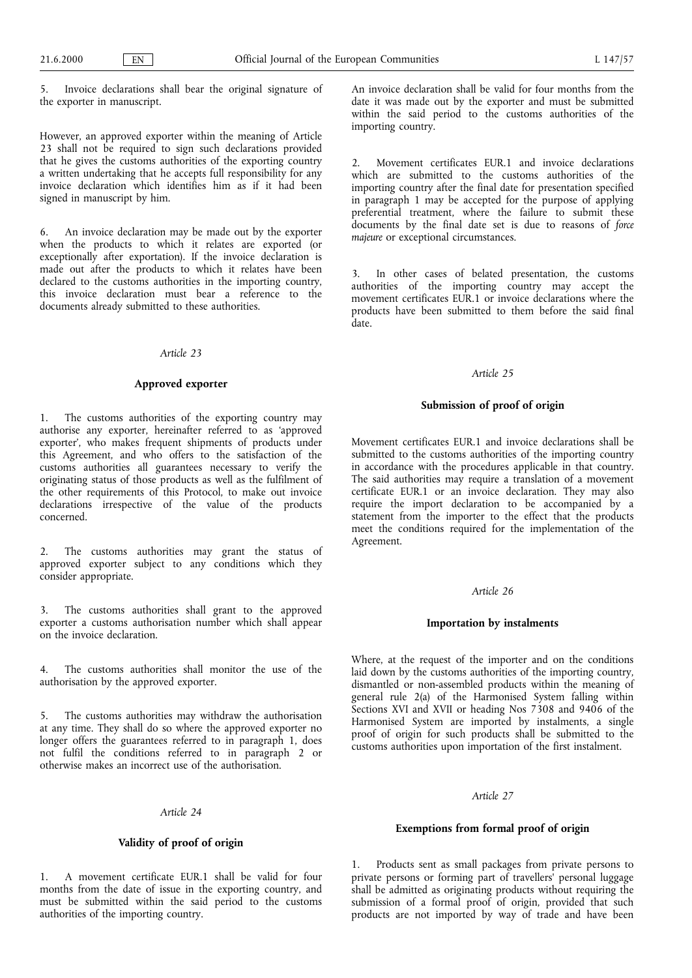5. Invoice declarations shall bear the original signature of the exporter in manuscript.

However, an approved exporter within the meaning of Article 23 shall not be required to sign such declarations provided that he gives the customs authorities of the exporting country a written undertaking that he accepts full responsibility for any invoice declaration which identifies him as if it had been signed in manuscript by him.

6. An invoice declaration may be made out by the exporter when the products to which it relates are exported (or exceptionally after exportation). If the invoice declaration is made out after the products to which it relates have been declared to the customs authorities in the importing country, this invoice declaration must bear a reference to the documents already submitted to these authorities.

# Article 23

#### Approved exporter

1. The customs authorities of the exporting country may authorise any exporter, hereinafter referred to as 'approved exporter, who makes frequent shipments of products under this Agreement, and who offers to the satisfaction of the customs authorities all guarantees necessary to verify the originating status of those products as well as the fulfilment of the other requirements of this Protocol, to make out invoice declarations irrespective of the value of the products concerned.

The customs authorities may grant the status of approved exporter subject to any conditions which they consider appropriate.

3. The customs authorities shall grant to the approved exporter a customs authorisation number which shall appear on the invoice declaration.

The customs authorities shall monitor the use of the authorisation by the approved exporter.

5. The customs authorities may withdraw the authorisation at any time. They shall do so where the approved exporter no longer offers the guarantees referred to in paragraph 1, does not fulfil the conditions referred to in paragraph 2 or otherwise makes an incorrect use of the authorisation.

### Article 24

# Validity of proof of origin

1. A movement certificate EUR.1 shall be valid for four months from the date of issue in the exporting country, and must be submitted within the said period to the customs authorities of the importing country.

An invoice declaration shall be valid for four months from the date it was made out by the exporter and must be submitted within the said period to the customs authorities of the importing country.

2. Movement certificates EUR.1 and invoice declarations which are submitted to the customs authorities of the importing country after the final date for presentation specified in paragraph 1 may be accepted for the purpose of applying preferential treatment, where the failure to submit these documents by the final date set is due to reasons of force majeure or exceptional circumstances.

3. In other cases of belated presentation, the customs authorities of the importing country may accept the movement certificates EUR.1 or invoice declarations where the products have been submitted to them before the said final date.

# Article 25

# Submission of proof of origin

Movement certificates EUR.1 and invoice declarations shall be submitted to the customs authorities of the importing country in accordance with the procedures applicable in that country. The said authorities may require a translation of a movement certificate EUR.1 or an invoice declaration. They may also require the import declaration to be accompanied by a statement from the importer to the effect that the products meet the conditions required for the implementation of the Agreement.

# Article 26

## Importation by instalments

Where, at the request of the importer and on the conditions laid down by the customs authorities of the importing country, dismantled or non-assembled products within the meaning of general rule 2(a) of the Harmonised System falling within Sections XVI and XVII or heading Nos 7308 and 9406 of the Harmonised System are imported by instalments, a single proof of origin for such products shall be submitted to the customs authorities upon importation of the first instalment.

## Article 27

## Exemptions from formal proof of origin

1. Products sent as small packages from private persons to private persons or forming part of travellers' personal luggage shall be admitted as originating products without requiring the submission of a formal proof of origin, provided that such products are not imported by way of trade and have been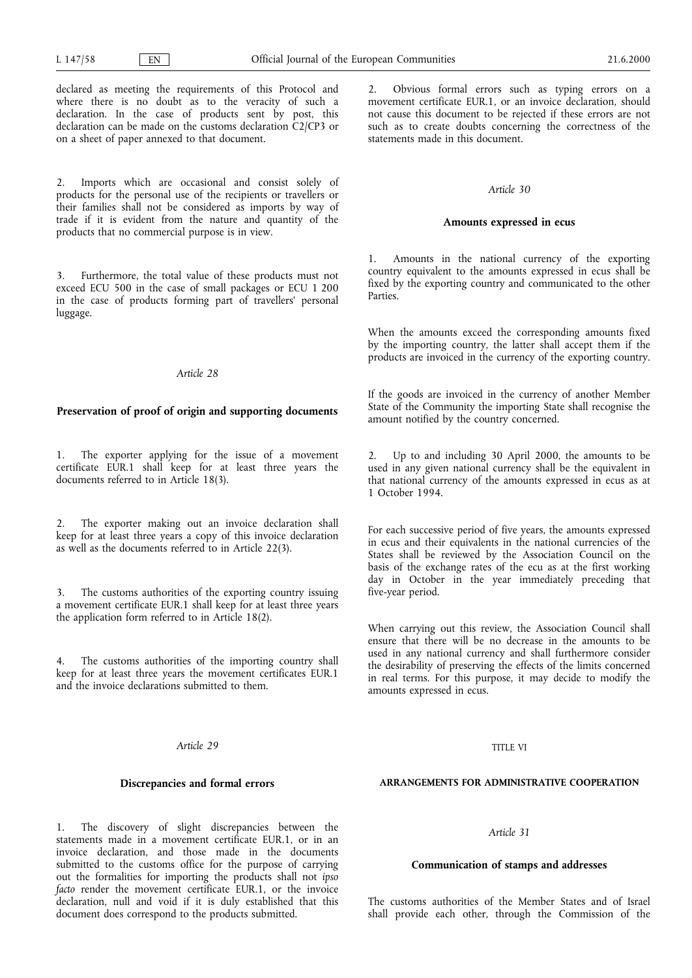declared as meeting the requirements of this Protocol and where there is no doubt as to the veracity of such a declaration. In the case of products sent by post, this declaration can be made on the customs declaration C2/CP3 or on a sheet of paper annexed to that document.

2. Imports which are occasional and consist solely of products for the personal use of the recipients or travellers or their families shall not be considered as imports by way of trade if it is evident from the nature and quantity of the products that no commercial purpose is in view.

3. Furthermore, the total value of these products must not exceed ECU 500 in the case of small packages or ECU 1 200 in the case of products forming part of travellers' personal luggage.

# Article 28

# Preservation of proof of origin and supporting documents

1. The exporter applying for the issue of a movement certificate EUR.1 shall keep for at least three years the documents referred to in Article 18(3).

2. The exporter making out an invoice declaration shall keep for at least three years a copy of this invoice declaration as well as the documents referred to in Article 22(3).

3. The customs authorities of the exporting country issuing a movement certificate EUR.1 shall keep for at least three years the application form referred to in Article 18(2).

4. The customs authorities of the importing country shall keep for at least three years the movement certificates EUR.1 and the invoice declarations submitted to them.

## Article 29

## Discrepancies and formal errors

1. The discovery of slight discrepancies between the statements made in a movement certificate EUR.1, or in an invoice declaration, and those made in the documents submitted to the customs office for the purpose of carrying out the formalities for importing the products shall not ipso facto render the movement certificate EUR.1, or the invoice declaration, null and void if it is duly established that this document does correspond to the products submitted.

2. Obvious formal errors such as typing errors on a movement certificate EUR.1, or an invoice declaration, should not cause this document to be rejected if these errors are not such as to create doubts concerning the correctness of the statements made in this document.

#### Article 30

## Amounts expressed in ecus

1. Amounts in the national currency of the exporting country equivalent to the amounts expressed in ecus shall be fixed by the exporting country and communicated to the other Parties.

When the amounts exceed the corresponding amounts fixed by the importing country, the latter shall accept them if the products are invoiced in the currency of the exporting country.

If the goods are invoiced in the currency of another Member State of the Community the importing State shall recognise the amount notified by the country concerned.

2. Up to and including 30 April 2000, the amounts to be used in any given national currency shall be the equivalent in that national currency of the amounts expressed in ecus as at 1 October 1994.

For each successive period of five years, the amounts expressed in ecus and their equivalents in the national currencies of the States shall be reviewed by the Association Council on the basis of the exchange rates of the ecu as at the first working day in October in the year immediately preceding that five-year period.

When carrying out this review, the Association Council shall ensure that there will be no decrease in the amounts to be used in any national currency and shall furthermore consider the desirability of preserving the effects of the limits concerned in real terms. For this purpose, it may decide to modify the amounts expressed in ecus.

## TITLE VI

# ARRANGEMENTS FOR ADMINISTRATIVE COOPERATION

# Article 31

# Communication of stamps and addresses

The customs authorities of the Member States and of Israel shall provide each other, through the Commission of the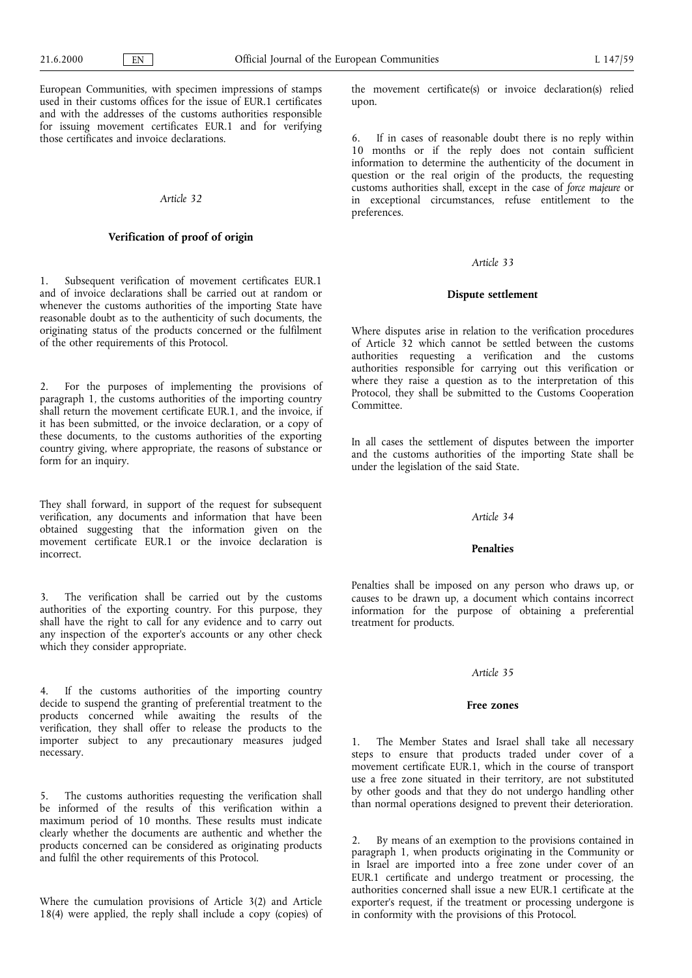European Communities, with specimen impressions of stamps used in their customs offices for the issue of EUR.1 certificates and with the addresses of the customs authorities responsible for issuing movement certificates EUR.1 and for verifying those certificates and invoice declarations.

## Article 32

## Verification of proof of origin

1. Subsequent verification of movement certificates EUR.1 and of invoice declarations shall be carried out at random or whenever the customs authorities of the importing State have reasonable doubt as to the authenticity of such documents, the originating status of the products concerned or the fulfilment of the other requirements of this Protocol.

2. For the purposes of implementing the provisions of paragraph 1, the customs authorities of the importing country shall return the movement certificate EUR.1, and the invoice, if it has been submitted, or the invoice declaration, or a copy of these documents, to the customs authorities of the exporting country giving, where appropriate, the reasons of substance or form for an inquiry.

They shall forward, in support of the request for subsequent verification, any documents and information that have been obtained suggesting that the information given on the movement certificate EUR.1 or the invoice declaration is incorrect.

3. The verification shall be carried out by the customs authorities of the exporting country. For this purpose, they shall have the right to call for any evidence and to carry out any inspection of the exporter's accounts or any other check which they consider appropriate.

4. If the customs authorities of the importing country decide to suspend the granting of preferential treatment to the products concerned while awaiting the results of the verification, they shall offer to release the products to the importer subject to any precautionary measures judged necessary.

5. The customs authorities requesting the verification shall be informed of the results of this verification within a maximum period of 10 months. These results must indicate clearly whether the documents are authentic and whether the products concerned can be considered as originating products and fulfil the other requirements of this Protocol.

Where the cumulation provisions of Article 3(2) and Article 18(4) were applied, the reply shall include a copy (copies) of the movement certificate(s) or invoice declaration(s) relied upon.

6. If in cases of reasonable doubt there is no reply within 10 months or if the reply does not contain sufficient information to determine the authenticity of the document in question or the real origin of the products, the requesting customs authorities shall, except in the case of force majeure or in exceptional circumstances, refuse entitlement to the preferences.

## Article 33

#### Dispute settlement

Where disputes arise in relation to the verification procedures of Article 32 which cannot be settled between the customs authorities requesting a verification and the customs authorities responsible for carrying out this verification or where they raise a question as to the interpretation of this Protocol, they shall be submitted to the Customs Cooperation Committee.

In all cases the settlement of disputes between the importer and the customs authorities of the importing State shall be under the legislation of the said State.

## Article 34

#### **Penalties**

Penalties shall be imposed on any person who draws up, or causes to be drawn up, a document which contains incorrect information for the purpose of obtaining a preferential treatment for products.

#### Article 35

## Free zones

The Member States and Israel shall take all necessary steps to ensure that products traded under cover of a movement certificate EUR.1, which in the course of transport use a free zone situated in their territory, are not substituted by other goods and that they do not undergo handling other than normal operations designed to prevent their deterioration.

By means of an exemption to the provisions contained in paragraph 1, when products originating in the Community or in Israel are imported into a free zone under cover of an EUR.1 certificate and undergo treatment or processing, the authorities concerned shall issue a new EUR.1 certificate at the exporter's request, if the treatment or processing undergone is in conformity with the provisions of this Protocol.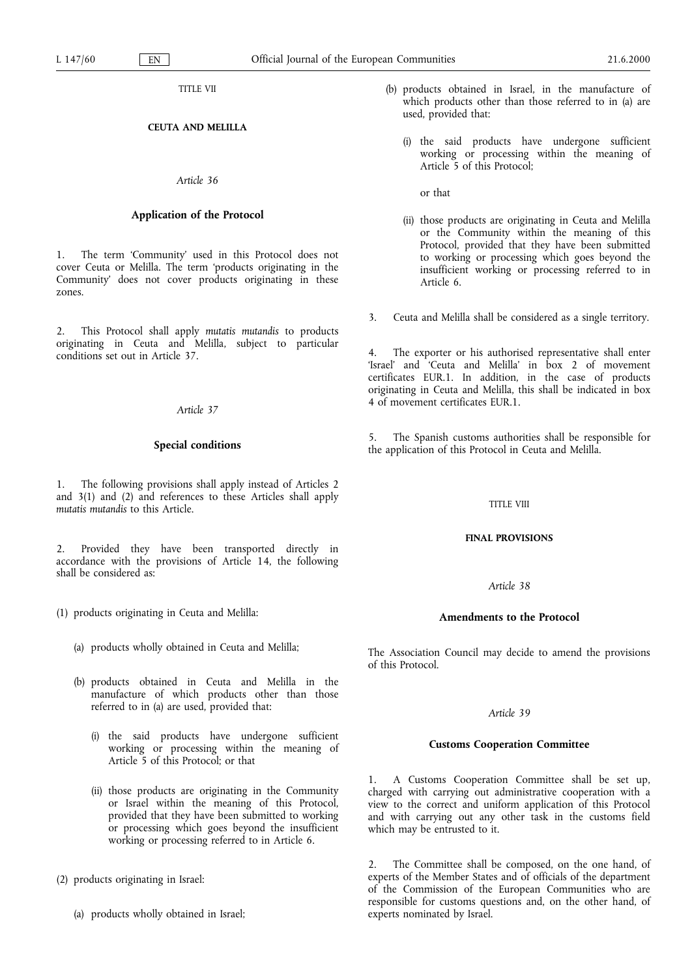TITLE VII

# CEUTA AND MELILLA

#### Article 36

# Application of the Protocol

1. The term Community used in this Protocol does not cover Ceuta or Melilla. The term 'products originating in the Community does not cover products originating in these zones.

2. This Protocol shall apply mutatis mutandis to products originating in Ceuta and Melilla, subject to particular conditions set out in Article 37.

#### Article 37

#### Special conditions

1. The following provisions shall apply instead of Articles 2 and 3(1) and (2) and references to these Articles shall apply mutatis mutandis to this Article.

2. Provided they have been transported directly in accordance with the provisions of Article 14, the following shall be considered as:

- (1) products originating in Ceuta and Melilla:
	- (a) products wholly obtained in Ceuta and Melilla;
	- (b) products obtained in Ceuta and Melilla in the manufacture of which products other than those referred to in (a) are used, provided that:
		- (i) the said products have undergone sufficient working or processing within the meaning of Article 5 of this Protocol; or that
		- (ii) those products are originating in the Community or Israel within the meaning of this Protocol, provided that they have been submitted to working or processing which goes beyond the insufficient working or processing referred to in Article 6.
- (2) products originating in Israel:
	- (a) products wholly obtained in Israel;
- (b) products obtained in Israel, in the manufacture of which products other than those referred to in (a) are used, provided that:
	- (i) the said products have undergone sufficient working or processing within the meaning of Article 5 of this Protocol;

or that

- (ii) those products are originating in Ceuta and Melilla or the Community within the meaning of this Protocol, provided that they have been submitted to working or processing which goes beyond the insufficient working or processing referred to in Article 6.
- 3. Ceuta and Melilla shall be considered as a single territory.

4. The exporter or his authorised representative shall enter 'Israel' and 'Ceuta and Melilla' in  $\overline{b}$ ox 2 of movement certificates EUR.1. In addition, in the case of products originating in Ceuta and Melilla, this shall be indicated in box 4 of movement certificates EUR.1.

5. The Spanish customs authorities shall be responsible for the application of this Protocol in Ceuta and Melilla.

#### TITLE VIII

## FINAL PROVISIONS

#### Article 38

# Amendments to the Protocol

The Association Council may decide to amend the provisions of this Protocol.

## Article 39

## Customs Cooperation Committee

1. A Customs Cooperation Committee shall be set up, charged with carrying out administrative cooperation with a view to the correct and uniform application of this Protocol and with carrying out any other task in the customs field which may be entrusted to it.

2. The Committee shall be composed, on the one hand, of experts of the Member States and of officials of the department of the Commission of the European Communities who are responsible for customs questions and, on the other hand, of experts nominated by Israel.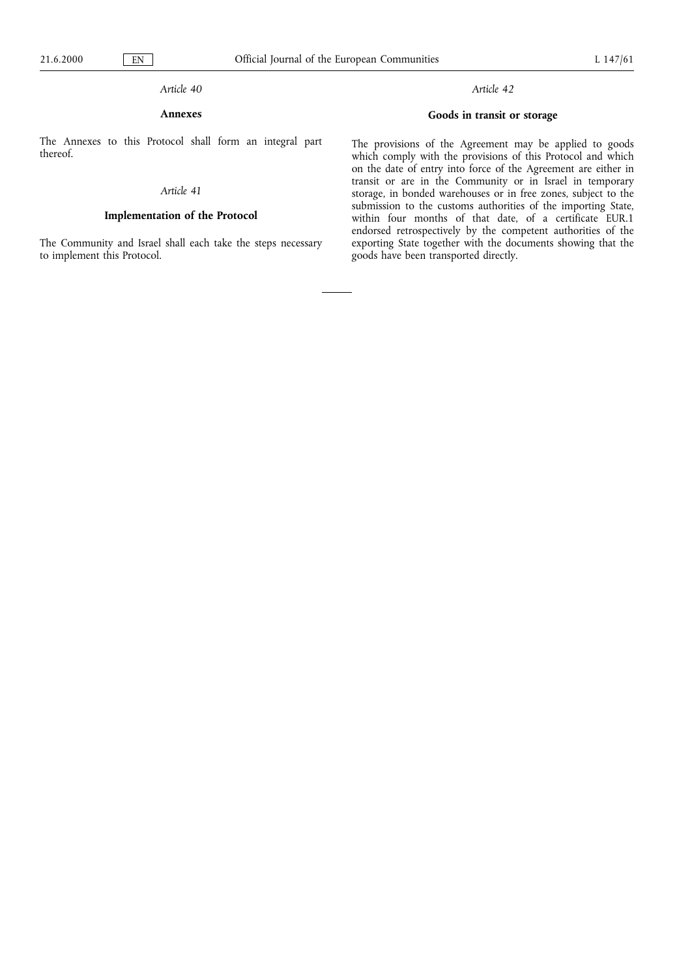# Article 40

# Annexes

The Annexes to this Protocol shall form an integral part thereof.

## Article 41

# Implementation of the Protocol

The Community and Israel shall each take the steps necessary to implement this Protocol.

# Article 42

# Goods in transit or storage

The provisions of the Agreement may be applied to goods which comply with the provisions of this Protocol and which on the date of entry into force of the Agreement are either in transit or are in the Community or in Israel in temporary storage, in bonded warehouses or in free zones, subject to the submission to the customs authorities of the importing State, within four months of that date, of a certificate EUR.1 endorsed retrospectively by the competent authorities of the exporting State together with the documents showing that the goods have been transported directly.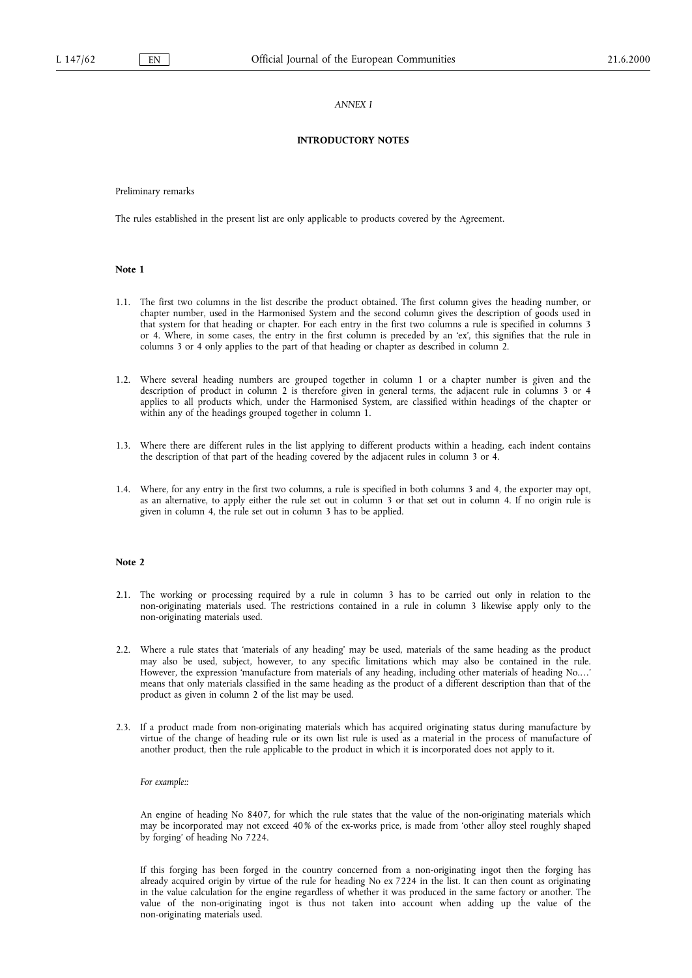## ANNEX I

## INTRODUCTORY NOTES

Preliminary remarks

The rules established in the present list are only applicable to products covered by the Agreement.

#### Note 1

- 1.1. The first two columns in the list describe the product obtained. The first column gives the heading number, or chapter number, used in the Harmonised System and the second column gives the description of goods used in that system for that heading or chapter. For each entry in the first two columns a rule is specified in columns 3 or 4. Where, in some cases, the entry in the first column is preceded by an ex, this signifies that the rule in columns 3 or 4 only applies to the part of that heading or chapter as described in column 2.
- 1.2. Where several heading numbers are grouped together in column 1 or a chapter number is given and the description of product in column 2 is therefore given in general terms, the adjacent rule in columns 3 or 4 applies to all products which, under the Harmonised System, are classified within headings of the chapter or within any of the headings grouped together in column 1.
- 1.3. Where there are different rules in the list applying to different products within a heading, each indent contains the description of that part of the heading covered by the adjacent rules in column 3 or 4.
- 1.4. Where, for any entry in the first two columns, a rule is specified in both columns 3 and 4, the exporter may opt, as an alternative, to apply either the rule set out in column 3 or that set out in column 4. If no origin rule is given in column 4, the rule set out in column 3 has to be applied.

#### Note 2

- 2.1. The working or processing required by a rule in column 3 has to be carried out only in relation to the non-originating materials used. The restrictions contained in a rule in column 3 likewise apply only to the non-originating materials used.
- 2.2. Where a rule states that 'materials of any heading' may be used, materials of the same heading as the product may also be used, subject, however, to any specific limitations which may also be contained in the rule. However, the expression 'manufacture from materials of any heading, including other materials of heading No.... means that only materials classified in the same heading as the product of a different description than that of the product as given in column 2 of the list may be used.
- 2.3. If a product made from non-originating materials which has acquired originating status during manufacture by virtue of the change of heading rule or its own list rule is used as a material in the process of manufacture of another product, then the rule applicable to the product in which it is incorporated does not apply to it.

For example::

An engine of heading No 8407, for which the rule states that the value of the non-originating materials which may be incorporated may not exceed 40% of the ex-works price, is made from 'other alloy steel roughly shaped by forging' of heading No 7224.

If this forging has been forged in the country concerned from a non-originating ingot then the forging has already acquired origin by virtue of the rule for heading No ex 7224 in the list. It can then count as originating in the value calculation for the engine regardless of whether it was produced in the same factory or another. The value of the non-originating ingot is thus not taken into account when adding up the value of the non-originating materials used.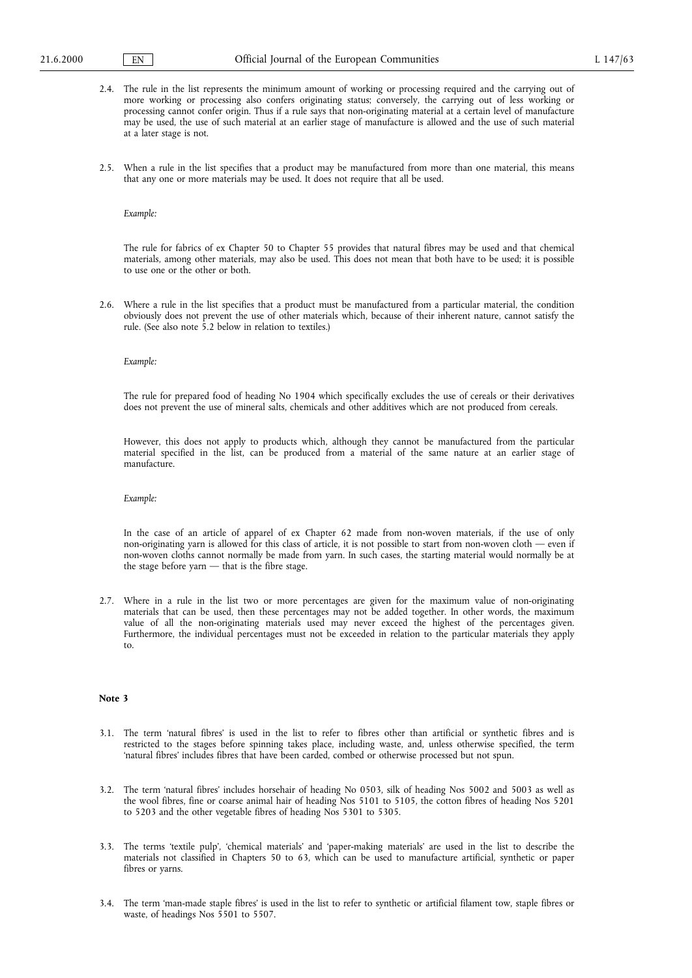- 2.4. The rule in the list represents the minimum amount of working or processing required and the carrying out of more working or processing also confers originating status; conversely, the carrying out of less working or processing cannot confer origin. Thus if a rule says that non-originating material at a certain level of manufacture may be used, the use of such material at an earlier stage of manufacture is allowed and the use of such material at a later stage is not.
- 2.5. When a rule in the list specifies that a product may be manufactured from more than one material, this means that any one or more materials may be used. It does not require that all be used.

Example:

The rule for fabrics of ex Chapter 50 to Chapter 55 provides that natural fibres may be used and that chemical materials, among other materials, may also be used. This does not mean that both have to be used; it is possible to use one or the other or both.

2.6. Where a rule in the list specifies that a product must be manufactured from a particular material, the condition obviously does not prevent the use of other materials which, because of their inherent nature, cannot satisfy the rule. (See also note 5.2 below in relation to textiles.)

#### Example:

The rule for prepared food of heading No 1904 which specifically excludes the use of cereals or their derivatives does not prevent the use of mineral salts, chemicals and other additives which are not produced from cereals.

However, this does not apply to products which, although they cannot be manufactured from the particular material specified in the list, can be produced from a material of the same nature at an earlier stage of manufacture.

#### Example:

In the case of an article of apparel of ex Chapter 62 made from non-woven materials, if the use of only non-originating yarn is allowed for this class of article, it is not possible to start from non-woven cloth  $-$  even if non-woven cloths cannot normally be made from yarn. In such cases, the starting material would normally be at the stage before yarn  $-$  that is the fibre stage.

2.7. Where in a rule in the list two or more percentages are given for the maximum value of non-originating materials that can be used, then these percentages may not be added together. In other words, the maximum value of all the non-originating materials used may never exceed the highest of the percentages given. Furthermore, the individual percentages must not be exceeded in relation to the particular materials they apply to.

## Note 3

- 3.1. The term natural fibres is used in the list to refer to fibres other than artificial or synthetic fibres and is restricted to the stages before spinning takes place, including waste, and, unless otherwise specified, the term 'natural fibres' includes fibres that have been carded, combed or otherwise processed but not spun.
- 3.2. The term 'natural fibres' includes horsehair of heading No 0503, silk of heading Nos 5002 and 5003 as well as the wool fibres, fine or coarse animal hair of heading Nos 5101 to 5105, the cotton fibres of heading Nos 5201 to 5203 and the other vegetable fibres of heading Nos 5301 to 5305.
- 3.3. The terms 'textile pulp', 'chemical materials' and 'paper-making materials' are used in the list to describe the materials not classified in Chapters 50 to 63, which can be used to manufacture artificial, synthetic or paper fibres or yarns.
- 3.4. The term 'man-made staple fibres' is used in the list to refer to synthetic or artificial filament tow, staple fibres or waste, of headings Nos 5501 to 5507.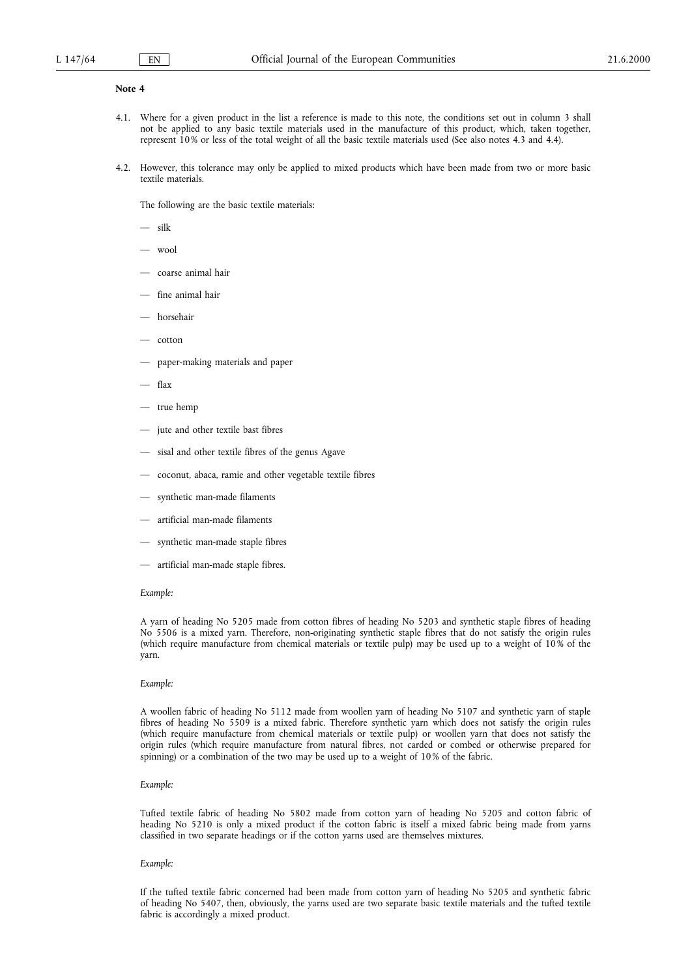#### Note 4

- 4.1. Where for a given product in the list a reference is made to this note, the conditions set out in column 3 shall not be applied to any basic textile materials used in the manufacture of this product, which, taken together, represent 10% or less of the total weight of all the basic textile materials used (See also notes 4.3 and 4.4).
- 4.2. However, this tolerance may only be applied to mixed products which have been made from two or more basic textile materials.

The following are the basic textile materials:

silk

- wool
- coarse animal hair
- fine animal hair
- horsehair
- $-$  cotton
- paper-making materials and paper
- flax
- true hemp
- jute and other textile bast fibres
- sisal and other textile fibres of the genus Agave
- coconut, abaca, ramie and other vegetable textile fibres
- synthetic man-made filaments
- artificial man-made filaments
- synthetic man-made staple fibres
- artificial man-made staple fibres.

#### Example:

A yarn of heading No 5205 made from cotton fibres of heading No 5203 and synthetic staple fibres of heading No 5506 is a mixed yarn. Therefore, non-originating synthetic staple fibres that do not satisfy the origin rules (which require manufacture from chemical materials or textile pulp) may be used up to a weight of 10% of the yarn.

#### Example:

A woollen fabric of heading No 5112 made from woollen yarn of heading No 5107 and synthetic yarn of staple fibres of heading No 5509 is a mixed fabric. Therefore synthetic yarn which does not satisfy the origin rules (which require manufacture from chemical materials or textile pulp) or woollen yarn that does not satisfy the origin rules (which require manufacture from natural fibres, not carded or combed or otherwise prepared for spinning) or a combination of the two may be used up to a weight of 10% of the fabric.

#### Example:

Tufted textile fabric of heading No 5802 made from cotton yarn of heading No 5205 and cotton fabric of heading No 5210 is only a mixed product if the cotton fabric is itself a mixed fabric being made from yarns classified in two separate headings or if the cotton yarns used are themselves mixtures.

#### Example:

If the tufted textile fabric concerned had been made from cotton yarn of heading No 5205 and synthetic fabric of heading No 5407, then, obviously, the yarns used are two separate basic textile materials and the tufted textile fabric is accordingly a mixed product.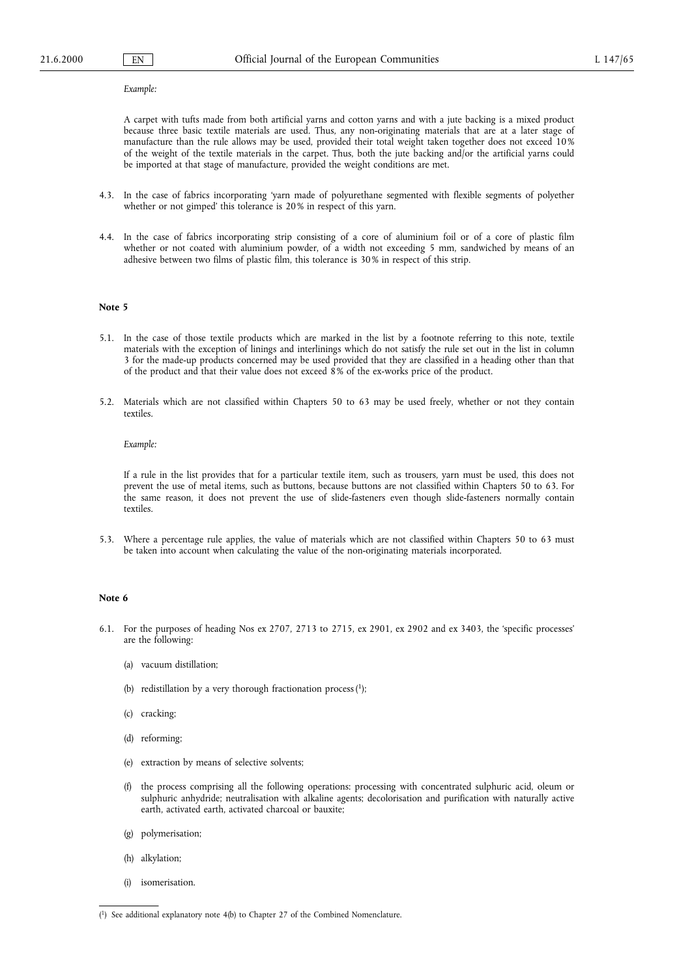#### Example:

A carpet with tufts made from both artificial yarns and cotton yarns and with a jute backing is a mixed product because three basic textile materials are used. Thus, any non-originating materials that are at a later stage of manufacture than the rule allows may be used, provided their total weight taken together does not exceed 10% of the weight of the textile materials in the carpet. Thus, both the jute backing and/or the artificial yarns could be imported at that stage of manufacture, provided the weight conditions are met.

- 4.3. In the case of fabrics incorporating yarn made of polyurethane segmented with flexible segments of polyether whether or not gimped' this tolerance is 20% in respect of this yarn.
- 4.4. In the case of fabrics incorporating strip consisting of a core of aluminium foil or of a core of plastic film whether or not coated with aluminium powder, of a width not exceeding 5 mm, sandwiched by means of an adhesive between two films of plastic film, this tolerance is 30% in respect of this strip.

#### Note 5

- 5.1. In the case of those textile products which are marked in the list by a footnote referring to this note, textile materials with the exception of linings and interlinings which do not satisfy the rule set out in the list in column 3 for the made-up products concerned may be used provided that they are classified in a heading other than that of the product and that their value does not exceed 8% of the ex-works price of the product.
- 5.2. Materials which are not classified within Chapters 50 to 63 may be used freely, whether or not they contain textiles.

#### Example:

If a rule in the list provides that for a particular textile item, such as trousers, yarn must be used, this does not prevent the use of metal items, such as buttons, because buttons are not classified within Chapters 50 to 63. For the same reason, it does not prevent the use of slide-fasteners even though slide-fasteners normally contain textiles.

5.3. Where a percentage rule applies, the value of materials which are not classified within Chapters 50 to 63 must be taken into account when calculating the value of the non-originating materials incorporated.

#### Note 6

- 6.1. For the purposes of heading Nos ex 2707, 2713 to 2715, ex 2901, ex 2902 and ex 3403, the 'specific processes' are the following:
	- (a) vacuum distillation;
	- (b) redistillation by a very thorough fractionation process  $(1)$ ;
	- (c) cracking;
	- (d) reforming;
	- (e) extraction by means of selective solvents;
	- (f) the process comprising all the following operations: processing with concentrated sulphuric acid, oleum or sulphuric anhydride; neutralisation with alkaline agents; decolorisation and purification with naturally active earth, activated earth, activated charcoal or bauxite;
	- (g) polymerisation;
	- (h) alkylation;
	- (i) isomerisation.

<sup>(</sup> 1) See additional explanatory note 4(b) to Chapter 27 of the Combined Nomenclature.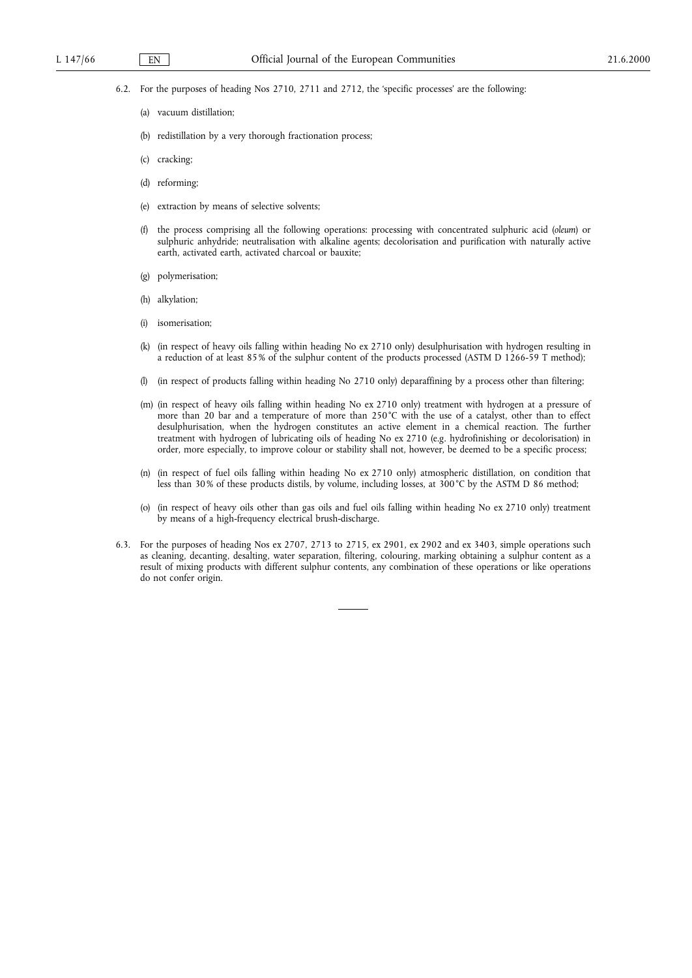6.2. For the purposes of heading Nos 2710, 2711 and 2712, the 'specific processes' are the following:

- (a) vacuum distillation;
- (b) redistillation by a very thorough fractionation process;
- (c) cracking;
- (d) reforming;
- (e) extraction by means of selective solvents;
- (f) the process comprising all the following operations: processing with concentrated sulphuric acid (oleum) or sulphuric anhydride; neutralisation with alkaline agents; decolorisation and purification with naturally active earth, activated earth, activated charcoal or bauxite;
- (g) polymerisation;
- (h) alkylation;
- (i) isomerisation;
- (k) (in respect of heavy oils falling within heading No ex 2710 only) desulphurisation with hydrogen resulting in a reduction of at least 85% of the sulphur content of the products processed (ASTM D 1266-59 T method);
- (l) (in respect of products falling within heading No 2710 only) deparaffining by a process other than filtering;
- (m) (in respect of heavy oils falling within heading No ex 2710 only) treatment with hydrogen at a pressure of more than 20 bar and a temperature of more than 250°C with the use of a catalyst, other than to effect desulphurisation, when the hydrogen constitutes an active element in a chemical reaction. The further treatment with hydrogen of lubricating oils of heading No ex 2710 (e.g. hydrofinishing or decolorisation) in order, more especially, to improve colour or stability shall not, however, be deemed to be a specific process;
- (n) (in respect of fuel oils falling within heading No ex 2710 only) atmospheric distillation, on condition that less than 30% of these products distils, by volume, including losses, at 300°C by the ASTM D 86 method;
- (o) (in respect of heavy oils other than gas oils and fuel oils falling within heading No ex 2710 only) treatment by means of a high-frequency electrical brush-discharge.
- 6.3. For the purposes of heading Nos ex 2707, 2713 to 2715, ex 2901, ex 2902 and ex 3403, simple operations such as cleaning, decanting, desalting, water separation, filtering, colouring, marking obtaining a sulphur content as a result of mixing products with different sulphur contents, any combination of these operations or like operations do not confer origin.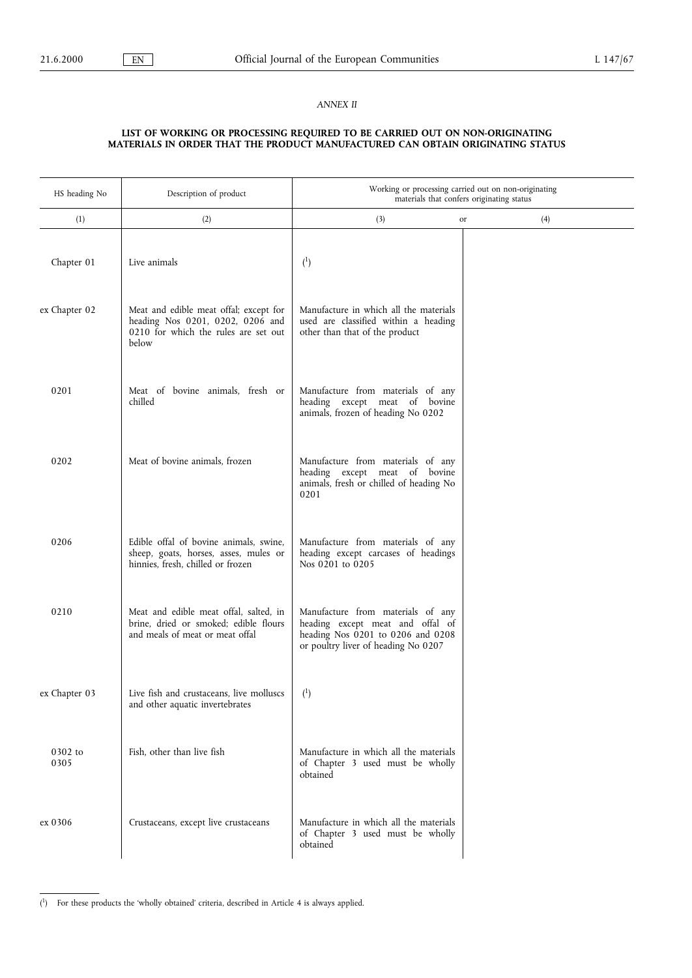## ANNEX II

#### LIST OF WORKING OR PROCESSING REQUIRED TO BE CARRIED OUT ON NON-ORIGINATING MATERIALS IN ORDER THAT THE PRODUCT MANUFACTURED CAN OBTAIN ORIGINATING STATUS

| HS heading No   | Description of product                                                                                                      | Working or processing carried out on non-originating<br>materials that confers originating status                                                 |           |
|-----------------|-----------------------------------------------------------------------------------------------------------------------------|---------------------------------------------------------------------------------------------------------------------------------------------------|-----------|
| (1)             | (2)                                                                                                                         | (3)                                                                                                                                               | (4)<br>or |
| Chapter 01      | Live animals                                                                                                                | (1)                                                                                                                                               |           |
| ex Chapter 02   | Meat and edible meat offal; except for<br>heading Nos 0201, 0202, 0206 and<br>0210 for which the rules are set out<br>below | Manufacture in which all the materials<br>used are classified within a heading<br>other than that of the product                                  |           |
| 0201            | Meat of bovine animals, fresh or<br>chilled                                                                                 | Manufacture from materials of any<br>heading except meat of bovine<br>animals, frozen of heading No 0202                                          |           |
| 0202            | Meat of bovine animals, frozen                                                                                              | Manufacture from materials of any<br>heading except meat of bovine<br>animals, fresh or chilled of heading No<br>0201                             |           |
| 0206            | Edible offal of bovine animals, swine,<br>sheep, goats, horses, asses, mules or<br>hinnies, fresh, chilled or frozen        | Manufacture from materials of any<br>heading except carcases of headings<br>Nos 0201 to 0205                                                      |           |
| 0210            | Meat and edible meat offal, salted, in<br>brine, dried or smoked; edible flours<br>and meals of meat or meat offal          | Manufacture from materials of any<br>heading except meat and offal of<br>heading Nos 0201 to 0206 and 0208<br>or poultry liver of heading No 0207 |           |
| ex Chapter 03   | Live fish and crustaceans, live molluscs<br>and other aquatic invertebrates                                                 | $\binom{1}{ }$                                                                                                                                    |           |
| 0302 to<br>0305 | Fish, other than live fish                                                                                                  | Manufacture in which all the materials<br>of Chapter 3 used must be wholly<br>obtained                                                            |           |
| ex 0306         | Crustaceans, except live crustaceans                                                                                        | Manufacture in which all the materials<br>of Chapter 3 used must be wholly<br>obtained                                                            |           |

<sup>(&</sup>lt;sup>1</sup>) For these products the 'wholly obtained' criteria, described in Article 4 is always applied.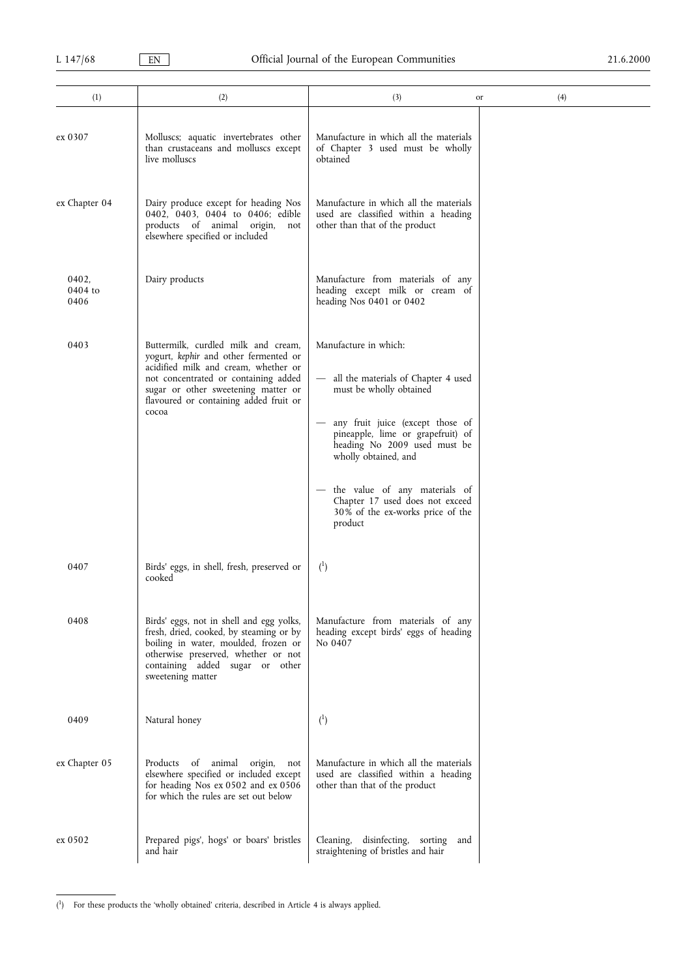| (1)                      | (2)                                                                                                                                                                                                                                                    | (3)                                                                                                                                                                                                                                                                                                                                             | (4)<br>or |
|--------------------------|--------------------------------------------------------------------------------------------------------------------------------------------------------------------------------------------------------------------------------------------------------|-------------------------------------------------------------------------------------------------------------------------------------------------------------------------------------------------------------------------------------------------------------------------------------------------------------------------------------------------|-----------|
| ex 0307                  | Molluscs; aquatic invertebrates other<br>than crustaceans and molluscs except<br>live molluscs                                                                                                                                                         | Manufacture in which all the materials<br>of Chapter 3 used must be wholly<br>obtained                                                                                                                                                                                                                                                          |           |
| ex Chapter 04            | Dairy produce except for heading Nos<br>0402, 0403, 0404 to 0406; edible<br>products of animal origin, not<br>elsewhere specified or included                                                                                                          | Manufacture in which all the materials<br>used are classified within a heading<br>other than that of the product                                                                                                                                                                                                                                |           |
| 0402,<br>0404 to<br>0406 | Dairy products                                                                                                                                                                                                                                         | Manufacture from materials of any<br>heading except milk or cream of<br>heading Nos 0401 or 0402                                                                                                                                                                                                                                                |           |
| 0403                     | Buttermilk, curdled milk and cream.<br>yogurt, kephir and other fermented or<br>acidified milk and cream, whether or<br>not concentrated or containing added<br>sugar or other sweetening matter or<br>flavoured or containing added fruit or<br>cocoa | Manufacture in which:<br>- all the materials of Chapter 4 used<br>must be wholly obtained<br>any fruit juice (except those of<br>pineapple, lime or grapefruit) of<br>heading No 2009 used must be<br>wholly obtained, and<br>- the value of any materials of<br>Chapter 17 used does not exceed<br>30% of the ex-works price of the<br>product |           |
| 0407                     | Birds' eggs, in shell, fresh, preserved or<br>cooked                                                                                                                                                                                                   | $^{(1)}$                                                                                                                                                                                                                                                                                                                                        |           |
| 0408                     | Birds' eggs, not in shell and egg yolks,<br>fresh, dried, cooked, by steaming or by<br>boiling in water, moulded, frozen or<br>otherwise preserved, whether or not<br>containing added sugar or other<br>sweetening matter                             | Manufacture from materials of any<br>heading except birds' eggs of heading<br>No 0407                                                                                                                                                                                                                                                           |           |
| 0409                     | Natural honey                                                                                                                                                                                                                                          | (1)                                                                                                                                                                                                                                                                                                                                             |           |
| ex Chapter 05            | of animal origin, not<br>Products<br>elsewhere specified or included except<br>for heading Nos ex 0502 and ex 0506<br>for which the rules are set out below                                                                                            | Manufacture in which all the materials<br>used are classified within a heading<br>other than that of the product                                                                                                                                                                                                                                |           |
| ex 0502                  | Prepared pigs', hogs' or boars' bristles<br>and hair                                                                                                                                                                                                   | Cleaning, disinfecting, sorting<br>and<br>straightening of bristles and hair                                                                                                                                                                                                                                                                    |           |

<sup>(1)</sup> For these products the 'wholly obtained' criteria, described in Article 4 is always applied.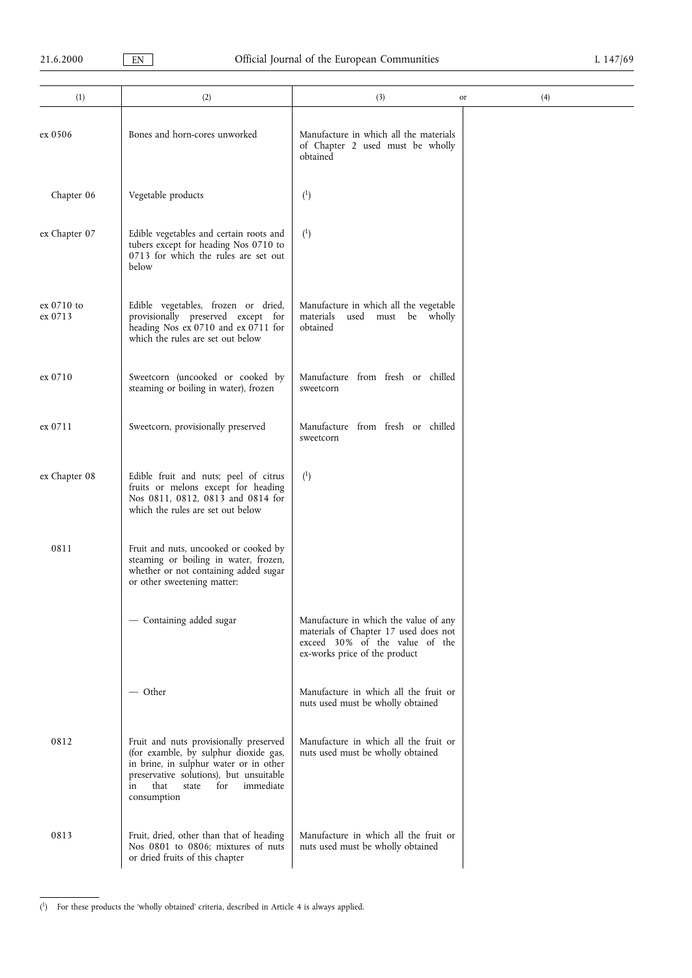| (1)                   | (2)                                                                                                                                                                                                                            | (3)                                                                                                                                               | (4)<br>or |
|-----------------------|--------------------------------------------------------------------------------------------------------------------------------------------------------------------------------------------------------------------------------|---------------------------------------------------------------------------------------------------------------------------------------------------|-----------|
| ex 0506               | Bones and horn-cores unworked                                                                                                                                                                                                  | Manufacture in which all the materials<br>of Chapter 2 used must be wholly<br>obtained                                                            |           |
| Chapter 06            | Vegetable products                                                                                                                                                                                                             | $^{(1)}$                                                                                                                                          |           |
| ex Chapter 07         | Edible vegetables and certain roots and<br>tubers except for heading Nos 0710 to<br>0713 for which the rules are set out<br>below                                                                                              | $^{(1)}$                                                                                                                                          |           |
| ex 0710 to<br>ex 0713 | Edible vegetables, frozen or dried,<br>provisionally preserved except for<br>heading Nos ex 0710 and ex 0711 for<br>which the rules are set out below                                                                          | Manufacture in which all the vegetable<br>used must be wholly<br>materials<br>obtained                                                            |           |
| ex 0710               | Sweetcorn (uncooked or cooked by<br>steaming or boiling in water), frozen                                                                                                                                                      | Manufacture from fresh or chilled<br>sweetcorn                                                                                                    |           |
| ex 0711               | Sweetcorn, provisionally preserved                                                                                                                                                                                             | Manufacture from fresh or chilled<br>sweetcorn                                                                                                    |           |
| ex Chapter 08         | Edible fruit and nuts; peel of citrus<br>fruits or melons except for heading<br>Nos 0811, 0812, 0813 and 0814 for<br>which the rules are set out below                                                                         | $^{(1)}$                                                                                                                                          |           |
| 0811                  | Fruit and nuts, uncooked or cooked by<br>steaming or boiling in water, frozen,<br>whether or not containing added sugar<br>or other sweetening matter:                                                                         |                                                                                                                                                   |           |
|                       | - Containing added sugar                                                                                                                                                                                                       | Manufacture in which the value of any<br>materials of Chapter 17 used does not<br>exceed 30% of the value of the<br>ex-works price of the product |           |
|                       | — Other                                                                                                                                                                                                                        | Manufacture in which all the fruit or<br>nuts used must be wholly obtained                                                                        |           |
| 0812                  | Fruit and nuts provisionally preserved<br>(for examble, by sulphur dioxide gas,<br>in brine, in sulphur water or in other<br>preservative solutions), but unsuitable<br>that<br>state<br>for<br>immediate<br>in<br>consumption | Manufacture in which all the fruit or<br>nuts used must be wholly obtained                                                                        |           |
| 0813                  | Fruit, dried, other than that of heading<br>Nos 0801 to 0806; mixtures of nuts<br>or dried fruits of this chapter                                                                                                              | Manufacture in which all the fruit or<br>nuts used must be wholly obtained                                                                        |           |

<sup>(1)</sup> For these products the 'wholly obtained' criteria, described in Article 4 is always applied.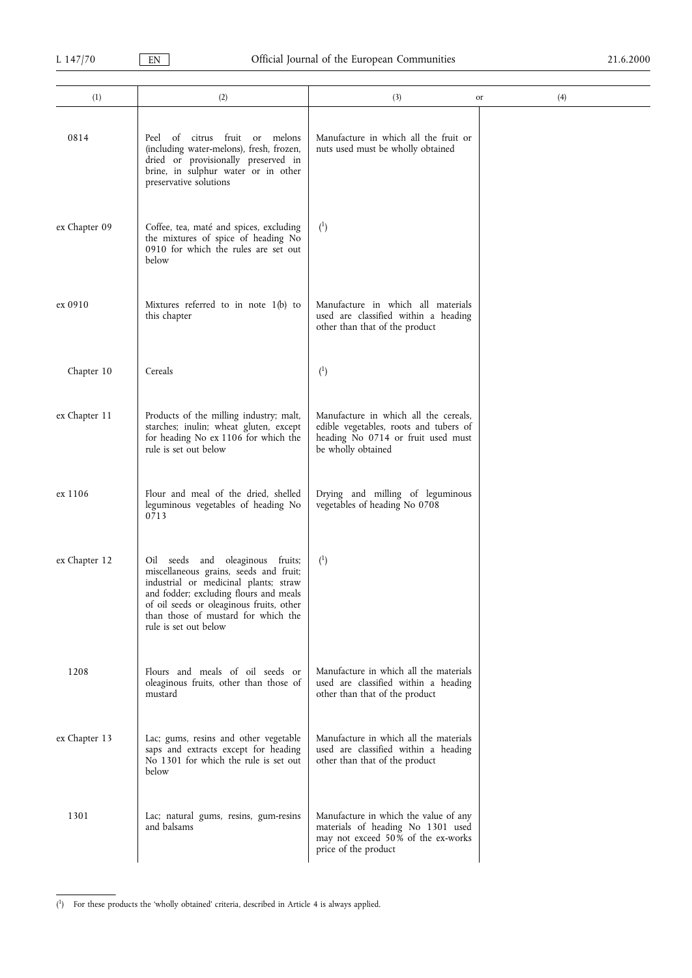| (1)           | (2)                                                                                                                                                                                                                                                                       | (3)<br>or                                                                                                                                   | (4) |
|---------------|---------------------------------------------------------------------------------------------------------------------------------------------------------------------------------------------------------------------------------------------------------------------------|---------------------------------------------------------------------------------------------------------------------------------------------|-----|
| 0814          | of<br>citrus fruit or<br>melons<br>Peel<br>(including water-melons), fresh, frozen,<br>dried or provisionally preserved in<br>brine, in sulphur water or in other<br>preservative solutions                                                                               | Manufacture in which all the fruit or<br>nuts used must be wholly obtained                                                                  |     |
| ex Chapter 09 | Coffee, tea, maté and spices, excluding<br>the mixtures of spice of heading No<br>0910 for which the rules are set out<br>below                                                                                                                                           | $^{(1)}$                                                                                                                                    |     |
| ex 0910       | Mixtures referred to in note 1(b) to<br>this chapter                                                                                                                                                                                                                      | Manufacture in which all materials<br>used are classified within a heading<br>other than that of the product                                |     |
| Chapter 10    | Cereals                                                                                                                                                                                                                                                                   | (1)                                                                                                                                         |     |
| ex Chapter 11 | Products of the milling industry; malt,<br>starches; inulin; wheat gluten, except<br>for heading No ex 1106 for which the<br>rule is set out below                                                                                                                        | Manufacture in which all the cereals,<br>edible vegetables, roots and tubers of<br>heading No 0714 or fruit used must<br>be wholly obtained |     |
| ex 1106       | Flour and meal of the dried, shelled<br>leguminous vegetables of heading No<br>0713                                                                                                                                                                                       | Drying and milling of leguminous<br>vegetables of heading No 0708                                                                           |     |
| ex Chapter 12 | Oil seeds and oleaginous fruits;<br>miscellaneous grains, seeds and fruit;<br>industrial or medicinal plants; straw<br>and fodder; excluding flours and meals<br>of oil seeds or oleaginous fruits, other<br>than those of mustard for which the<br>rule is set out below | (1)                                                                                                                                         |     |
| 1208          | Flours and meals of oil seeds or<br>oleaginous fruits, other than those of<br>mustard                                                                                                                                                                                     | Manufacture in which all the materials<br>used are classified within a heading<br>other than that of the product                            |     |
| ex Chapter 13 | Lac; gums, resins and other vegetable<br>saps and extracts except for heading<br>No 1301 for which the rule is set out<br>below                                                                                                                                           | Manufacture in which all the materials<br>used are classified within a heading<br>other than that of the product                            |     |
| 1301          | Lac; natural gums, resins, gum-resins<br>and balsams                                                                                                                                                                                                                      | Manufacture in which the value of any<br>materials of heading No 1301 used<br>may not exceed 50% of the ex-works<br>price of the product    |     |

<sup>(1)</sup> For these products the 'wholly obtained' criteria, described in Article 4 is always applied.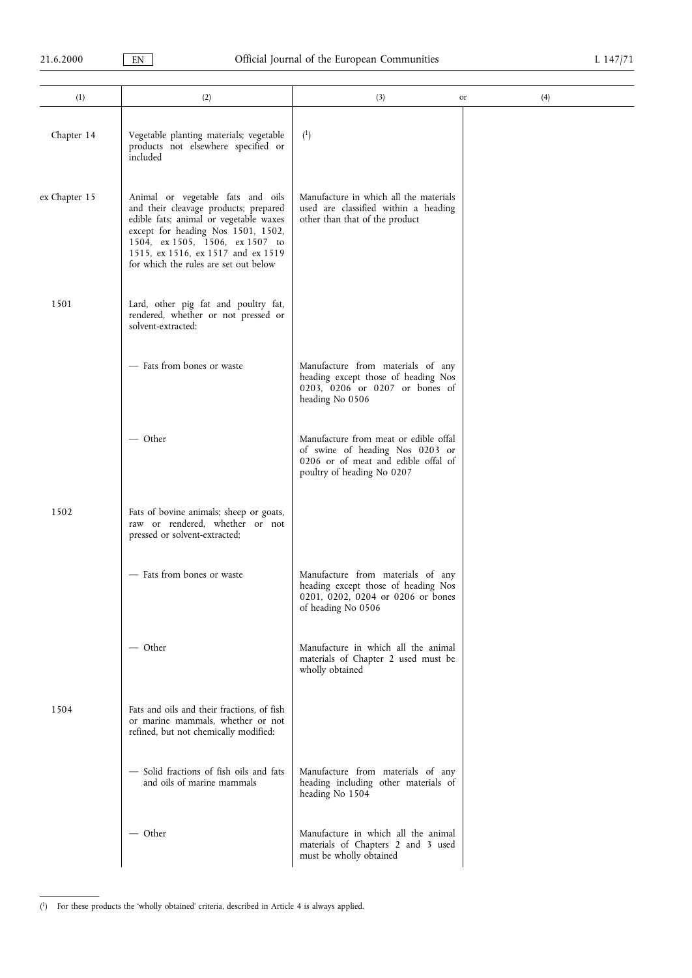| (1)           | (2)                                                                                                                                                                                                                                                                          | (3)                                                                                                                                           | (4)<br>or |
|---------------|------------------------------------------------------------------------------------------------------------------------------------------------------------------------------------------------------------------------------------------------------------------------------|-----------------------------------------------------------------------------------------------------------------------------------------------|-----------|
| Chapter 14    | Vegetable planting materials; vegetable<br>products not elsewhere specified or<br>included                                                                                                                                                                                   | $^{(1)}$                                                                                                                                      |           |
| ex Chapter 15 | Animal or vegetable fats and oils<br>and their cleavage products; prepared<br>edible fats; animal or vegetable waxes<br>except for heading Nos 1501, 1502,<br>1504, ex 1505, 1506, ex 1507 to<br>1515, ex 1516, ex 1517 and ex 1519<br>for which the rules are set out below | Manufacture in which all the materials<br>used are classified within a heading<br>other than that of the product                              |           |
| 1501          | Lard, other pig fat and poultry fat,<br>rendered, whether or not pressed or<br>solvent-extracted:                                                                                                                                                                            |                                                                                                                                               |           |
|               | - Fats from bones or waste                                                                                                                                                                                                                                                   | Manufacture from materials of any<br>heading except those of heading Nos<br>0203, 0206 or 0207 or bones of<br>heading No 0506                 |           |
|               | — Other                                                                                                                                                                                                                                                                      | Manufacture from meat or edible offal<br>of swine of heading Nos 0203 or<br>0206 or of meat and edible offal of<br>poultry of heading No 0207 |           |
| 1502          | Fats of bovine animals; sheep or goats,<br>raw or rendered, whether or not<br>pressed or solvent-extracted;                                                                                                                                                                  |                                                                                                                                               |           |
|               | - Fats from bones or waste                                                                                                                                                                                                                                                   | Manufacture from materials of any<br>heading except those of heading Nos<br>0201, 0202, 0204 or 0206 or bones<br>of heading No 0506           |           |
|               | — Other                                                                                                                                                                                                                                                                      | Manufacture in which all the animal<br>materials of Chapter 2 used must be<br>wholly obtained                                                 |           |
| 1504          | Fats and oils and their fractions, of fish<br>or marine mammals, whether or not<br>refined, but not chemically modified:                                                                                                                                                     |                                                                                                                                               |           |
|               | - Solid fractions of fish oils and fats<br>and oils of marine mammals                                                                                                                                                                                                        | Manufacture from materials of any<br>heading including other materials of<br>heading No 1504                                                  |           |
|               | — Other                                                                                                                                                                                                                                                                      | Manufacture in which all the animal<br>materials of Chapters 2 and 3 used<br>must be wholly obtained                                          |           |

(<sup>1</sup>) For these products the 'wholly obtained' criteria, described in Article 4 is always applied.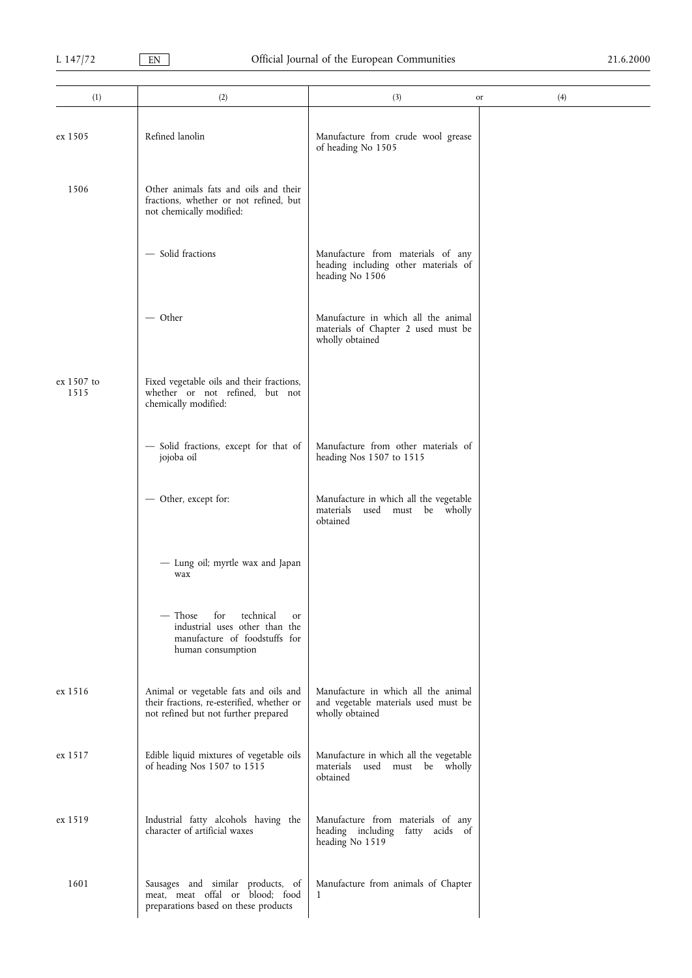| (1)                | (2)                                                                                                                         | (3)                                                                                            | (4)<br>or |
|--------------------|-----------------------------------------------------------------------------------------------------------------------------|------------------------------------------------------------------------------------------------|-----------|
| ex 1505            | Refined lanolin                                                                                                             | Manufacture from crude wool grease<br>of heading No 1505                                       |           |
| 1506               | Other animals fats and oils and their<br>fractions, whether or not refined, but<br>not chemically modified:                 |                                                                                                |           |
|                    | - Solid fractions                                                                                                           | Manufacture from materials of any<br>heading including other materials of<br>heading No 1506   |           |
|                    | — Other                                                                                                                     | Manufacture in which all the animal<br>materials of Chapter 2 used must be<br>wholly obtained  |           |
| ex 1507 to<br>1515 | Fixed vegetable oils and their fractions,<br>whether or not refined, but not<br>chemically modified:                        |                                                                                                |           |
|                    | - Solid fractions, except for that of<br>jojoba oil                                                                         | Manufacture from other materials of<br>heading Nos 1507 to 1515                                |           |
|                    | - Other, except for:                                                                                                        | Manufacture in which all the vegetable<br>materials<br>used must be wholly<br>obtained         |           |
|                    | - Lung oil; myrtle wax and Japan<br>wax                                                                                     |                                                                                                |           |
|                    | for<br>technical<br>— Those<br>or<br>industrial uses other than the<br>manufacture of foodstuffs for<br>human consumption   |                                                                                                |           |
| ex 1516            | Animal or vegetable fats and oils and<br>their fractions, re-esterified, whether or<br>not refined but not further prepared | Manufacture in which all the animal<br>and vegetable materials used must be<br>wholly obtained |           |
| ex 1517            | Edible liquid mixtures of vegetable oils<br>of heading Nos 1507 to 1515                                                     | Manufacture in which all the vegetable<br>used must be wholly<br>materials<br>obtained         |           |
| ex 1519            | Industrial fatty alcohols having the<br>character of artificial waxes                                                       | Manufacture from materials of any<br>heading including fatty acids of<br>heading No 1519       |           |
| 1601               | Sausages and similar products, of<br>meat, meat offal or blood; food<br>preparations based on these products                | Manufacture from animals of Chapter<br>1                                                       |           |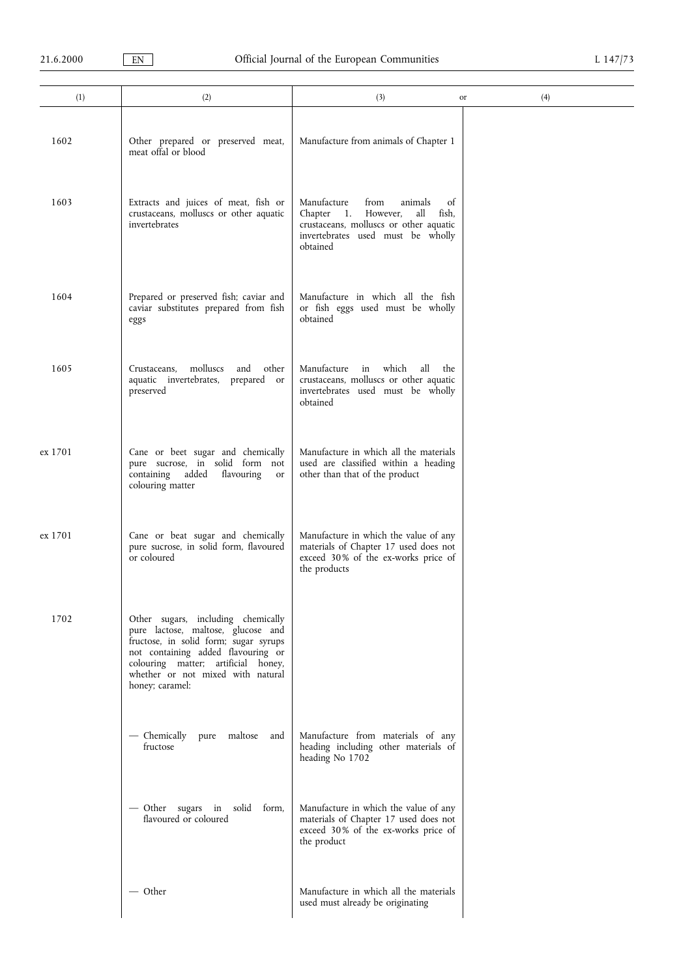| (1)     | (2)                                                                                                                                                                                                                                                    | (3)                                                                                                                                                                       | (4)<br>or |
|---------|--------------------------------------------------------------------------------------------------------------------------------------------------------------------------------------------------------------------------------------------------------|---------------------------------------------------------------------------------------------------------------------------------------------------------------------------|-----------|
| 1602    | Other prepared or preserved meat,<br>meat offal or blood                                                                                                                                                                                               | Manufacture from animals of Chapter 1                                                                                                                                     |           |
| 1603    | Extracts and juices of meat, fish or<br>crustaceans, molluscs or other aquatic<br>invertebrates                                                                                                                                                        | Manufacture<br>from<br>animals<br>of<br>Chapter 1.<br>However,<br>fish,<br>all<br>crustaceans, molluscs or other aquatic<br>invertebrates used must be wholly<br>obtained |           |
| 1604    | Prepared or preserved fish; caviar and<br>caviar substitutes prepared from fish<br>eggs                                                                                                                                                                | Manufacture in which all the fish<br>or fish eggs used must be wholly<br>obtained                                                                                         |           |
| 1605    | molluscs<br>Crustaceans,<br>and other<br>aquatic invertebrates, prepared or<br>preserved                                                                                                                                                               | Manufacture in which<br>all<br>the<br>crustaceans, molluscs or other aquatic<br>invertebrates used must be wholly<br>obtained                                             |           |
| ex 1701 | Cane or beet sugar and chemically<br>pure sucrose, in solid form not<br>containing added<br>flavouring<br>or<br>colouring matter                                                                                                                       | Manufacture in which all the materials<br>used are classified within a heading<br>other than that of the product                                                          |           |
| ex 1701 | Cane or beat sugar and chemically<br>pure sucrose, in solid form, flavoured<br>or coloured                                                                                                                                                             | Manufacture in which the value of any<br>materials of Chapter 17 used does not<br>exceed 30% of the ex-works price of<br>the products                                     |           |
| 1702    | Other sugars, including chemically<br>pure lactose, maltose, glucose and<br>fructose, in solid form; sugar syrups<br>not containing added flavouring or<br>colouring matter; artificial honey,<br>whether or not mixed with natural<br>honey; caramel: |                                                                                                                                                                           |           |
|         | — Chemically<br>pure maltose<br>and<br>fructose                                                                                                                                                                                                        | Manufacture from materials of any<br>heading including other materials of<br>heading No 1702                                                                              |           |
|         | - Other sugars in solid form,<br>flavoured or coloured                                                                                                                                                                                                 | Manufacture in which the value of any<br>materials of Chapter 17 used does not<br>exceed 30% of the ex-works price of<br>the product                                      |           |
|         | — Other                                                                                                                                                                                                                                                | Manufacture in which all the materials<br>used must already be originating                                                                                                |           |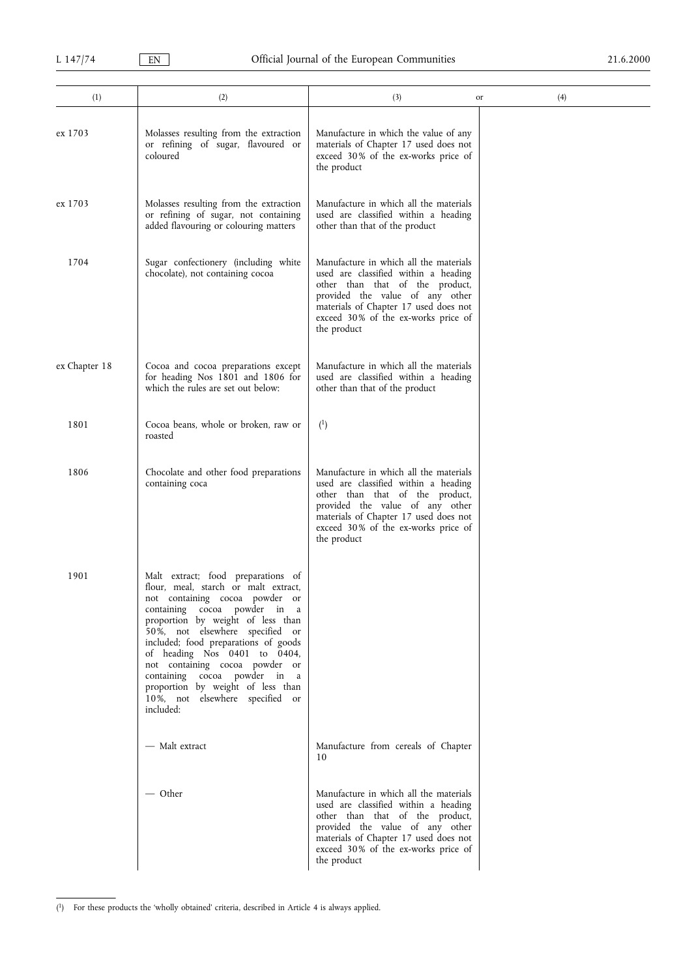| (1)           | (2)                                                                                                                                                                                                                                                                                                                                                                                                                                                 | (3)                                                                                                                                                                                                                                                 | (4)<br>or |
|---------------|-----------------------------------------------------------------------------------------------------------------------------------------------------------------------------------------------------------------------------------------------------------------------------------------------------------------------------------------------------------------------------------------------------------------------------------------------------|-----------------------------------------------------------------------------------------------------------------------------------------------------------------------------------------------------------------------------------------------------|-----------|
| ex 1703       | Molasses resulting from the extraction<br>or refining of sugar, flavoured or<br>coloured                                                                                                                                                                                                                                                                                                                                                            | Manufacture in which the value of any<br>materials of Chapter 17 used does not<br>exceed 30% of the ex-works price of<br>the product                                                                                                                |           |
| ex 1703       | Molasses resulting from the extraction<br>or refining of sugar, not containing<br>added flavouring or colouring matters                                                                                                                                                                                                                                                                                                                             | Manufacture in which all the materials<br>used are classified within a heading<br>other than that of the product                                                                                                                                    |           |
| 1704          | Sugar confectionery (including white<br>chocolate), not containing cocoa                                                                                                                                                                                                                                                                                                                                                                            | Manufacture in which all the materials<br>used are classified within a heading<br>other than that of the product,<br>provided the value of any other<br>materials of Chapter 17 used does not<br>exceed 30% of the ex-works price of<br>the product |           |
| ex Chapter 18 | Cocoa and cocoa preparations except<br>for heading Nos 1801 and 1806 for<br>which the rules are set out below:                                                                                                                                                                                                                                                                                                                                      | Manufacture in which all the materials<br>used are classified within a heading<br>other than that of the product                                                                                                                                    |           |
| 1801          | Cocoa beans, whole or broken, raw or<br>roasted                                                                                                                                                                                                                                                                                                                                                                                                     | $^{(1)}$                                                                                                                                                                                                                                            |           |
| 1806          | Chocolate and other food preparations<br>containing coca                                                                                                                                                                                                                                                                                                                                                                                            | Manufacture in which all the materials<br>used are classified within a heading<br>other than that of the product,<br>provided the value of any other<br>materials of Chapter 17 used does not<br>exceed 30% of the ex-works price of<br>the product |           |
| 1901          | Malt extract; food preparations of<br>flour, meal, starch or malt extract,<br>not containing cocoa powder or<br>containing cocoa powder in a<br>proportion by weight of less than<br>50%, not elsewhere specified or<br>included; food preparations of goods<br>of heading Nos 0401 to 0404,<br>not containing cocoa powder or<br>containing cocoa powder in a<br>proportion by weight of less than<br>10%, not elsewhere specified or<br>included: |                                                                                                                                                                                                                                                     |           |
|               | — Malt extract                                                                                                                                                                                                                                                                                                                                                                                                                                      | Manufacture from cereals of Chapter<br>10                                                                                                                                                                                                           |           |
|               | — Other                                                                                                                                                                                                                                                                                                                                                                                                                                             | Manufacture in which all the materials<br>used are classified within a heading<br>other than that of the product,<br>provided the value of any other<br>materials of Chapter 17 used does not<br>exceed 30% of the ex-works price of<br>the product |           |

<sup>(&</sup>lt;sup>1</sup>) For these products the 'wholly obtained' criteria, described in Article 4 is always applied.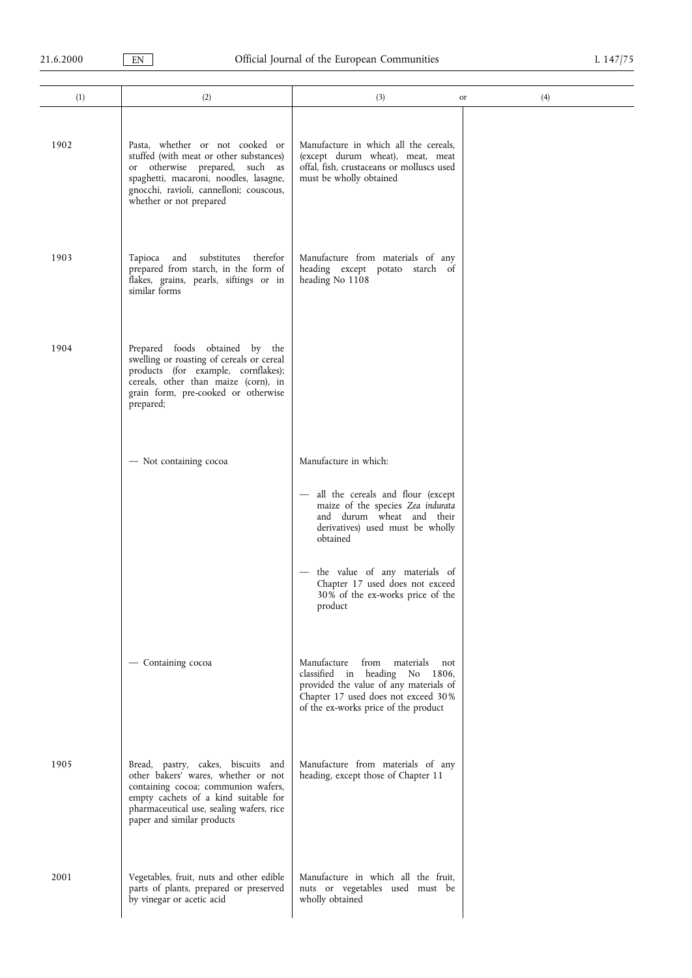| (1)  | (2)                                                                                                                                                                                                                                | (3)<br>or                                                                                                                                                                                                                                                                                                                   | (4) |
|------|------------------------------------------------------------------------------------------------------------------------------------------------------------------------------------------------------------------------------------|-----------------------------------------------------------------------------------------------------------------------------------------------------------------------------------------------------------------------------------------------------------------------------------------------------------------------------|-----|
| 1902 | Pasta, whether or not cooked or<br>stuffed (with meat or other substances)<br>or otherwise prepared, such as<br>spaghetti, macaroni, noodles, lasagne,<br>gnocchi, ravioli, cannelloni; couscous,<br>whether or not prepared       | Manufacture in which all the cereals,<br>(except durum wheat), meat, meat<br>offal, fish, crustaceans or molluscs used<br>must be wholly obtained                                                                                                                                                                           |     |
| 1903 | Tapioca and substitutes therefor<br>prepared from starch, in the form of<br>flakes, grains, pearls, siftings or in<br>similar forms                                                                                                | Manufacture from materials of any<br>heading except potato starch of<br>heading No 1108                                                                                                                                                                                                                                     |     |
| 1904 | Prepared foods obtained by the<br>swelling or roasting of cereals or cereal<br>products (for example, cornflakes);<br>cereals, other than maize (corn), in<br>grain form, pre-cooked or otherwise<br>prepared;                     |                                                                                                                                                                                                                                                                                                                             |     |
|      | - Not containing cocoa                                                                                                                                                                                                             | Manufacture in which:<br>all the cereals and flour (except<br>$\overline{\phantom{m}}$<br>maize of the species Zea indurata<br>and durum wheat and their<br>derivatives) used must be wholly<br>obtained<br>the value of any materials of<br>Chapter 17 used does not exceed<br>30% of the ex-works price of the<br>product |     |
|      | - Containing cocoa                                                                                                                                                                                                                 | from materials<br>Manufacture<br>not<br>classified in heading No 1806,<br>provided the value of any materials of<br>Chapter 17 used does not exceed 30%<br>of the ex-works price of the product                                                                                                                             |     |
| 1905 | Bread, pastry, cakes, biscuits and<br>other bakers' wares, whether or not<br>containing cocoa; communion wafers,<br>empty cachets of a kind suitable for<br>pharmaceutical use, sealing wafers, rice<br>paper and similar products | Manufacture from materials of any<br>heading, except those of Chapter 11                                                                                                                                                                                                                                                    |     |
| 2001 | Vegetables, fruit, nuts and other edible<br>parts of plants, prepared or preserved<br>by vinegar or acetic acid                                                                                                                    | Manufacture in which all the fruit,<br>nuts or vegetables used must be<br>wholly obtained                                                                                                                                                                                                                                   |     |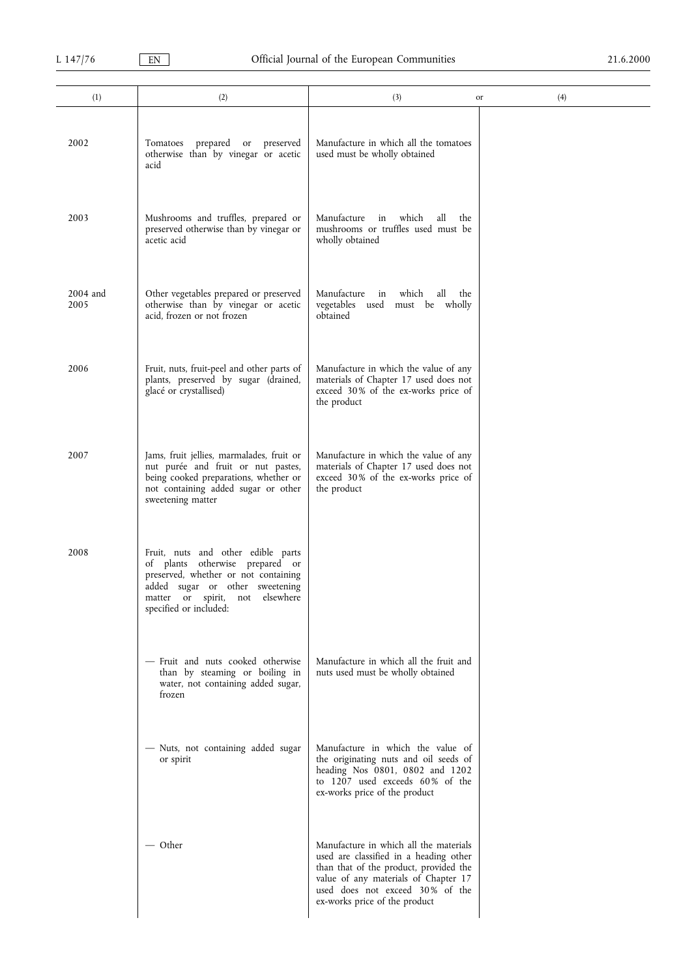| (1)              | (2)                                                                                                                                                                                                           | (3)                                                                                                                                                                                                                                    | (4)<br>or |
|------------------|---------------------------------------------------------------------------------------------------------------------------------------------------------------------------------------------------------------|----------------------------------------------------------------------------------------------------------------------------------------------------------------------------------------------------------------------------------------|-----------|
| 2002             | prepared or<br>Tomatoes<br>preserved<br>otherwise than by vinegar or acetic<br>acid                                                                                                                           | Manufacture in which all the tomatoes<br>used must be wholly obtained                                                                                                                                                                  |           |
| 2003             | Mushrooms and truffles, prepared or<br>preserved otherwise than by vinegar or<br>acetic acid                                                                                                                  | Manufacture<br>which<br>all<br>in<br>the<br>mushrooms or truffles used must be<br>wholly obtained                                                                                                                                      |           |
| 2004 and<br>2005 | Other vegetables prepared or preserved<br>otherwise than by vinegar or acetic<br>acid, frozen or not frozen                                                                                                   | Manufacture<br>in<br>which<br>all<br>the<br>vegetables used<br>must be wholly<br>obtained                                                                                                                                              |           |
| 2006             | Fruit, nuts, fruit-peel and other parts of<br>plants, preserved by sugar (drained,<br>glacé or crystallised)                                                                                                  | Manufacture in which the value of any<br>materials of Chapter 17 used does not<br>exceed 30% of the ex-works price of<br>the product                                                                                                   |           |
| 2007             | Jams, fruit jellies, marmalades, fruit or<br>nut purée and fruit or nut pastes,<br>being cooked preparations, whether or<br>not containing added sugar or other<br>sweetening matter                          | Manufacture in which the value of any<br>materials of Chapter 17 used does not<br>exceed 30% of the ex-works price of<br>the product                                                                                                   |           |
| 2008             | Fruit, nuts and other edible parts<br>of plants otherwise prepared or<br>preserved, whether or not containing<br>added sugar or other sweetening<br>matter or spirit, not elsewhere<br>specified or included: |                                                                                                                                                                                                                                        |           |
|                  | - Fruit and nuts cooked otherwise<br>than by steaming or boiling in<br>water, not containing added sugar,<br>frozen                                                                                           | Manufacture in which all the fruit and<br>nuts used must be wholly obtained                                                                                                                                                            |           |
|                  | - Nuts, not containing added sugar<br>or spirit                                                                                                                                                               | Manufacture in which the value of<br>the originating nuts and oil seeds of<br>heading Nos 0801, 0802 and 1202<br>to 1207 used exceeds 60% of the<br>ex-works price of the product                                                      |           |
|                  | — Other                                                                                                                                                                                                       | Manufacture in which all the materials<br>used are classified in a heading other<br>than that of the product, provided the<br>value of any materials of Chapter 17<br>used does not exceed 30% of the<br>ex-works price of the product |           |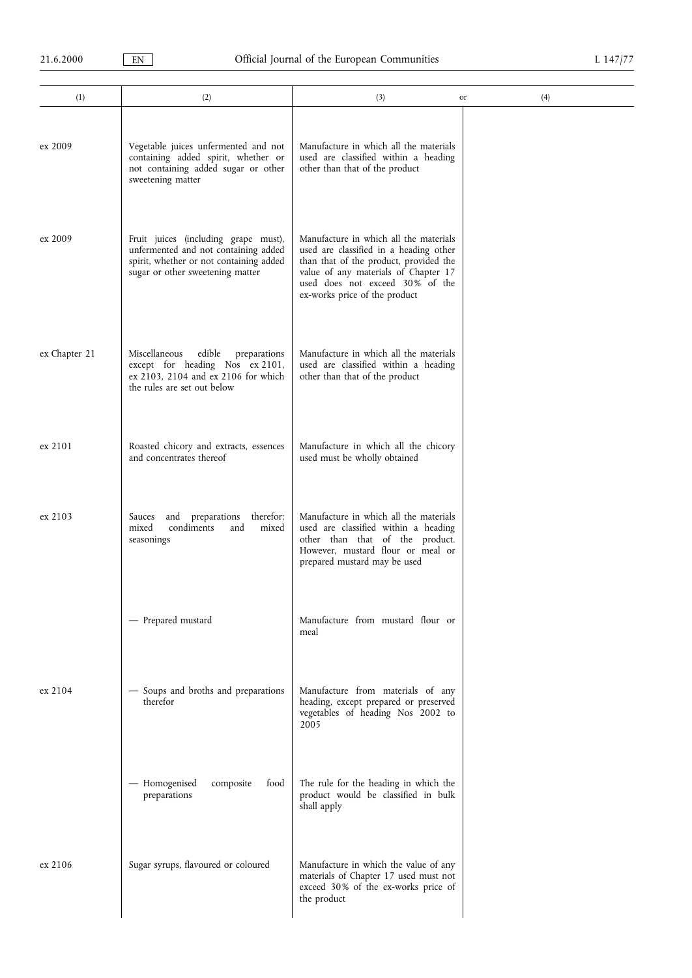| (1)           | (2)                                                                                                                                                         | (3)                                                                                                                                                                                                                                    | (4)<br>or |
|---------------|-------------------------------------------------------------------------------------------------------------------------------------------------------------|----------------------------------------------------------------------------------------------------------------------------------------------------------------------------------------------------------------------------------------|-----------|
| ex 2009       | Vegetable juices unfermented and not<br>containing added spirit, whether or<br>not containing added sugar or other<br>sweetening matter                     | Manufacture in which all the materials<br>used are classified within a heading<br>other than that of the product                                                                                                                       |           |
| ex 2009       | Fruit juices (including grape must),<br>unfermented and not containing added<br>spirit, whether or not containing added<br>sugar or other sweetening matter | Manufacture in which all the materials<br>used are classified in a heading other<br>than that of the product, provided the<br>value of any materials of Chapter 17<br>used does not exceed 30% of the<br>ex-works price of the product |           |
| ex Chapter 21 | Miscellaneous<br>edible<br>preparations<br>except for heading Nos ex 2101,<br>ex 2103, 2104 and ex 2106 for which<br>the rules are set out below            | Manufacture in which all the materials<br>used are classified within a heading<br>other than that of the product                                                                                                                       |           |
| ex 2101       | Roasted chicory and extracts, essences<br>and concentrates thereof                                                                                          | Manufacture in which all the chicory<br>used must be wholly obtained                                                                                                                                                                   |           |
| ex 2103       | Sauces<br>and<br>preparations<br>therefor;<br>condiments<br>mixed<br>mixed<br>and<br>seasonings                                                             | Manufacture in which all the materials<br>used are classified within a heading<br>other than that of the product.<br>However, mustard flour or meal or<br>prepared mustard may be used                                                 |           |
|               | - Prepared mustard                                                                                                                                          | Manufacture from mustard flour or<br>meal                                                                                                                                                                                              |           |
| ex 2104       | - Soups and broths and preparations<br>therefor                                                                                                             | Manufacture from materials of any<br>heading, except prepared or preserved<br>vegetables of heading Nos 2002 to<br>2005                                                                                                                |           |
|               | - Homogenised<br>composite<br>food<br>preparations                                                                                                          | The rule for the heading in which the<br>product would be classified in bulk<br>shall apply                                                                                                                                            |           |
| ex 2106       | Sugar syrups, flavoured or coloured                                                                                                                         | Manufacture in which the value of any<br>materials of Chapter 17 used must not<br>exceed 30% of the ex-works price of<br>the product                                                                                                   |           |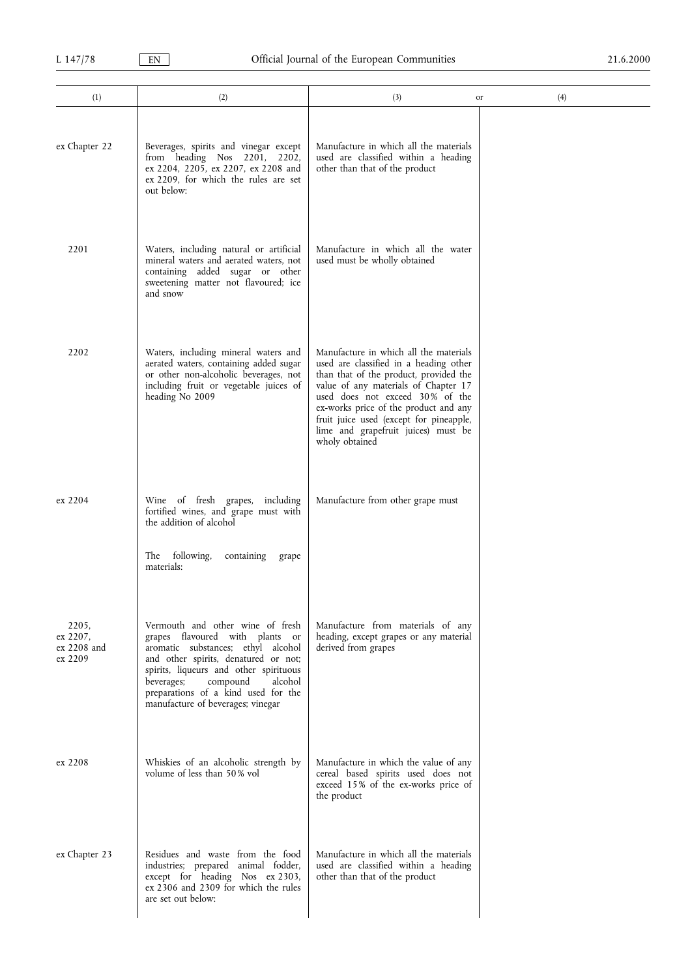| (1)                                         | (2)                                                                                                                                                                                                                                                                                                          | (3)                                                                                                                                                                                                                                                                                                                                                | (4)<br>or |
|---------------------------------------------|--------------------------------------------------------------------------------------------------------------------------------------------------------------------------------------------------------------------------------------------------------------------------------------------------------------|----------------------------------------------------------------------------------------------------------------------------------------------------------------------------------------------------------------------------------------------------------------------------------------------------------------------------------------------------|-----------|
| ex Chapter 22                               | Beverages, spirits and vinegar except<br>from heading Nos 2201, 2202,<br>ex 2204, 2205, ex 2207, ex 2208 and<br>ex 2209, for which the rules are set<br>out below:                                                                                                                                           | Manufacture in which all the materials<br>used are classified within a heading<br>other than that of the product                                                                                                                                                                                                                                   |           |
| 2201                                        | Waters, including natural or artificial<br>mineral waters and aerated waters, not<br>containing added sugar or other<br>sweetening matter not flavoured; ice<br>and snow                                                                                                                                     | Manufacture in which all the water<br>used must be wholly obtained                                                                                                                                                                                                                                                                                 |           |
| 2202                                        | Waters, including mineral waters and<br>aerated waters, containing added sugar<br>or other non-alcoholic beverages, not<br>including fruit or vegetable juices of<br>heading No 2009                                                                                                                         | Manufacture in which all the materials<br>used are classified in a heading other<br>than that of the product, provided the<br>value of any materials of Chapter 17<br>used does not exceed 30% of the<br>ex-works price of the product and any<br>fruit juice used (except for pineapple,<br>lime and grapefruit juices) must be<br>wholy obtained |           |
| ex 2204                                     | Wine of fresh grapes, including<br>fortified wines, and grape must with<br>the addition of alcohol<br>following,<br>The<br>containing<br>grape<br>materials:                                                                                                                                                 | Manufacture from other grape must                                                                                                                                                                                                                                                                                                                  |           |
| 2205,<br>ex 2207,<br>ex 2208 and<br>ex 2209 | Vermouth and other wine of fresh<br>grapes flavoured with plants or<br>aromatic substances; ethyl alcohol<br>and other spirits, denatured or not;<br>spirits, liqueurs and other spirituous<br>compound<br>beverages;<br>alcohol<br>preparations of a kind used for the<br>manufacture of beverages; vinegar | Manufacture from materials of any<br>heading, except grapes or any material<br>derived from grapes                                                                                                                                                                                                                                                 |           |
| ex 2208                                     | Whiskies of an alcoholic strength by<br>volume of less than 50% vol                                                                                                                                                                                                                                          | Manufacture in which the value of any<br>cereal based spirits used does not<br>exceed 15% of the ex-works price of<br>the product                                                                                                                                                                                                                  |           |
| ex Chapter 23                               | Residues and waste from the food<br>industries; prepared animal fodder,<br>except for heading Nos ex 2303,<br>ex 2306 and 2309 for which the rules<br>are set out below:                                                                                                                                     | Manufacture in which all the materials<br>used are classified within a heading<br>other than that of the product                                                                                                                                                                                                                                   |           |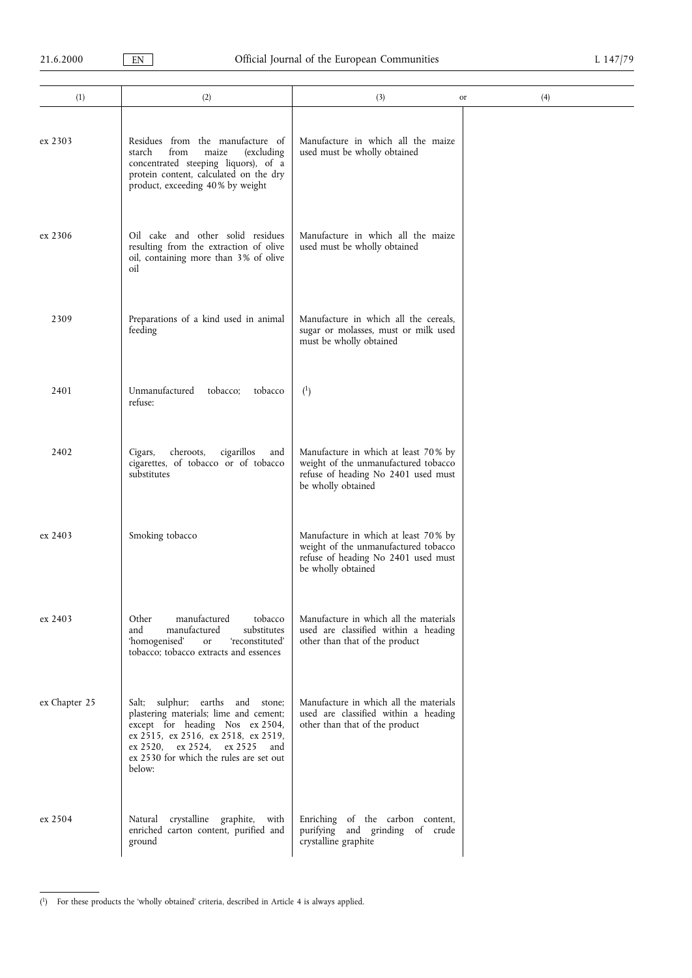$\overline{\phantom{0}}$ 

| (1)           | (2)                                                                                                                                                                                                                                              | (3)<br>or                                                                                                                                 | (4) |
|---------------|--------------------------------------------------------------------------------------------------------------------------------------------------------------------------------------------------------------------------------------------------|-------------------------------------------------------------------------------------------------------------------------------------------|-----|
| ex 2303       | Residues from the manufacture of<br>from<br>starch<br>maize<br>(excluding<br>concentrated steeping liquors), of a<br>protein content, calculated on the dry<br>product, exceeding 40% by weight                                                  | Manufacture in which all the maize<br>used must be wholly obtained                                                                        |     |
| ex 2306       | Oil cake and other solid residues<br>resulting from the extraction of olive<br>oil, containing more than 3% of olive<br>oil                                                                                                                      | Manufacture in which all the maize<br>used must be wholly obtained                                                                        |     |
| 2309          | Preparations of a kind used in animal<br>feeding                                                                                                                                                                                                 | Manufacture in which all the cereals,<br>sugar or molasses, must or milk used<br>must be wholly obtained                                  |     |
| 2401          | Unmanufactured<br>tobacco;<br>tobacco<br>refuse:                                                                                                                                                                                                 | $^{(1)}$                                                                                                                                  |     |
| 2402          | cheroots,<br>cigarillos<br>Cigars,<br>and<br>cigarettes, of tobacco or of tobacco<br>substitutes                                                                                                                                                 | Manufacture in which at least 70% by<br>weight of the unmanufactured tobacco<br>refuse of heading No 2401 used must<br>be wholly obtained |     |
| ex 2403       | Smoking tobacco                                                                                                                                                                                                                                  | Manufacture in which at least 70% by<br>weight of the unmanufactured tobacco<br>refuse of heading No 2401 used must<br>be wholly obtained |     |
| ex 2403       | Other<br>manufactured<br>tobacco<br>and<br>manufactured<br>substitutes<br>'homogenised'<br>'reconstituted'<br>or<br>tobacco; tobacco extracts and essences                                                                                       | Manufacture in which all the materials<br>used are classified within a heading<br>other than that of the product                          |     |
| ex Chapter 25 | Salt; sulphur; earths and stone;<br>plastering materials; lime and cement;<br>except for heading Nos ex 2504,<br>ex 2515, ex 2516, ex 2518, ex 2519,<br>ex 2520, ex 2524,<br>ex 2525<br>and<br>ex 2530 for which the rules are set out<br>below: | Manufacture in which all the materials<br>used are classified within a heading<br>other than that of the product                          |     |
| ex 2504       | crystalline graphite,<br>Natural<br>with<br>enriched carton content, purified and<br>ground                                                                                                                                                      | Enriching of the carbon content,<br>purifying and grinding of crude<br>crystalline graphite                                               |     |

<sup>(&</sup>lt;sup>1</sup>) For these products the 'wholly obtained' criteria, described in Article 4 is always applied.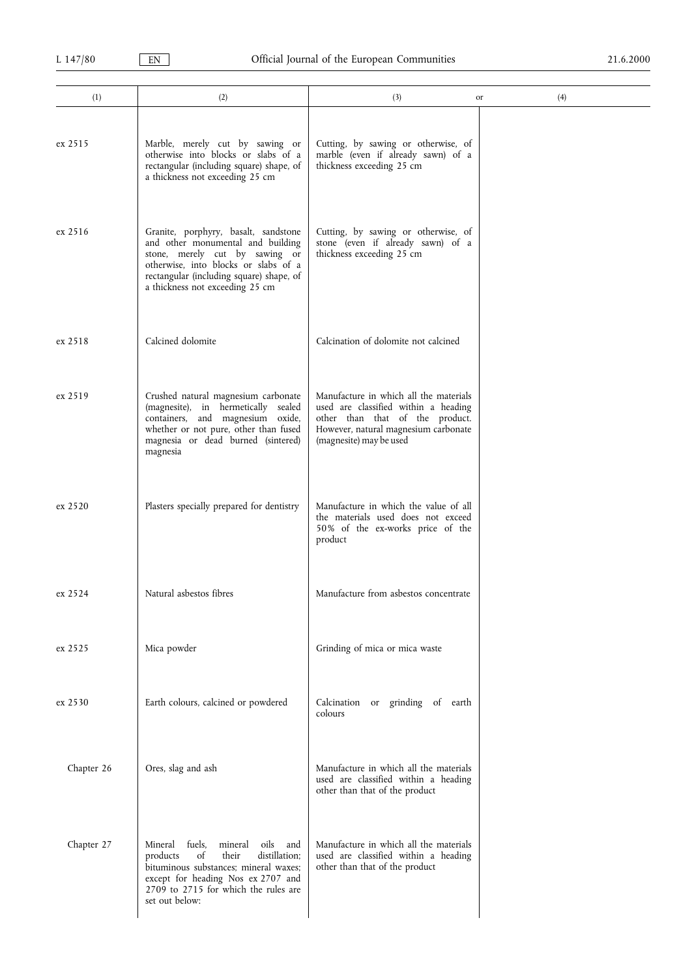| (1)        | (2)                                                                                                                                                                                                                                | (3)<br>or                                                                                                                                                                            | (4) |
|------------|------------------------------------------------------------------------------------------------------------------------------------------------------------------------------------------------------------------------------------|--------------------------------------------------------------------------------------------------------------------------------------------------------------------------------------|-----|
| ex 2515    | Marble, merely cut by sawing or<br>otherwise into blocks or slabs of a<br>rectangular (including square) shape, of<br>a thickness not exceeding 25 cm                                                                              | Cutting, by sawing or otherwise, of<br>marble (even if already sawn) of a<br>thickness exceeding 25 cm                                                                               |     |
| ex 2516    | Granite, porphyry, basalt, sandstone<br>and other monumental and building<br>stone, merely cut by sawing or<br>otherwise, into blocks or slabs of a<br>rectangular (including square) shape, of<br>a thickness not exceeding 25 cm | Cutting, by sawing or otherwise, of<br>stone (even if already sawn) of a<br>thickness exceeding 25 cm                                                                                |     |
| ex 2518    | Calcined dolomite                                                                                                                                                                                                                  | Calcination of dolomite not calcined                                                                                                                                                 |     |
| ex 2519    | Crushed natural magnesium carbonate<br>(magnesite), in hermetically sealed<br>containers, and magnesium oxide,<br>whether or not pure, other than fused<br>magnesia or dead burned (sintered)<br>magnesia                          | Manufacture in which all the materials<br>used are classified within a heading<br>other than that of the product.<br>However, natural magnesium carbonate<br>(magnesite) may be used |     |
| ex 2520    | Plasters specially prepared for dentistry                                                                                                                                                                                          | Manufacture in which the value of all<br>the materials used does not exceed<br>50% of the ex-works price of the<br>product                                                           |     |
| ex 2524    | Natural asbestos fibres                                                                                                                                                                                                            | Manufacture from asbestos concentrate                                                                                                                                                |     |
| ex 2525    | Mica powder                                                                                                                                                                                                                        | Grinding of mica or mica waste                                                                                                                                                       |     |
| ex 2530    | Earth colours, calcined or powdered                                                                                                                                                                                                | Calcination<br>or grinding of earth<br>colours                                                                                                                                       |     |
| Chapter 26 | Ores, slag and ash                                                                                                                                                                                                                 | Manufacture in which all the materials<br>used are classified within a heading<br>other than that of the product                                                                     |     |
| Chapter 27 | fuels.<br>mineral<br>oils<br>Mineral<br>and<br>their<br>distillation;<br>οf<br>products<br>bituminous substances; mineral waxes;<br>except for heading Nos ex 2707 and<br>2709 to 2715 for which the rules are<br>set out below:   | Manufacture in which all the materials<br>used are classified within a heading<br>other than that of the product                                                                     |     |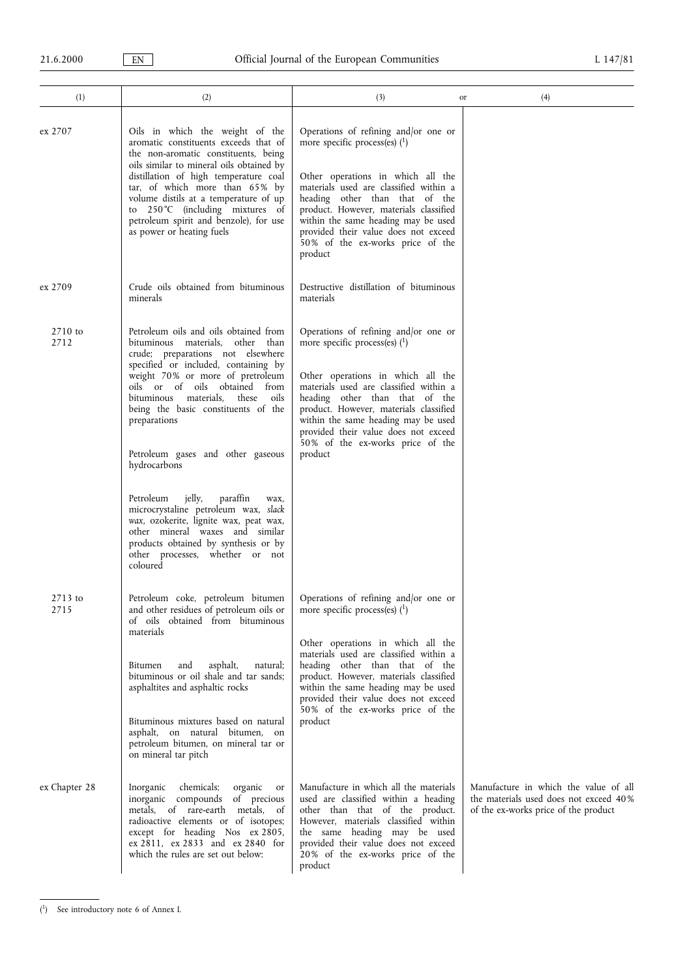| (1)             | (2)                                                                                                                                                                                                                                                                                                                                                                                                                                                                                                                                                                                                                                         | (3)                                                                                                                                                                                                                                                                                                                                                              | (4)<br>or                                                                                                               |
|-----------------|---------------------------------------------------------------------------------------------------------------------------------------------------------------------------------------------------------------------------------------------------------------------------------------------------------------------------------------------------------------------------------------------------------------------------------------------------------------------------------------------------------------------------------------------------------------------------------------------------------------------------------------------|------------------------------------------------------------------------------------------------------------------------------------------------------------------------------------------------------------------------------------------------------------------------------------------------------------------------------------------------------------------|-------------------------------------------------------------------------------------------------------------------------|
| ex 2707         | Oils in which the weight of the<br>aromatic constituents exceeds that of<br>the non-aromatic constituents, being<br>oils similar to mineral oils obtained by<br>distillation of high temperature coal<br>tar, of which more than 65% by<br>volume distils at a temperature of up<br>to 250°C (including mixtures of<br>petroleum spirit and benzole), for use<br>as power or heating fuels                                                                                                                                                                                                                                                  | Operations of refining and/or one or<br>more specific process(es) $(1)$<br>Other operations in which all the<br>materials used are classified within a<br>heading other than that of the<br>product. However, materials classified<br>within the same heading may be used<br>provided their value does not exceed<br>50% of the ex-works price of the<br>product |                                                                                                                         |
| ex 2709         | Crude oils obtained from bituminous<br>minerals                                                                                                                                                                                                                                                                                                                                                                                                                                                                                                                                                                                             | Destructive distillation of bituminous<br>materials                                                                                                                                                                                                                                                                                                              |                                                                                                                         |
| 2710 to<br>2712 | Petroleum oils and oils obtained from<br>bituminous materials, other than<br>crude; preparations not elsewhere<br>specified or included, containing by<br>weight 70% or more of pretroleum<br>oils or of oils<br>obtained from<br>bituminous materials.<br>these<br>oils<br>being the basic constituents of the<br>preparations<br>Petroleum gases and other gaseous<br>hydrocarbons<br>jelly,<br>paraffin<br>Petroleum<br>wax,<br>microcrystaline petroleum wax, slack<br>wax, ozokerite, lignite wax, peat wax,<br>other mineral waxes and similar<br>products obtained by synthesis or by<br>other processes, whether or not<br>coloured | Operations of refining and/or one or<br>more specific process(es) $(1)$<br>Other operations in which all the<br>materials used are classified within a<br>heading other than that of the<br>product. However, materials classified<br>within the same heading may be used<br>provided their value does not exceed<br>50% of the ex-works price of the<br>product |                                                                                                                         |
| 2713 to<br>2715 | Petroleum coke, petroleum bitumen<br>and other residues of petroleum oils or<br>of oils obtained from bituminous<br>materials<br>asphalt,<br>Bitumen<br>and<br>natural;<br>bituminous or oil shale and tar sands;<br>asphaltites and asphaltic rocks<br>Bituminous mixtures based on natural<br>asphalt, on natural bitumen, on<br>petroleum bitumen, on mineral tar or<br>on mineral tar pitch                                                                                                                                                                                                                                             | Operations of refining and/or one or<br>more specific process(es) $(1)$<br>Other operations in which all the<br>materials used are classified within a<br>heading other than that of the<br>product. However, materials classified<br>within the same heading may be used<br>provided their value does not exceed<br>50% of the ex-works price of the<br>product |                                                                                                                         |
| ex Chapter 28   | Inorganic<br>chemicals;<br>organic<br>or<br>inorganic compounds of precious<br>metals, of rare-earth metals, of<br>radioactive elements or of isotopes;<br>except for heading Nos ex 2805,<br>ex 2811, ex 2833 and ex 2840 for<br>which the rules are set out below:                                                                                                                                                                                                                                                                                                                                                                        | Manufacture in which all the materials<br>used are classified within a heading<br>other than that of the product.<br>However, materials classified within<br>the same heading may be used<br>provided their value does not exceed<br>20% of the ex-works price of the<br>product                                                                                 | Manufacture in which the value of all<br>the materials used does not exceed 40%<br>of the ex-works price of the product |

<sup>(</sup> 1) See introductory note 6 of Annex I.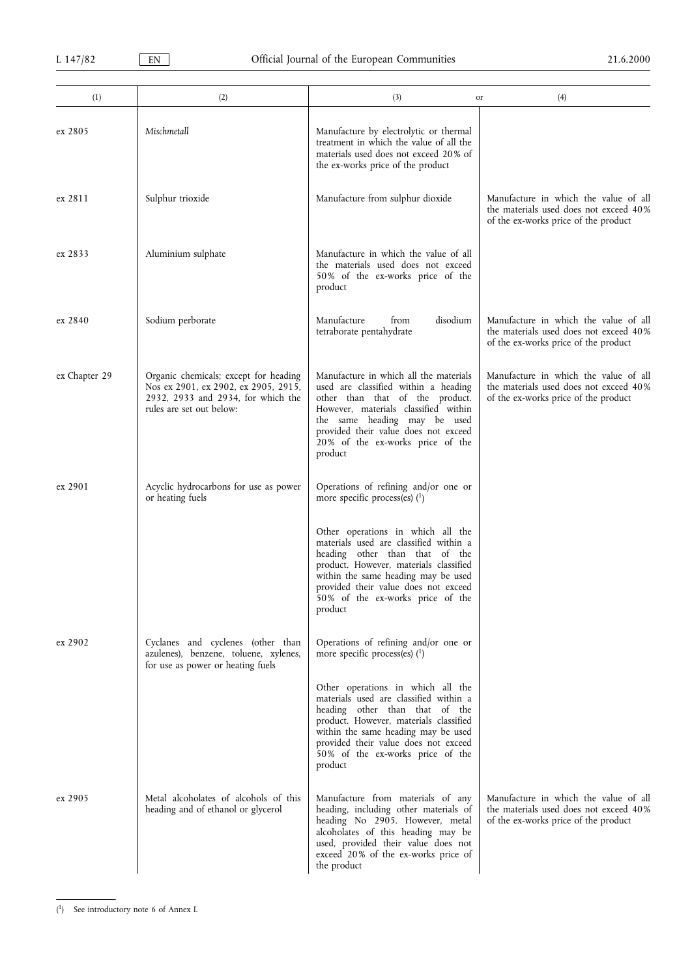| (1)           | (2)                                                                                                                                             | (3)<br>or                                                                                                                                                                                                                                                                             | (4)                                                                                                                     |
|---------------|-------------------------------------------------------------------------------------------------------------------------------------------------|---------------------------------------------------------------------------------------------------------------------------------------------------------------------------------------------------------------------------------------------------------------------------------------|-------------------------------------------------------------------------------------------------------------------------|
| ex 2805       | Mischmetall                                                                                                                                     | Manufacture by electrolytic or thermal<br>treatment in which the value of all the<br>materials used does not exceed 20% of<br>the ex-works price of the product                                                                                                                       |                                                                                                                         |
| ex 2811       | Sulphur trioxide                                                                                                                                | Manufacture from sulphur dioxide                                                                                                                                                                                                                                                      | Manufacture in which the value of all<br>the materials used does not exceed 40%<br>of the ex-works price of the product |
| ex 2833       | Aluminium sulphate                                                                                                                              | Manufacture in which the value of all<br>the materials used does not exceed<br>50% of the ex-works price of the<br>product                                                                                                                                                            |                                                                                                                         |
| ex 2840       | Sodium perborate                                                                                                                                | disodium<br>Manufacture<br>from<br>tetraborate pentahydrate                                                                                                                                                                                                                           | Manufacture in which the value of all<br>the materials used does not exceed 40%<br>of the ex-works price of the product |
| ex Chapter 29 | Organic chemicals; except for heading<br>Nos ex 2901, ex 2902, ex 2905, 2915,<br>2932, 2933 and 2934, for which the<br>rules are set out below: | Manufacture in which all the materials<br>used are classified within a heading<br>other than that of the product.<br>However, materials classified within<br>the same heading may be used<br>provided their value does not exceed<br>20% of the ex-works price of the<br>product      | Manufacture in which the value of all<br>the materials used does not exceed 40%<br>of the ex-works price of the product |
| ex 2901       | Acyclic hydrocarbons for use as power<br>or heating fuels                                                                                       | Operations of refining and/or one or<br>more specific process(es) $(1)$                                                                                                                                                                                                               |                                                                                                                         |
|               |                                                                                                                                                 | Other operations in which all the<br>materials used are classified within a<br>heading other than that of the<br>product. However, materials classified<br>within the same heading may be used<br>provided their value does not exceed<br>50% of the ex-works price of the<br>product |                                                                                                                         |
| ex 2902       | Cyclanes and cyclenes (other than<br>azulenes), benzene, toluene, xylenes,<br>for use as power or heating fuels                                 | Operations of refining and/or one or<br>more specific process(es) $(1)$                                                                                                                                                                                                               |                                                                                                                         |
|               |                                                                                                                                                 | Other operations in which all the<br>materials used are classified within a<br>heading other than that of the<br>product. However, materials classified<br>within the same heading may be used<br>provided their value does not exceed<br>50% of the ex-works price of the<br>product |                                                                                                                         |
| ex 2905       | Metal alcoholates of alcohols of this<br>heading and of ethanol or glycerol                                                                     | Manufacture from materials of any<br>heading, including other materials of<br>heading No 2905. However, metal<br>alcoholates of this heading may be<br>used, provided their value does not<br>exceed 20% of the ex-works price of<br>the product                                      | Manufacture in which the value of all<br>the materials used does not exceed 40%<br>of the ex-works price of the product |

<sup>(</sup> 1) See introductory note 6 of Annex I.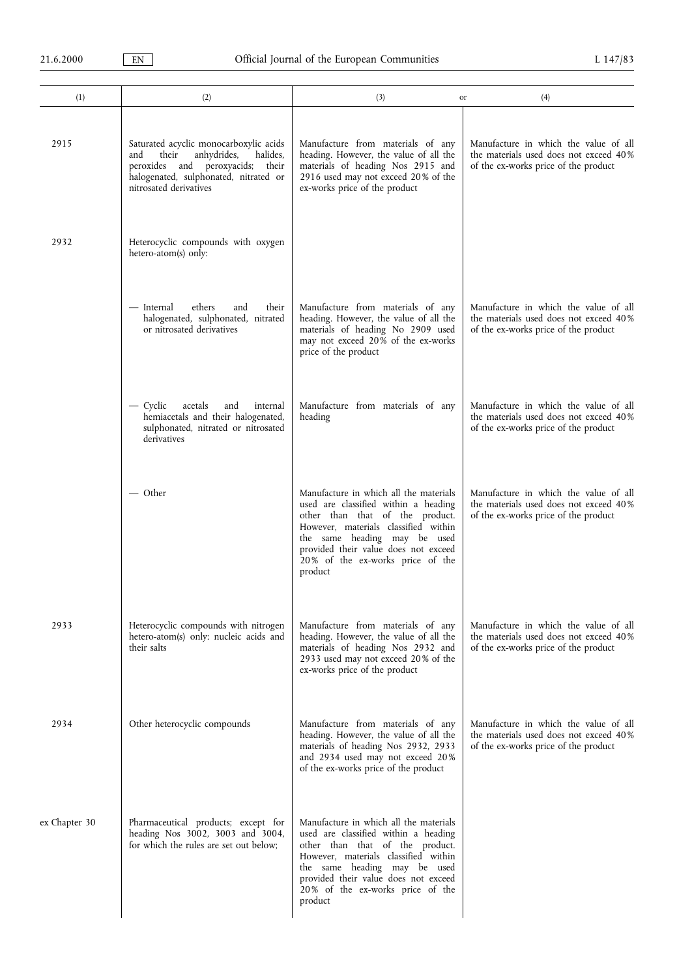| (1)           | (2)                                                                                                                                                                                      | (3)<br>or                                                                                                                                                                                                                                                                        | (4)                                                                                                                     |
|---------------|------------------------------------------------------------------------------------------------------------------------------------------------------------------------------------------|----------------------------------------------------------------------------------------------------------------------------------------------------------------------------------------------------------------------------------------------------------------------------------|-------------------------------------------------------------------------------------------------------------------------|
| 2915          | Saturated acyclic monocarboxylic acids<br>anhydrides,<br>halides,<br>their<br>and<br>peroxides and peroxyacids; their<br>halogenated, sulphonated, nitrated or<br>nitrosated derivatives | Manufacture from materials of any<br>heading. However, the value of all the<br>materials of heading Nos 2915 and<br>2916 used may not exceed 20% of the<br>ex-works price of the product                                                                                         | Manufacture in which the value of all<br>the materials used does not exceed 40%<br>of the ex-works price of the product |
| 2932          | Heterocyclic compounds with oxygen<br>hetero-atom(s) only:                                                                                                                               |                                                                                                                                                                                                                                                                                  |                                                                                                                         |
|               | ethers<br>— Internal<br>and<br>their<br>halogenated, sulphonated, nitrated<br>or nitrosated derivatives                                                                                  | Manufacture from materials of any<br>heading. However, the value of all the<br>materials of heading No 2909 used<br>may not exceed 20% of the ex-works<br>price of the product                                                                                                   | Manufacture in which the value of all<br>the materials used does not exceed 40%<br>of the ex-works price of the product |
|               | — Cyclic<br>acetals<br>internal<br>and<br>hemiacetals and their halogenated,<br>sulphonated, nitrated or nitrosated<br>derivatives                                                       | Manufacture from materials of any<br>heading                                                                                                                                                                                                                                     | Manufacture in which the value of all<br>the materials used does not exceed 40%<br>of the ex-works price of the product |
|               | — Other                                                                                                                                                                                  | Manufacture in which all the materials<br>used are classified within a heading<br>other than that of the product.<br>However, materials classified within<br>the same heading may be used<br>provided their value does not exceed<br>20% of the ex-works price of the<br>product | Manufacture in which the value of all<br>the materials used does not exceed 40%<br>of the ex-works price of the product |
| 2933          | Heterocyclic compounds with nitrogen<br>hetero-atom(s) only: nucleic acids and<br>their salts                                                                                            | Manufacture from materials of any<br>heading. However, the value of all the<br>materials of heading Nos 2932 and<br>2933 used may not exceed 20% of the<br>ex-works price of the product                                                                                         | Manufacture in which the value of all<br>the materials used does not exceed 40%<br>of the ex-works price of the product |
| 2934          | Other heterocyclic compounds                                                                                                                                                             | Manufacture from materials of any<br>heading. However, the value of all the<br>materials of heading Nos 2932, 2933<br>and 2934 used may not exceed 20%<br>of the ex-works price of the product                                                                                   | Manufacture in which the value of all<br>the materials used does not exceed 40%<br>of the ex-works price of the product |
| ex Chapter 30 | Pharmaceutical products; except for<br>heading Nos 3002, 3003 and 3004,<br>for which the rules are set out below;                                                                        | Manufacture in which all the materials<br>used are classified within a heading<br>other than that of the product.<br>However, materials classified within<br>the same heading may be used<br>provided their value does not exceed<br>20% of the ex-works price of the<br>product |                                                                                                                         |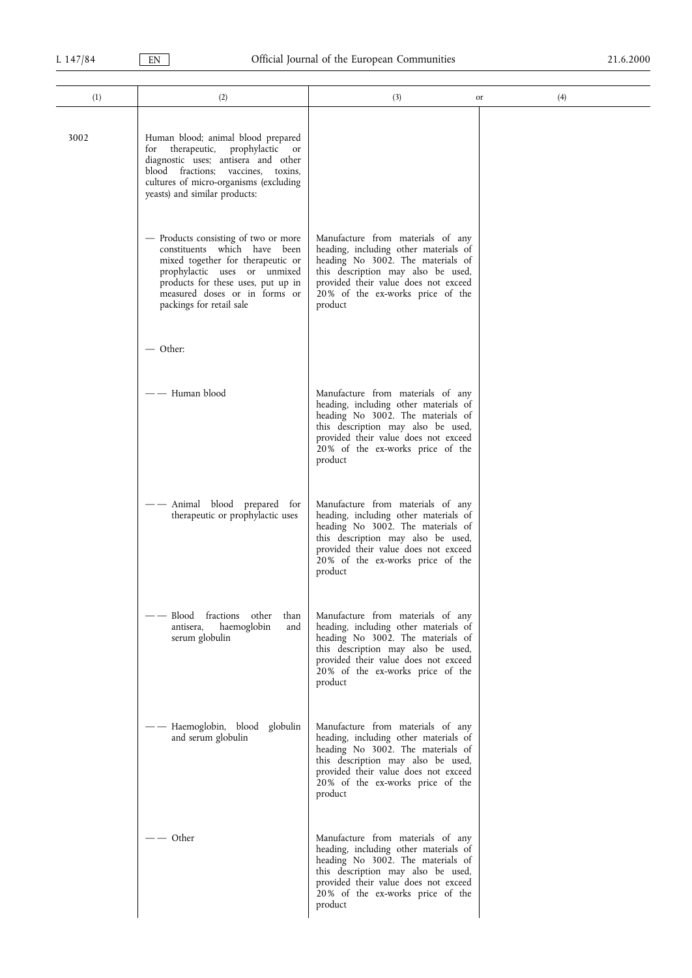| (1)  | (2)                                                                                                                                                                                                                                                   | (3)                                                                                                                                                                                                                                          | or | (4) |
|------|-------------------------------------------------------------------------------------------------------------------------------------------------------------------------------------------------------------------------------------------------------|----------------------------------------------------------------------------------------------------------------------------------------------------------------------------------------------------------------------------------------------|----|-----|
| 3002 | Human blood; animal blood prepared<br>therapeutic,<br>prophylactic<br>for<br><sub>or</sub><br>diagnostic uses; antisera and other<br>blood fractions; vaccines,<br>toxins,<br>cultures of micro-organisms (excluding<br>yeasts) and similar products: |                                                                                                                                                                                                                                              |    |     |
|      | - Products consisting of two or more<br>constituents which have been<br>mixed together for therapeutic or<br>prophylactic uses or unmixed<br>products for these uses, put up in<br>measured doses or in forms or<br>packings for retail sale          | Manufacture from materials of any<br>heading, including other materials of<br>heading No 3002. The materials of<br>this description may also be used,<br>provided their value does not exceed<br>20% of the ex-works price of the<br>product |    |     |
|      | $-$ Other:                                                                                                                                                                                                                                            |                                                                                                                                                                                                                                              |    |     |
|      | —— Human blood                                                                                                                                                                                                                                        | Manufacture from materials of any<br>heading, including other materials of<br>heading No 3002. The materials of<br>this description may also be used,<br>provided their value does not exceed<br>20% of the ex-works price of the<br>product |    |     |
|      | Animal blood prepared for<br>therapeutic or prophylactic uses                                                                                                                                                                                         | Manufacture from materials of any<br>heading, including other materials of<br>heading No 3002. The materials of<br>this description may also be used,<br>provided their value does not exceed<br>20% of the ex-works price of the<br>product |    |     |
|      | -- Blood fractions other<br>than<br>haemoglobin<br>and<br>antisera,<br>serum globulin                                                                                                                                                                 | Manufacture from materials of any<br>heading, including other materials of<br>heading No 3002. The materials of<br>this description may also be used,<br>provided their value does not exceed<br>20% of the ex-works price of the<br>product |    |     |
|      | — Haemoglobin, blood globulin<br>and serum globulin                                                                                                                                                                                                   | Manufacture from materials of any<br>heading, including other materials of<br>heading No 3002. The materials of<br>this description may also be used,<br>provided their value does not exceed<br>20% of the ex-works price of the<br>product |    |     |
|      | $-$ Other                                                                                                                                                                                                                                             | Manufacture from materials of any<br>heading, including other materials of<br>heading No 3002. The materials of<br>this description may also be used,<br>provided their value does not exceed<br>20% of the ex-works price of the<br>product |    |     |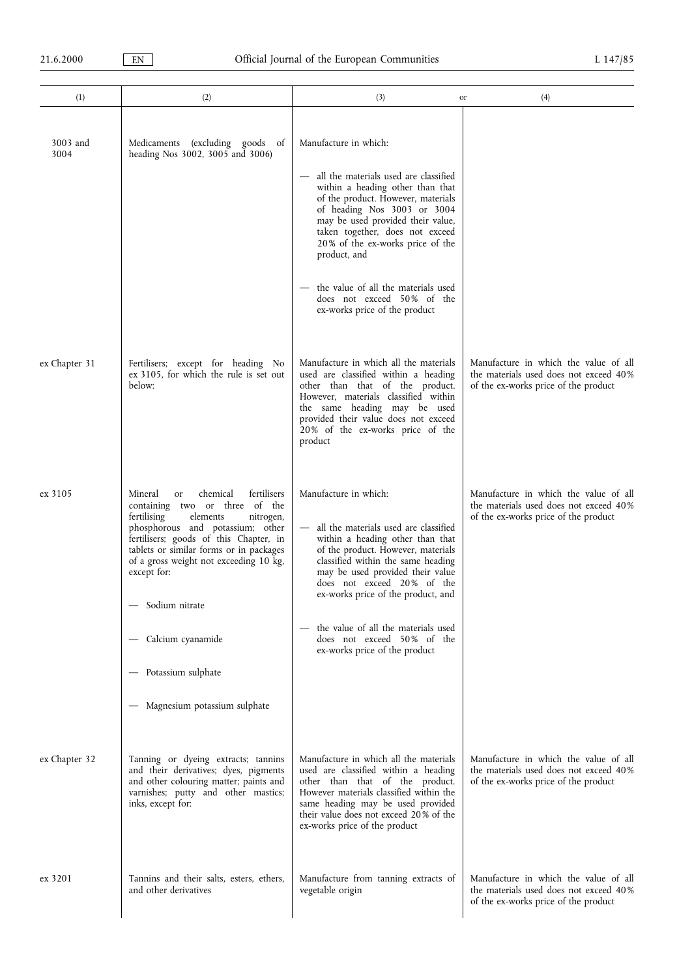| (1)              | (2)                                                                                                                                                                                                                                                                                                                                             | (3)                                                                                                                                                                                                                                                                                                                                                         | (4)<br>or                                                                                                               |
|------------------|-------------------------------------------------------------------------------------------------------------------------------------------------------------------------------------------------------------------------------------------------------------------------------------------------------------------------------------------------|-------------------------------------------------------------------------------------------------------------------------------------------------------------------------------------------------------------------------------------------------------------------------------------------------------------------------------------------------------------|-------------------------------------------------------------------------------------------------------------------------|
| 3003 and<br>3004 | Medicaments (excluding goods of<br>heading Nos 3002, 3005 and 3006)                                                                                                                                                                                                                                                                             | Manufacture in which:<br>all the materials used are classified<br>within a heading other than that<br>of the product. However, materials<br>of heading Nos 3003 or 3004<br>may be used provided their value,<br>taken together, does not exceed<br>20% of the ex-works price of the<br>product, and                                                         |                                                                                                                         |
|                  |                                                                                                                                                                                                                                                                                                                                                 | the value of all the materials used<br>does not exceed 50% of the<br>ex-works price of the product                                                                                                                                                                                                                                                          |                                                                                                                         |
| ex Chapter 31    | Fertilisers; except for heading No<br>ex 3105, for which the rule is set out<br>below:                                                                                                                                                                                                                                                          | Manufacture in which all the materials<br>used are classified within a heading<br>other than that of the product.<br>However, materials classified within<br>the same heading may be used<br>provided their value does not exceed<br>20% of the ex-works price of the<br>product                                                                            | Manufacture in which the value of all<br>the materials used does not exceed 40%<br>of the ex-works price of the product |
| ex 3105          | fertilisers<br>chemical<br>Mineral<br>or<br>containing two or three of the<br>fertilising<br>elements<br>nitrogen,<br>phosphorous and potassium; other<br>fertilisers; goods of this Chapter, in<br>tablets or similar forms or in packages<br>of a gross weight not exceeding 10 kg,<br>except for:<br>- Sodium nitrate<br>- Calcium cyanamide | Manufacture in which:<br>all the materials used are classified<br>within a heading other than that<br>of the product. However, materials<br>classified within the same heading<br>may be used provided their value<br>does not exceed 20% of the<br>ex-works price of the product, and<br>the value of all the materials used<br>does not exceed 50% of the | Manufacture in which the value of all<br>the materials used does not exceed 40%<br>of the ex-works price of the product |
|                  | - Potassium sulphate<br>- Magnesium potassium sulphate                                                                                                                                                                                                                                                                                          | ex-works price of the product                                                                                                                                                                                                                                                                                                                               |                                                                                                                         |
| ex Chapter 32    | Tanning or dyeing extracts; tannins<br>and their derivatives; dyes, pigments<br>and other colouring matter; paints and<br>varnishes; putty and other mastics;<br>inks, except for:                                                                                                                                                              | Manufacture in which all the materials<br>used are classified within a heading<br>other than that of the product.<br>However materials classified within the<br>same heading may be used provided<br>their value does not exceed 20% of the<br>ex-works price of the product                                                                                | Manufacture in which the value of all<br>the materials used does not exceed 40%<br>of the ex-works price of the product |
| ex 3201          | Tannins and their salts, esters, ethers,<br>and other derivatives                                                                                                                                                                                                                                                                               | Manufacture from tanning extracts of<br>vegetable origin                                                                                                                                                                                                                                                                                                    | Manufacture in which the value of all<br>the materials used does not exceed 40%<br>of the ex-works price of the product |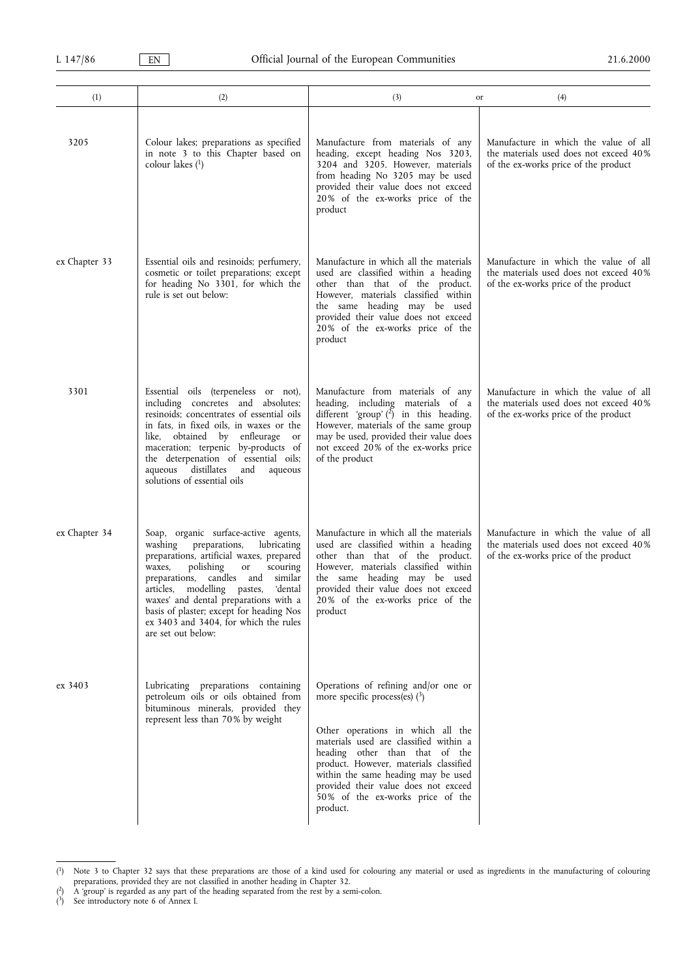| (1)           | (2)                                                                                                                                                                                                                                                                                                                                                                                                     | (3)                                                                                                                                                                                                                                                                                                                                                               | (4)<br>or                                                                                                               |
|---------------|---------------------------------------------------------------------------------------------------------------------------------------------------------------------------------------------------------------------------------------------------------------------------------------------------------------------------------------------------------------------------------------------------------|-------------------------------------------------------------------------------------------------------------------------------------------------------------------------------------------------------------------------------------------------------------------------------------------------------------------------------------------------------------------|-------------------------------------------------------------------------------------------------------------------------|
| 3205          | Colour lakes; preparations as specified<br>in note 3 to this Chapter based on<br>colour lakes $(1)$                                                                                                                                                                                                                                                                                                     | Manufacture from materials of any<br>heading, except heading Nos 3203,<br>3204 and 3205. However, materials<br>from heading No 3205 may be used<br>provided their value does not exceed<br>20% of the ex-works price of the<br>product                                                                                                                            | Manufacture in which the value of all<br>the materials used does not exceed 40%<br>of the ex-works price of the product |
| ex Chapter 33 | Essential oils and resinoids; perfumery,<br>cosmetic or toilet preparations; except<br>for heading No 3301, for which the<br>rule is set out below:                                                                                                                                                                                                                                                     | Manufacture in which all the materials<br>used are classified within a heading<br>other than that of the product.<br>However, materials classified within<br>the same heading may be used<br>provided their value does not exceed<br>20% of the ex-works price of the<br>product                                                                                  | Manufacture in which the value of all<br>the materials used does not exceed 40%<br>of the ex-works price of the product |
| 3301          | Essential oils (terpeneless or not),<br>including concretes and absolutes;<br>resinoids: concentrates of essential oils<br>in fats, in fixed oils, in waxes or the<br>like, obtained by enfleurage<br>or<br>maceration; terpenic by-products of<br>the deterpenation of essential oils;<br>aqueous distillates and<br>aqueous<br>solutions of essential oils                                            | Manufacture from materials of any<br>heading, including materials of a<br>different 'group' $(2)$ in this heading.<br>However, materials of the same group<br>may be used, provided their value does<br>not exceed 20% of the ex-works price<br>of the product                                                                                                    | Manufacture in which the value of all<br>the materials used does not exceed 40%<br>of the ex-works price of the product |
| ex Chapter 34 | Soap, organic surface-active agents,<br>washing preparations,<br>lubricating<br>preparations, artificial waxes, prepared<br>polishing<br>waxes,<br>or<br>scouring<br>preparations, candles and<br>similar<br>articles, modelling pastes,<br>'dental<br>waxes' and dental preparations with a<br>basis of plaster; except for heading Nos<br>ex 3403 and 3404, for which the rules<br>are set out below: | Manufacture in which all the materials<br>used are classified within a heading<br>other than that of the product.<br>However, materials classified within<br>the same heading may be used<br>provided their value does not exceed<br>20% of the ex-works price of the<br>product                                                                                  | Manufacture in which the value of all<br>the materials used does not exceed 40%<br>of the ex-works price of the product |
| ex 3403       | Lubricating preparations containing<br>petroleum oils or oils obtained from<br>bituminous minerals, provided they<br>represent less than 70% by weight                                                                                                                                                                                                                                                  | Operations of refining and/or one or<br>more specific process(es) $(3)$<br>Other operations in which all the<br>materials used are classified within a<br>heading other than that of the<br>product. However, materials classified<br>within the same heading may be used<br>provided their value does not exceed<br>50% of the ex-works price of the<br>product. |                                                                                                                         |

 $(^1)$ <sup>1</sup>) Note 3 to Chapter 32 says that these preparations are those of a kind used for colouring any material or used as ingredients in the manufacturing of colouring preparations, provided they are not classified in another heading in Chapter 32.<br>
<sup>2</sup>) A 'group' is regarded as any part of the heading separated from the rest by a semi-colon.

<sup>(</sup>

<sup>(</sup> 3) See introductory note 6 of Annex I.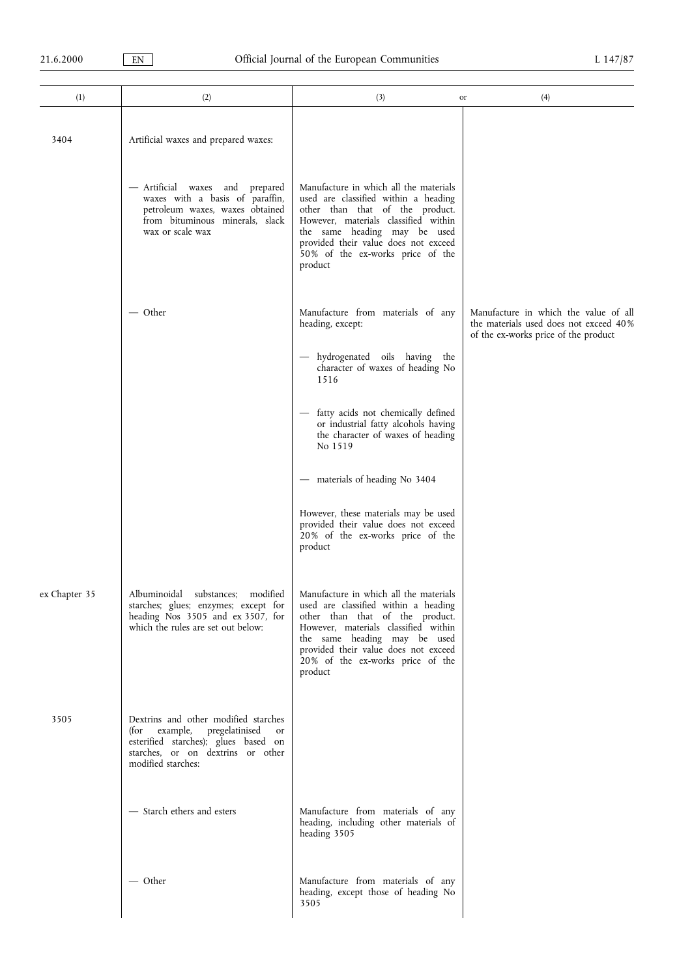| or<br>3404<br>Artificial waxes and prepared waxes:<br>Manufacture in which all the materials<br>— Artificial waxes and prepared<br>waxes with a basis of paraffin,<br>used are classified within a heading<br>petroleum waxes, waxes obtained<br>other than that of the product.<br>from bituminous minerals, slack<br>However, materials classified within<br>wax or scale wax<br>the same heading may be used<br>provided their value does not exceed<br>50% of the ex-works price of the<br>product<br>— Other<br>Manufacture from materials of any<br>heading, except:<br>of the ex-works price of the product<br>hydrogenated oils having the<br>character of waxes of heading No<br>1516<br>fatty acids not chemically defined<br>or industrial fatty alcohols having<br>the character of waxes of heading<br>No 1519<br>- materials of heading No 3404<br>However, these materials may be used<br>provided their value does not exceed<br>20% of the ex-works price of the<br>product<br>Manufacture in which all the materials<br>ex Chapter 35<br>Albuminoidal substances;<br>modified<br>used are classified within a heading<br>starches; glues; enzymes; except for<br>heading Nos 3505 and ex 3507, for<br>other than that of the product.<br>which the rules are set out below:<br>However, materials classified within<br>the same heading may be used<br>provided their value does not exceed<br>20% of the ex-works price of the<br>product<br>Dextrins and other modified starches<br>3505<br>example,<br>pregelatinised<br>(for<br>or<br>esterified starches); glues based on<br>starches, or on dextrins or other<br>modified starches:<br>- Starch ethers and esters<br>Manufacture from materials of any<br>heading, including other materials of<br>heading 3505<br>— Other<br>Manufacture from materials of any<br>heading, except those of heading No<br>3505 |     |     |     |                                                                                 |
|----------------------------------------------------------------------------------------------------------------------------------------------------------------------------------------------------------------------------------------------------------------------------------------------------------------------------------------------------------------------------------------------------------------------------------------------------------------------------------------------------------------------------------------------------------------------------------------------------------------------------------------------------------------------------------------------------------------------------------------------------------------------------------------------------------------------------------------------------------------------------------------------------------------------------------------------------------------------------------------------------------------------------------------------------------------------------------------------------------------------------------------------------------------------------------------------------------------------------------------------------------------------------------------------------------------------------------------------------------------------------------------------------------------------------------------------------------------------------------------------------------------------------------------------------------------------------------------------------------------------------------------------------------------------------------------------------------------------------------------------------------------------------------------------------------------------------------------------------------------------------------------|-----|-----|-----|---------------------------------------------------------------------------------|
|                                                                                                                                                                                                                                                                                                                                                                                                                                                                                                                                                                                                                                                                                                                                                                                                                                                                                                                                                                                                                                                                                                                                                                                                                                                                                                                                                                                                                                                                                                                                                                                                                                                                                                                                                                                                                                                                                        | (1) | (2) | (3) | (4)                                                                             |
|                                                                                                                                                                                                                                                                                                                                                                                                                                                                                                                                                                                                                                                                                                                                                                                                                                                                                                                                                                                                                                                                                                                                                                                                                                                                                                                                                                                                                                                                                                                                                                                                                                                                                                                                                                                                                                                                                        |     |     |     |                                                                                 |
|                                                                                                                                                                                                                                                                                                                                                                                                                                                                                                                                                                                                                                                                                                                                                                                                                                                                                                                                                                                                                                                                                                                                                                                                                                                                                                                                                                                                                                                                                                                                                                                                                                                                                                                                                                                                                                                                                        |     |     |     |                                                                                 |
|                                                                                                                                                                                                                                                                                                                                                                                                                                                                                                                                                                                                                                                                                                                                                                                                                                                                                                                                                                                                                                                                                                                                                                                                                                                                                                                                                                                                                                                                                                                                                                                                                                                                                                                                                                                                                                                                                        |     |     |     | Manufacture in which the value of all<br>the materials used does not exceed 40% |
|                                                                                                                                                                                                                                                                                                                                                                                                                                                                                                                                                                                                                                                                                                                                                                                                                                                                                                                                                                                                                                                                                                                                                                                                                                                                                                                                                                                                                                                                                                                                                                                                                                                                                                                                                                                                                                                                                        |     |     |     |                                                                                 |
|                                                                                                                                                                                                                                                                                                                                                                                                                                                                                                                                                                                                                                                                                                                                                                                                                                                                                                                                                                                                                                                                                                                                                                                                                                                                                                                                                                                                                                                                                                                                                                                                                                                                                                                                                                                                                                                                                        |     |     |     |                                                                                 |
|                                                                                                                                                                                                                                                                                                                                                                                                                                                                                                                                                                                                                                                                                                                                                                                                                                                                                                                                                                                                                                                                                                                                                                                                                                                                                                                                                                                                                                                                                                                                                                                                                                                                                                                                                                                                                                                                                        |     |     |     |                                                                                 |
|                                                                                                                                                                                                                                                                                                                                                                                                                                                                                                                                                                                                                                                                                                                                                                                                                                                                                                                                                                                                                                                                                                                                                                                                                                                                                                                                                                                                                                                                                                                                                                                                                                                                                                                                                                                                                                                                                        |     |     |     |                                                                                 |
|                                                                                                                                                                                                                                                                                                                                                                                                                                                                                                                                                                                                                                                                                                                                                                                                                                                                                                                                                                                                                                                                                                                                                                                                                                                                                                                                                                                                                                                                                                                                                                                                                                                                                                                                                                                                                                                                                        |     |     |     |                                                                                 |
|                                                                                                                                                                                                                                                                                                                                                                                                                                                                                                                                                                                                                                                                                                                                                                                                                                                                                                                                                                                                                                                                                                                                                                                                                                                                                                                                                                                                                                                                                                                                                                                                                                                                                                                                                                                                                                                                                        |     |     |     |                                                                                 |
|                                                                                                                                                                                                                                                                                                                                                                                                                                                                                                                                                                                                                                                                                                                                                                                                                                                                                                                                                                                                                                                                                                                                                                                                                                                                                                                                                                                                                                                                                                                                                                                                                                                                                                                                                                                                                                                                                        |     |     |     |                                                                                 |
|                                                                                                                                                                                                                                                                                                                                                                                                                                                                                                                                                                                                                                                                                                                                                                                                                                                                                                                                                                                                                                                                                                                                                                                                                                                                                                                                                                                                                                                                                                                                                                                                                                                                                                                                                                                                                                                                                        |     |     |     |                                                                                 |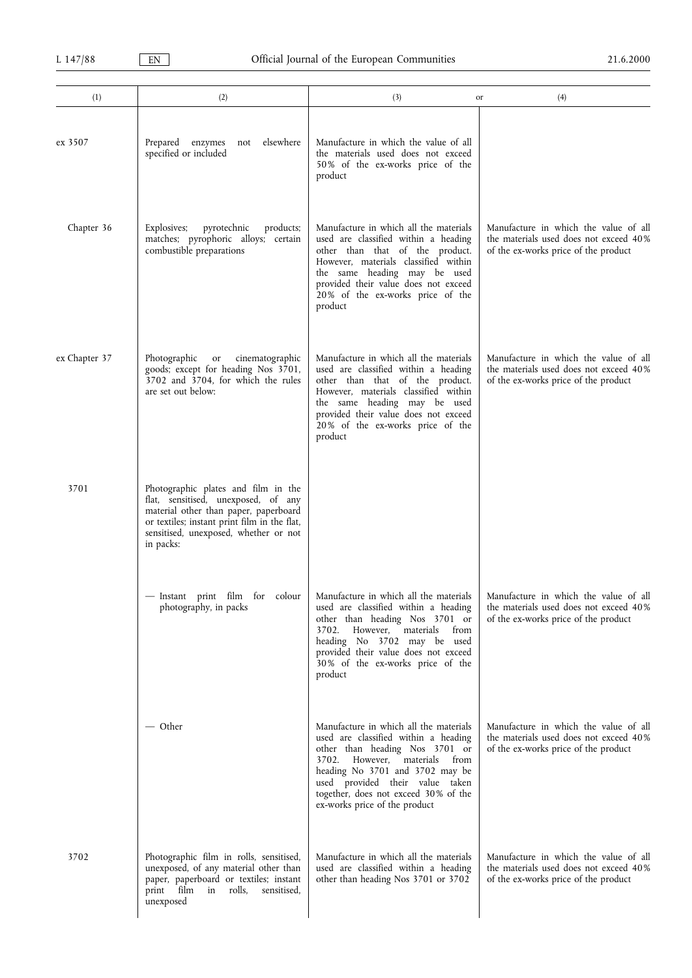| (1)           | (2)                                                                                                                                                                                                                       | (3)                                                                                                                                                                                                                                                                                                    | (4)<br>or                                                                                                               |
|---------------|---------------------------------------------------------------------------------------------------------------------------------------------------------------------------------------------------------------------------|--------------------------------------------------------------------------------------------------------------------------------------------------------------------------------------------------------------------------------------------------------------------------------------------------------|-------------------------------------------------------------------------------------------------------------------------|
| ex 3507       | elsewhere<br>Prepared enzymes<br>not<br>specified or included                                                                                                                                                             | Manufacture in which the value of all<br>the materials used does not exceed<br>50% of the ex-works price of the<br>product                                                                                                                                                                             |                                                                                                                         |
| Chapter 36    | Explosives;<br>pyrotechnic<br>products;<br>matches; pyrophoric alloys; certain<br>combustible preparations                                                                                                                | Manufacture in which all the materials<br>used are classified within a heading<br>other than that of the product.<br>However, materials classified within<br>the same heading may be used<br>provided their value does not exceed<br>20% of the ex-works price of the<br>product                       | Manufacture in which the value of all<br>the materials used does not exceed 40%<br>of the ex-works price of the product |
| ex Chapter 37 | Photographic<br>cinematographic<br>or<br>goods; except for heading Nos 3701,<br>3702 and 3704, for which the rules<br>are set out below:                                                                                  | Manufacture in which all the materials<br>used are classified within a heading<br>other than that of the product.<br>However, materials classified within<br>the same heading may be used<br>provided their value does not exceed<br>20% of the ex-works price of the<br>product                       | Manufacture in which the value of all<br>the materials used does not exceed 40%<br>of the ex-works price of the product |
| 3701          | Photographic plates and film in the<br>flat, sensitised, unexposed, of any<br>material other than paper, paperboard<br>or textiles; instant print film in the flat,<br>sensitised, unexposed, whether or not<br>in packs: |                                                                                                                                                                                                                                                                                                        |                                                                                                                         |
|               | — Instant print film for colour<br>photography, in packs                                                                                                                                                                  | Manufacture in which all the materials<br>used are classified within a heading<br>other than heading Nos 3701 or<br>However, materials<br>from<br>3702.<br>heading No 3702 may be used<br>provided their value does not exceed<br>30% of the ex-works price of the<br>product                          | Manufacture in which the value of all<br>the materials used does not exceed 40%<br>of the ex-works price of the product |
|               | — Other                                                                                                                                                                                                                   | Manufacture in which all the materials<br>used are classified within a heading<br>other than heading Nos 3701 or<br>However, materials<br>from<br>3702.<br>heading No 3701 and 3702 may be<br>used provided their value taken<br>together, does not exceed 30% of the<br>ex-works price of the product | Manufacture in which the value of all<br>the materials used does not exceed 40%<br>of the ex-works price of the product |
| 3702          | Photographic film in rolls, sensitised,<br>unexposed, of any material other than<br>paper, paperboard or textiles; instant<br>print film<br>rolls,<br>sensitised,<br>in<br>unexposed                                      | Manufacture in which all the materials<br>used are classified within a heading<br>other than heading Nos 3701 or 3702                                                                                                                                                                                  | Manufacture in which the value of all<br>the materials used does not exceed 40%<br>of the ex-works price of the product |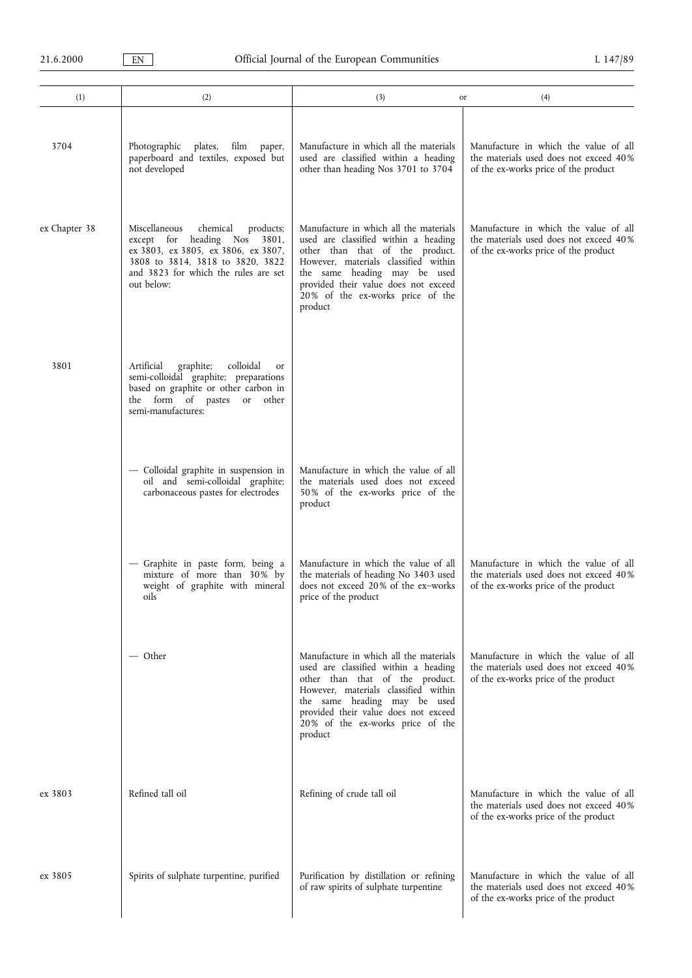| (1)           | (2)                                                                                                                                                                                                                  | (3)                                                                                                                                                                                                                                                                              | (4)<br>or                                                                                                               |
|---------------|----------------------------------------------------------------------------------------------------------------------------------------------------------------------------------------------------------------------|----------------------------------------------------------------------------------------------------------------------------------------------------------------------------------------------------------------------------------------------------------------------------------|-------------------------------------------------------------------------------------------------------------------------|
| 3704          | Photographic<br>plates,<br>film<br>paper,<br>paperboard and textiles, exposed but<br>not developed                                                                                                                   | Manufacture in which all the materials<br>used are classified within a heading<br>other than heading Nos 3701 to 3704                                                                                                                                                            | Manufacture in which the value of all<br>the materials used does not exceed 40%<br>of the ex-works price of the product |
| ex Chapter 38 | Miscellaneous<br>chemical<br>products;<br>except for heading<br><b>Nos</b><br>3801,<br>ex 3803, ex 3805, ex 3806, ex 3807,<br>3808 to 3814, 3818 to 3820, 3822<br>and 3823 for which the rules are set<br>out below: | Manufacture in which all the materials<br>used are classified within a heading<br>other than that of the product.<br>However, materials classified within<br>the same heading may be used<br>provided their value does not exceed<br>20% of the ex-works price of the<br>product | Manufacture in which the value of all<br>the materials used does not exceed 40%<br>of the ex-works price of the product |
| 3801          | graphite;<br>colloidal<br>Artificial<br><b>or</b><br>semi-colloidal graphite; preparations<br>based on graphite or other carbon in<br>the form of pastes or other<br>semi-manufactures:                              |                                                                                                                                                                                                                                                                                  |                                                                                                                         |
|               | - Colloidal graphite in suspension in<br>oil and semi-colloidal graphite;<br>carbonaceous pastes for electrodes                                                                                                      | Manufacture in which the value of all<br>the materials used does not exceed<br>50% of the ex-works price of the<br>product                                                                                                                                                       |                                                                                                                         |
|               | - Graphite in paste form, being a<br>mixture of more than 30% by<br>weight of graphite with mineral<br>oils                                                                                                          | Manufacture in which the value of all<br>the materials of heading No 3403 used<br>does not exceed 20% of the ex-works<br>price of the product                                                                                                                                    | Manufacture in which the value of all<br>the materials used does not exceed 40%<br>of the ex-works price of the product |
|               | — Other                                                                                                                                                                                                              | Manufacture in which all the materials<br>used are classified within a heading<br>other than that of the product.<br>However, materials classified within<br>the same heading may be used<br>provided their value does not exceed<br>20% of the ex-works price of the<br>product | Manufacture in which the value of all<br>the materials used does not exceed 40%<br>of the ex-works price of the product |
| ex 3803       | Refined tall oil                                                                                                                                                                                                     | Refining of crude tall oil                                                                                                                                                                                                                                                       | Manufacture in which the value of all<br>the materials used does not exceed 40%<br>of the ex-works price of the product |
| ex 3805       | Spirits of sulphate turpentine, purified                                                                                                                                                                             | Purification by distillation or refining<br>of raw spirits of sulphate turpentine                                                                                                                                                                                                | Manufacture in which the value of all<br>the materials used does not exceed 40%<br>of the ex-works price of the product |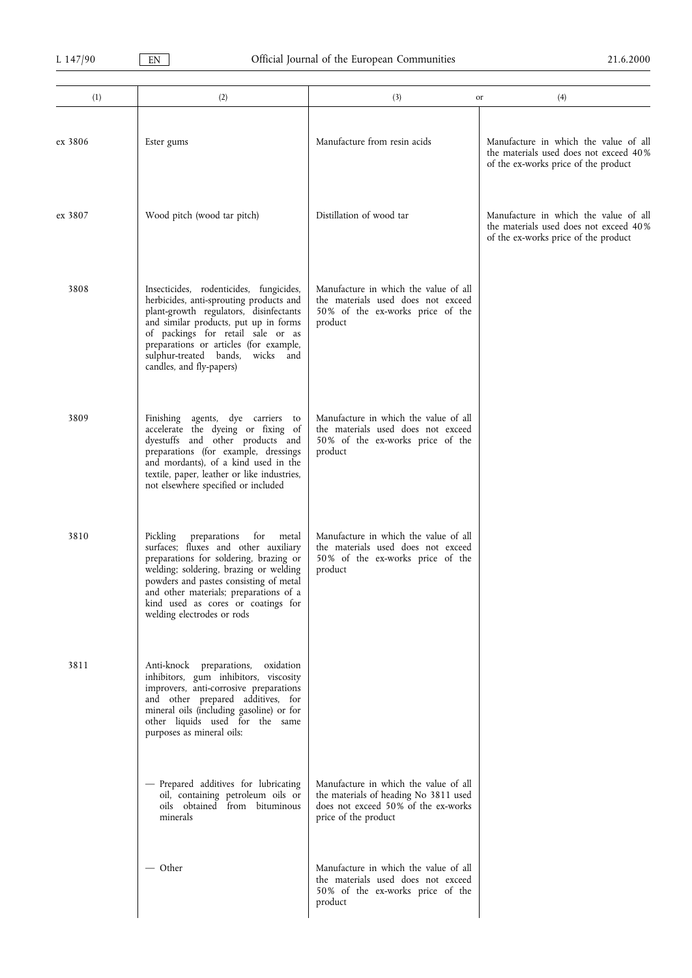| (1)     | (2)                                                                                                                                                                                                                                                                                                                          | (3)<br>or                                                                                                                                     | (4)                                                                                                                     |
|---------|------------------------------------------------------------------------------------------------------------------------------------------------------------------------------------------------------------------------------------------------------------------------------------------------------------------------------|-----------------------------------------------------------------------------------------------------------------------------------------------|-------------------------------------------------------------------------------------------------------------------------|
| ex 3806 | Ester gums                                                                                                                                                                                                                                                                                                                   | Manufacture from resin acids                                                                                                                  | Manufacture in which the value of all<br>the materials used does not exceed 40%<br>of the ex-works price of the product |
| ex 3807 | Wood pitch (wood tar pitch)                                                                                                                                                                                                                                                                                                  | Distillation of wood tar                                                                                                                      | Manufacture in which the value of all<br>the materials used does not exceed 40%<br>of the ex-works price of the product |
| 3808    | Insecticides, rodenticides, fungicides,<br>herbicides, anti-sprouting products and<br>plant-growth regulators, disinfectants<br>and similar products, put up in forms<br>of packings for retail sale or as<br>preparations or articles (for example,<br>sulphur-treated bands,<br>wicks and<br>candles, and fly-papers)      | Manufacture in which the value of all<br>the materials used does not exceed<br>50% of the ex-works price of the<br>product                    |                                                                                                                         |
| 3809    | Finishing agents, dye carriers to<br>accelerate the dyeing or fixing of<br>dyestuffs and other products and<br>preparations (for example, dressings<br>and mordants), of a kind used in the<br>textile, paper, leather or like industries,<br>not elsewhere specified or included                                            | Manufacture in which the value of all<br>the materials used does not exceed<br>50% of the ex-works price of the<br>product                    |                                                                                                                         |
| 3810    | Pickling<br>preparations<br>for<br>metal<br>surfaces; fluxes and other auxiliary<br>preparations for soldering, brazing or<br>welding; soldering, brazing or welding<br>powders and pastes consisting of metal<br>and other materials; preparations of a<br>kind used as cores or coatings for<br>welding electrodes or rods | Manufacture in which the value of all<br>the materials used does not exceed<br>50% of the ex-works price of the<br>product                    |                                                                                                                         |
| 3811    | Anti-knock preparations, oxidation<br>inhibitors, gum inhibitors, viscosity<br>improvers, anti-corrosive preparations<br>and other prepared additives, for<br>mineral oils (including gasoline) or for<br>other liquids used for the same<br>purposes as mineral oils:                                                       |                                                                                                                                               |                                                                                                                         |
|         | - Prepared additives for lubricating<br>oil, containing petroleum oils or<br>oils obtained from bituminous<br>minerals                                                                                                                                                                                                       | Manufacture in which the value of all<br>the materials of heading No 3811 used<br>does not exceed 50% of the ex-works<br>price of the product |                                                                                                                         |
|         | — Other                                                                                                                                                                                                                                                                                                                      | Manufacture in which the value of all<br>the materials used does not exceed<br>50% of the ex-works price of the<br>product                    |                                                                                                                         |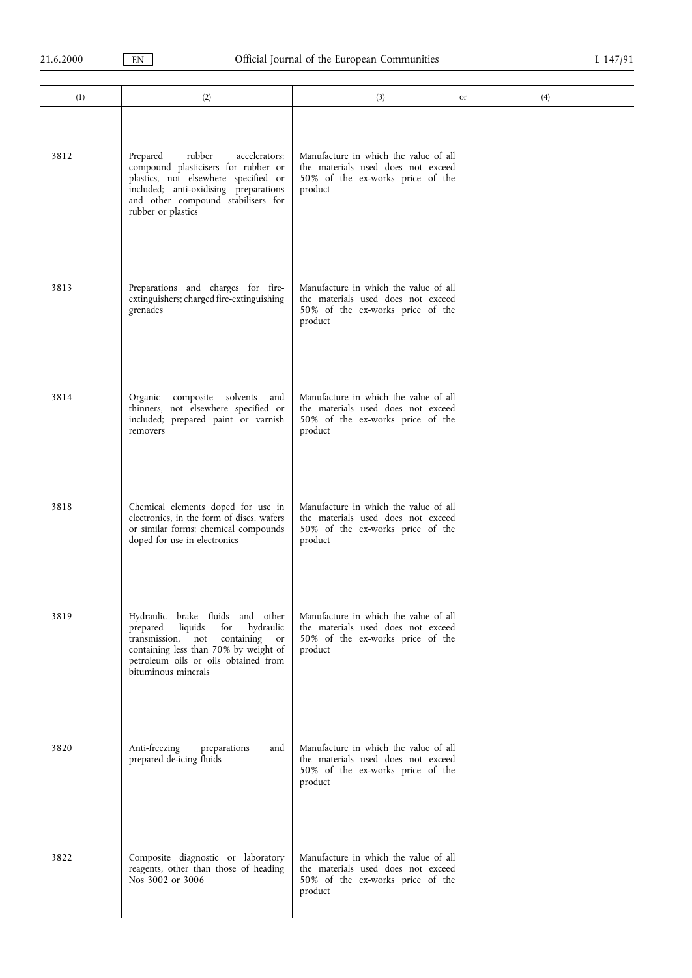| (1)  | (2)                                                                                                                                                                                                                                     | (3)                                                                                                                        | (4)<br>or |
|------|-----------------------------------------------------------------------------------------------------------------------------------------------------------------------------------------------------------------------------------------|----------------------------------------------------------------------------------------------------------------------------|-----------|
|      |                                                                                                                                                                                                                                         |                                                                                                                            |           |
| 3812 | rubber<br>Prepared<br>accelerators;<br>compound plasticisers for rubber or<br>plastics, not elsewhere specified or<br>included; anti-oxidising preparations<br>and other compound stabilisers for<br>rubber or plastics                 | Manufacture in which the value of all<br>the materials used does not exceed<br>50% of the ex-works price of the<br>product |           |
| 3813 | Preparations and charges for fire-<br>extinguishers; charged fire-extinguishing<br>grenades                                                                                                                                             | Manufacture in which the value of all<br>the materials used does not exceed<br>50% of the ex-works price of the<br>product |           |
| 3814 | Organic<br>composite solvents<br>and<br>thinners, not elsewhere specified or<br>included; prepared paint or varnish<br>removers                                                                                                         | Manufacture in which the value of all<br>the materials used does not exceed<br>50% of the ex-works price of the<br>product |           |
| 3818 | Chemical elements doped for use in<br>electronics, in the form of discs, wafers<br>or similar forms; chemical compounds<br>doped for use in electronics                                                                                 | Manufacture in which the value of all<br>the materials used does not exceed<br>50% of the ex-works price of the<br>product |           |
| 3819 | Hydraulic brake fluids and other<br>hydraulic<br>liquids<br>for<br>prepared<br>transmission, not<br>containing<br><sub>or</sub><br>containing less than 70% by weight of<br>petroleum oils or oils obtained from<br>bituminous minerals | Manufacture in which the value of all<br>the materials used does not exceed<br>50% of the ex-works price of the<br>product |           |
| 3820 | Anti-freezing<br>preparations<br>and<br>prepared de-icing fluids                                                                                                                                                                        | Manufacture in which the value of all<br>the materials used does not exceed<br>50% of the ex-works price of the<br>product |           |
| 3822 | Composite diagnostic or laboratory<br>reagents, other than those of heading<br>Nos 3002 or 3006                                                                                                                                         | Manufacture in which the value of all<br>the materials used does not exceed<br>50% of the ex-works price of the<br>product |           |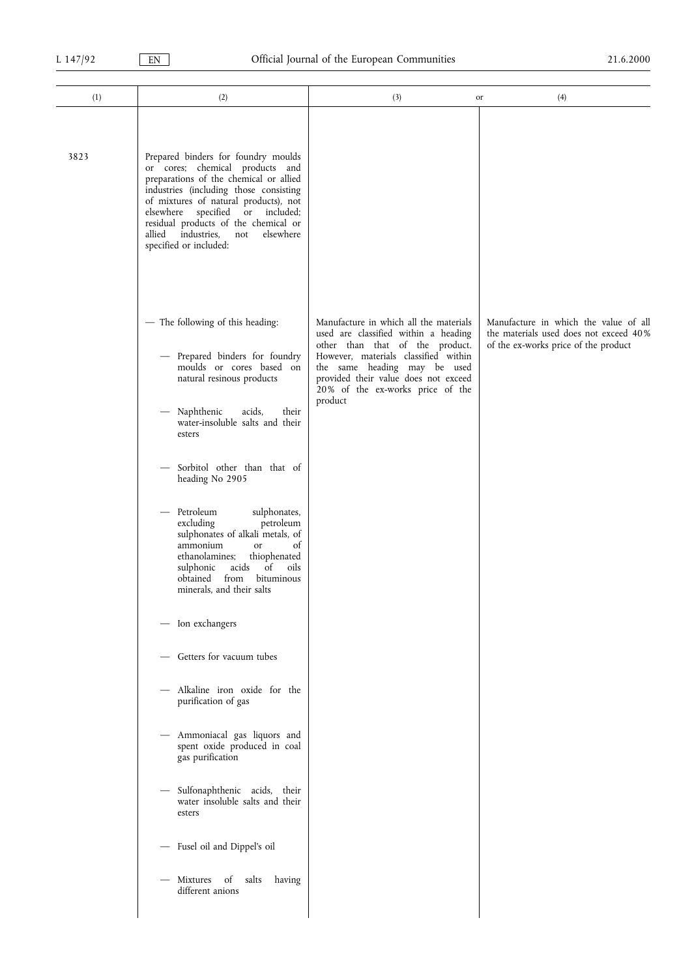| (1)  | (2)                                                                                                                                                                                                                                                                                                                                                                                                                                                                                                                                                                                                                                                                                                                                                                                                                                                              | (3)                                                                                                                                                                                                                                                                              | (4)<br>or                                                                                                               |
|------|------------------------------------------------------------------------------------------------------------------------------------------------------------------------------------------------------------------------------------------------------------------------------------------------------------------------------------------------------------------------------------------------------------------------------------------------------------------------------------------------------------------------------------------------------------------------------------------------------------------------------------------------------------------------------------------------------------------------------------------------------------------------------------------------------------------------------------------------------------------|----------------------------------------------------------------------------------------------------------------------------------------------------------------------------------------------------------------------------------------------------------------------------------|-------------------------------------------------------------------------------------------------------------------------|
| 3823 | Prepared binders for foundry moulds<br>or cores; chemical products and<br>preparations of the chemical or allied<br>industries (including those consisting<br>of mixtures of natural products), not<br>elsewhere specified<br>or included;<br>residual products of the chemical or<br>industries,<br>allied<br>elsewhere<br>not<br>specified or included:                                                                                                                                                                                                                                                                                                                                                                                                                                                                                                        |                                                                                                                                                                                                                                                                                  |                                                                                                                         |
|      | - The following of this heading:<br>Prepared binders for foundry<br>moulds or cores based on<br>natural resinous products<br>Naphthenic<br>acids,<br>their<br>water-insoluble salts and their<br>esters<br>Sorbitol other than that of<br>heading No 2905<br>Petroleum<br>sulphonates,<br>$\qquad \qquad -$<br>petroleum<br>excluding<br>sulphonates of alkali metals, of<br>of<br>ammonium<br>or<br>ethanolamines;<br>thiophenated<br>of<br>acids<br>oils<br>sulphonic<br>obtained<br>from<br>bituminous<br>minerals, and their salts<br>- Ion exchangers<br>Getters for vacuum tubes<br>$\qquad \qquad -$<br>- Alkaline iron oxide for the<br>purification of gas<br>- Ammoniacal gas liquors and<br>spent oxide produced in coal<br>gas purification<br>Sulfonaphthenic acids, their<br>$\overline{\phantom{0}}$<br>water insoluble salts and their<br>esters | Manufacture in which all the materials<br>used are classified within a heading<br>other than that of the product.<br>However, materials classified within<br>the same heading may be used<br>provided their value does not exceed<br>20% of the ex-works price of the<br>product | Manufacture in which the value of all<br>the materials used does not exceed 40%<br>of the ex-works price of the product |
|      | - Fusel oil and Dippel's oil<br>Mixtures of salts<br>having<br>different anions                                                                                                                                                                                                                                                                                                                                                                                                                                                                                                                                                                                                                                                                                                                                                                                  |                                                                                                                                                                                                                                                                                  |                                                                                                                         |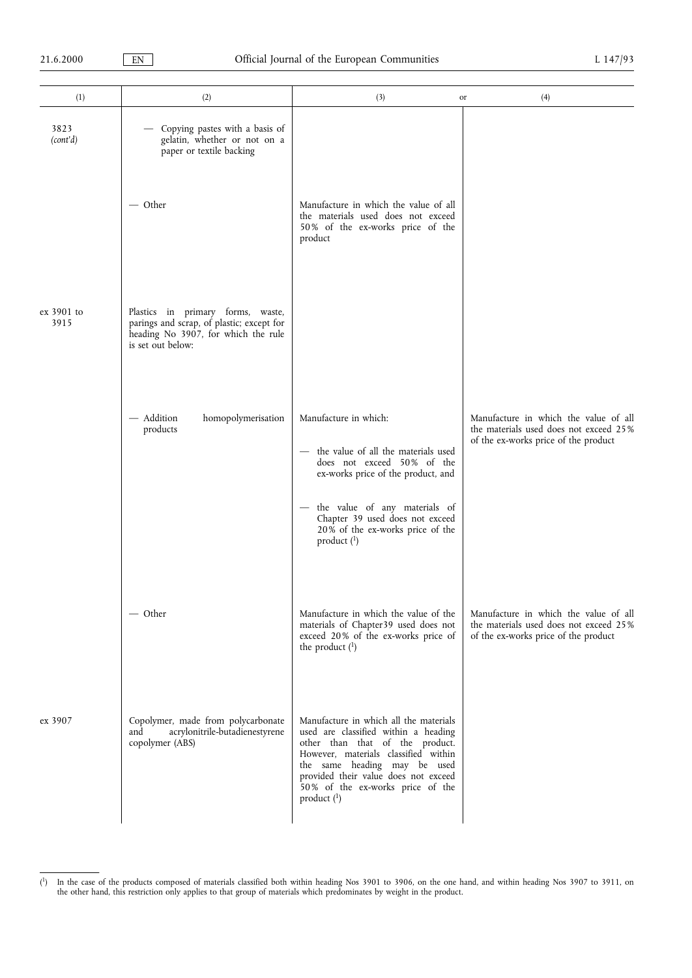| (1)                | (2)                                                                                                                                        | (3)<br>or                                                                                                                                                                                                                                                                                       | (4)                                                                                                                     |
|--------------------|--------------------------------------------------------------------------------------------------------------------------------------------|-------------------------------------------------------------------------------------------------------------------------------------------------------------------------------------------------------------------------------------------------------------------------------------------------|-------------------------------------------------------------------------------------------------------------------------|
| 3823<br>(cont'd)   | Copying pastes with a basis of<br>gelatin, whether or not on a<br>paper or textile backing                                                 |                                                                                                                                                                                                                                                                                                 |                                                                                                                         |
|                    | $-$ Other                                                                                                                                  | Manufacture in which the value of all<br>the materials used does not exceed<br>50% of the ex-works price of the<br>product                                                                                                                                                                      |                                                                                                                         |
| ex 3901 to<br>3915 | Plastics in primary forms, waste,<br>parings and scrap, of plastic; except for<br>heading No 3907, for which the rule<br>is set out below: |                                                                                                                                                                                                                                                                                                 |                                                                                                                         |
|                    | - Addition<br>homopolymerisation<br>products                                                                                               | Manufacture in which:<br>- the value of all the materials used<br>does not exceed 50% of the<br>ex-works price of the product, and<br>the value of any materials of<br>Chapter 39 used does not exceed<br>20% of the ex-works price of the<br>product $(^1)$                                    | Manufacture in which the value of all<br>the materials used does not exceed 25%<br>of the ex-works price of the product |
|                    | - Other                                                                                                                                    | Manufacture in which the value of the<br>materials of Chapter39 used does not<br>exceed 20% of the ex-works price of<br>the product $(1)$                                                                                                                                                       | Manufacture in which the value of all<br>the materials used does not exceed 25%<br>of the ex-works price of the product |
| ex 3907            | Copolymer, made from polycarbonate<br>acrylonitrile-butadienestyrene<br>and<br>copolymer (ABS)                                             | Manufacture in which all the materials<br>used are classified within a heading<br>other than that of the product.<br>However, materials classified within<br>the same heading may be used<br>provided their value does not exceed<br>50% of the ex-works price of the<br>product $\binom{1}{1}$ |                                                                                                                         |

 $\binom{1}{2}$ <sup>1</sup>) In the case of the products composed of materials classified both within heading Nos 3901 to 3906, on the one hand, and within heading Nos 3907 to 3911, on the other hand, this restriction only applies to that group of materials which predominates by weight in the product.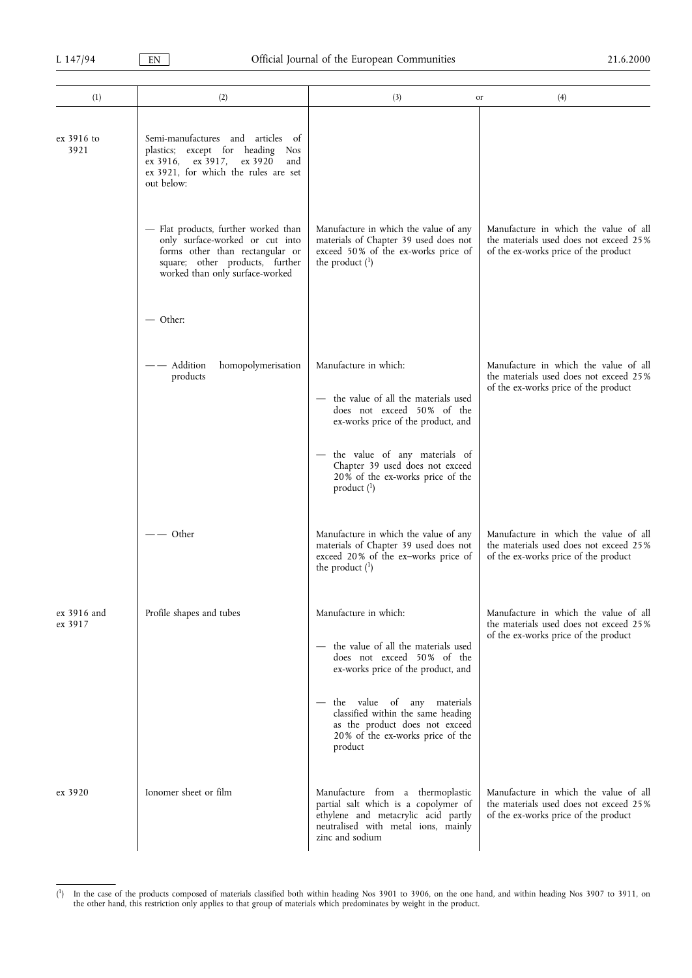| (1)                    | (2)                                                                                                                                                                              | (3)<br>or                                                                                                                                                                 | (4)                                                                                                                     |
|------------------------|----------------------------------------------------------------------------------------------------------------------------------------------------------------------------------|---------------------------------------------------------------------------------------------------------------------------------------------------------------------------|-------------------------------------------------------------------------------------------------------------------------|
| ex 3916 to<br>3921     | Semi-manufactures and articles of<br>plastics; except for heading Nos<br>ex 3916, ex 3917, ex 3920<br>and<br>ex 3921, for which the rules are set<br>out below:                  |                                                                                                                                                                           |                                                                                                                         |
|                        | - Flat products, further worked than<br>only surface-worked or cut into<br>forms other than rectangular or<br>square; other products, further<br>worked than only surface-worked | Manufacture in which the value of any<br>materials of Chapter 39 used does not<br>exceed 50% of the ex-works price of<br>the product $(1)$                                | Manufacture in which the value of all<br>the materials used does not exceed 25%<br>of the ex-works price of the product |
|                        | $-$ Other:                                                                                                                                                                       |                                                                                                                                                                           |                                                                                                                         |
|                        | Addition<br>homopolymerisation<br>products                                                                                                                                       | Manufacture in which:                                                                                                                                                     | Manufacture in which the value of all<br>the materials used does not exceed 25%                                         |
|                        |                                                                                                                                                                                  | the value of all the materials used<br>$\overline{\phantom{0}}$<br>does not exceed 50% of the<br>ex-works price of the product, and                                       | of the ex-works price of the product                                                                                    |
|                        |                                                                                                                                                                                  | - the value of any materials of<br>Chapter 39 used does not exceed<br>20% of the ex-works price of the<br>product $(^1)$                                                  |                                                                                                                         |
|                        | – Other                                                                                                                                                                          | Manufacture in which the value of any<br>materials of Chapter 39 used does not<br>exceed 20% of the ex-works price of<br>the product $(^1)$                               | Manufacture in which the value of all<br>the materials used does not exceed 25%<br>of the ex-works price of the product |
| ex 3916 and<br>ex 3917 | Profile shapes and tubes                                                                                                                                                         | Manufacture in which:                                                                                                                                                     | Manufacture in which the value of all<br>the materials used does not exceed 25%                                         |
|                        |                                                                                                                                                                                  | the value of all the materials used<br>does not exceed 50% of the<br>ex-works price of the product, and                                                                   | of the ex-works price of the product                                                                                    |
|                        |                                                                                                                                                                                  | the value of any materials<br>classified within the same heading<br>as the product does not exceed<br>20% of the ex-works price of the<br>product                         |                                                                                                                         |
| ex 3920                | Ionomer sheet or film                                                                                                                                                            | Manufacture from a thermoplastic<br>partial salt which is a copolymer of<br>ethylene and metacrylic acid partly<br>neutralised with metal ions, mainly<br>zinc and sodium | Manufacture in which the value of all<br>the materials used does not exceed 25%<br>of the ex-works price of the product |

<sup>(</sup> 1) In the case of the products composed of materials classified both within heading Nos 3901 to 3906, on the one hand, and within heading Nos 3907 to 3911, on the other hand, this restriction only applies to that group of materials which predominates by weight in the product.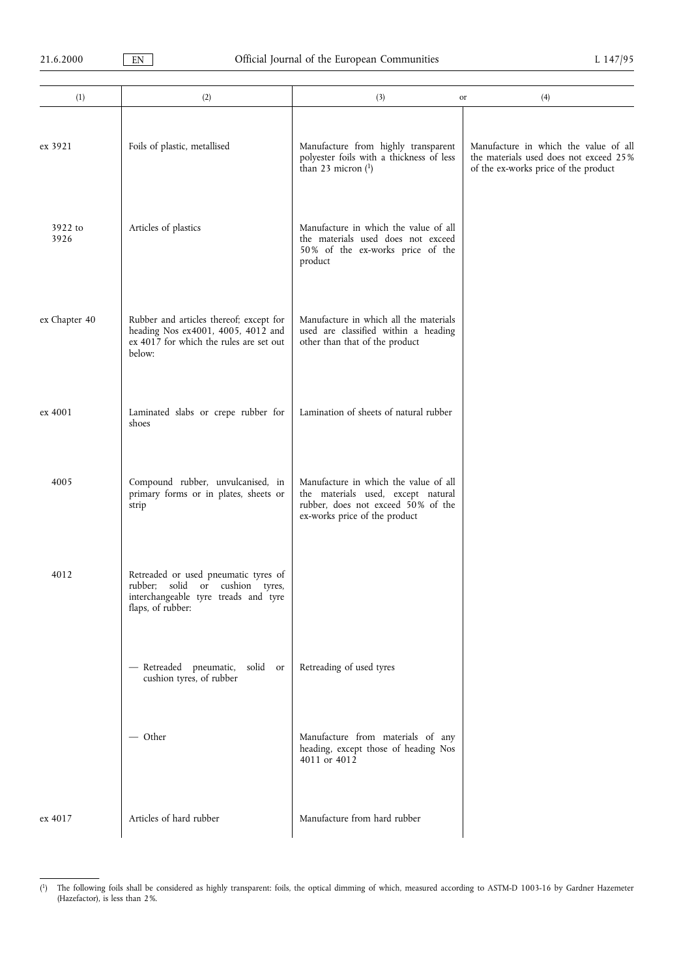| (1)             | (2)                                                                                                                                  | (3)                                                                                                                                                | (4)<br>or                                                                                                               |
|-----------------|--------------------------------------------------------------------------------------------------------------------------------------|----------------------------------------------------------------------------------------------------------------------------------------------------|-------------------------------------------------------------------------------------------------------------------------|
| ex 3921         | Foils of plastic, metallised                                                                                                         | Manufacture from highly transparent<br>polyester foils with a thickness of less<br>than 23 micron $(1)$                                            | Manufacture in which the value of all<br>the materials used does not exceed 25%<br>of the ex-works price of the product |
| 3922 to<br>3926 | Articles of plastics                                                                                                                 | Manufacture in which the value of all<br>the materials used does not exceed<br>50% of the ex-works price of the<br>product                         |                                                                                                                         |
| ex Chapter 40   | Rubber and articles thereof; except for<br>heading Nos ex4001, 4005, 4012 and<br>ex 4017 for which the rules are set out<br>below:   | Manufacture in which all the materials<br>used are classified within a heading<br>other than that of the product                                   |                                                                                                                         |
| ex 4001         | Laminated slabs or crepe rubber for<br>shoes                                                                                         | Lamination of sheets of natural rubber                                                                                                             |                                                                                                                         |
| 4005            | Compound rubber, unvulcanised, in<br>primary forms or in plates, sheets or<br>strip                                                  | Manufacture in which the value of all<br>the materials used, except natural<br>rubber, does not exceed 50% of the<br>ex-works price of the product |                                                                                                                         |
| 4012            | Retreaded or used pneumatic tyres of<br>rubber; solid or cushion tyres,<br>interchangeable tyre treads and tyre<br>flaps, of rubber: |                                                                                                                                                    |                                                                                                                         |
|                 | - Retreaded pneumatic,<br>solid or<br>cushion tyres, of rubber                                                                       | Retreading of used tyres                                                                                                                           |                                                                                                                         |
|                 | — Other                                                                                                                              | Manufacture from materials of any<br>heading, except those of heading Nos<br>4011 or 4012                                                          |                                                                                                                         |
| ex 4017         | Articles of hard rubber                                                                                                              | Manufacture from hard rubber                                                                                                                       |                                                                                                                         |

 $\binom{1}{2}$ <sup>1</sup>) The following foils shall be considered as highly transparent: foils, the optical dimming of which, measured according to ASTM-D 1003-16 by Gardner Hazemeter (Hazefactor), is less than 2%.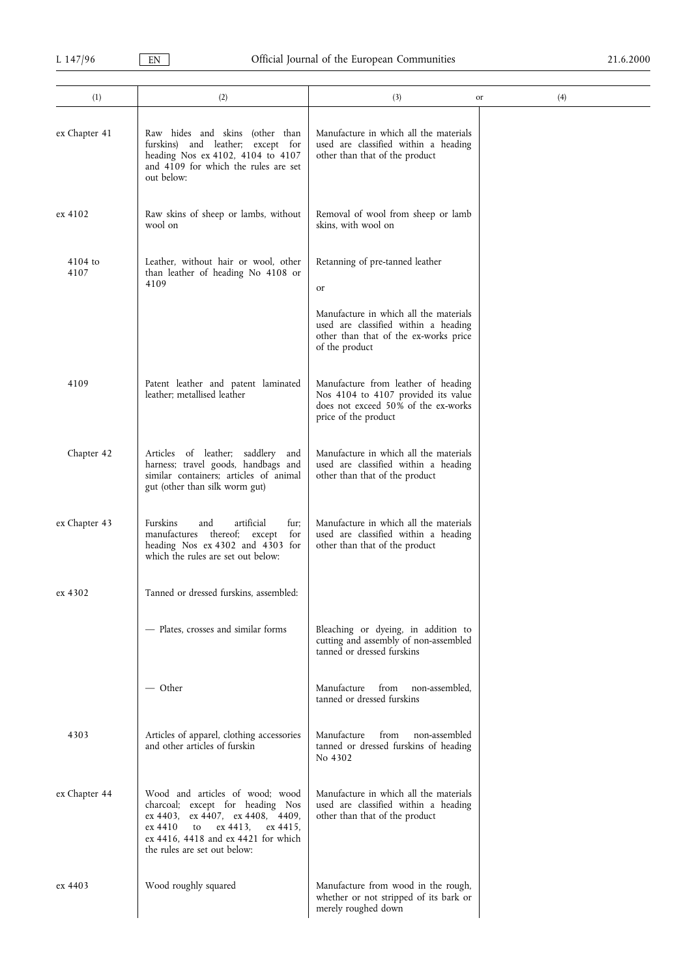| (1)               | (2)                                                                                                                                                                                                                     | (3)                                                                                                                                       | (4)<br>or |
|-------------------|-------------------------------------------------------------------------------------------------------------------------------------------------------------------------------------------------------------------------|-------------------------------------------------------------------------------------------------------------------------------------------|-----------|
| ex Chapter 41     | Raw hides and skins (other than<br>and leather; except for<br>furskins)<br>heading Nos ex 4102, 4104 to 4107<br>and 4109 for which the rules are set<br>out below:                                                      | Manufacture in which all the materials<br>used are classified within a heading<br>other than that of the product                          |           |
| ex 4102           | Raw skins of sheep or lambs, without<br>wool on                                                                                                                                                                         | Removal of wool from sheep or lamb<br>skins, with wool on                                                                                 |           |
| $4104$ to<br>4107 | Leather, without hair or wool, other<br>than leather of heading No 4108 or<br>4109                                                                                                                                      | Retanning of pre-tanned leather<br><sub>or</sub>                                                                                          |           |
|                   |                                                                                                                                                                                                                         | Manufacture in which all the materials<br>used are classified within a heading<br>other than that of the ex-works price<br>of the product |           |
| 4109              | Patent leather and patent laminated<br>leather; metallised leather                                                                                                                                                      | Manufacture from leather of heading<br>Nos 4104 to 4107 provided its value<br>does not exceed 50% of the ex-works<br>price of the product |           |
| Chapter 42        | Articles of leather; saddlery and<br>harness; travel goods, handbags and<br>similar containers; articles of animal<br>gut (other than silk worm gut)                                                                    | Manufacture in which all the materials<br>used are classified within a heading<br>other than that of the product                          |           |
| ex Chapter 43     | artificial<br>Furskins<br>fur:<br>and<br>manufactures thereof; except<br>for<br>heading Nos ex 4302 and 4303 for<br>which the rules are set out below:                                                                  | Manufacture in which all the materials<br>used are classified within a heading<br>other than that of the product                          |           |
| ex 4302           | Tanned or dressed furskins, assembled:                                                                                                                                                                                  |                                                                                                                                           |           |
|                   | - Plates, crosses and similar forms                                                                                                                                                                                     | Bleaching or dyeing, in addition to<br>cutting and assembly of non-assembled<br>tanned or dressed furskins                                |           |
|                   | — Other                                                                                                                                                                                                                 | Manufacture<br>from<br>non-assembled.<br>tanned or dressed furskins                                                                       |           |
| 4303              | Articles of apparel, clothing accessories<br>and other articles of furskin                                                                                                                                              | Manufacture<br>from<br>non-assembled<br>tanned or dressed furskins of heading<br>No 4302                                                  |           |
| ex Chapter 44     | Wood and articles of wood; wood<br>charcoal; except for heading Nos<br>ex 4403, ex 4407, ex 4408, 4409,<br>ex 4413.<br>ex 4410<br>to<br>ex 4415,<br>ex 4416, 4418 and ex 4421 for which<br>the rules are set out below: | Manufacture in which all the materials<br>used are classified within a heading<br>other than that of the product                          |           |
| ex 4403           | Wood roughly squared                                                                                                                                                                                                    | Manufacture from wood in the rough,<br>whether or not stripped of its bark or<br>merely roughed down                                      |           |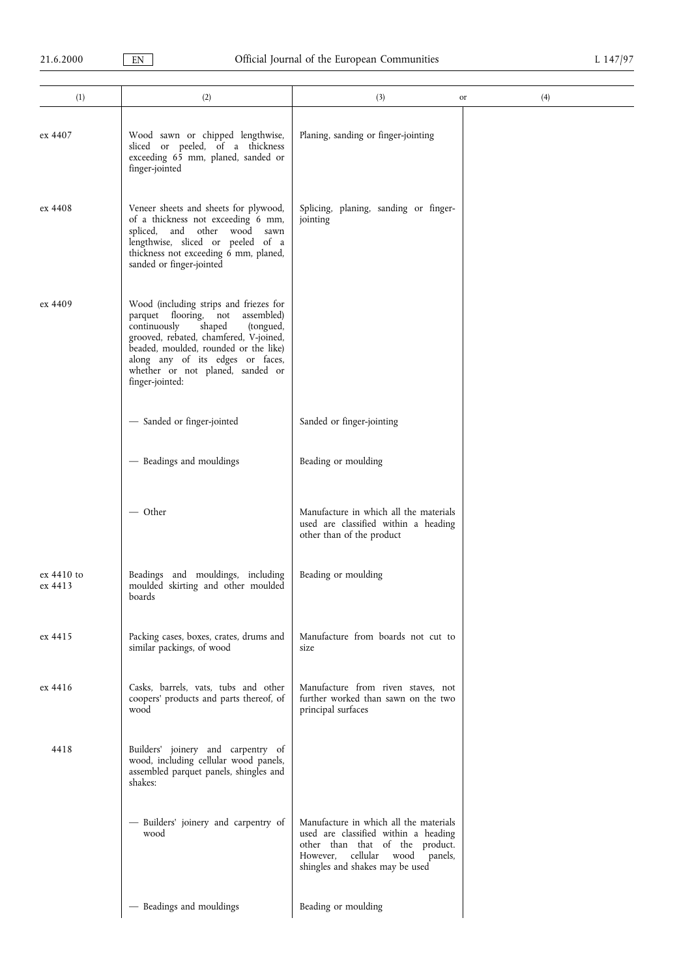| (1)                   | (2)                                                                                                                                                                                                                                                                                                | (3)                                                                                                                                                                                             | (4)<br>or |
|-----------------------|----------------------------------------------------------------------------------------------------------------------------------------------------------------------------------------------------------------------------------------------------------------------------------------------------|-------------------------------------------------------------------------------------------------------------------------------------------------------------------------------------------------|-----------|
|                       |                                                                                                                                                                                                                                                                                                    |                                                                                                                                                                                                 |           |
| ex 4407               | Wood sawn or chipped lengthwise,<br>sliced or peeled, of a thickness<br>exceeding 65 mm, planed, sanded or<br>finger-jointed                                                                                                                                                                       | Planing, sanding or finger-jointing                                                                                                                                                             |           |
| ex 4408               | Veneer sheets and sheets for plywood,<br>of a thickness not exceeding 6 mm,<br>spliced, and other wood<br>sawn<br>lengthwise, sliced or peeled of a<br>thickness not exceeding 6 mm, planed,<br>sanded or finger-jointed                                                                           | Splicing, planing, sanding or finger-<br>jointing                                                                                                                                               |           |
| ex 4409               | Wood (including strips and friezes for<br>parquet flooring, not<br>assembled)<br>continuously<br>shaped<br>(tongued,<br>grooved, rebated, chamfered, V-joined,<br>beaded, moulded, rounded or the like)<br>along any of its edges or faces,<br>whether or not planed, sanded or<br>finger-jointed: |                                                                                                                                                                                                 |           |
|                       | - Sanded or finger-jointed                                                                                                                                                                                                                                                                         | Sanded or finger-jointing                                                                                                                                                                       |           |
|                       | - Beadings and mouldings                                                                                                                                                                                                                                                                           | Beading or moulding                                                                                                                                                                             |           |
|                       | $-$ Other                                                                                                                                                                                                                                                                                          | Manufacture in which all the materials<br>used are classified within a heading<br>other than of the product                                                                                     |           |
| ex 4410 to<br>ex 4413 | Beadings and mouldings, including<br>moulded skirting and other moulded<br>boards                                                                                                                                                                                                                  | Beading or moulding                                                                                                                                                                             |           |
| ex 4415               | Packing cases, boxes, crates, drums and<br>similar packings, of wood                                                                                                                                                                                                                               | Manufacture from boards not cut to<br>size                                                                                                                                                      |           |
| ex 4416               | Casks, barrels, vats, tubs and other<br>coopers' products and parts thereof, of<br>wood                                                                                                                                                                                                            | Manufacture from riven staves, not<br>further worked than sawn on the two<br>principal surfaces                                                                                                 |           |
| 4418                  | Builders' joinery and carpentry of<br>wood, including cellular wood panels,<br>assembled parquet panels, shingles and<br>shakes:                                                                                                                                                                   |                                                                                                                                                                                                 |           |
|                       | - Builders' joinery and carpentry of<br>wood                                                                                                                                                                                                                                                       | Manufacture in which all the materials<br>used are classified within a heading<br>other than that of the product.<br>However,<br>cellular<br>wood<br>panels,<br>shingles and shakes may be used |           |
|                       | - Beadings and mouldings                                                                                                                                                                                                                                                                           | Beading or moulding                                                                                                                                                                             |           |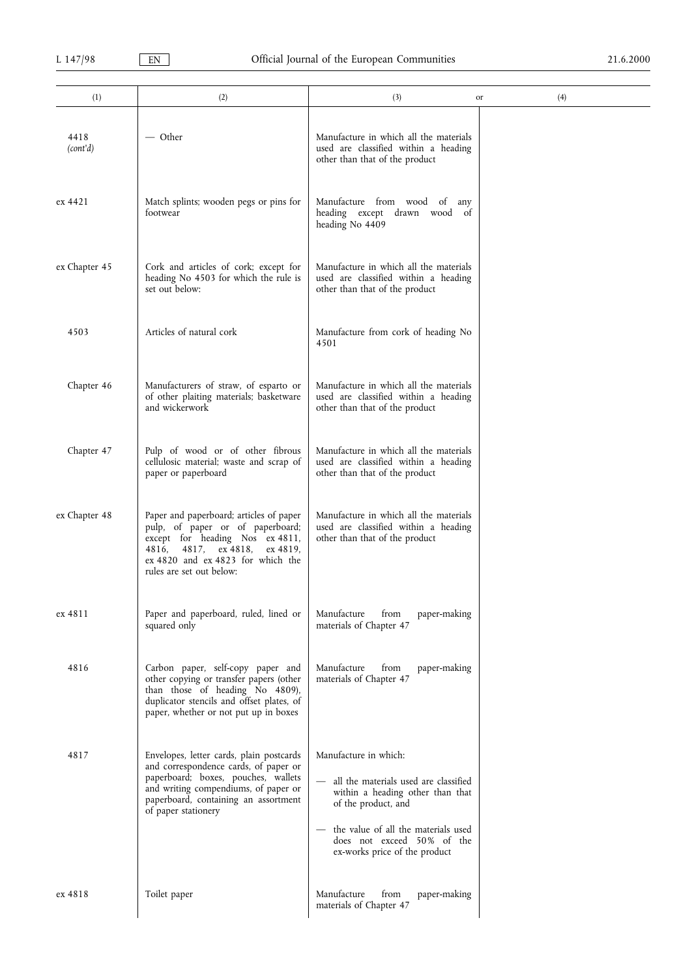| (1)              | (2)                                                                                                                                                                                                                             | (3)                                                                                                                                                                                                                             | (4)<br>or |
|------------------|---------------------------------------------------------------------------------------------------------------------------------------------------------------------------------------------------------------------------------|---------------------------------------------------------------------------------------------------------------------------------------------------------------------------------------------------------------------------------|-----------|
| 4418<br>(cont'd) | — Other                                                                                                                                                                                                                         | Manufacture in which all the materials<br>used are classified within a heading<br>other than that of the product                                                                                                                |           |
| ex 4421          | Match splints; wooden pegs or pins for<br>footwear                                                                                                                                                                              | Manufacture from wood of any<br>heading except drawn wood of<br>heading No 4409                                                                                                                                                 |           |
| ex Chapter 45    | Cork and articles of cork; except for<br>heading No 4503 for which the rule is<br>set out below:                                                                                                                                | Manufacture in which all the materials<br>used are classified within a heading<br>other than that of the product                                                                                                                |           |
| 4503             | Articles of natural cork                                                                                                                                                                                                        | Manufacture from cork of heading No<br>4501                                                                                                                                                                                     |           |
| Chapter 46       | Manufacturers of straw, of esparto or<br>of other plaiting materials; basketware<br>and wickerwork                                                                                                                              | Manufacture in which all the materials<br>used are classified within a heading<br>other than that of the product                                                                                                                |           |
| Chapter 47       | Pulp of wood or of other fibrous<br>cellulosic material; waste and scrap of<br>paper or paperboard                                                                                                                              | Manufacture in which all the materials<br>used are classified within a heading<br>other than that of the product                                                                                                                |           |
| ex Chapter 48    | Paper and paperboard; articles of paper<br>pulp, of paper or of paperboard;<br>except for heading Nos ex 4811,<br>4817, ex 4818,<br>4816,<br>ex 4819.<br>ex 4820 and ex 4823 for which the<br>rules are set out below:          | Manufacture in which all the materials<br>used are classified within a heading<br>other than that of the product                                                                                                                |           |
| ex 4811          | Paper and paperboard, ruled, lined or<br>squared only                                                                                                                                                                           | Manufacture<br>from<br>paper-making<br>materials of Chapter 47                                                                                                                                                                  |           |
| 4816             | Carbon paper, self-copy paper and<br>other copying or transfer papers (other<br>than those of heading No 4809),<br>duplicator stencils and offset plates, of<br>paper, whether or not put up in boxes                           | Manufacture<br>from<br>paper-making<br>materials of Chapter 47                                                                                                                                                                  |           |
| 4817             | Envelopes, letter cards, plain postcards<br>and correspondence cards, of paper or<br>paperboard; boxes, pouches, wallets<br>and writing compendiums, of paper or<br>paperboard, containing an assortment<br>of paper stationery | Manufacture in which:<br>all the materials used are classified<br>within a heading other than that<br>of the product, and<br>the value of all the materials used<br>does not exceed 50% of the<br>ex-works price of the product |           |
| ex 4818          | Toilet paper                                                                                                                                                                                                                    | Manufacture<br>from<br>paper-making<br>materials of Chapter 47                                                                                                                                                                  |           |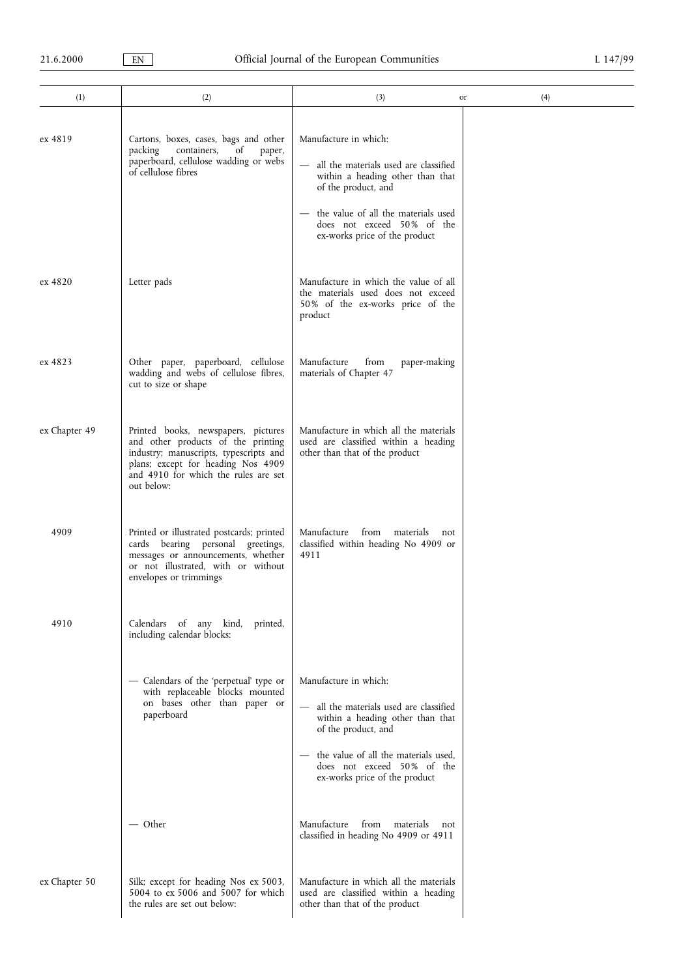| (1)           | (2)                                                                                                                                                                                                             | (3)                                                                                                                                                                                                                                                                                      | (4)<br>or |
|---------------|-----------------------------------------------------------------------------------------------------------------------------------------------------------------------------------------------------------------|------------------------------------------------------------------------------------------------------------------------------------------------------------------------------------------------------------------------------------------------------------------------------------------|-----------|
| ex 4819       | Cartons, boxes, cases, bags and other<br>of<br>packing<br>containers,<br>paper,<br>paperboard, cellulose wadding or webs<br>of cellulose fibres                                                                 | Manufacture in which:<br>all the materials used are classified<br>$\overline{\phantom{m}}$<br>within a heading other than that<br>of the product, and<br>- the value of all the materials used<br>does not exceed 50% of the<br>ex-works price of the product                            |           |
| ex 4820       | Letter pads                                                                                                                                                                                                     | Manufacture in which the value of all<br>the materials used does not exceed<br>50% of the ex-works price of the<br>product                                                                                                                                                               |           |
| ex 4823       | Other paper, paperboard, cellulose<br>wadding and webs of cellulose fibres,<br>cut to size or shape                                                                                                             | Manufacture<br>from<br>paper-making<br>materials of Chapter 47                                                                                                                                                                                                                           |           |
| ex Chapter 49 | Printed books, newspapers, pictures<br>and other products of the printing<br>industry; manuscripts, typescripts and<br>plans; except for heading Nos 4909<br>and 4910 for which the rules are set<br>out below: | Manufacture in which all the materials<br>used are classified within a heading<br>other than that of the product                                                                                                                                                                         |           |
| 4909          | Printed or illustrated postcards; printed<br>cards bearing personal greetings,<br>messages or announcements, whether<br>or not illustrated, with or without<br>envelopes or trimmings                           | Manufacture<br>from<br>materials<br>not<br>classified within heading No 4909 or<br>4911                                                                                                                                                                                                  |           |
| 4910          | Calendars of any kind,<br>printed.<br>including calendar blocks:                                                                                                                                                |                                                                                                                                                                                                                                                                                          |           |
|               | - Calendars of the 'perpetual' type or<br>with replaceable blocks mounted<br>on bases other than paper or<br>paperboard                                                                                         | Manufacture in which:<br>all the materials used are classified<br>$\overline{\phantom{0}}$<br>within a heading other than that<br>of the product, and<br>the value of all the materials used,<br>$\overline{\phantom{0}}$<br>does not exceed 50% of the<br>ex-works price of the product |           |
|               | — Other                                                                                                                                                                                                         | Manufacture from materials<br>not<br>classified in heading No 4909 or 4911                                                                                                                                                                                                               |           |
| ex Chapter 50 | Silk; except for heading Nos ex 5003,<br>5004 to ex 5006 and 5007 for which<br>the rules are set out below:                                                                                                     | Manufacture in which all the materials<br>used are classified within a heading<br>other than that of the product                                                                                                                                                                         |           |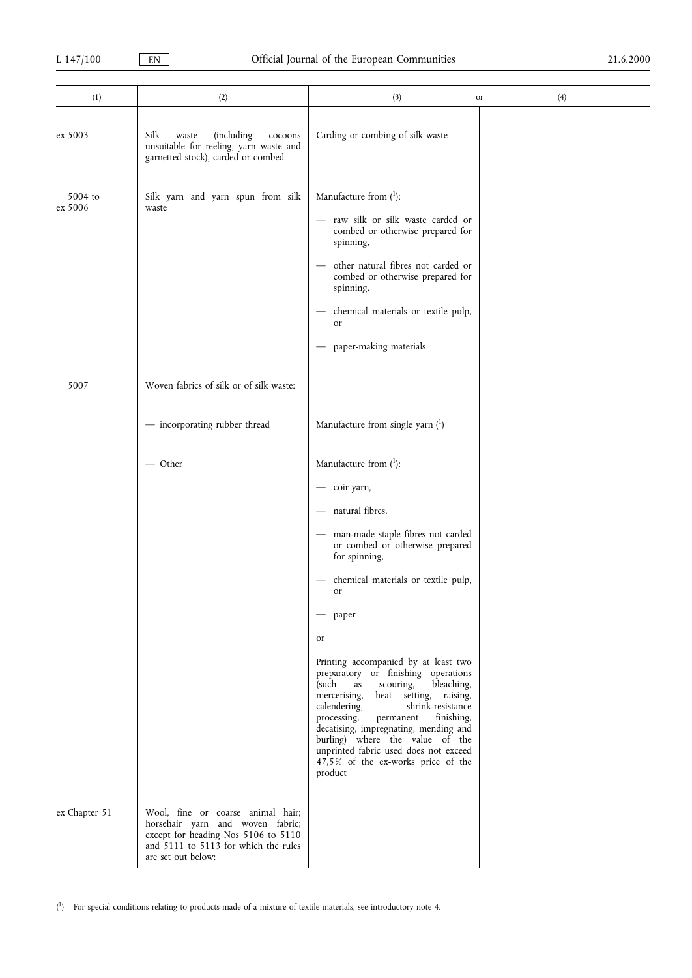| (1)                | (2)                                                                                                                                                                        | (3)                                                                                                                                                                                                                                                                                                                                                                                                                                                                                                                                                                                                                                                                                                   | (4)<br>or |
|--------------------|----------------------------------------------------------------------------------------------------------------------------------------------------------------------------|-------------------------------------------------------------------------------------------------------------------------------------------------------------------------------------------------------------------------------------------------------------------------------------------------------------------------------------------------------------------------------------------------------------------------------------------------------------------------------------------------------------------------------------------------------------------------------------------------------------------------------------------------------------------------------------------------------|-----------|
| ex 5003            | Silk<br><i>(including</i><br>waste<br>cocoons<br>unsuitable for reeling, yarn waste and<br>garnetted stock), carded or combed                                              | Carding or combing of silk waste                                                                                                                                                                                                                                                                                                                                                                                                                                                                                                                                                                                                                                                                      |           |
| 5004 to<br>ex 5006 | Silk yarn and yarn spun from silk<br>waste                                                                                                                                 | Manufacture from $(1)$ :<br>raw silk or silk waste carded or<br>combed or otherwise prepared for<br>spinning,<br>other natural fibres not carded or<br>combed or otherwise prepared for<br>spinning,<br>chemical materials or textile pulp,<br>or<br>paper-making materials                                                                                                                                                                                                                                                                                                                                                                                                                           |           |
| 5007               | Woven fabrics of silk or of silk waste:<br>- incorporating rubber thread                                                                                                   | Manufacture from single yarn (1)                                                                                                                                                                                                                                                                                                                                                                                                                                                                                                                                                                                                                                                                      |           |
|                    | $-$ Other                                                                                                                                                                  | Manufacture from $(^1)$ :<br>coir yarn,<br>natural fibres,<br>$\qquad \qquad \longleftarrow$<br>man-made staple fibres not carded<br>or combed or otherwise prepared<br>for spinning,<br>chemical materials or textile pulp,<br>or<br>paper<br>$\overline{\phantom{0}}$<br>or<br>Printing accompanied by at least two<br>preparatory or finishing operations<br>(such<br>scouring,<br>bleaching,<br>as<br>heat setting, raising,<br>mercerising,<br>calendering,<br>shrink-resistance<br>finishing,<br>processing,<br>permanent<br>decatising, impregnating, mending and<br>burling) where the value of the<br>unprinted fabric used does not exceed<br>47,5% of the ex-works price of the<br>product |           |
| ex Chapter 51      | Wool, fine or coarse animal hair;<br>horsehair yarn and woven fabric;<br>except for heading Nos 5106 to 5110<br>and 5111 to 5113 for which the rules<br>are set out below: |                                                                                                                                                                                                                                                                                                                                                                                                                                                                                                                                                                                                                                                                                                       |           |

<sup>(</sup> 1) For special conditions relating to products made of a mixture of textile materials, see introductory note 4.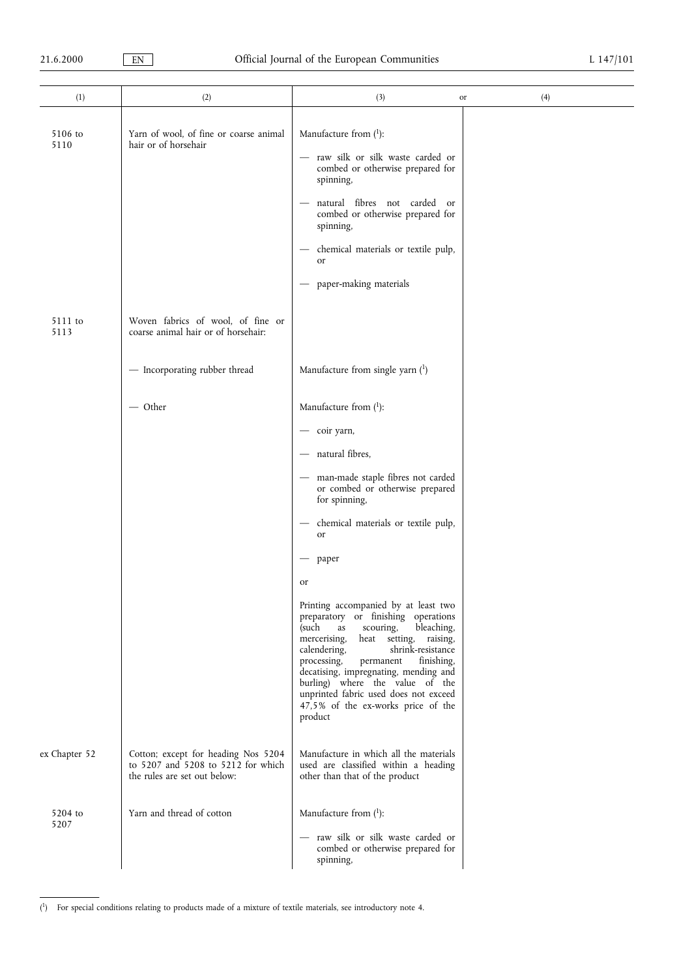| (1)             | (2)                                                                                                       | (3)<br>or                                                                                                                                                                                                                                                                                                                                                                                                            | (4) |
|-----------------|-----------------------------------------------------------------------------------------------------------|----------------------------------------------------------------------------------------------------------------------------------------------------------------------------------------------------------------------------------------------------------------------------------------------------------------------------------------------------------------------------------------------------------------------|-----|
| 5106 to<br>5110 | Yarn of wool, of fine or coarse animal<br>hair or of horsehair                                            | Manufacture from $(1)$ :<br>raw silk or silk waste carded or                                                                                                                                                                                                                                                                                                                                                         |     |
|                 |                                                                                                           | combed or otherwise prepared for<br>spinning,<br>natural fibres not carded or<br>combed or otherwise prepared for                                                                                                                                                                                                                                                                                                    |     |
|                 |                                                                                                           | spinning,<br>chemical materials or textile pulp,<br>or                                                                                                                                                                                                                                                                                                                                                               |     |
|                 |                                                                                                           | paper-making materials                                                                                                                                                                                                                                                                                                                                                                                               |     |
| 5111 to<br>5113 | Woven fabrics of wool, of fine or<br>coarse animal hair or of horsehair:                                  |                                                                                                                                                                                                                                                                                                                                                                                                                      |     |
|                 | - Incorporating rubber thread                                                                             | Manufacture from single yarn $(1)$                                                                                                                                                                                                                                                                                                                                                                                   |     |
|                 | $-$ Other                                                                                                 | Manufacture from $(1)$ :                                                                                                                                                                                                                                                                                                                                                                                             |     |
|                 |                                                                                                           | coir yarn,                                                                                                                                                                                                                                                                                                                                                                                                           |     |
|                 |                                                                                                           | natural fibres,                                                                                                                                                                                                                                                                                                                                                                                                      |     |
|                 |                                                                                                           | man-made staple fibres not carded<br>or combed or otherwise prepared<br>for spinning,                                                                                                                                                                                                                                                                                                                                |     |
|                 |                                                                                                           | chemical materials or textile pulp,<br><b>or</b>                                                                                                                                                                                                                                                                                                                                                                     |     |
|                 |                                                                                                           | paper                                                                                                                                                                                                                                                                                                                                                                                                                |     |
|                 |                                                                                                           | or                                                                                                                                                                                                                                                                                                                                                                                                                   |     |
|                 |                                                                                                           | Printing accompanied by at least two<br>preparatory or finishing operations<br>(such<br>scouring,<br>bleaching,<br>as<br>mercerising,<br>heat setting, raising,<br>calendering,<br>shrink-resistance<br>processing,<br>finishing,<br>permanent<br>decatising, impregnating, mending and<br>burling) where the value of the<br>unprinted fabric used does not exceed<br>47,5% of the ex-works price of the<br>product |     |
| ex Chapter 52   | Cotton; except for heading Nos 5204<br>to 5207 and 5208 to 5212 for which<br>the rules are set out below: | Manufacture in which all the materials<br>used are classified within a heading<br>other than that of the product                                                                                                                                                                                                                                                                                                     |     |
| 5204 to<br>5207 | Yarn and thread of cotton                                                                                 | Manufacture from $(1)$ :                                                                                                                                                                                                                                                                                                                                                                                             |     |
|                 |                                                                                                           | - raw silk or silk waste carded or<br>combed or otherwise prepared for<br>spinning,                                                                                                                                                                                                                                                                                                                                  |     |

<sup>(</sup> 1) For special conditions relating to products made of a mixture of textile materials, see introductory note 4.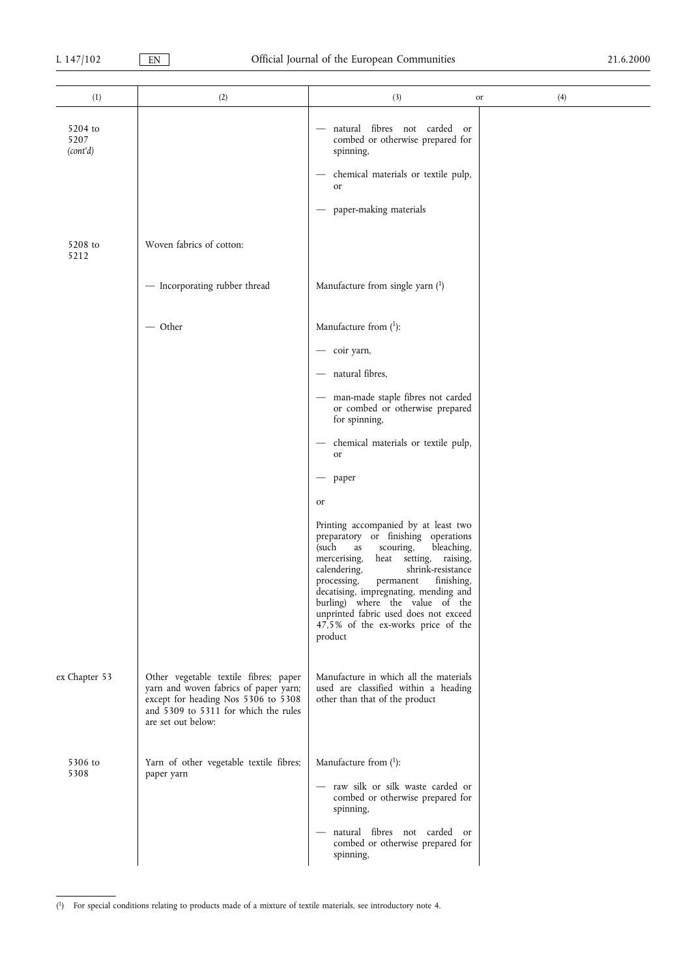| (1)                         | (2)                                                                                                                                                                                 | (3)                                                                                                                                                                                                                                                                                                                                                                                                                        | (4)<br>or |
|-----------------------------|-------------------------------------------------------------------------------------------------------------------------------------------------------------------------------------|----------------------------------------------------------------------------------------------------------------------------------------------------------------------------------------------------------------------------------------------------------------------------------------------------------------------------------------------------------------------------------------------------------------------------|-----------|
| 5204 to<br>5207<br>(cont'd) |                                                                                                                                                                                     | natural fibres not carded<br>or<br>combed or otherwise prepared for<br>spinning,<br>chemical materials or textile pulp,<br>or<br>paper-making materials                                                                                                                                                                                                                                                                    |           |
| 5208 to<br>5212             | Woven fabrics of cotton:                                                                                                                                                            |                                                                                                                                                                                                                                                                                                                                                                                                                            |           |
|                             | - Incorporating rubber thread                                                                                                                                                       | Manufacture from single yarn $(1)$                                                                                                                                                                                                                                                                                                                                                                                         |           |
|                             | $-$ Other                                                                                                                                                                           | Manufacture from $(1)$ :<br>coir yarn,<br>natural fibres,<br>man-made staple fibres not carded<br>or combed or otherwise prepared<br>for spinning,<br>chemical materials or textile pulp,<br>or<br>paper                                                                                                                                                                                                                   |           |
|                             |                                                                                                                                                                                     | or<br>Printing accompanied by at least two<br>preparatory or finishing operations<br>(such<br>scouring,<br>bleaching,<br>as<br>mercerising,<br>heat setting, raising,<br>calendering,<br>shrink-resistance<br>processing,<br>permanent<br>finishing,<br>decatising, impregnating, mending and<br>burling) where the value of the<br>unprinted fabric used does not exceed<br>47,5% of the ex-works price of the<br>product |           |
| ex Chapter 53               | Other vegetable textile fibres; paper<br>yarn and woven fabrics of paper yarn;<br>except for heading Nos 5306 to 5308<br>and 5309 to 5311 for which the rules<br>are set out below: | Manufacture in which all the materials<br>used are classified within a heading<br>other than that of the product                                                                                                                                                                                                                                                                                                           |           |
| 5306 to<br>5308             | Yarn of other vegetable textile fibres;<br>paper yarn                                                                                                                               | Manufacture from $(1)$ :<br>- raw silk or silk waste carded or<br>combed or otherwise prepared for<br>spinning,<br>natural fibres not carded or<br>combed or otherwise prepared for<br>spinning,                                                                                                                                                                                                                           |           |

<sup>(</sup> 1) For special conditions relating to products made of a mixture of textile materials, see introductory note 4.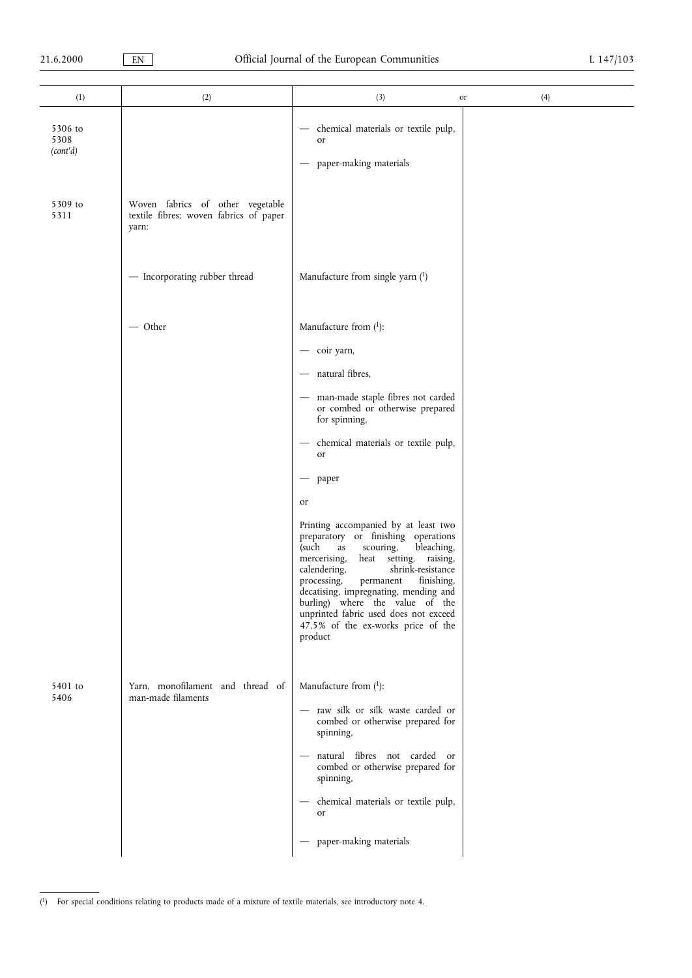| (1)                         | (2)                                                                                 | (3)<br>or                                                                                                                                                                                                                                                                                                                                                                                                                                                                                                                            | (4) |
|-----------------------------|-------------------------------------------------------------------------------------|--------------------------------------------------------------------------------------------------------------------------------------------------------------------------------------------------------------------------------------------------------------------------------------------------------------------------------------------------------------------------------------------------------------------------------------------------------------------------------------------------------------------------------------|-----|
| 5306 to<br>5308<br>(cont'd) |                                                                                     | chemical materials or textile pulp,<br>$\overbrace{\phantom{12333}}$<br>or<br>paper-making materials                                                                                                                                                                                                                                                                                                                                                                                                                                 |     |
| 5309 to<br>5311             | Woven fabrics of other vegetable<br>textile fibres; woven fabrics of paper<br>yarn: |                                                                                                                                                                                                                                                                                                                                                                                                                                                                                                                                      |     |
|                             | - Incorporating rubber thread                                                       | Manufacture from single yarn $(1)$                                                                                                                                                                                                                                                                                                                                                                                                                                                                                                   |     |
|                             | - Other                                                                             | Manufacture from $(^1)$ :<br>- coir yarn,<br>natural fibres,<br>$\overbrace{\phantom{aaaaa}}$<br>- man-made staple fibres not carded                                                                                                                                                                                                                                                                                                                                                                                                 |     |
|                             |                                                                                     | or combed or otherwise prepared<br>for spinning,<br>chemical materials or textile pulp,<br>or<br>paper<br>or<br>Printing accompanied by at least two<br>preparatory or finishing operations<br>(such<br>scouring,<br>bleaching,<br>as<br>mercerising,<br>heat setting, raising,<br>calendering,<br>shrink-resistance<br>finishing,<br>processing,<br>permanent<br>decatising, impregnating, mending and<br>burling) where the value of the<br>unprinted fabric used does not exceed<br>47,5% of the ex-works price of the<br>product |     |
| 5401 to<br>5406             | Yarn, monofilament and thread of<br>man-made filaments                              | Manufacture from $(1)$ :<br>- raw silk or silk waste carded or<br>combed or otherwise prepared for<br>spinning,<br>natural fibres not carded or<br>combed or otherwise prepared for<br>spinning,<br>chemical materials or textile pulp,<br>$\qquad \qquad -$<br>or<br>paper-making materials                                                                                                                                                                                                                                         |     |

<sup>(</sup> 1) For special conditions relating to products made of a mixture of textile materials, see introductory note 4.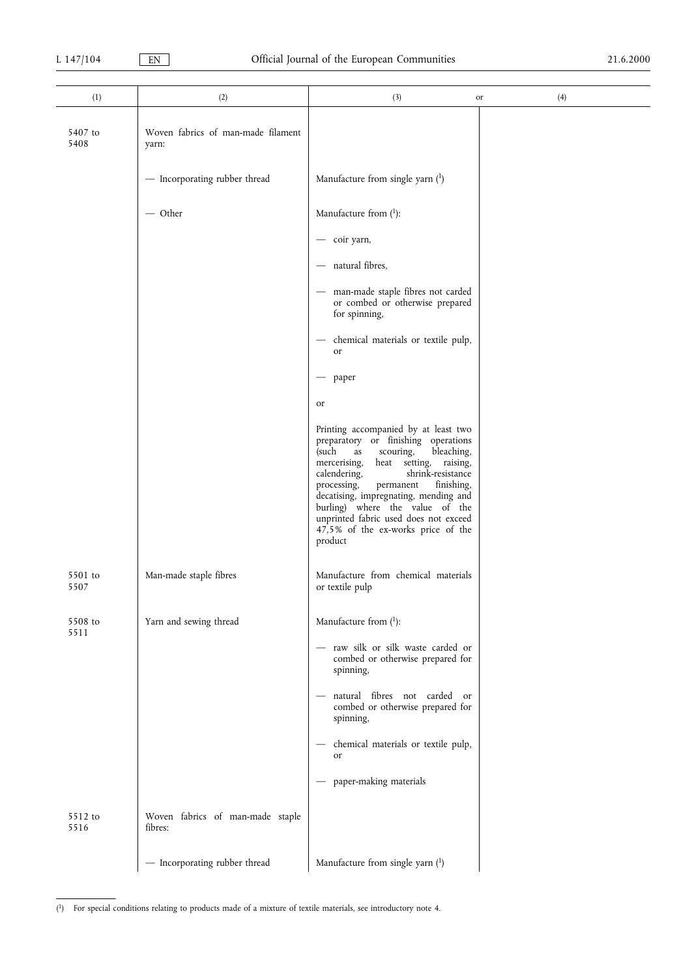| (1)             | (2)                                         | (3)                                                                                                                                                                                                                                                                                                                                                                                                                  | (4)<br>or |
|-----------------|---------------------------------------------|----------------------------------------------------------------------------------------------------------------------------------------------------------------------------------------------------------------------------------------------------------------------------------------------------------------------------------------------------------------------------------------------------------------------|-----------|
| 5407 to<br>5408 | Woven fabrics of man-made filament<br>yarn: |                                                                                                                                                                                                                                                                                                                                                                                                                      |           |
|                 | - Incorporating rubber thread               | Manufacture from single yarn $(1)$                                                                                                                                                                                                                                                                                                                                                                                   |           |
|                 | $-$ Other                                   | Manufacture from $(1)$ :                                                                                                                                                                                                                                                                                                                                                                                             |           |
|                 |                                             | - coir yarn,                                                                                                                                                                                                                                                                                                                                                                                                         |           |
|                 |                                             | - natural fibres,                                                                                                                                                                                                                                                                                                                                                                                                    |           |
|                 |                                             | - man-made staple fibres not carded<br>or combed or otherwise prepared<br>for spinning,                                                                                                                                                                                                                                                                                                                              |           |
|                 |                                             | chemical materials or textile pulp,<br>$\overline{\phantom{m}}$<br>or                                                                                                                                                                                                                                                                                                                                                |           |
|                 |                                             | paper<br>$\overline{\phantom{0}}$                                                                                                                                                                                                                                                                                                                                                                                    |           |
|                 |                                             | or                                                                                                                                                                                                                                                                                                                                                                                                                   |           |
|                 |                                             | Printing accompanied by at least two<br>preparatory or finishing operations<br>(such<br>bleaching,<br>scouring,<br>as<br>mercerising,<br>heat setting, raising,<br>shrink-resistance<br>calendering,<br>processing,<br>permanent<br>finishing,<br>decatising, impregnating, mending and<br>burling) where the value of the<br>unprinted fabric used does not exceed<br>47,5% of the ex-works price of the<br>product |           |
| 5501 to<br>5507 | Man-made staple fibres                      | Manufacture from chemical materials<br>or textile pulp                                                                                                                                                                                                                                                                                                                                                               |           |
| 5508 to<br>5511 | Yarn and sewing thread                      | Manufacture from $(^1)$ :                                                                                                                                                                                                                                                                                                                                                                                            |           |
|                 |                                             | - raw silk or silk waste carded or<br>combed or otherwise prepared for<br>spinning,                                                                                                                                                                                                                                                                                                                                  |           |
|                 |                                             | natural fibres not carded or<br>combed or otherwise prepared for<br>spinning,                                                                                                                                                                                                                                                                                                                                        |           |
|                 |                                             | chemical materials or textile pulp,<br>or                                                                                                                                                                                                                                                                                                                                                                            |           |
|                 |                                             | paper-making materials<br>$\qquad \qquad -$                                                                                                                                                                                                                                                                                                                                                                          |           |
| 5512 to<br>5516 | Woven fabrics of man-made staple<br>fibres: |                                                                                                                                                                                                                                                                                                                                                                                                                      |           |
|                 | - Incorporating rubber thread               | Manufacture from single yarn (1)                                                                                                                                                                                                                                                                                                                                                                                     |           |

( 1) For special conditions relating to products made of a mixture of textile materials, see introductory note 4.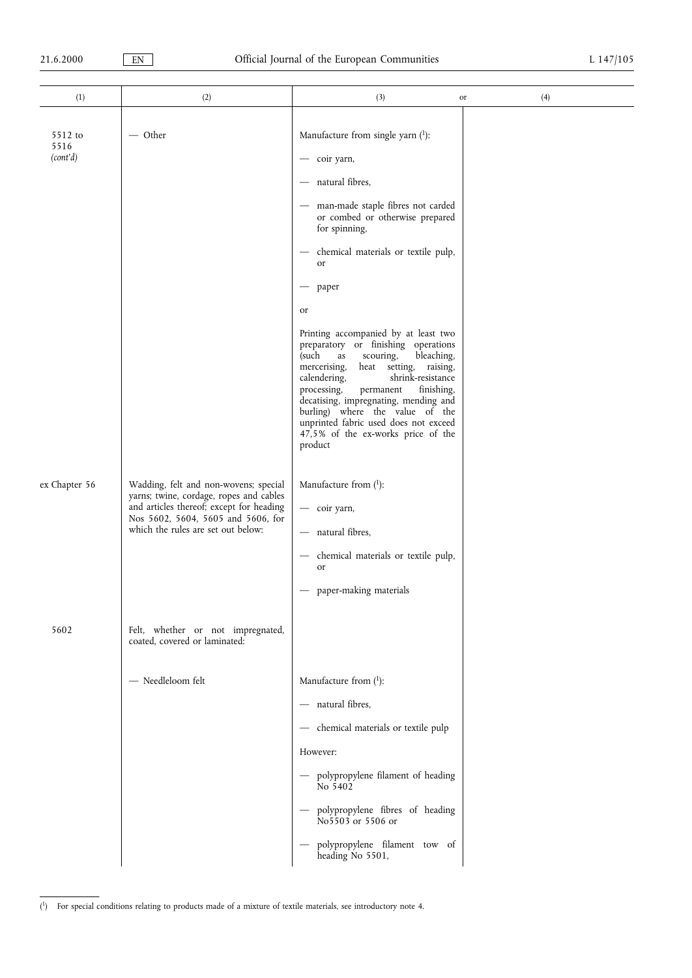$\overline{\phantom{0}}$ 

| (1)                                          | (2)                                                                                                                                                                 | (3)                                                                                                                                                                                                                                                                                                                                                                                                                                                                                                                                                                                                                                                                                                                | (4)<br>or |
|----------------------------------------------|---------------------------------------------------------------------------------------------------------------------------------------------------------------------|--------------------------------------------------------------------------------------------------------------------------------------------------------------------------------------------------------------------------------------------------------------------------------------------------------------------------------------------------------------------------------------------------------------------------------------------------------------------------------------------------------------------------------------------------------------------------------------------------------------------------------------------------------------------------------------------------------------------|-----------|
| 5512 to<br>5516<br>(cont'd)<br>ex Chapter 56 | $-$ Other<br>Wadding, felt and non-wovens; special<br>yarns; twine, cordage, ropes and cables<br>and articles thereof; except for heading                           | Manufacture from single yarn (1):<br>- coir yarn,<br>natural fibres,<br>$\qquad \qquad -$<br>man-made staple fibres not carded<br>or combed or otherwise prepared<br>for spinning,<br>chemical materials or textile pulp,<br>or<br>paper<br>or<br>Printing accompanied by at least two<br>preparatory or finishing operations<br>(such<br>bleaching,<br>scouring,<br>as<br>mercerising,<br>heat setting, raising,<br>shrink-resistance<br>calendering,<br>finishing,<br>processing,<br>permanent<br>decatising, impregnating, mending and<br>burling) where the value of the<br>unprinted fabric used does not exceed<br>47,5% of the ex-works price of the<br>product<br>Manufacture from $(1)$ :<br>- coir yarn, |           |
| 5602                                         | Nos 5602, 5604, 5605 and 5606, for<br>which the rules are set out below:<br>Felt, whether or not impregnated,<br>coated, covered or laminated:<br>- Needleloom felt | - natural fibres,<br>chemical materials or textile pulp,<br>or<br>paper-making materials<br>$\overline{\phantom{m}}$<br>Manufacture from $(1)$ :                                                                                                                                                                                                                                                                                                                                                                                                                                                                                                                                                                   |           |
|                                              |                                                                                                                                                                     | - natural fibres,<br>- chemical materials or textile pulp<br>However:<br>- polypropylene filament of heading<br>No 5402<br>- polypropylene fibres of heading<br>No 5503 or 5506 or<br>polypropylene filament tow of<br>heading No 5501,                                                                                                                                                                                                                                                                                                                                                                                                                                                                            |           |

<sup>(</sup> 1) For special conditions relating to products made of a mixture of textile materials, see introductory note 4.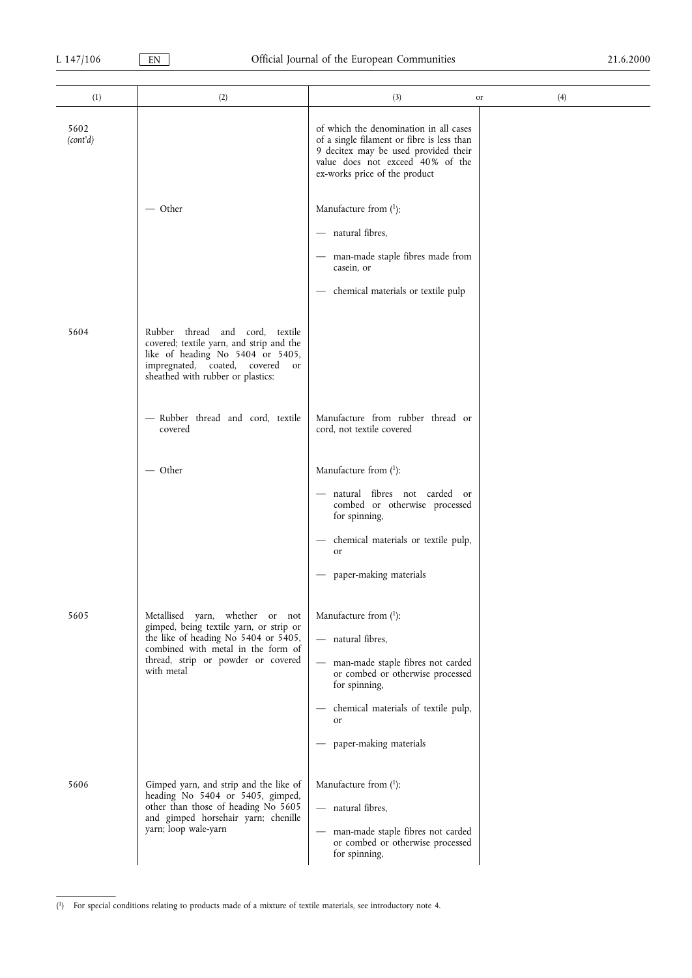| (1)              | (2)                                                                                                                                                                                                          | (3)                                                                                                                                                                                                                                        | (4)<br>or |
|------------------|--------------------------------------------------------------------------------------------------------------------------------------------------------------------------------------------------------------|--------------------------------------------------------------------------------------------------------------------------------------------------------------------------------------------------------------------------------------------|-----------|
| 5602<br>(cont'd) |                                                                                                                                                                                                              | of which the denomination in all cases<br>of a single filament or fibre is less than<br>9 decitex may be used provided their<br>value does not exceed 40% of the<br>ex-works price of the product                                          |           |
|                  | — Other                                                                                                                                                                                                      | Manufacture from $(1)$ :<br>- natural fibres,<br>- man-made staple fibres made from<br>casein, or<br>chemical materials or textile pulp<br>$\overbrace{\phantom{123331}}$                                                                  |           |
| 5604             | Rubber thread and cord, textile<br>covered; textile yarn, and strip and the<br>like of heading No 5404 or 5405,<br>impregnated, coated, covered<br><sub>or</sub><br>sheathed with rubber or plastics:        |                                                                                                                                                                                                                                            |           |
|                  | - Rubber thread and cord, textile<br>covered                                                                                                                                                                 | Manufacture from rubber thread or<br>cord, not textile covered                                                                                                                                                                             |           |
|                  | — Other                                                                                                                                                                                                      | Manufacture from $(1)$ :<br>- natural fibres not carded or<br>combed or otherwise processed<br>for spinning,<br>chemical materials or textile pulp,<br><sub>or</sub><br>paper-making materials                                             |           |
| 5605             | Metallised yarn, whether or not<br>gimped, being textile yarn, or strip or<br>the like of heading No 5404 or 5405,<br>combined with metal in the form of<br>thread, strip or powder or covered<br>with metal | Manufacture from $(1)$ :<br>- natural fibres,<br>man-made staple fibres not carded<br>$\overline{\phantom{0}}$<br>or combed or otherwise processed<br>for spinning,<br>chemical materials of textile pulp,<br>or<br>paper-making materials |           |
| 5606             | Gimped yarn, and strip and the like of<br>heading No 5404 or 5405, gimped,<br>other than those of heading No 5605<br>and gimped horsehair yarn; chenille<br>yarn; loop wale-yarn                             | Manufacture from $(1)$ :<br>- natural fibres,<br>man-made staple fibres not carded<br>$\overline{\phantom{m}}$<br>or combed or otherwise processed<br>for spinning,                                                                        |           |

<sup>(</sup> 1) For special conditions relating to products made of a mixture of textile materials, see introductory note 4.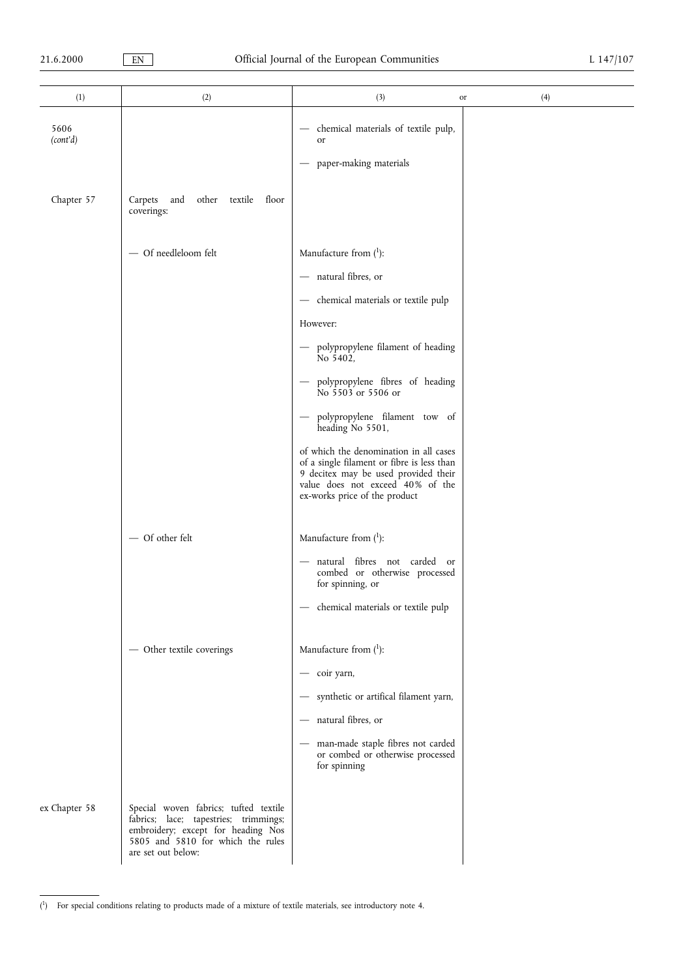| (1)              | (2)                                                                                                                                                                             | (3)<br>or                                                                                                                                                                                         | (4) |
|------------------|---------------------------------------------------------------------------------------------------------------------------------------------------------------------------------|---------------------------------------------------------------------------------------------------------------------------------------------------------------------------------------------------|-----|
| 5606<br>(cont'd) |                                                                                                                                                                                 | chemical materials of textile pulp,<br>or<br>paper-making materials                                                                                                                               |     |
|                  |                                                                                                                                                                                 |                                                                                                                                                                                                   |     |
| Chapter 57       | Carpets<br>and<br>other textile floor<br>coverings:                                                                                                                             |                                                                                                                                                                                                   |     |
|                  | - Of needleloom felt                                                                                                                                                            | Manufacture from $(1)$ :                                                                                                                                                                          |     |
|                  |                                                                                                                                                                                 | - natural fibres, or                                                                                                                                                                              |     |
|                  |                                                                                                                                                                                 | - chemical materials or textile pulp                                                                                                                                                              |     |
|                  |                                                                                                                                                                                 | However:                                                                                                                                                                                          |     |
|                  |                                                                                                                                                                                 | - polypropylene filament of heading<br>No 5402,                                                                                                                                                   |     |
|                  |                                                                                                                                                                                 | polypropylene fibres of heading<br>No 5503 or 5506 or                                                                                                                                             |     |
|                  |                                                                                                                                                                                 | polypropylene filament tow of<br>heading No 5501,                                                                                                                                                 |     |
|                  |                                                                                                                                                                                 | of which the denomination in all cases<br>of a single filament or fibre is less than<br>9 decitex may be used provided their<br>value does not exceed 40% of the<br>ex-works price of the product |     |
|                  | - Of other felt                                                                                                                                                                 | Manufacture from $(1)$ :                                                                                                                                                                          |     |
|                  |                                                                                                                                                                                 | - natural fibres not carded or<br>combed or otherwise processed<br>for spinning, or                                                                                                               |     |
|                  |                                                                                                                                                                                 | - chemical materials or textile pulp                                                                                                                                                              |     |
|                  | - Other textile coverings                                                                                                                                                       | Manufacture from $(1)$ :                                                                                                                                                                          |     |
|                  |                                                                                                                                                                                 | - coir yarn,                                                                                                                                                                                      |     |
|                  |                                                                                                                                                                                 | synthetic or artifical filament yarn,                                                                                                                                                             |     |
|                  |                                                                                                                                                                                 | natural fibres, or<br>$\hspace{0.1mm}-\hspace{0.1mm}$                                                                                                                                             |     |
|                  |                                                                                                                                                                                 | man-made staple fibres not carded<br>or combed or otherwise processed<br>for spinning                                                                                                             |     |
| ex Chapter 58    | Special woven fabrics; tufted textile<br>fabrics; lace; tapestries; trimmings;<br>embroidery; except for heading Nos<br>5805 and 5810 for which the rules<br>are set out below: |                                                                                                                                                                                                   |     |

<sup>(</sup> 1) For special conditions relating to products made of a mixture of textile materials, see introductory note 4.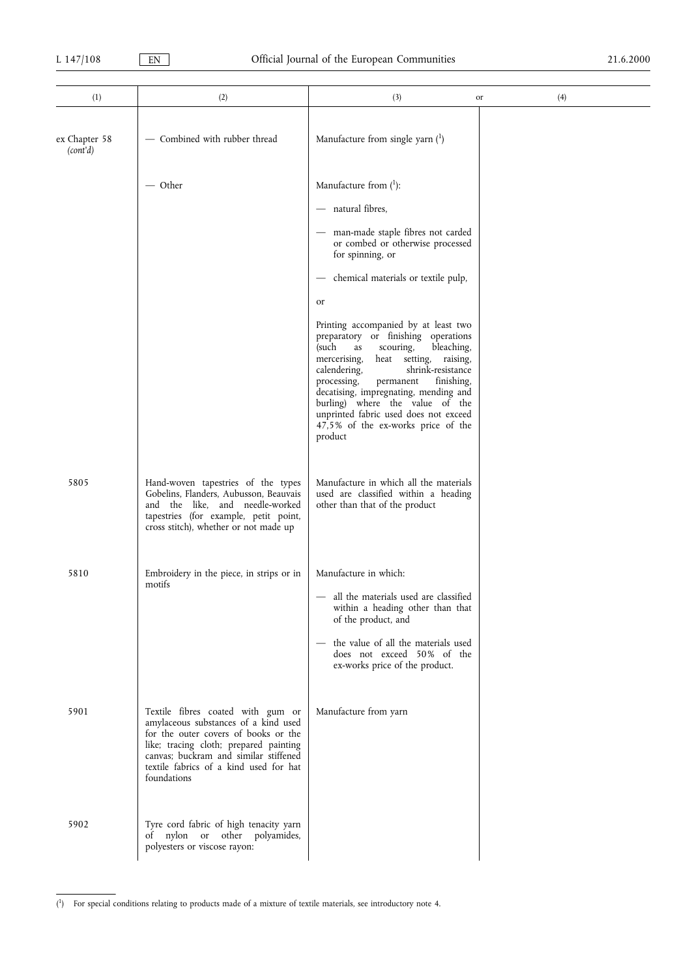÷.

| (1)                       | (2)                                                                                                                                                                                                                                                           | (3)                                                                                                                                                                                                                                                                                                                                                                                                                     | (4)<br>or |
|---------------------------|---------------------------------------------------------------------------------------------------------------------------------------------------------------------------------------------------------------------------------------------------------------|-------------------------------------------------------------------------------------------------------------------------------------------------------------------------------------------------------------------------------------------------------------------------------------------------------------------------------------------------------------------------------------------------------------------------|-----------|
| ex Chapter 58<br>(cont'd) | - Combined with rubber thread                                                                                                                                                                                                                                 | Manufacture from single yarn $(1)$                                                                                                                                                                                                                                                                                                                                                                                      |           |
|                           | — Other                                                                                                                                                                                                                                                       | Manufacture from $(1)$ :                                                                                                                                                                                                                                                                                                                                                                                                |           |
|                           |                                                                                                                                                                                                                                                               | - natural fibres,                                                                                                                                                                                                                                                                                                                                                                                                       |           |
|                           |                                                                                                                                                                                                                                                               | man-made staple fibres not carded<br>or combed or otherwise processed<br>for spinning, or                                                                                                                                                                                                                                                                                                                               |           |
|                           |                                                                                                                                                                                                                                                               | chemical materials or textile pulp,<br>$\qquad \qquad -$                                                                                                                                                                                                                                                                                                                                                                |           |
|                           |                                                                                                                                                                                                                                                               | or                                                                                                                                                                                                                                                                                                                                                                                                                      |           |
|                           |                                                                                                                                                                                                                                                               | Printing accompanied by at least two<br>preparatory or finishing operations<br>(such<br>bleaching,<br>scouring,<br>as<br>mercerising,<br>heat<br>setting, raising,<br>shrink-resistance<br>calendering,<br>processing,<br>finishing,<br>permanent<br>decatising, impregnating, mending and<br>burling) where the value of the<br>unprinted fabric used does not exceed<br>47,5% of the ex-works price of the<br>product |           |
| 5805                      | Hand-woven tapestries of the types<br>Gobelins, Flanders, Aubusson, Beauvais<br>and the like, and needle-worked<br>tapestries (for example, petit point,<br>cross stitch), whether or not made up                                                             | Manufacture in which all the materials<br>used are classified within a heading<br>other than that of the product                                                                                                                                                                                                                                                                                                        |           |
| 5810                      | Embroidery in the piece, in strips or in                                                                                                                                                                                                                      | Manufacture in which:                                                                                                                                                                                                                                                                                                                                                                                                   |           |
|                           | motifs                                                                                                                                                                                                                                                        | - all the materials used are classified<br>within a heading other than that<br>of the product, and                                                                                                                                                                                                                                                                                                                      |           |
|                           |                                                                                                                                                                                                                                                               | the value of all the materials used<br>does not exceed 50% of the<br>ex-works price of the product.                                                                                                                                                                                                                                                                                                                     |           |
| 5901                      | Textile fibres coated with gum or<br>amylaceous substances of a kind used<br>for the outer covers of books or the<br>like; tracing cloth; prepared painting<br>canvas; buckram and similar stiffened<br>textile fabrics of a kind used for hat<br>foundations | Manufacture from yarn                                                                                                                                                                                                                                                                                                                                                                                                   |           |
| 5902                      | Tyre cord fabric of high tenacity yarn<br>of nylon or other polyamides,<br>polyesters or viscose rayon:                                                                                                                                                       |                                                                                                                                                                                                                                                                                                                                                                                                                         |           |

<sup>(</sup> 1) For special conditions relating to products made of a mixture of textile materials, see introductory note 4.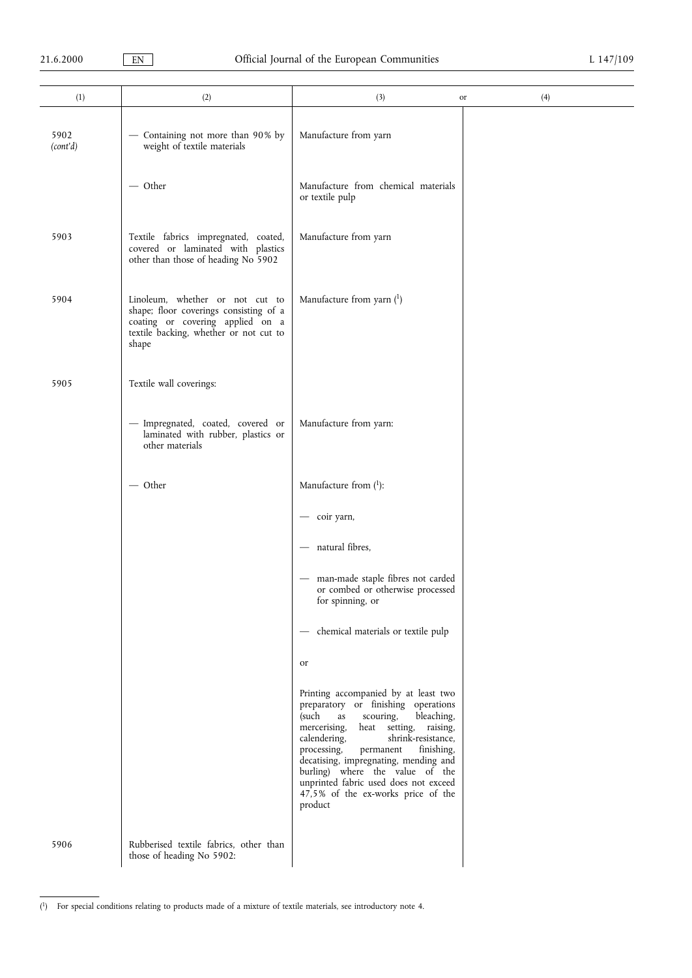| (1)              | (2)                                                                                                                                                              | (3)<br>or                                                                                                                                                                                                                                                                                                                                                                                                             | (4) |
|------------------|------------------------------------------------------------------------------------------------------------------------------------------------------------------|-----------------------------------------------------------------------------------------------------------------------------------------------------------------------------------------------------------------------------------------------------------------------------------------------------------------------------------------------------------------------------------------------------------------------|-----|
| 5902<br>(cont'd) | - Containing not more than 90% by<br>weight of textile materials                                                                                                 | Manufacture from yarn                                                                                                                                                                                                                                                                                                                                                                                                 |     |
|                  | $-$ Other                                                                                                                                                        | Manufacture from chemical materials<br>or textile pulp                                                                                                                                                                                                                                                                                                                                                                |     |
| 5903             | Textile fabrics impregnated, coated,<br>covered or laminated with plastics<br>other than those of heading No 5902                                                | Manufacture from yarn                                                                                                                                                                                                                                                                                                                                                                                                 |     |
| 5904             | Linoleum, whether or not cut to<br>shape; floor coverings consisting of a<br>coating or covering applied on a<br>textile backing, whether or not cut to<br>shape | Manufacture from yarn $(1)$                                                                                                                                                                                                                                                                                                                                                                                           |     |
| 5905             | Textile wall coverings:                                                                                                                                          |                                                                                                                                                                                                                                                                                                                                                                                                                       |     |
|                  | - Impregnated, coated, covered or<br>laminated with rubber, plastics or<br>other materials                                                                       | Manufacture from yarn:                                                                                                                                                                                                                                                                                                                                                                                                |     |
|                  | $-$ Other                                                                                                                                                        | Manufacture from $(1)$ :                                                                                                                                                                                                                                                                                                                                                                                              |     |
|                  |                                                                                                                                                                  | - coir yarn,                                                                                                                                                                                                                                                                                                                                                                                                          |     |
|                  |                                                                                                                                                                  | - natural fibres,                                                                                                                                                                                                                                                                                                                                                                                                     |     |
|                  |                                                                                                                                                                  | man-made staple fibres not carded<br>$\overbrace{\phantom{13333}}$<br>or combed or otherwise processed<br>for spinning, or                                                                                                                                                                                                                                                                                            |     |
|                  |                                                                                                                                                                  | - chemical materials or textile pulp                                                                                                                                                                                                                                                                                                                                                                                  |     |
|                  |                                                                                                                                                                  | or                                                                                                                                                                                                                                                                                                                                                                                                                    |     |
|                  |                                                                                                                                                                  | Printing accompanied by at least two<br>preparatory or finishing operations<br>(such<br>scouring,<br>bleaching,<br>as<br>mercerising,<br>heat setting, raising,<br>shrink-resistance,<br>calendering,<br>processing,<br>permanent<br>finishing,<br>decatising, impregnating, mending and<br>burling) where the value of the<br>unprinted fabric used does not exceed<br>47,5% of the ex-works price of the<br>product |     |
| 5906             | Rubberised textile fabrics, other than<br>those of heading No 5902:                                                                                              |                                                                                                                                                                                                                                                                                                                                                                                                                       |     |

<sup>(</sup> 1) For special conditions relating to products made of a mixture of textile materials, see introductory note 4.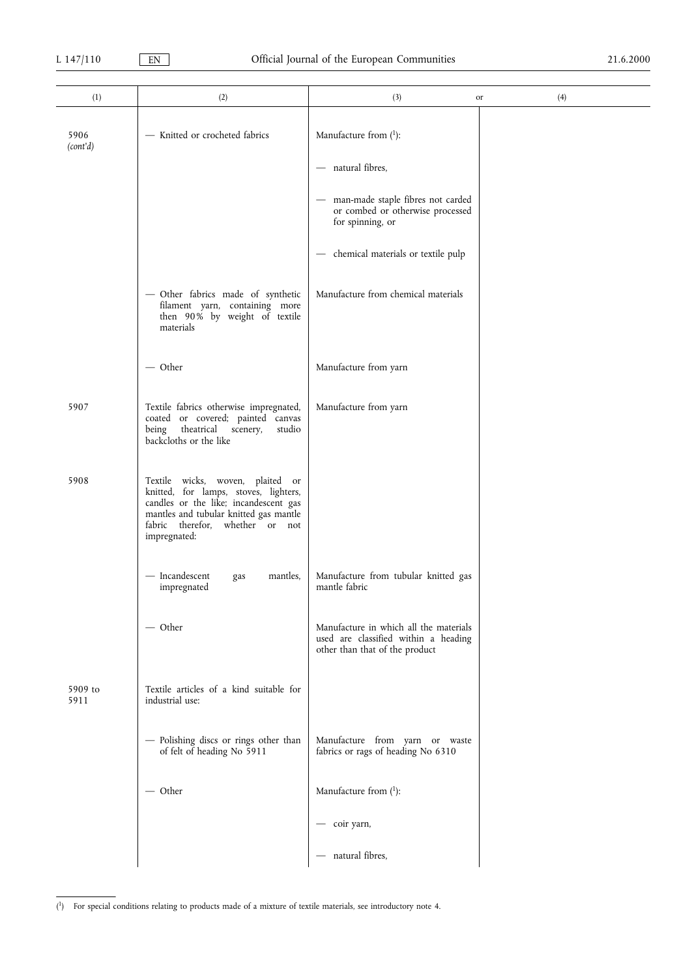| (1)              | (2)                                                                                                                                                                                                             | (3)                                                                                                              | (4)<br>or |
|------------------|-----------------------------------------------------------------------------------------------------------------------------------------------------------------------------------------------------------------|------------------------------------------------------------------------------------------------------------------|-----------|
| 5906<br>(cont'd) | - Knitted or crocheted fabrics                                                                                                                                                                                  | Manufacture from $(1)$ :                                                                                         |           |
|                  |                                                                                                                                                                                                                 | - natural fibres,                                                                                                |           |
|                  |                                                                                                                                                                                                                 | man-made staple fibres not carded<br>or combed or otherwise processed<br>for spinning, or                        |           |
|                  |                                                                                                                                                                                                                 | chemical materials or textile pulp                                                                               |           |
|                  | - Other fabrics made of synthetic<br>filament yarn, containing more<br>then 90% by weight of textile<br>materials                                                                                               | Manufacture from chemical materials                                                                              |           |
|                  | $-$ Other                                                                                                                                                                                                       | Manufacture from yarn                                                                                            |           |
| 5907             | Textile fabrics otherwise impregnated,<br>coated or covered; painted canvas<br>theatrical<br>being<br>scenery,<br>studio<br>backcloths or the like                                                              | Manufacture from yarn                                                                                            |           |
| 5908             | Textile wicks, woven, plaited or<br>knitted, for lamps, stoves, lighters,<br>candles or the like; incandescent gas<br>mantles and tubular knitted gas mantle<br>fabric therefor, whether or not<br>impregnated: |                                                                                                                  |           |
|                  | - Incandescent<br>mantles,<br>gas<br>impregnated                                                                                                                                                                | Manufacture from tubular knitted gas<br>mantle fabric                                                            |           |
|                  | — Other                                                                                                                                                                                                         | Manufacture in which all the materials<br>used are classified within a heading<br>other than that of the product |           |
| 5909 to<br>5911  | Textile articles of a kind suitable for<br>industrial use:                                                                                                                                                      |                                                                                                                  |           |
|                  | - Polishing discs or rings other than<br>of felt of heading No 5911                                                                                                                                             | Manufacture from yarn or waste<br>fabrics or rags of heading No 6310                                             |           |
|                  | $-$ Other                                                                                                                                                                                                       | Manufacture from $(1)$ :                                                                                         |           |
|                  |                                                                                                                                                                                                                 | coir yarn,                                                                                                       |           |
|                  |                                                                                                                                                                                                                 | natural fibres,<br>$\overline{\phantom{m}}$                                                                      |           |

<sup>(</sup> 1) For special conditions relating to products made of a mixture of textile materials, see introductory note 4.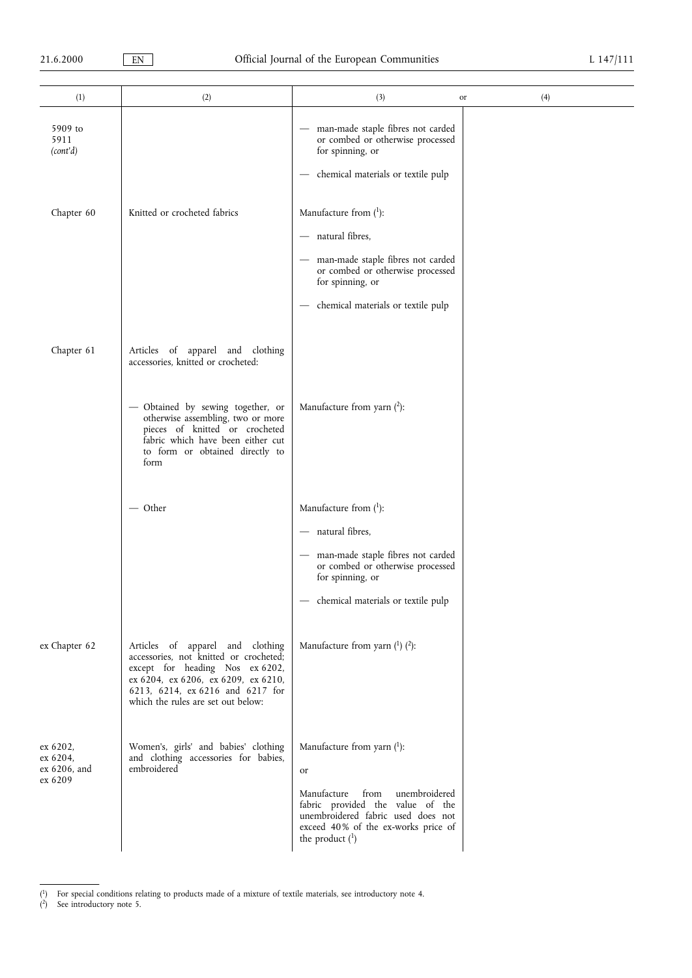| (1)                                             | (2)                                                                                                                                                                                                                                                                | (3)                                                                                                                                                                                                               | (4)<br>or |
|-------------------------------------------------|--------------------------------------------------------------------------------------------------------------------------------------------------------------------------------------------------------------------------------------------------------------------|-------------------------------------------------------------------------------------------------------------------------------------------------------------------------------------------------------------------|-----------|
| 5909 to<br>5911<br>(cont'd)                     |                                                                                                                                                                                                                                                                    | man-made staple fibres not carded<br>$\qquad \qquad -$<br>or combed or otherwise processed<br>for spinning, or<br>chemical materials or textile pulp                                                              |           |
| Chapter 60                                      | Knitted or crocheted fabrics                                                                                                                                                                                                                                       | Manufacture from $(1)$ :<br>- natural fibres,<br>man-made staple fibres not carded<br>or combed or otherwise processed<br>for spinning, or<br>chemical materials or textile pulp                                  |           |
| Chapter 61                                      | Articles of apparel and clothing<br>accessories, knitted or crocheted:<br>- Obtained by sewing together, or<br>otherwise assembling, two or more<br>pieces of knitted or crocheted<br>fabric which have been either cut<br>to form or obtained directly to<br>form | Manufacture from yarn $(2)$ :                                                                                                                                                                                     |           |
|                                                 | — Other                                                                                                                                                                                                                                                            | Manufacture from $(1)$ :<br>- natural fibres,<br>- man-made staple fibres not carded<br>or combed or otherwise processed<br>for spinning, or<br>chemical materials or textile pulp                                |           |
| ex Chapter 62                                   | Articles of apparel and clothing<br>accessories, not knitted or crocheted;<br>except for heading Nos ex 6202,<br>ex 6204, ex 6206, ex 6209, ex 6210,<br>6213, 6214, ex 6216 and 6217 for<br>which the rules are set out below:                                     | Manufacture from yarn $(1)$ $(2)$ :                                                                                                                                                                               |           |
| ex 6202,<br>ex 6204,<br>ex 6206, and<br>ex 6209 | Women's, girls' and babies' clothing<br>and clothing accessories for babies,<br>embroidered                                                                                                                                                                        | Manufacture from yarn $(1)$ :<br>or<br>Manufacture<br>from<br>unembroidered<br>fabric provided the value of the<br>unembroidered fabric used does not<br>exceed 40% of the ex-works price of<br>the product $(1)$ |           |

<sup>(</sup> <sup>1</sup>) For special conditions relating to products made of a mixture of textile materials, see introductory note 4.

( 2) See introductory note 5.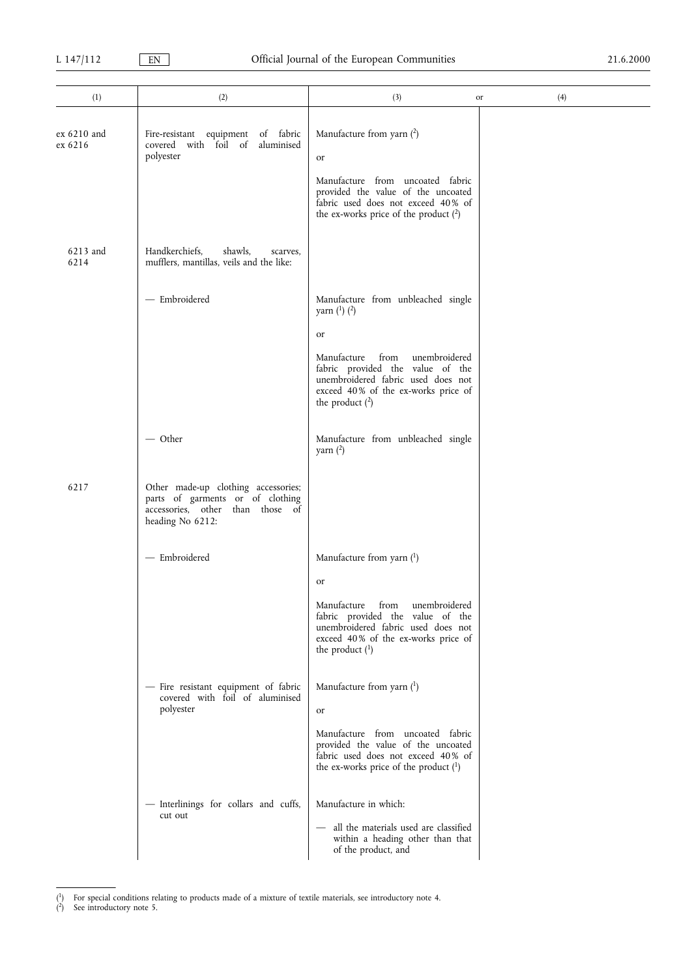| (1)                      | (2)                                                                                                                             | (3)                                                                                                                                                                                                                                              | (4)<br>or |
|--------------------------|---------------------------------------------------------------------------------------------------------------------------------|--------------------------------------------------------------------------------------------------------------------------------------------------------------------------------------------------------------------------------------------------|-----------|
| $ex~6210$ and<br>ex 6216 | of fabric<br>Fire-resistant equipment<br>covered with foil of<br>aluminised<br>polyester                                        | Manufacture from yarn $(2)$<br>or<br>Manufacture from uncoated fabric<br>provided the value of the uncoated<br>fabric used does not exceed 40% of<br>the ex-works price of the product $(2)$                                                     |           |
| 6213 and<br>6214         | Handkerchiefs.<br>shawls,<br>scarves,<br>mufflers, mantillas, veils and the like:                                               |                                                                                                                                                                                                                                                  |           |
|                          | - Embroidered                                                                                                                   | Manufacture from unbleached single<br>yarn $(^{1})$ $(^{2})$<br>or<br>Manufacture<br>from<br>unembroidered<br>fabric provided the value of the<br>unembroidered fabric used does not<br>exceed 40% of the ex-works price of<br>the product $(2)$ |           |
|                          | $-$ Other                                                                                                                       | Manufacture from unbleached single<br>yarn $(2)$                                                                                                                                                                                                 |           |
| 6217                     | Other made-up clothing accessories;<br>parts of garments or of clothing<br>accessories, other than those of<br>heading No 6212: |                                                                                                                                                                                                                                                  |           |
|                          | - Embroidered                                                                                                                   | Manufacture from yarn $(1)$<br>or<br>Manufacture from<br>unembroidered<br>fabric provided the value of the<br>unembroidered fabric used does not<br>exceed 40% of the ex-works price of<br>the product $(1)$                                     |           |
|                          | - Fire resistant equipment of fabric<br>covered with foil of aluminised<br>polyester                                            | Manufacture from yarn $(^1)$<br>or<br>Manufacture from uncoated fabric<br>provided the value of the uncoated<br>fabric used does not exceed 40% of<br>the ex-works price of the product $(1)$                                                    |           |
|                          | - Interlinings for collars and cuffs,<br>cut out                                                                                | Manufacture in which:<br>- all the materials used are classified<br>within a heading other than that<br>of the product, and                                                                                                                      |           |

<sup>(</sup> 1) For special conditions relating to products made of a mixture of textile materials, see introductory note 4.

<sup>(</sup> 2) See introductory note 5.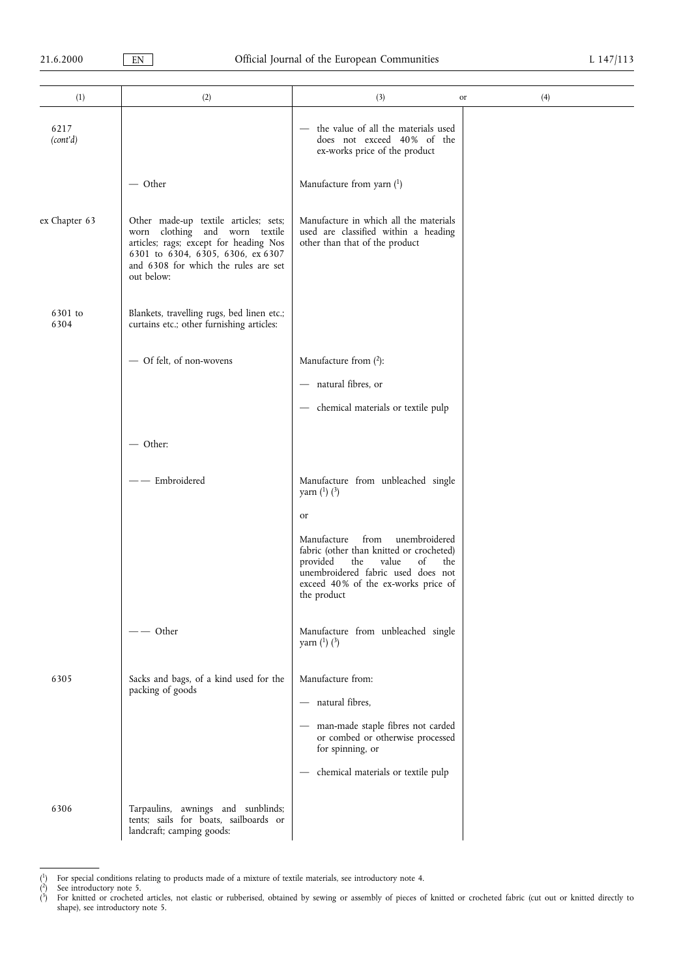| (1)              | (2)                                                                                                                                                                                                          | (3)                                                                                                                                                                                                                                    | (4)<br>or |
|------------------|--------------------------------------------------------------------------------------------------------------------------------------------------------------------------------------------------------------|----------------------------------------------------------------------------------------------------------------------------------------------------------------------------------------------------------------------------------------|-----------|
| 6217<br>(cont'd) |                                                                                                                                                                                                              | - the value of all the materials used<br>does not exceed 40% of the<br>ex-works price of the product                                                                                                                                   |           |
|                  | — Other                                                                                                                                                                                                      | Manufacture from yarn $(1)$                                                                                                                                                                                                            |           |
| ex Chapter 63    | Other made-up textile articles; sets;<br>worn clothing and worn textile<br>articles; rags; except for heading Nos<br>6301 to 6304, 6305, 6306, ex 6307<br>and 6308 for which the rules are set<br>out below: | Manufacture in which all the materials<br>used are classified within a heading<br>other than that of the product                                                                                                                       |           |
| 6301 to<br>6304  | Blankets, travelling rugs, bed linen etc.;<br>curtains etc.; other furnishing articles:                                                                                                                      |                                                                                                                                                                                                                                        |           |
|                  | - Of felt, of non-wovens                                                                                                                                                                                     | Manufacture from $(^{2})$ :<br>- natural fibres, or<br>- chemical materials or textile pulp                                                                                                                                            |           |
|                  | $-$ Other:                                                                                                                                                                                                   |                                                                                                                                                                                                                                        |           |
|                  | - Embroidered                                                                                                                                                                                                | Manufacture from unbleached single<br>yarn $(^{1})$ $(^{3})$                                                                                                                                                                           |           |
|                  |                                                                                                                                                                                                              | <sub>or</sub><br>Manufacture<br>from<br>unembroidered<br>fabric (other than knitted or crocheted)<br>provided<br>value<br>of<br>the<br>the<br>unembroidered fabric used does not<br>exceed 40% of the ex-works price of<br>the product |           |
|                  | - Other                                                                                                                                                                                                      | Manufacture from unbleached single<br>yarn $(^{1})$ $(^{3})$                                                                                                                                                                           |           |
| 6305             | Sacks and bags, of a kind used for the<br>packing of goods                                                                                                                                                   | Manufacture from:<br>natural fibres,<br>man-made staple fibres not carded<br>or combed or otherwise processed<br>for spinning, or<br>chemical materials or textile pulp                                                                |           |
| 6306             | Tarpaulins, awnings and sunblinds;<br>tents; sails for boats, sailboards or<br>landcraft; camping goods:                                                                                                     |                                                                                                                                                                                                                                        |           |

<sup>(</sup> <sup>1</sup>) For special conditions relating to products made of a mixture of textile materials, see introductory note 4.

<sup>(</sup> 2) See introductory note 5.

<sup>(</sup> 3) For knitted or crocheted articles, not elastic or rubberised, obtained by sewing or assembly of pieces of knitted or crocheted fabric (cut out or knitted directly to shape), see introductory note 5.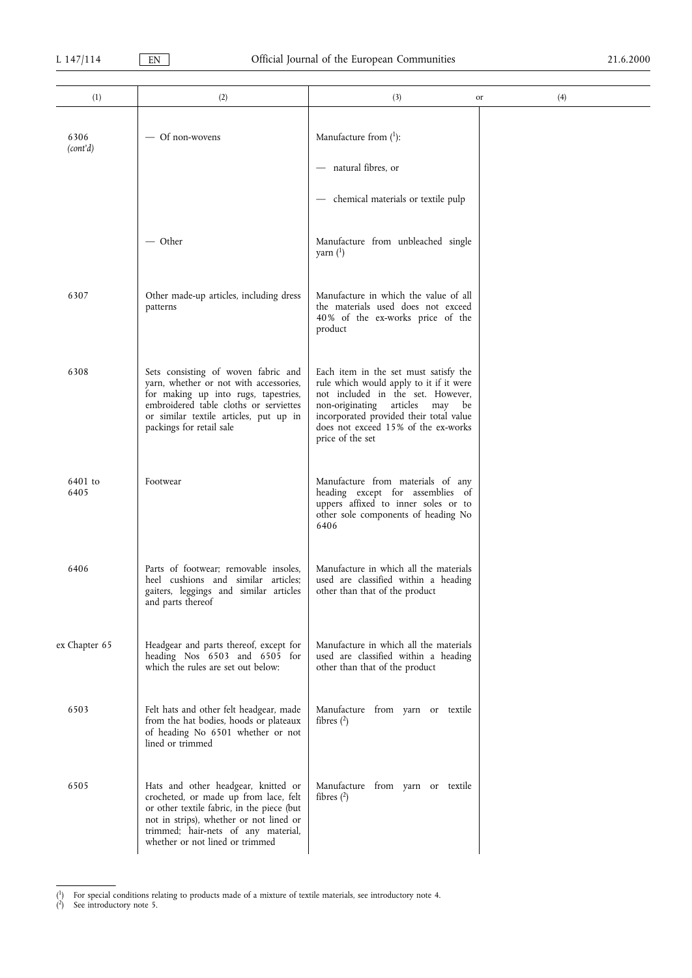| (1)              | (2)                                                                                                                                                                                                                                             | (3)<br>or                                                                                                                                                                                                                                                         | (4) |
|------------------|-------------------------------------------------------------------------------------------------------------------------------------------------------------------------------------------------------------------------------------------------|-------------------------------------------------------------------------------------------------------------------------------------------------------------------------------------------------------------------------------------------------------------------|-----|
| 6306<br>(cont'd) | — Of non-wovens                                                                                                                                                                                                                                 | Manufacture from $(1)$ :                                                                                                                                                                                                                                          |     |
|                  |                                                                                                                                                                                                                                                 | - natural fibres, or                                                                                                                                                                                                                                              |     |
|                  |                                                                                                                                                                                                                                                 | - chemical materials or textile pulp                                                                                                                                                                                                                              |     |
|                  | $-$ Other                                                                                                                                                                                                                                       | Manufacture from unbleached single<br>yarn $($ 1)                                                                                                                                                                                                                 |     |
| 6307             | Other made-up articles, including dress<br>patterns                                                                                                                                                                                             | Manufacture in which the value of all<br>the materials used does not exceed<br>40% of the ex-works price of the<br>product                                                                                                                                        |     |
| 6308             | Sets consisting of woven fabric and<br>yarn, whether or not with accessories,<br>for making up into rugs, tapestries,<br>embroidered table cloths or serviettes<br>or similar textile articles, put up in<br>packings for retail sale           | Each item in the set must satisfy the<br>rule which would apply to it if it were<br>not included in the set. However,<br>non-originating articles<br>may be<br>incorporated provided their total value<br>does not exceed 15% of the ex-works<br>price of the set |     |
| 6401 to<br>6405  | Footwear                                                                                                                                                                                                                                        | Manufacture from materials of any<br>heading except for assemblies of<br>uppers affixed to inner soles or to<br>other sole components of heading No<br>6406                                                                                                       |     |
| 6406             | Parts of footwear; removable insoles,<br>heel cushions and similar articles;<br>gaiters, leggings and similar articles<br>and parts thereof                                                                                                     | Manufacture in which all the materials<br>used are classified within a heading<br>other than that of the product                                                                                                                                                  |     |
| ex Chapter 65    | Headgear and parts thereof, except for<br>heading Nos 6503 and 6505 for<br>which the rules are set out below:                                                                                                                                   | Manufacture in which all the materials<br>used are classified within a heading<br>other than that of the product                                                                                                                                                  |     |
| 6503             | Felt hats and other felt headgear, made<br>from the hat bodies, hoods or plateaux<br>of heading No 6501 whether or not<br>lined or trimmed                                                                                                      | Manufacture from yarn or textile<br>fibres $(2)$                                                                                                                                                                                                                  |     |
| 6505             | Hats and other headgear, knitted or<br>crocheted, or made up from lace, felt<br>or other textile fabric, in the piece (but<br>not in strips), whether or not lined or<br>trimmed; hair-nets of any material,<br>whether or not lined or trimmed | Manufacture from yarn or textile<br>fibres $(2)$                                                                                                                                                                                                                  |     |

<sup>(</sup> 1) For special conditions relating to products made of a mixture of textile materials, see introductory note 4.

<sup>(</sup> 2) See introductory note 5.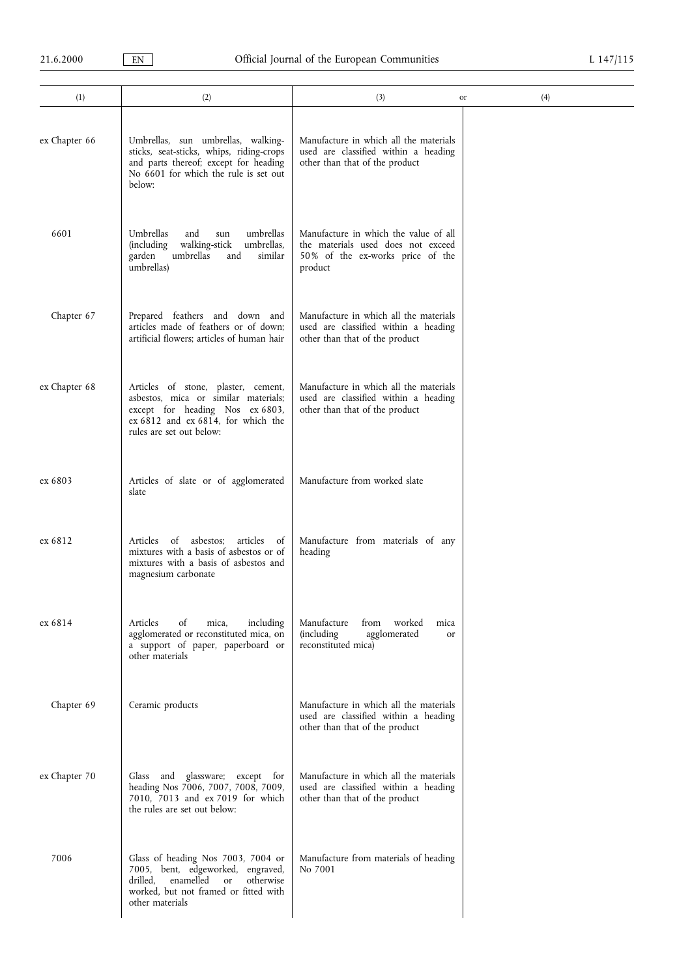| (1)           | (2)                                                                                                                                                                                    | (3)                                                                                                                        | (4)<br>or |
|---------------|----------------------------------------------------------------------------------------------------------------------------------------------------------------------------------------|----------------------------------------------------------------------------------------------------------------------------|-----------|
| ex Chapter 66 | Umbrellas, sun umbrellas, walking-<br>sticks, seat-sticks, whips, riding-crops<br>and parts thereof; except for heading<br>No 6601 for which the rule is set out<br>below:             | Manufacture in which all the materials<br>used are classified within a heading<br>other than that of the product           |           |
| 6601          | Umbrellas<br>umbrellas<br>and<br>sun<br>umbrellas,<br>(including<br>walking-stick<br>umbrellas<br>garden<br>similar<br>and<br>umbrellas)                                               | Manufacture in which the value of all<br>the materials used does not exceed<br>50% of the ex-works price of the<br>product |           |
| Chapter 67    | Prepared feathers and down and<br>articles made of feathers or of down;<br>artificial flowers; articles of human hair                                                                  | Manufacture in which all the materials<br>used are classified within a heading<br>other than that of the product           |           |
| ex Chapter 68 | Articles of stone, plaster, cement,<br>asbestos, mica or similar materials;<br>except for heading Nos ex 6803,<br>ex 6812 and ex 6814, for which the<br>rules are set out below:       | Manufacture in which all the materials<br>used are classified within a heading<br>other than that of the product           |           |
| ex 6803       | Articles of slate or of agglomerated<br>slate                                                                                                                                          | Manufacture from worked slate                                                                                              |           |
| ex 6812       | asbestos:<br>articles<br>Articles<br>of<br>of<br>mixtures with a basis of asbestos or of<br>mixtures with a basis of asbestos and<br>magnesium carbonate                               | Manufacture from materials of any<br>heading                                                                               |           |
| ex 6814       | including<br>Articles<br>of<br>mica,<br>agglomerated or reconstituted mica, on<br>a support of paper, paperboard or<br>other materials                                                 | Manufacture<br>from<br>worked<br>mica<br><i>(including)</i><br>agglomerated<br><sub>or</sub><br>reconstituted mica)        |           |
| Chapter 69    | Ceramic products                                                                                                                                                                       | Manufacture in which all the materials<br>used are classified within a heading<br>other than that of the product           |           |
| ex Chapter 70 | and glassware; except for<br>Glass<br>heading Nos 7006, 7007, 7008, 7009,<br>7010, 7013 and ex 7019 for which<br>the rules are set out below:                                          | Manufacture in which all the materials<br>used are classified within a heading<br>other than that of the product           |           |
| 7006          | Glass of heading Nos 7003, 7004 or<br>7005, bent, edgeworked, engraved,<br>drilled,<br>enamelled<br><b>or</b><br>otherwise<br>worked, but not framed or fitted with<br>other materials | Manufacture from materials of heading<br>No 7001                                                                           |           |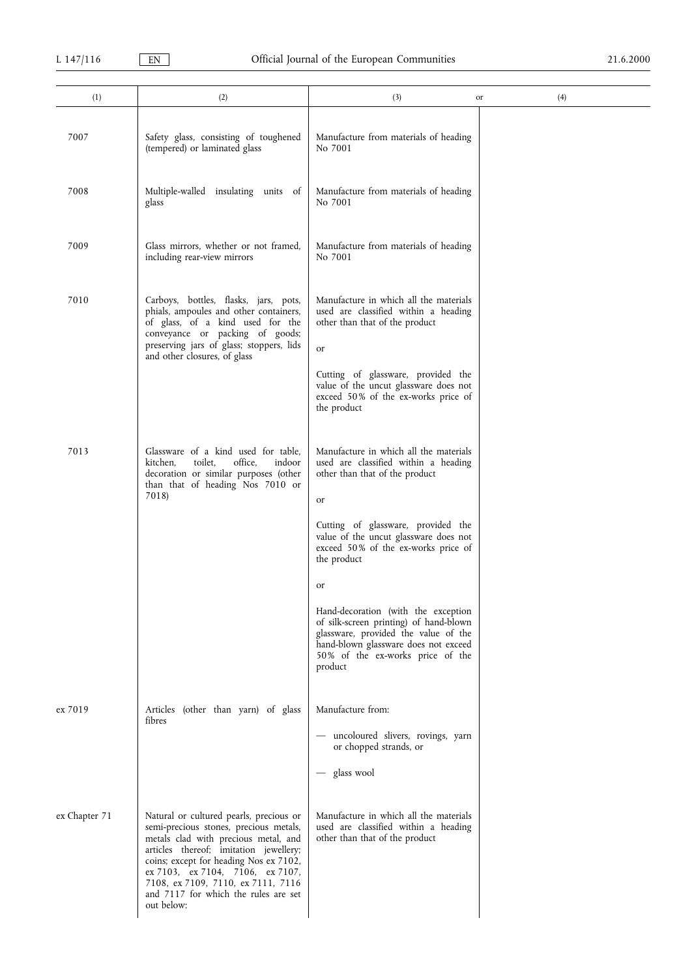| (1)           | (2)                                                                                                                                                                                                                                                                                                                                           | (3)                                                                                                                                                                                                                                                                                                                                                                                                                                                                               | (4)<br>or |
|---------------|-----------------------------------------------------------------------------------------------------------------------------------------------------------------------------------------------------------------------------------------------------------------------------------------------------------------------------------------------|-----------------------------------------------------------------------------------------------------------------------------------------------------------------------------------------------------------------------------------------------------------------------------------------------------------------------------------------------------------------------------------------------------------------------------------------------------------------------------------|-----------|
| 7007          | Safety glass, consisting of toughened<br>(tempered) or laminated glass                                                                                                                                                                                                                                                                        | Manufacture from materials of heading<br>No 7001                                                                                                                                                                                                                                                                                                                                                                                                                                  |           |
| 7008          | Multiple-walled insulating units of<br>glass                                                                                                                                                                                                                                                                                                  | Manufacture from materials of heading<br>No 7001                                                                                                                                                                                                                                                                                                                                                                                                                                  |           |
| 7009          | Glass mirrors, whether or not framed,<br>including rear-view mirrors                                                                                                                                                                                                                                                                          | Manufacture from materials of heading<br>No 7001                                                                                                                                                                                                                                                                                                                                                                                                                                  |           |
| 7010          | Carboys, bottles, flasks, jars, pots,<br>phials, ampoules and other containers,<br>of glass, of a kind used for the<br>conveyance or packing of goods;<br>preserving jars of glass; stoppers, lids<br>and other closures, of glass                                                                                                            | Manufacture in which all the materials<br>used are classified within a heading<br>other than that of the product<br>or<br>Cutting of glassware, provided the<br>value of the uncut glassware does not<br>exceed 50% of the ex-works price of<br>the product                                                                                                                                                                                                                       |           |
| 7013          | Glassware of a kind used for table,<br>office.<br>kitchen.<br>toilet.<br>indoor<br>decoration or similar purposes (other<br>than that of heading Nos 7010 or<br>7018)                                                                                                                                                                         | Manufacture in which all the materials<br>used are classified within a heading<br>other than that of the product<br>or<br>Cutting of glassware, provided the<br>value of the uncut glassware does not<br>exceed 50% of the ex-works price of<br>the product<br>or<br>Hand-decoration (with the exception<br>of silk-screen printing) of hand-blown<br>glassware, provided the value of the<br>hand-blown glassware does not exceed<br>50% of the ex-works price of the<br>product |           |
| ex 7019       | Articles (other than yarn) of glass<br>fibres                                                                                                                                                                                                                                                                                                 | Manufacture from:<br>- uncoloured slivers, rovings, yarn<br>or chopped strands, or<br>glass wool<br>$\overline{\phantom{0}}$                                                                                                                                                                                                                                                                                                                                                      |           |
| ex Chapter 71 | Natural or cultured pearls, precious or<br>semi-precious stones, precious metals,<br>metals clad with precious metal, and<br>articles thereof; imitation jewellery;<br>coins; except for heading Nos ex 7102,<br>ex 7103, ex 7104, 7106, ex 7107,<br>7108, ex 7109, 7110, ex 7111, 7116<br>and 7117 for which the rules are set<br>out below: | Manufacture in which all the materials<br>used are classified within a heading<br>other than that of the product                                                                                                                                                                                                                                                                                                                                                                  |           |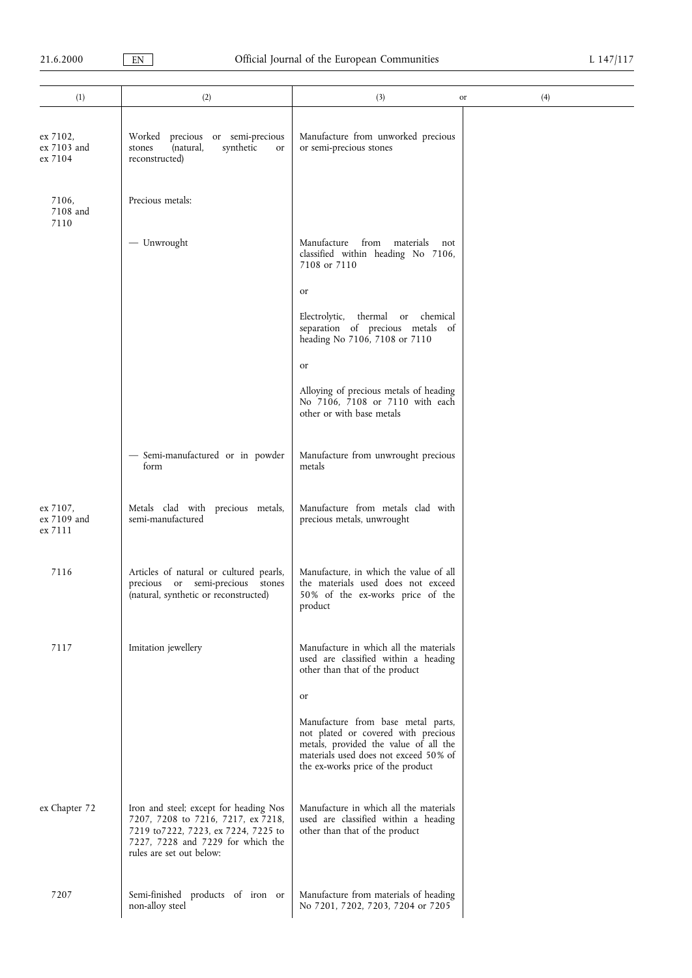| (1)                                | (2)                                                                                                                                                                                   | (3)                                                                                                                                                                                              | (4)<br>or |
|------------------------------------|---------------------------------------------------------------------------------------------------------------------------------------------------------------------------------------|--------------------------------------------------------------------------------------------------------------------------------------------------------------------------------------------------|-----------|
| ex 7102,<br>ex 7103 and<br>ex 7104 | Worked precious or semi-precious<br>(natural,<br>synthetic<br>stones<br><b>or</b><br>reconstructed)                                                                                   | Manufacture from unworked precious<br>or semi-precious stones                                                                                                                                    |           |
| 7106,<br>7108 and<br>7110          | Precious metals:                                                                                                                                                                      |                                                                                                                                                                                                  |           |
|                                    | - Unwrought                                                                                                                                                                           | Manufacture<br>from materials<br>not<br>classified within heading No 7106,<br>7108 or 7110                                                                                                       |           |
|                                    |                                                                                                                                                                                       | or                                                                                                                                                                                               |           |
|                                    |                                                                                                                                                                                       | Electrolytic,<br>thermal<br>chemical<br>or<br>separation of precious metals of<br>heading No 7106, 7108 or 7110                                                                                  |           |
|                                    |                                                                                                                                                                                       | or                                                                                                                                                                                               |           |
|                                    |                                                                                                                                                                                       | Alloying of precious metals of heading<br>No 7106, 7108 or 7110 with each<br>other or with base metals                                                                                           |           |
|                                    | - Semi-manufactured or in powder<br>form                                                                                                                                              | Manufacture from unwrought precious<br>metals                                                                                                                                                    |           |
| ex 7107,<br>ex 7109 and<br>ex 7111 | Metals clad with precious metals,<br>semi-manufactured                                                                                                                                | Manufacture from metals clad with<br>precious metals, unwrought                                                                                                                                  |           |
| 7116                               | Articles of natural or cultured pearls,<br>precious or semi-precious<br>stones<br>(natural, synthetic or reconstructed)                                                               | Manufacture, in which the value of all<br>the materials used does not exceed<br>50% of the ex-works price of the<br>product                                                                      |           |
| 7117                               | Imitation jewellery                                                                                                                                                                   | Manufacture in which all the materials<br>used are classified within a heading<br>other than that of the product                                                                                 |           |
|                                    |                                                                                                                                                                                       | or                                                                                                                                                                                               |           |
|                                    |                                                                                                                                                                                       | Manufacture from base metal parts,<br>not plated or covered with precious<br>metals, provided the value of all the<br>materials used does not exceed 50% of<br>the ex-works price of the product |           |
| ex Chapter 72                      | Iron and steel; except for heading Nos<br>7207, 7208 to 7216, 7217, ex 7218,<br>7219 to 7222, 7223, ex 7224, 7225 to<br>7227, 7228 and 7229 for which the<br>rules are set out below: | Manufacture in which all the materials<br>used are classified within a heading<br>other than that of the product                                                                                 |           |
| 7207                               | Semi-finished products of iron or<br>non-alloy steel                                                                                                                                  | Manufacture from materials of heading<br>No 7201, 7202, 7203, 7204 or 7205                                                                                                                       |           |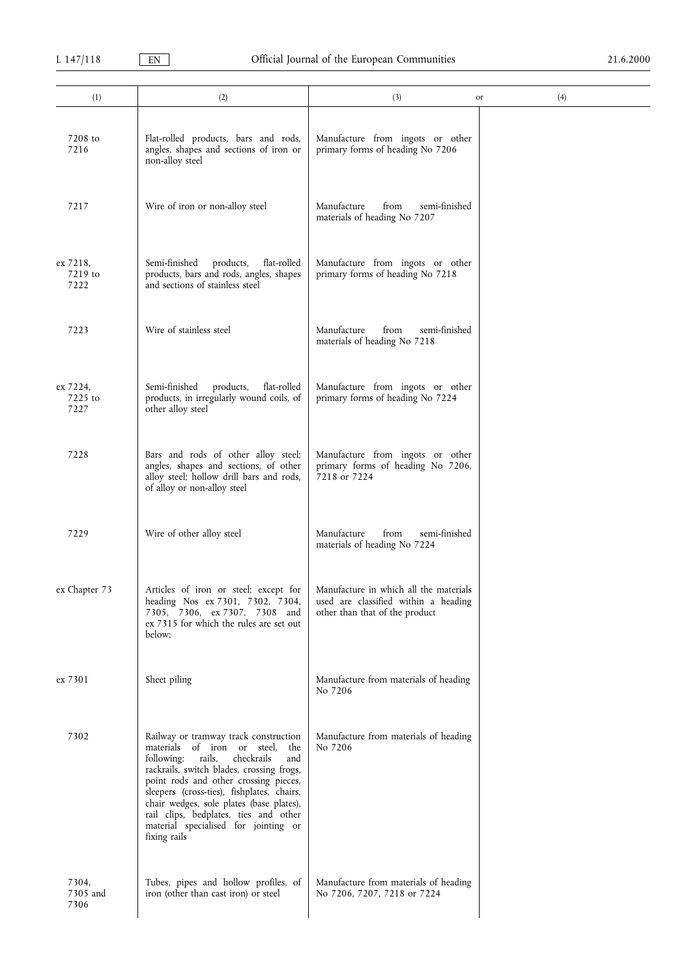| (1)                         | (2)                                                                                                                                                                                                                                                                                                                                                                                                          | (3)                                                                                                              | (4)<br>or |
|-----------------------------|--------------------------------------------------------------------------------------------------------------------------------------------------------------------------------------------------------------------------------------------------------------------------------------------------------------------------------------------------------------------------------------------------------------|------------------------------------------------------------------------------------------------------------------|-----------|
| 7208 to<br>7216             | Flat-rolled products, bars and rods,<br>angles, shapes and sections of iron or<br>non-alloy steel                                                                                                                                                                                                                                                                                                            | Manufacture from ingots or other<br>primary forms of heading No 7206                                             |           |
| 7217                        | Wire of iron or non-alloy steel                                                                                                                                                                                                                                                                                                                                                                              | Manufacture<br>from<br>semi-finished<br>materials of heading No 7207                                             |           |
| ex 7218,<br>7219 to<br>7222 | Semi-finished<br>products,<br>flat-rolled<br>products, bars and rods, angles, shapes<br>and sections of stainless steel                                                                                                                                                                                                                                                                                      | Manufacture from ingots or other<br>primary forms of heading No 7218                                             |           |
| 7223                        | Wire of stainless steel                                                                                                                                                                                                                                                                                                                                                                                      | Manufacture<br>semi-finished<br>from<br>materials of heading No 7218                                             |           |
| ex 7224,<br>7225 to<br>7227 | Semi-finished<br>products,<br>flat-rolled<br>products, in irregularly wound coils, of<br>other alloy steel                                                                                                                                                                                                                                                                                                   | Manufacture from ingots or other<br>primary forms of heading No 7224                                             |           |
| 7228                        | Bars and rods of other alloy steel;<br>angles, shapes and sections, of other<br>alloy steel; hollow drill bars and rods,<br>of alloy or non-alloy steel                                                                                                                                                                                                                                                      | Manufacture from ingots or other<br>primary forms of heading No 7206,<br>7218 or 7224                            |           |
| 7229                        | Wire of other alloy steel                                                                                                                                                                                                                                                                                                                                                                                    | from<br>Manufacture<br>semi-finished<br>materials of heading No 7224                                             |           |
| ex Chapter 73               | Articles of iron or steel; except for<br>heading Nos ex 7301, 7302, 7304,<br>7305, 7306, ex 7307, 7308 and<br>ex 7315 for which the rules are set out<br>below:                                                                                                                                                                                                                                              | Manufacture in which all the materials<br>used are classified within a heading<br>other than that of the product |           |
| ex 7301                     | Sheet piling                                                                                                                                                                                                                                                                                                                                                                                                 | Manufacture from materials of heading<br>No 7206                                                                 |           |
| 7302                        | Railway or tramway track construction<br>materials<br>of iron or steel,<br>the<br>rails,<br>checkrails<br>following:<br>and<br>rackrails, switch blades, crossing frogs,<br>point rods and other crossing pieces,<br>sleepers (cross-ties), fishplates, chairs,<br>chair wedges, sole plates (base plates),<br>rail clips, bedplates, ties and other<br>material specialised for jointing or<br>fixing rails | Manufacture from materials of heading<br>No 7206                                                                 |           |
| 7304,<br>7305 and<br>7306   | Tubes, pipes and hollow profiles, of<br>iron (other than cast iron) or steel                                                                                                                                                                                                                                                                                                                                 | Manufacture from materials of heading<br>No 7206, 7207, 7218 or 7224                                             |           |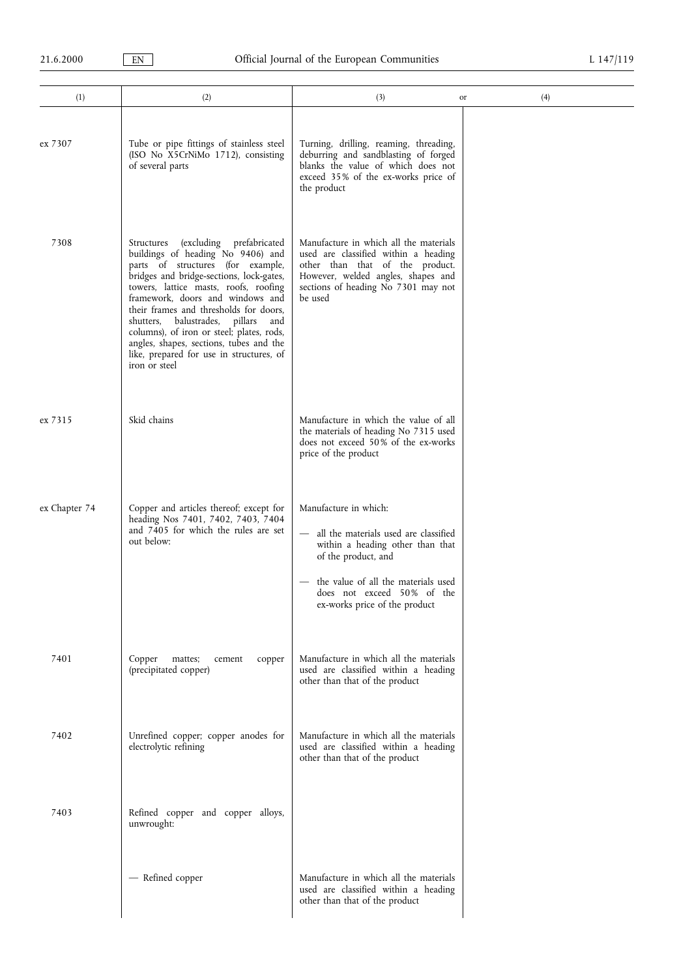| (1)           | (2)                                                                                                                                                                                                                                                                                                                                                                                                                                                                                  | (3)                                                                                                                                                                                                                               | (4)<br>or |
|---------------|--------------------------------------------------------------------------------------------------------------------------------------------------------------------------------------------------------------------------------------------------------------------------------------------------------------------------------------------------------------------------------------------------------------------------------------------------------------------------------------|-----------------------------------------------------------------------------------------------------------------------------------------------------------------------------------------------------------------------------------|-----------|
| ex 7307       | Tube or pipe fittings of stainless steel<br>(ISO No X5CrNiMo 1712), consisting<br>of several parts                                                                                                                                                                                                                                                                                                                                                                                   | Turning, drilling, reaming, threading,<br>deburring and sandblasting of forged<br>blanks the value of which does not<br>exceed 35% of the ex-works price of<br>the product                                                        |           |
| 7308          | (excluding prefabricated<br>Structures<br>buildings of heading No 9406) and<br>parts of structures (for example,<br>bridges and bridge-sections, lock-gates,<br>towers, lattice masts, roofs, roofing<br>framework, doors and windows and<br>their frames and thresholds for doors,<br>shutters, balustrades,<br>pillars<br>and<br>columns), of iron or steel; plates, rods,<br>angles, shapes, sections, tubes and the<br>like, prepared for use in structures, of<br>iron or steel | Manufacture in which all the materials<br>used are classified within a heading<br>other than that of the product.<br>However, welded angles, shapes and<br>sections of heading No 7301 may not<br>be used                         |           |
| ex 7315       | Skid chains                                                                                                                                                                                                                                                                                                                                                                                                                                                                          | Manufacture in which the value of all<br>the materials of heading No 7315 used<br>does not exceed 50% of the ex-works<br>price of the product                                                                                     |           |
| ex Chapter 74 | Copper and articles thereof; except for<br>heading Nos 7401, 7402, 7403, 7404<br>and 7405 for which the rules are set<br>out below:                                                                                                                                                                                                                                                                                                                                                  | Manufacture in which:<br>- all the materials used are classified<br>within a heading other than that<br>of the product, and<br>the value of all the materials used<br>does not exceed 50% of the<br>ex-works price of the product |           |
| 7401          | Copper<br>mattes:<br>cement<br>copper<br>(precipitated copper)                                                                                                                                                                                                                                                                                                                                                                                                                       | Manufacture in which all the materials<br>used are classified within a heading<br>other than that of the product                                                                                                                  |           |
| 7402          | Unrefined copper; copper anodes for<br>electrolytic refining                                                                                                                                                                                                                                                                                                                                                                                                                         | Manufacture in which all the materials<br>used are classified within a heading<br>other than that of the product                                                                                                                  |           |
| 7403          | Refined copper and copper alloys,<br>unwrought:                                                                                                                                                                                                                                                                                                                                                                                                                                      |                                                                                                                                                                                                                                   |           |
|               | - Refined copper                                                                                                                                                                                                                                                                                                                                                                                                                                                                     | Manufacture in which all the materials<br>used are classified within a heading<br>other than that of the product                                                                                                                  |           |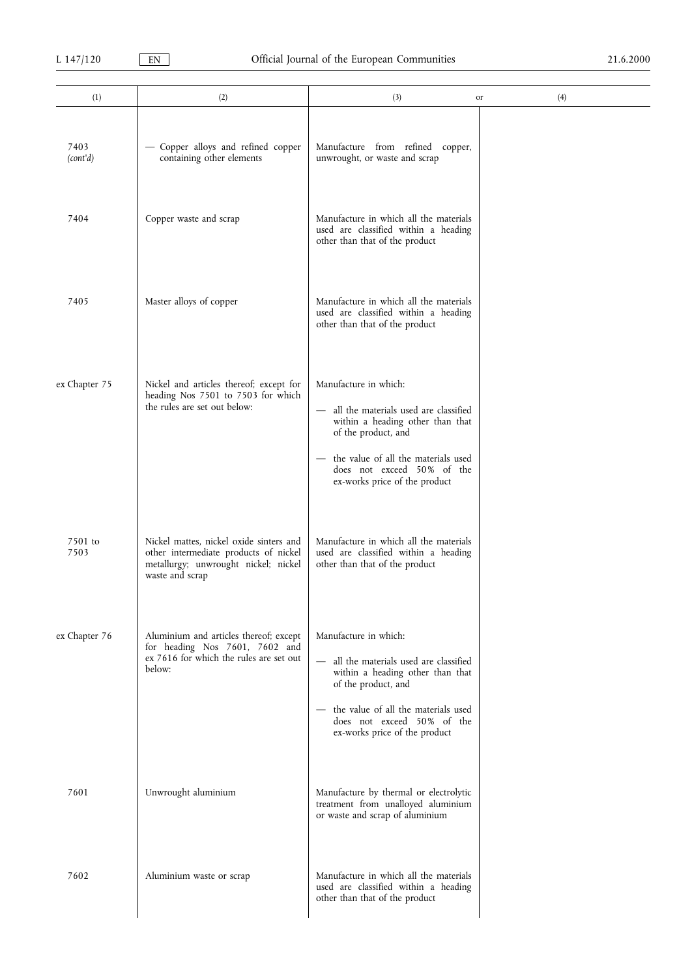| (1)              | (2)                                                                                                                                         | (3)                                                                                                                                                                                                                               | (4)<br>or |
|------------------|---------------------------------------------------------------------------------------------------------------------------------------------|-----------------------------------------------------------------------------------------------------------------------------------------------------------------------------------------------------------------------------------|-----------|
| 7403<br>(cont'd) | - Copper alloys and refined copper<br>containing other elements                                                                             | Manufacture from refined copper,<br>unwrought, or waste and scrap                                                                                                                                                                 |           |
| 7404             | Copper waste and scrap                                                                                                                      | Manufacture in which all the materials<br>used are classified within a heading<br>other than that of the product                                                                                                                  |           |
| 7405             | Master alloys of copper                                                                                                                     | Manufacture in which all the materials<br>used are classified within a heading<br>other than that of the product                                                                                                                  |           |
| ex Chapter 75    | Nickel and articles thereof; except for<br>heading Nos 7501 to 7503 for which<br>the rules are set out below:                               | Manufacture in which:<br>- all the materials used are classified<br>within a heading other than that<br>of the product, and<br>the value of all the materials used<br>does not exceed 50% of the<br>ex-works price of the product |           |
| 7501 to<br>7503  | Nickel mattes, nickel oxide sinters and<br>other intermediate products of nickel<br>metallurgy; unwrought nickel; nickel<br>waste and scrap | Manufacture in which all the materials<br>used are classified within a heading<br>other than that of the product                                                                                                                  |           |
| ex Chapter 76    | Aluminium and articles thereof; except<br>for heading Nos 7601, 7602 and<br>ex 7616 for which the rules are set out<br>below:               | Manufacture in which:<br>- all the materials used are classified<br>within a heading other than that<br>of the product, and<br>the value of all the materials used<br>does not exceed 50% of the<br>ex-works price of the product |           |
| 7601             | Unwrought aluminium                                                                                                                         | Manufacture by thermal or electrolytic<br>treatment from unalloyed aluminium<br>or waste and scrap of aluminium                                                                                                                   |           |
| 7602             | Aluminium waste or scrap                                                                                                                    | Manufacture in which all the materials<br>used are classified within a heading<br>other than that of the product                                                                                                                  |           |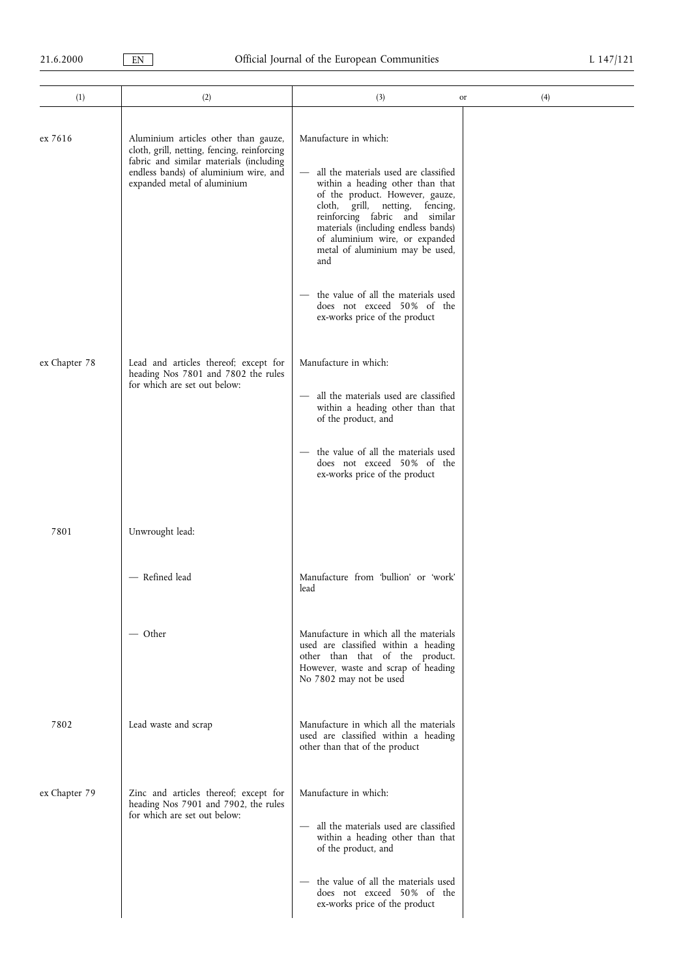| (1)           | (2)                                                                                                                                                                                                    | (3)<br>or                                                                                                                                                                                                                                                                                                                                                    | (4) |
|---------------|--------------------------------------------------------------------------------------------------------------------------------------------------------------------------------------------------------|--------------------------------------------------------------------------------------------------------------------------------------------------------------------------------------------------------------------------------------------------------------------------------------------------------------------------------------------------------------|-----|
| ex 7616       | Aluminium articles other than gauze,<br>cloth, grill, netting, fencing, reinforcing<br>fabric and similar materials (including<br>endless bands) of aluminium wire, and<br>expanded metal of aluminium | Manufacture in which:<br>all the materials used are classified<br>$\overline{\phantom{m}}$<br>within a heading other than that<br>of the product. However, gauze,<br>cloth, grill, netting,<br>fencing,<br>reinforcing fabric and similar<br>materials (including endless bands)<br>of aluminium wire, or expanded<br>metal of aluminium may be used,<br>and |     |
|               |                                                                                                                                                                                                        | the value of all the materials used<br>$\qquad \qquad -$<br>does not exceed 50% of the<br>ex-works price of the product                                                                                                                                                                                                                                      |     |
| ex Chapter 78 | Lead and articles thereof; except for<br>heading Nos 7801 and 7802 the rules<br>for which are set out below:                                                                                           | Manufacture in which:<br>- all the materials used are classified<br>within a heading other than that<br>of the product, and<br>the value of all the materials used<br>does not exceed 50% of the<br>ex-works price of the product                                                                                                                            |     |
| 7801          | Unwrought lead:                                                                                                                                                                                        |                                                                                                                                                                                                                                                                                                                                                              |     |
|               | - Refined lead                                                                                                                                                                                         | Manufacture from 'bullion' or 'work'<br>lead                                                                                                                                                                                                                                                                                                                 |     |
|               | — Other                                                                                                                                                                                                | Manufacture in which all the materials<br>used are classified within a heading<br>other than that of the product.<br>However, waste and scrap of heading<br>No 7802 may not be used                                                                                                                                                                          |     |
| 7802          | Lead waste and scrap                                                                                                                                                                                   | Manufacture in which all the materials<br>used are classified within a heading<br>other than that of the product                                                                                                                                                                                                                                             |     |
| ex Chapter 79 | Zinc and articles thereof; except for<br>heading Nos 7901 and 7902, the rules<br>for which are set out below:                                                                                          | Manufacture in which:<br>all the materials used are classified<br>$\overline{\phantom{m}}$<br>within a heading other than that<br>of the product, and<br>- the value of all the materials used<br>does not exceed 50% of the<br>ex-works price of the product                                                                                                |     |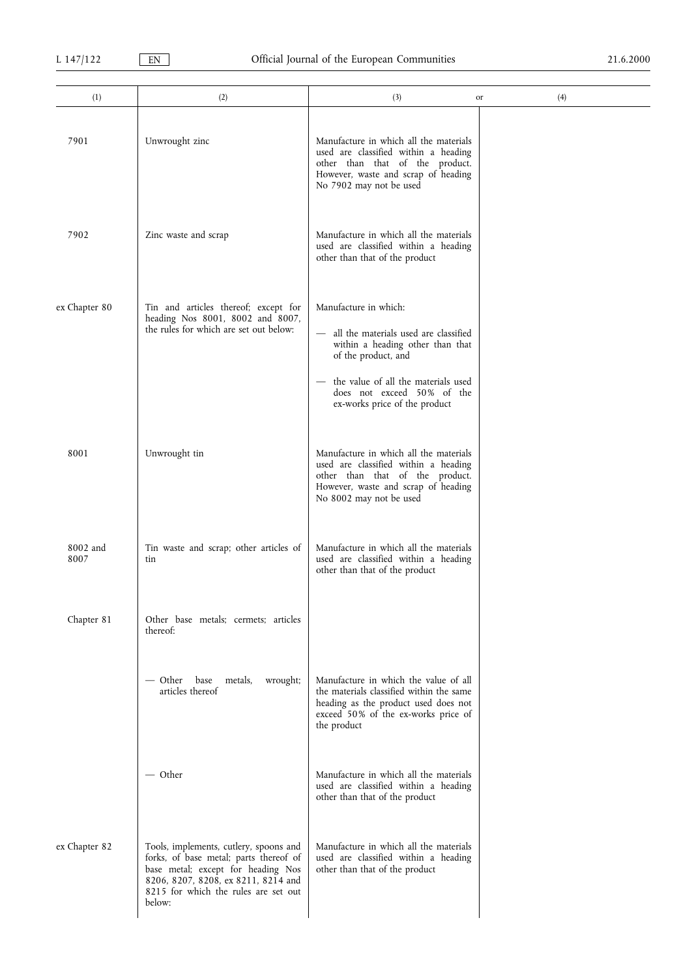| (1)              | (2)                                                                                                                                                                                                             | (3)                                                                                                                                                                                                                             | (4)<br>or |
|------------------|-----------------------------------------------------------------------------------------------------------------------------------------------------------------------------------------------------------------|---------------------------------------------------------------------------------------------------------------------------------------------------------------------------------------------------------------------------------|-----------|
|                  |                                                                                                                                                                                                                 |                                                                                                                                                                                                                                 |           |
| 7901             | Unwrought zinc                                                                                                                                                                                                  | Manufacture in which all the materials<br>used are classified within a heading<br>other than that of the product.<br>However, waste and scrap of heading<br>No 7902 may not be used                                             |           |
| 7902             | Zinc waste and scrap                                                                                                                                                                                            | Manufacture in which all the materials<br>used are classified within a heading<br>other than that of the product                                                                                                                |           |
| ex Chapter 80    | Tin and articles thereof; except for<br>heading Nos 8001, 8002 and 8007,<br>the rules for which are set out below:                                                                                              | Manufacture in which:<br>all the materials used are classified<br>within a heading other than that<br>of the product, and<br>the value of all the materials used<br>does not exceed 50% of the<br>ex-works price of the product |           |
| 8001             | Unwrought tin                                                                                                                                                                                                   | Manufacture in which all the materials<br>used are classified within a heading<br>other than that of the product.<br>However, waste and scrap of heading<br>No 8002 may not be used                                             |           |
| 8002 and<br>8007 | Tin waste and scrap; other articles of<br>tin                                                                                                                                                                   | Manufacture in which all the materials<br>used are classified within a heading<br>other than that of the product                                                                                                                |           |
| Chapter 81       | Other base metals; cermets; articles<br>thereof:                                                                                                                                                                |                                                                                                                                                                                                                                 |           |
|                  | — Other<br>metals,<br>wrought;<br>base<br>articles thereof                                                                                                                                                      | Manufacture in which the value of all<br>the materials classified within the same<br>heading as the product used does not<br>exceed 50% of the ex-works price of<br>the product                                                 |           |
|                  | — Other                                                                                                                                                                                                         | Manufacture in which all the materials<br>used are classified within a heading<br>other than that of the product                                                                                                                |           |
| ex Chapter 82    | Tools, implements, cutlery, spoons and<br>forks, of base metal; parts thereof of<br>base metal; except for heading Nos<br>8206, 8207, 8208, ex 8211, 8214 and<br>8215 for which the rules are set out<br>below: | Manufacture in which all the materials<br>used are classified within a heading<br>other than that of the product                                                                                                                |           |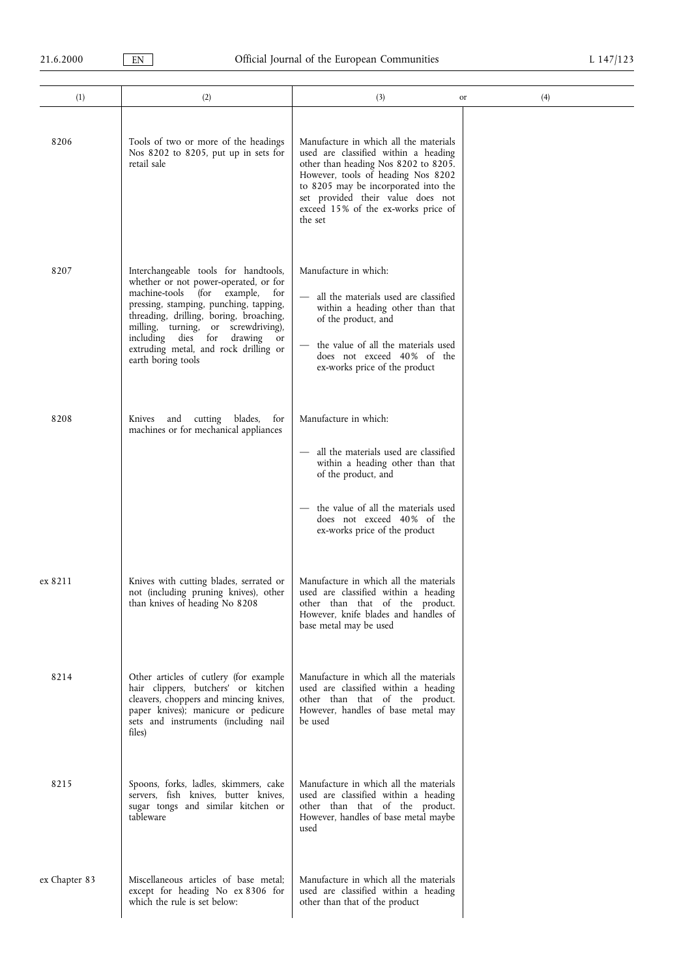÷. 

| (1)           | (2)                                                                                                                                                                                                                                                                                                                                                                 | (3)                                                                                                                                                                                                                                                                                         | (4)<br>or |
|---------------|---------------------------------------------------------------------------------------------------------------------------------------------------------------------------------------------------------------------------------------------------------------------------------------------------------------------------------------------------------------------|---------------------------------------------------------------------------------------------------------------------------------------------------------------------------------------------------------------------------------------------------------------------------------------------|-----------|
| 8206          | Tools of two or more of the headings<br>Nos 8202 to 8205, put up in sets for<br>retail sale                                                                                                                                                                                                                                                                         | Manufacture in which all the materials<br>used are classified within a heading<br>other than heading Nos 8202 to 8205.<br>However, tools of heading Nos 8202<br>to 8205 may be incorporated into the<br>set provided their value does not<br>exceed 15% of the ex-works price of<br>the set |           |
| 8207          | Interchangeable tools for handtools,<br>whether or not power-operated, or for<br>machine-tools (for example,<br>for<br>pressing, stamping, punching, tapping,<br>threading, drilling, boring, broaching,<br>milling, turning, or screwdriving),<br>including<br>dies for<br>drawing<br><sub>or</sub><br>extruding metal, and rock drilling or<br>earth boring tools | Manufacture in which:<br>all the materials used are classified<br>within a heading other than that<br>of the product, and<br>the value of all the materials used<br>does not exceed 40% of the<br>ex-works price of the product                                                             |           |
| 8208          | cutting blades,<br>Knives and<br>for<br>machines or for mechanical appliances                                                                                                                                                                                                                                                                                       | Manufacture in which:<br>all the materials used are classified<br>within a heading other than that<br>of the product, and<br>the value of all the materials used<br>does not exceed 40% of the<br>ex-works price of the product                                                             |           |
| ex 8211       | Knives with cutting blades, serrated or<br>not (including pruning knives), other<br>than knives of heading No 8208                                                                                                                                                                                                                                                  | Manufacture in which all the materials<br>used are classified within a heading<br>other than that of the product.<br>However, knife blades and handles of<br>base metal may be used                                                                                                         |           |
| 8214          | Other articles of cutlery (for example<br>hair clippers, butchers' or kitchen<br>cleavers, choppers and mincing knives,<br>paper knives); manicure or pedicure<br>sets and instruments (including nail<br>files)                                                                                                                                                    | Manufacture in which all the materials<br>used are classified within a heading<br>other than that of the product.<br>However, handles of base metal may<br>be used                                                                                                                          |           |
| 8215          | Spoons, forks, ladles, skimmers, cake<br>servers, fish knives, butter knives,<br>sugar tongs and similar kitchen or<br>tableware                                                                                                                                                                                                                                    | Manufacture in which all the materials<br>used are classified within a heading<br>other than that of the product.<br>However, handles of base metal maybe<br>used                                                                                                                           |           |
| ex Chapter 83 | Miscellaneous articles of base metal;<br>except for heading No ex 8306 for<br>which the rule is set below:                                                                                                                                                                                                                                                          | Manufacture in which all the materials<br>used are classified within a heading<br>other than that of the product                                                                                                                                                                            |           |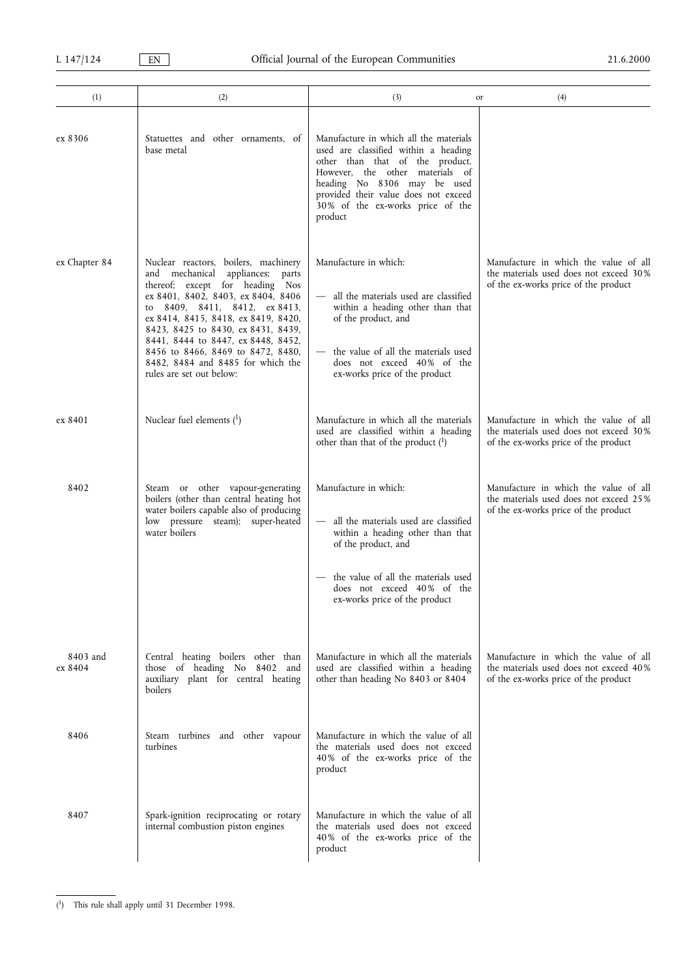| (1)                 | (2)                                                                                                                                                                                                                                                                                                                                                                                                         | (3)                                                                                                                                                                                                                                                                        | (4)<br>or                                                                                                               |
|---------------------|-------------------------------------------------------------------------------------------------------------------------------------------------------------------------------------------------------------------------------------------------------------------------------------------------------------------------------------------------------------------------------------------------------------|----------------------------------------------------------------------------------------------------------------------------------------------------------------------------------------------------------------------------------------------------------------------------|-------------------------------------------------------------------------------------------------------------------------|
| ex 8306             | Statuettes and other ornaments, of<br>base metal                                                                                                                                                                                                                                                                                                                                                            | Manufacture in which all the materials<br>used are classified within a heading<br>other than that of the product.<br>However, the other materials of<br>heading No 8306 may be used<br>provided their value does not exceed<br>30% of the ex-works price of the<br>product |                                                                                                                         |
| ex Chapter 84       | Nuclear reactors, boilers, machinery<br>and mechanical appliances; parts<br>thereof; except for heading Nos<br>ex 8401, 8402, 8403, ex 8404, 8406<br>to 8409, 8411, 8412, ex 8413,<br>ex 8414, 8415, 8418, ex 8419, 8420,<br>8423, 8425 to 8430, ex 8431, 8439,<br>8441, 8444 to 8447, ex 8448, 8452,<br>8456 to 8466, 8469 to 8472, 8480,<br>8482, 8484 and 8485 for which the<br>rules are set out below: | Manufacture in which:<br>- all the materials used are classified<br>within a heading other than that<br>of the product, and<br>- the value of all the materials used<br>does not exceed 40% of the<br>ex-works price of the product                                        | Manufacture in which the value of all<br>the materials used does not exceed 30%<br>of the ex-works price of the product |
| ex 8401             | Nuclear fuel elements $(1)$                                                                                                                                                                                                                                                                                                                                                                                 | Manufacture in which all the materials<br>used are classified within a heading<br>other than that of the product $(1)$                                                                                                                                                     | Manufacture in which the value of all<br>the materials used does not exceed 30%<br>of the ex-works price of the product |
| 8402                | Steam or other vapour-generating<br>boilers (other than central heating hot<br>water boilers capable also of producing<br>low pressure steam); super-heated<br>water boilers                                                                                                                                                                                                                                | Manufacture in which:<br>- all the materials used are classified<br>within a heading other than that<br>of the product, and<br>the value of all the materials used<br>does not exceed 40% of the<br>ex-works price of the product                                          | Manufacture in which the value of all<br>the materials used does not exceed 25%<br>of the ex-works price of the product |
| 8403 and<br>ex 8404 | Central heating boilers other than<br>those of heading No 8402 and<br>auxiliary plant for central heating<br>boilers                                                                                                                                                                                                                                                                                        | Manufacture in which all the materials<br>used are classified within a heading<br>other than heading No 8403 or 8404                                                                                                                                                       | Manufacture in which the value of all<br>the materials used does not exceed 40%<br>of the ex-works price of the product |
| 8406                | Steam turbines and other vapour<br>turbines                                                                                                                                                                                                                                                                                                                                                                 | Manufacture in which the value of all<br>the materials used does not exceed<br>40% of the ex-works price of the<br>product                                                                                                                                                 |                                                                                                                         |
| 8407                | Spark-ignition reciprocating or rotary<br>internal combustion piston engines                                                                                                                                                                                                                                                                                                                                | Manufacture in which the value of all<br>the materials used does not exceed<br>40% of the ex-works price of the<br>product                                                                                                                                                 |                                                                                                                         |

<sup>(</sup> 1) This rule shall apply until 31 December 1998.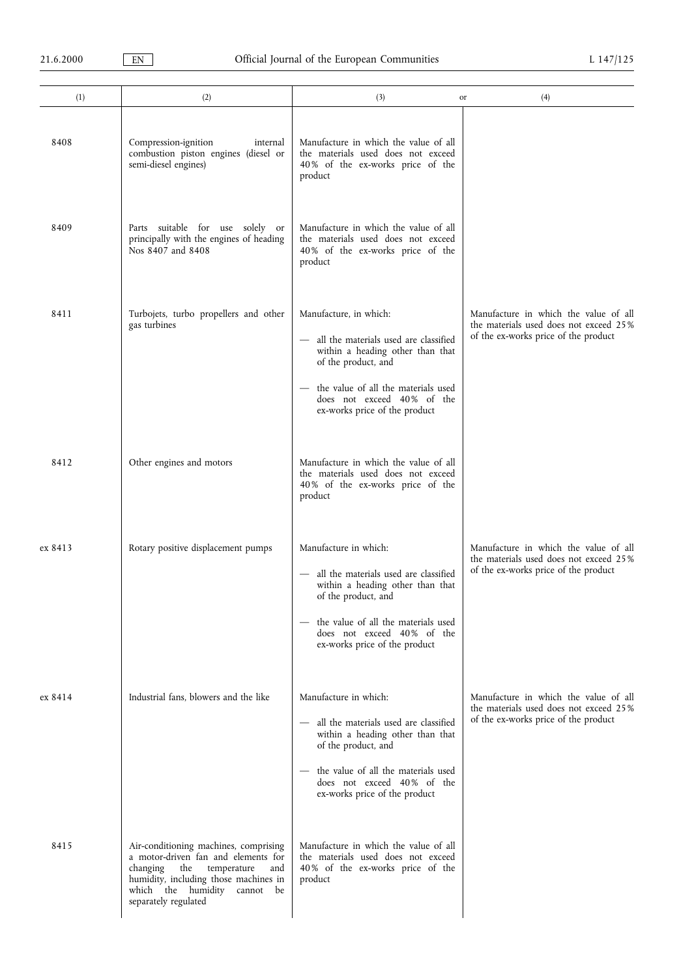| (1)     | (2)                                                                                                                                                                                                              | (3)                                                                                                                                                                                                                              | (4)<br>or                                                                                                               |
|---------|------------------------------------------------------------------------------------------------------------------------------------------------------------------------------------------------------------------|----------------------------------------------------------------------------------------------------------------------------------------------------------------------------------------------------------------------------------|-------------------------------------------------------------------------------------------------------------------------|
| 8408    | Compression-ignition<br>internal<br>combustion piston engines (diesel or<br>semi-diesel engines)                                                                                                                 | Manufacture in which the value of all<br>the materials used does not exceed<br>40% of the ex-works price of the<br>product                                                                                                       |                                                                                                                         |
| 8409    | Parts suitable for use solely or<br>principally with the engines of heading<br>Nos 8407 and 8408                                                                                                                 | Manufacture in which the value of all<br>the materials used does not exceed<br>40% of the ex-works price of the<br>product                                                                                                       |                                                                                                                         |
| 8411    | Turbojets, turbo propellers and other<br>gas turbines                                                                                                                                                            | Manufacture, in which:<br>all the materials used are classified<br>within a heading other than that<br>of the product, and<br>the value of all the materials used<br>does not exceed 40% of the<br>ex-works price of the product | Manufacture in which the value of all<br>the materials used does not exceed 25%<br>of the ex-works price of the product |
| 8412    | Other engines and motors                                                                                                                                                                                         | Manufacture in which the value of all<br>the materials used does not exceed<br>40% of the ex-works price of the<br>product                                                                                                       |                                                                                                                         |
| ex 8413 | Rotary positive displacement pumps                                                                                                                                                                               | Manufacture in which:<br>all the materials used are classified<br>within a heading other than that<br>of the product, and<br>the value of all the materials used<br>does not exceed 40% of the<br>ex-works price of the product  | Manufacture in which the value of all<br>the materials used does not exceed 25%<br>of the ex-works price of the product |
| ex 8414 | Industrial fans, blowers and the like                                                                                                                                                                            | Manufacture in which:<br>all the materials used are classified<br>within a heading other than that<br>of the product, and<br>the value of all the materials used<br>does not exceed 40% of the<br>ex-works price of the product  | Manufacture in which the value of all<br>the materials used does not exceed 25%<br>of the ex-works price of the product |
| 8415    | Air-conditioning machines, comprising<br>a motor-driven fan and elements for<br>changing the temperature<br>and<br>humidity, including those machines in<br>which the humidity cannot be<br>separately regulated | Manufacture in which the value of all<br>the materials used does not exceed<br>40% of the ex-works price of the<br>product                                                                                                       |                                                                                                                         |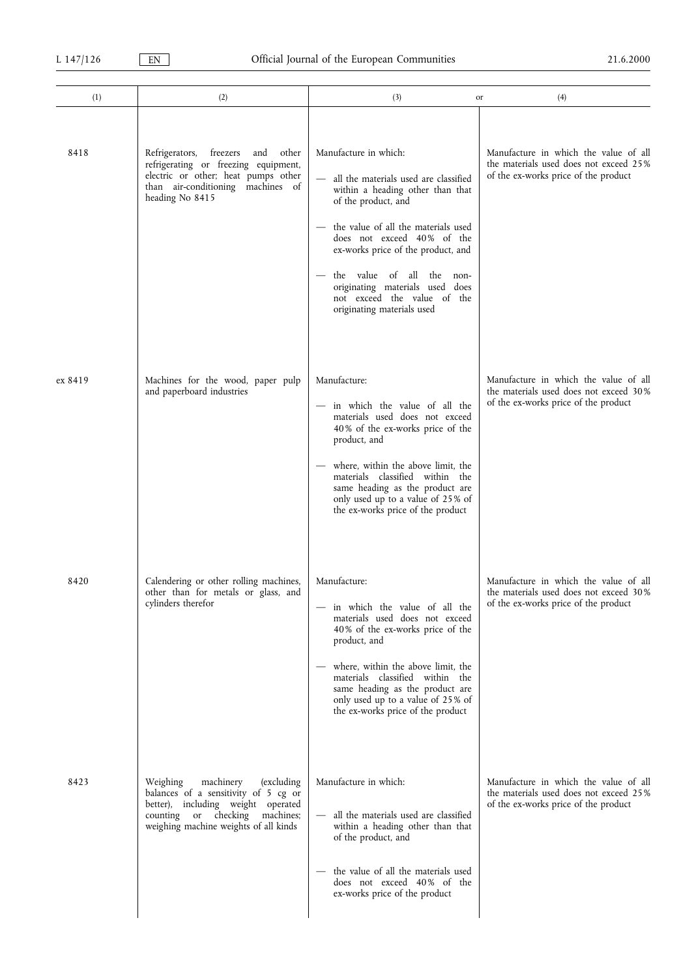| (1)     | (2)                                                                                                                                                                                           | (3)<br>or                                                                                                                                                                                                                                                                                                                                                         | (4)                                                                                                                     |
|---------|-----------------------------------------------------------------------------------------------------------------------------------------------------------------------------------------------|-------------------------------------------------------------------------------------------------------------------------------------------------------------------------------------------------------------------------------------------------------------------------------------------------------------------------------------------------------------------|-------------------------------------------------------------------------------------------------------------------------|
| 8418    | freezers<br>Refrigerators,<br>and<br>other<br>refrigerating or freezing equipment,<br>electric or other; heat pumps other<br>than air-conditioning machines of<br>heading No 8415             | Manufacture in which:<br>all the materials used are classified<br>within a heading other than that<br>of the product, and<br>the value of all the materials used<br>does not exceed 40% of the<br>ex-works price of the product, and<br>the value of all the non-<br>originating materials used does<br>not exceed the value of the<br>originating materials used | Manufacture in which the value of all<br>the materials used does not exceed 25%<br>of the ex-works price of the product |
| ex 8419 | Machines for the wood, paper pulp<br>and paperboard industries                                                                                                                                | Manufacture:<br>- in which the value of all the<br>materials used does not exceed<br>40% of the ex-works price of the<br>product, and<br>where, within the above limit, the<br>materials classified within the<br>same heading as the product are<br>only used up to a value of 25% of<br>the ex-works price of the product                                       | Manufacture in which the value of all<br>the materials used does not exceed 30%<br>of the ex-works price of the product |
| 8420    | Calendering or other rolling machines,<br>other than for metals or glass, and<br>cylinders therefor                                                                                           | Manufacture:<br>in which the value of all the<br>materials used does not exceed<br>40% of the ex-works price of the<br>product, and<br>where, within the above limit, the<br>materials classified within the<br>same heading as the product are<br>only used up to a value of 25% of<br>the ex-works price of the product                                         | Manufacture in which the value of all<br>the materials used does not exceed 30%<br>of the ex-works price of the product |
| 8423    | Weighing<br>machinery<br>(excluding)<br>balances of a sensitivity of 5 cg or<br>better), including weight operated<br>counting or checking machines;<br>weighing machine weights of all kinds | Manufacture in which:<br>- all the materials used are classified<br>within a heading other than that<br>of the product, and<br>the value of all the materials used<br>does not exceed 40% of the<br>ex-works price of the product                                                                                                                                 | Manufacture in which the value of all<br>the materials used does not exceed 25%<br>of the ex-works price of the product |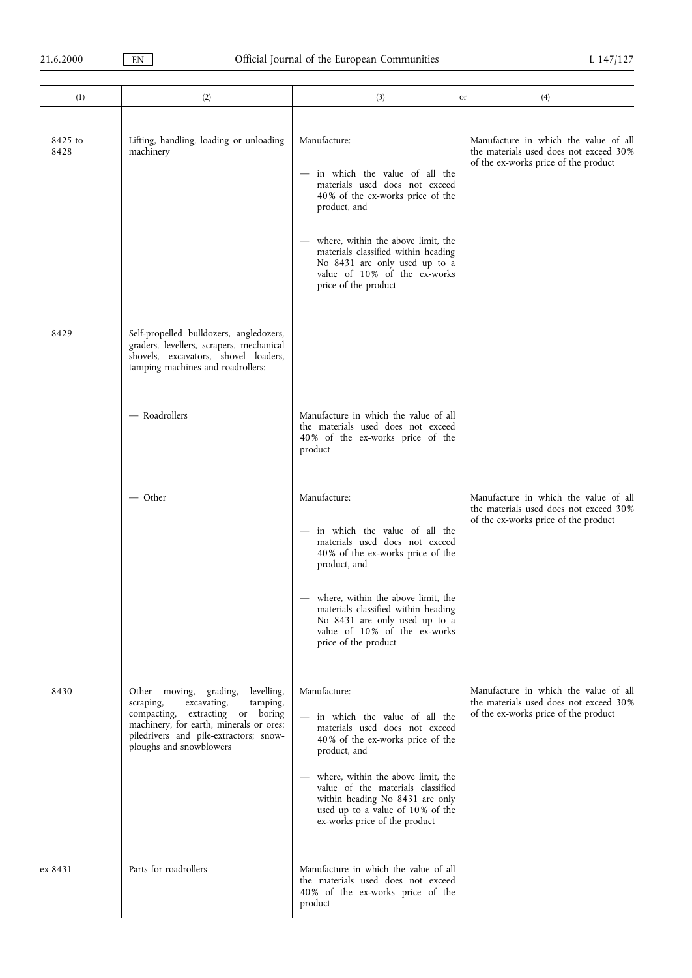| (1)             | (2)                                                                                                                                                                                                                                 | (3)<br>or                                                                                                                                                                                                                                                                                                   | (4)                                                                                                                     |
|-----------------|-------------------------------------------------------------------------------------------------------------------------------------------------------------------------------------------------------------------------------------|-------------------------------------------------------------------------------------------------------------------------------------------------------------------------------------------------------------------------------------------------------------------------------------------------------------|-------------------------------------------------------------------------------------------------------------------------|
| 8425 to<br>8428 | Lifting, handling, loading or unloading<br>machinery                                                                                                                                                                                | Manufacture:<br>- in which the value of all the<br>materials used does not exceed<br>40% of the ex-works price of the<br>product, and<br>where, within the above limit, the<br>materials classified within heading<br>No 8431 are only used up to a<br>value of 10% of the ex-works<br>price of the product | Manufacture in which the value of all<br>the materials used does not exceed 30%<br>of the ex-works price of the product |
| 8429            | Self-propelled bulldozers, angledozers,<br>graders, levellers, scrapers, mechanical<br>shovels, excavators, shovel loaders,<br>tamping machines and roadrollers:                                                                    |                                                                                                                                                                                                                                                                                                             |                                                                                                                         |
|                 | - Roadrollers                                                                                                                                                                                                                       | Manufacture in which the value of all<br>the materials used does not exceed<br>40% of the ex-works price of the<br>product                                                                                                                                                                                  |                                                                                                                         |
|                 | — Other                                                                                                                                                                                                                             | Manufacture:<br>in which the value of all the<br>materials used does not exceed<br>40% of the ex-works price of the<br>product, and                                                                                                                                                                         | Manufacture in which the value of all<br>the materials used does not exceed 30%<br>of the ex-works price of the product |
|                 |                                                                                                                                                                                                                                     | - where, within the above limit, the<br>materials classified within heading<br>No 8431 are only used up to a<br>value of 10% of the ex-works<br>price of the product                                                                                                                                        |                                                                                                                         |
| 8430            | levelling,<br>grading,<br>Other moving,<br>excavating,<br>tamping,<br>scraping,<br>compacting, extracting or boring<br>machinery, for earth, minerals or ores;<br>piledrivers and pile-extractors; snow-<br>ploughs and snowblowers | Manufacture:<br>- in which the value of all the<br>materials used does not exceed<br>40% of the ex-works price of the<br>product, and<br>where, within the above limit, the<br>value of the materials classified                                                                                            | Manufacture in which the value of all<br>the materials used does not exceed 30%<br>of the ex-works price of the product |
| ex 8431         | Parts for roadrollers                                                                                                                                                                                                               | within heading No 8431 are only<br>used up to a value of 10% of the<br>ex-works price of the product<br>Manufacture in which the value of all                                                                                                                                                               |                                                                                                                         |
|                 |                                                                                                                                                                                                                                     | the materials used does not exceed<br>40% of the ex-works price of the<br>product                                                                                                                                                                                                                           |                                                                                                                         |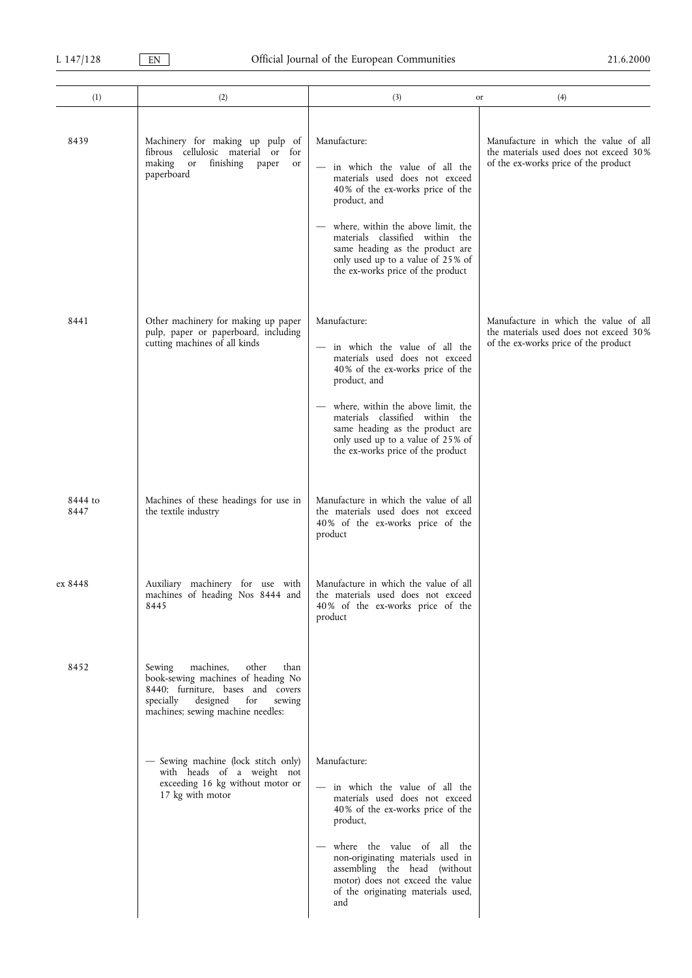| (1)             | (2)                                                                                                                                                                                            | (3)<br>or                                                                                                                                                                                                                                                                                                                   | (4)                                                                                                                     |
|-----------------|------------------------------------------------------------------------------------------------------------------------------------------------------------------------------------------------|-----------------------------------------------------------------------------------------------------------------------------------------------------------------------------------------------------------------------------------------------------------------------------------------------------------------------------|-------------------------------------------------------------------------------------------------------------------------|
| 8439            | Machinery for making up pulp of<br>fibrous cellulosic material or<br>for<br>making<br>or finishing<br>paper<br>or<br>paperboard                                                                | Manufacture:<br>- in which the value of all the<br>materials used does not exceed<br>40% of the ex-works price of the<br>product, and<br>where, within the above limit, the<br>materials classified within the<br>same heading as the product are<br>only used up to a value of 25% of<br>the ex-works price of the product | Manufacture in which the value of all<br>the materials used does not exceed 30%<br>of the ex-works price of the product |
| 8441            | Other machinery for making up paper<br>pulp, paper or paperboard, including<br>cutting machines of all kinds                                                                                   | Manufacture:<br>in which the value of all the<br>materials used does not exceed<br>40% of the ex-works price of the<br>product, and<br>where, within the above limit, the<br>materials classified within the<br>same heading as the product are<br>only used up to a value of 25% of<br>the ex-works price of the product   | Manufacture in which the value of all<br>the materials used does not exceed 30%<br>of the ex-works price of the product |
| 8444 to<br>8447 | Machines of these headings for use in<br>the textile industry                                                                                                                                  | Manufacture in which the value of all<br>the materials used does not exceed<br>40% of the ex-works price of the<br>product                                                                                                                                                                                                  |                                                                                                                         |
| ex 8448         | Auxiliary machinery for use with<br>machines of heading Nos 8444 and<br>8445                                                                                                                   | Manufacture in which the value of all<br>the materials used does not exceed<br>40% of the ex-works price of the<br>product                                                                                                                                                                                                  |                                                                                                                         |
| 8452            | machines,<br>other<br>Sewing<br>than<br>book-sewing machines of heading No<br>8440; furniture, bases and covers<br>specially<br>designed<br>for<br>sewing<br>machines; sewing machine needles: |                                                                                                                                                                                                                                                                                                                             |                                                                                                                         |
|                 | - Sewing machine (lock stitch only)<br>with heads of a weight not<br>exceeding 16 kg without motor or<br>17 kg with motor                                                                      | Manufacture:<br>- in which the value of all the<br>materials used does not exceed<br>40% of the ex-works price of the<br>product,<br>where the value of all the<br>non-originating materials used in<br>assembling the head (without<br>motor) does not exceed the value<br>of the originating materials used,<br>and       |                                                                                                                         |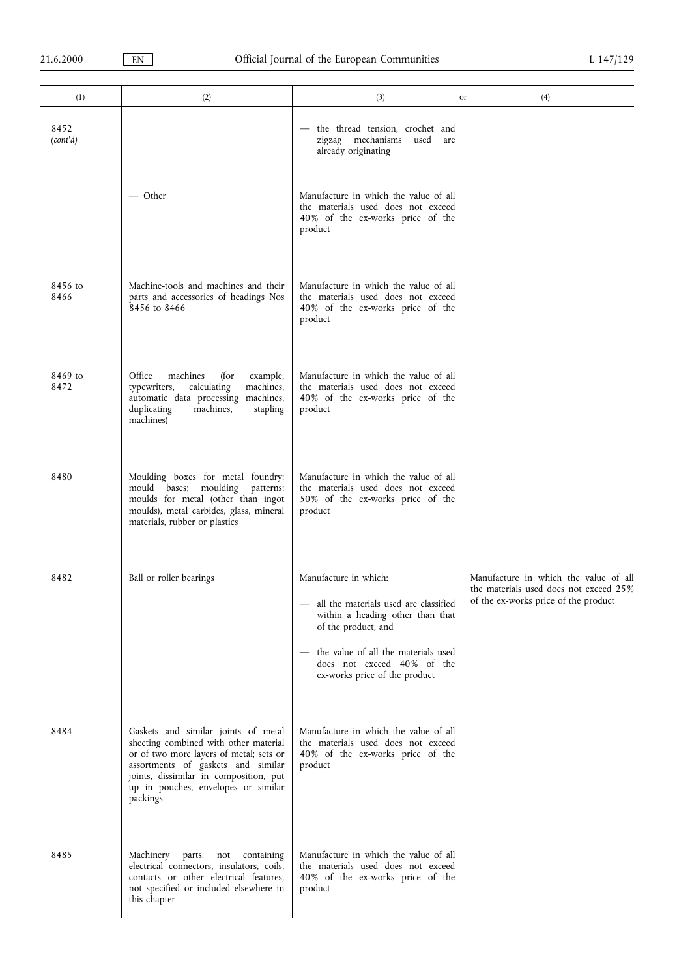| (1)              | (2)                                                                                                                                                                                                                                                        | (3)                                                                                                                                                                                                                               | (4)<br>or                                                                                                               |
|------------------|------------------------------------------------------------------------------------------------------------------------------------------------------------------------------------------------------------------------------------------------------------|-----------------------------------------------------------------------------------------------------------------------------------------------------------------------------------------------------------------------------------|-------------------------------------------------------------------------------------------------------------------------|
| 8452<br>(cont'd) |                                                                                                                                                                                                                                                            | the thread tension, crochet and<br>zigzag mechanisms used are<br>already originating                                                                                                                                              |                                                                                                                         |
|                  | — Other                                                                                                                                                                                                                                                    | Manufacture in which the value of all<br>the materials used does not exceed<br>40% of the ex-works price of the<br>product                                                                                                        |                                                                                                                         |
| 8456 to<br>8466  | Machine-tools and machines and their<br>parts and accessories of headings Nos<br>8456 to 8466                                                                                                                                                              | Manufacture in which the value of all<br>the materials used does not exceed<br>40% of the ex-works price of the<br>product                                                                                                        |                                                                                                                         |
| 8469 to<br>8472  | Office<br>machines<br>(for<br>example,<br>typewriters,<br>calculating<br>machines,<br>automatic data processing machines,<br>machines,<br>duplicating<br>stapling<br>machines)                                                                             | Manufacture in which the value of all<br>the materials used does not exceed<br>40% of the ex-works price of the<br>product                                                                                                        |                                                                                                                         |
| 8480             | Moulding boxes for metal foundry;<br>mould bases; moulding patterns;<br>moulds for metal (other than ingot<br>moulds), metal carbides, glass, mineral<br>materials, rubber or plastics                                                                     | Manufacture in which the value of all<br>the materials used does not exceed<br>50% of the ex-works price of the<br>product                                                                                                        |                                                                                                                         |
| 8482             | Ball or roller bearings                                                                                                                                                                                                                                    | Manufacture in which:<br>- all the materials used are classified<br>within a heading other than that<br>of the product, and<br>the value of all the materials used<br>does not exceed 40% of the<br>ex-works price of the product | Manufacture in which the value of all<br>the materials used does not exceed 25%<br>of the ex-works price of the product |
| 8484             | Gaskets and similar joints of metal<br>sheeting combined with other material<br>or of two more layers of metal; sets or<br>assortments of gaskets and similar<br>joints, dissimilar in composition, put<br>up in pouches, envelopes or similar<br>packings | Manufacture in which the value of all<br>the materials used does not exceed<br>40% of the ex-works price of the<br>product                                                                                                        |                                                                                                                         |
| 8485             | Machinery<br>parts,<br>containing<br>not<br>electrical connectors, insulators, coils,<br>contacts or other electrical features,<br>not specified or included elsewhere in<br>this chapter                                                                  | Manufacture in which the value of all<br>the materials used does not exceed<br>40% of the ex-works price of the<br>product                                                                                                        |                                                                                                                         |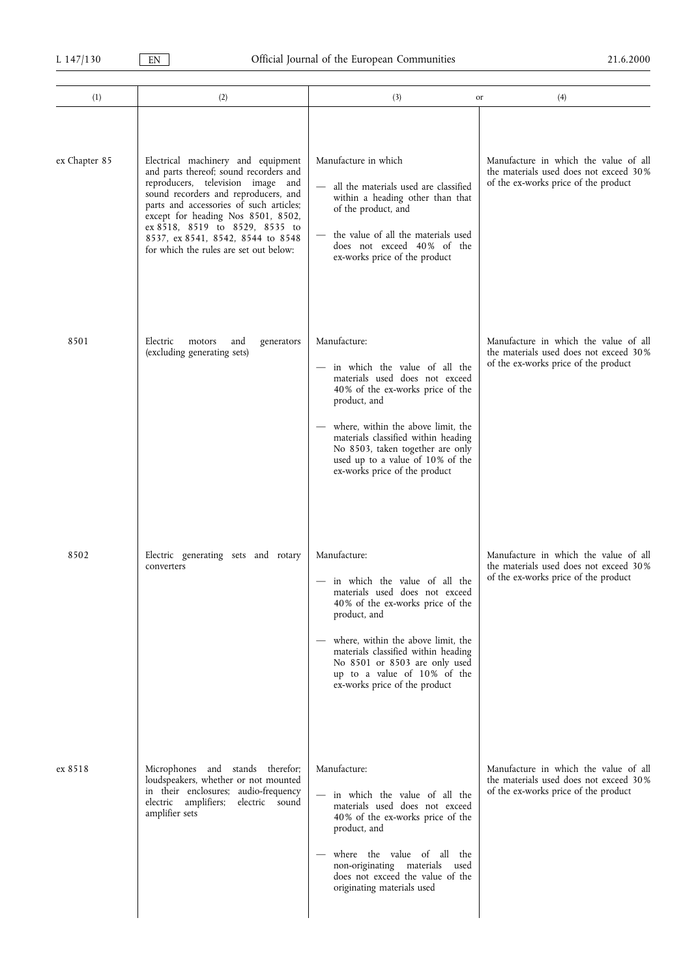| (1)           | (2)                                                                                                                                                                                                                                                                                                                                                         | (3)<br>or                                                                                                                                                                                                                                                                                                                 | (4)                                                                                                                     |
|---------------|-------------------------------------------------------------------------------------------------------------------------------------------------------------------------------------------------------------------------------------------------------------------------------------------------------------------------------------------------------------|---------------------------------------------------------------------------------------------------------------------------------------------------------------------------------------------------------------------------------------------------------------------------------------------------------------------------|-------------------------------------------------------------------------------------------------------------------------|
| ex Chapter 85 | Electrical machinery and equipment<br>and parts thereof; sound recorders and<br>reproducers, television image and<br>sound recorders and reproducers, and<br>parts and accessories of such articles;<br>except for heading Nos 8501, 8502,<br>ex 8518, 8519 to 8529, 8535 to<br>8537, ex 8541, 8542, 8544 to 8548<br>for which the rules are set out below: | Manufacture in which<br>all the materials used are classified<br>within a heading other than that<br>of the product, and<br>the value of all the materials used<br>does not exceed 40% of the<br>ex-works price of the product                                                                                            | Manufacture in which the value of all<br>the materials used does not exceed 30%<br>of the ex-works price of the product |
| 8501          | Electric<br>motors<br>and<br>generators<br>(excluding generating sets)                                                                                                                                                                                                                                                                                      | Manufacture:<br>in which the value of all the<br>materials used does not exceed<br>40% of the ex-works price of the<br>product, and<br>where, within the above limit, the<br>materials classified within heading<br>No 8503, taken together are only<br>used up to a value of 10% of the<br>ex-works price of the product | Manufacture in which the value of all<br>the materials used does not exceed 30%<br>of the ex-works price of the product |
| 8502          | Electric generating sets and rotary<br>converters                                                                                                                                                                                                                                                                                                           | Manufacture:<br>- in which the value of all the<br>materials used does not exceed<br>40% of the ex-works price of the<br>product, and<br>where, within the above limit, the<br>materials classified within heading<br>No 8501 or 8503 are only used<br>up to a value of 10% of the<br>ex-works price of the product       | Manufacture in which the value of all<br>the materials used does not exceed 30%<br>of the ex-works price of the product |
| ex 8518       | Microphones and stands therefor;<br>loudspeakers, whether or not mounted<br>in their enclosures; audio-frequency<br>electric sound<br>electric amplifiers;<br>amplifier sets                                                                                                                                                                                | Manufacture:<br>- in which the value of all the<br>materials used does not exceed<br>40% of the ex-works price of the<br>product, and<br>where the value of all the<br>non-originating materials<br>used<br>does not exceed the value of the<br>originating materials used                                                | Manufacture in which the value of all<br>the materials used does not exceed 30%<br>of the ex-works price of the product |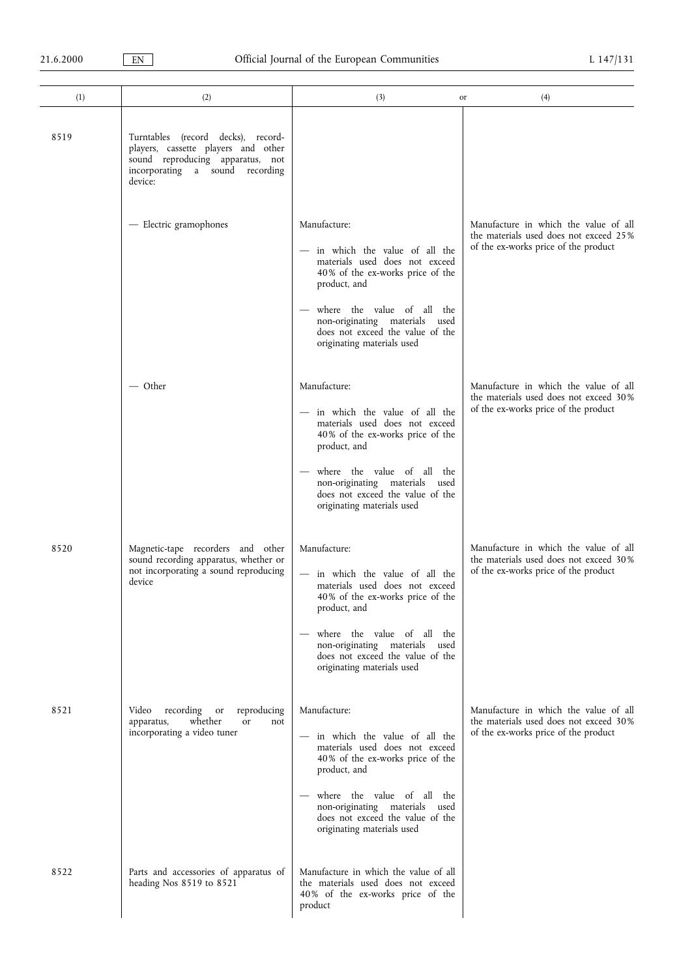| (1)  | (2)                                                                                                                                                         | (3)                                                                                                                                                                                                                                                                     | (4)<br>or                                                                                                               |
|------|-------------------------------------------------------------------------------------------------------------------------------------------------------------|-------------------------------------------------------------------------------------------------------------------------------------------------------------------------------------------------------------------------------------------------------------------------|-------------------------------------------------------------------------------------------------------------------------|
| 8519 | Turntables (record decks), record-<br>players, cassette players and other<br>sound reproducing apparatus, not<br>incorporating a sound recording<br>device: |                                                                                                                                                                                                                                                                         |                                                                                                                         |
|      | - Electric gramophones                                                                                                                                      | Manufacture:<br>- in which the value of all the<br>materials used does not exceed<br>40% of the ex-works price of the<br>product, and<br>where the value of all the<br>non-originating materials used<br>does not exceed the value of the<br>originating materials used | Manufacture in which the value of all<br>the materials used does not exceed 25%<br>of the ex-works price of the product |
|      | — Other                                                                                                                                                     | Manufacture:<br>in which the value of all the<br>materials used does not exceed<br>40% of the ex-works price of the<br>product, and<br>where the value of all the<br>non-originating materials used<br>does not exceed the value of the<br>originating materials used   | Manufacture in which the value of all<br>the materials used does not exceed 30%<br>of the ex-works price of the product |
| 8520 | Magnetic-tape recorders and other<br>sound recording apparatus, whether or<br>not incorporating a sound reproducing<br>device                               | Manufacture:<br>- in which the value of all the<br>materials used does not exceed<br>40% of the ex-works price of the<br>product, and<br>where the value of all the<br>non-originating materials used<br>does not exceed the value of the<br>originating materials used | Manufacture in which the value of all<br>the materials used does not exceed 30%<br>of the ex-works price of the product |
| 8521 | Video<br>recording<br>reproducing<br><sub>or</sub><br>whether<br>apparatus,<br>or<br>not<br>incorporating a video tuner                                     | Manufacture:<br>in which the value of all the<br>materials used does not exceed<br>40% of the ex-works price of the<br>product, and<br>where the value of all the<br>non-originating materials used<br>does not exceed the value of the<br>originating materials used   | Manufacture in which the value of all<br>the materials used does not exceed 30%<br>of the ex-works price of the product |
| 8522 | Parts and accessories of apparatus of<br>heading Nos 8519 to 8521                                                                                           | Manufacture in which the value of all<br>the materials used does not exceed<br>40% of the ex-works price of the<br>product                                                                                                                                              |                                                                                                                         |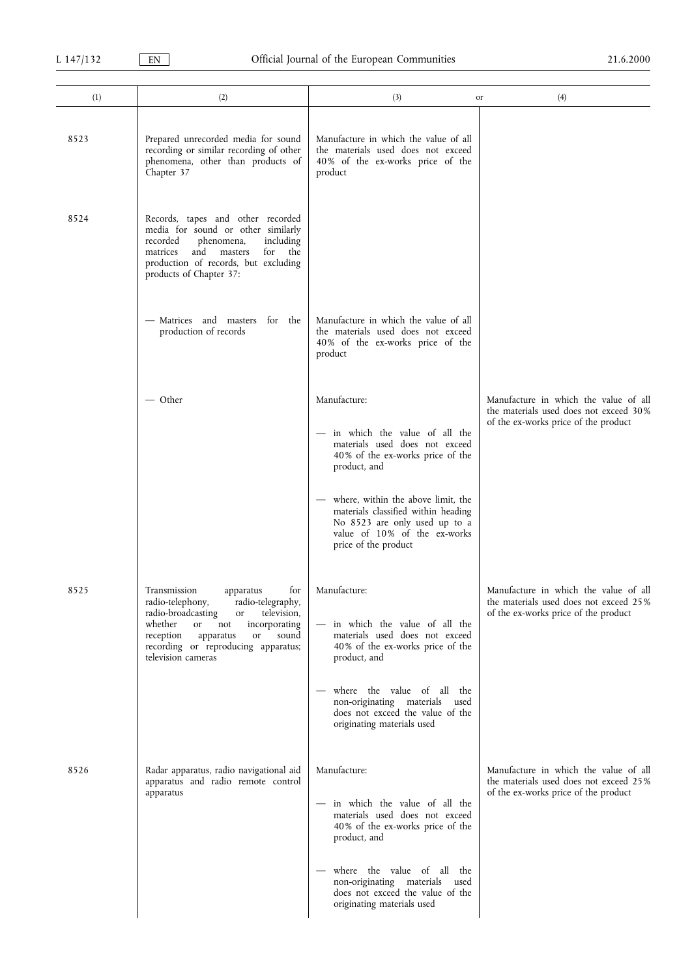| (1)  | (2)                                                                                                                                                                                                                                                                        | (3)                                                                                                                                                                | (4)<br>or                                                                                                               |
|------|----------------------------------------------------------------------------------------------------------------------------------------------------------------------------------------------------------------------------------------------------------------------------|--------------------------------------------------------------------------------------------------------------------------------------------------------------------|-------------------------------------------------------------------------------------------------------------------------|
| 8523 | Prepared unrecorded media for sound<br>recording or similar recording of other<br>phenomena, other than products of<br>Chapter 37                                                                                                                                          | Manufacture in which the value of all<br>the materials used does not exceed<br>40% of the ex-works price of the<br>product                                         |                                                                                                                         |
| 8524 | Records, tapes and other recorded<br>media for sound or other similarly<br>recorded<br>phenomena,<br>including<br>matrices<br>and masters<br>for the<br>production of records, but excluding<br>products of Chapter 37:                                                    |                                                                                                                                                                    |                                                                                                                         |
|      | - Matrices and masters for the<br>production of records                                                                                                                                                                                                                    | Manufacture in which the value of all<br>the materials used does not exceed<br>40% of the ex-works price of the<br>product                                         |                                                                                                                         |
|      | — Other                                                                                                                                                                                                                                                                    | Manufacture:                                                                                                                                                       | Manufacture in which the value of all                                                                                   |
|      |                                                                                                                                                                                                                                                                            | in which the value of all the<br>materials used does not exceed<br>40% of the ex-works price of the<br>product, and                                                | the materials used does not exceed 30%<br>of the ex-works price of the product                                          |
|      |                                                                                                                                                                                                                                                                            | where, within the above limit, the<br>materials classified within heading<br>No 8523 are only used up to a<br>value of 10% of the ex-works<br>price of the product |                                                                                                                         |
| 8525 | Transmission<br>apparatus<br>for<br>radio-telephony,<br>radio-telegraphy,<br>radio-broadcasting<br>television,<br>or<br>whether<br><b>or</b><br>incorporating<br>not<br>sound<br>reception<br>apparatus<br>or<br>recording or reproducing apparatus;<br>television cameras | Manufacture:<br>in which the value of all the<br>materials used does not exceed<br>40% of the ex-works price of the<br>product, and                                | Manufacture in which the value of all<br>the materials used does not exceed 25%<br>of the ex-works price of the product |
|      |                                                                                                                                                                                                                                                                            | where the value of all the<br>non-originating materials used<br>does not exceed the value of the<br>originating materials used                                     |                                                                                                                         |
| 8526 | Radar apparatus, radio navigational aid<br>apparatus and radio remote control                                                                                                                                                                                              | Manufacture:                                                                                                                                                       | Manufacture in which the value of all<br>the materials used does not exceed 25%                                         |
|      | apparatus                                                                                                                                                                                                                                                                  | - in which the value of all the<br>materials used does not exceed<br>40% of the ex-works price of the<br>product, and                                              | of the ex-works price of the product                                                                                    |
|      |                                                                                                                                                                                                                                                                            | where the value of all the<br>non-originating materials used<br>does not exceed the value of the<br>originating materials used                                     |                                                                                                                         |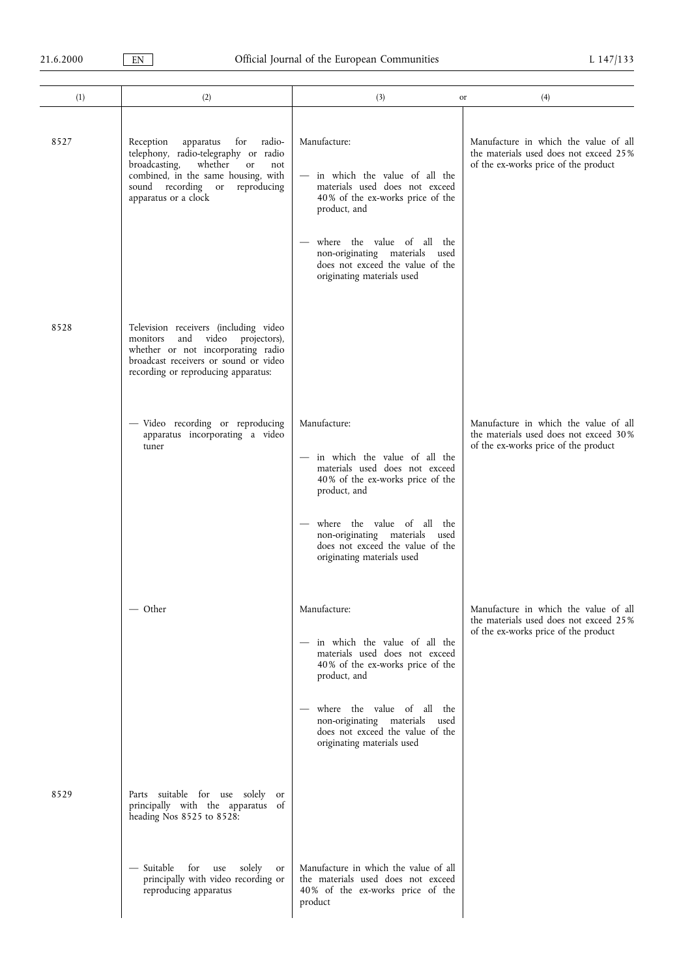| (1)  | (2)                                                                                                                                                                                                                          | (3)                                                                                                                                                                                                                                                                     | (4)<br>or                                                                                                               |
|------|------------------------------------------------------------------------------------------------------------------------------------------------------------------------------------------------------------------------------|-------------------------------------------------------------------------------------------------------------------------------------------------------------------------------------------------------------------------------------------------------------------------|-------------------------------------------------------------------------------------------------------------------------|
| 8527 | Reception<br>apparatus<br>for<br>radio-<br>telephony, radio-telegraphy or radio<br>broadcasting,<br>whether<br>or<br>not<br>combined, in the same housing, with<br>sound recording or<br>reproducing<br>apparatus or a clock | Manufacture:<br>in which the value of all the<br>materials used does not exceed<br>40% of the ex-works price of the<br>product, and<br>where the value of all the<br>non-originating materials used<br>does not exceed the value of the<br>originating materials used   | Manufacture in which the value of all<br>the materials used does not exceed 25%<br>of the ex-works price of the product |
| 8528 | Television receivers (including video<br>video projectors),<br>and<br>monitors<br>whether or not incorporating radio<br>broadcast receivers or sound or video<br>recording or reproducing apparatus:                         |                                                                                                                                                                                                                                                                         |                                                                                                                         |
|      | - Video recording or reproducing<br>apparatus incorporating a video<br>tuner                                                                                                                                                 | Manufacture:<br>- in which the value of all the<br>materials used does not exceed<br>40% of the ex-works price of the<br>product, and<br>where the value of all the<br>non-originating materials used<br>does not exceed the value of the<br>originating materials used | Manufacture in which the value of all<br>the materials used does not exceed 30%<br>of the ex-works price of the product |
|      | $-$ Other                                                                                                                                                                                                                    | Manufacture:<br>in which the value of all the<br>materials used does not exceed<br>40% of the ex-works price of the<br>product, and<br>where the value of all the<br>non-originating materials used<br>does not exceed the value of the<br>originating materials used   | Manufacture in which the value of all<br>the materials used does not exceed 25%<br>of the ex-works price of the product |
| 8529 | Parts suitable for use solely<br>or<br>principally with the apparatus of<br>heading Nos 8525 to 8528:                                                                                                                        |                                                                                                                                                                                                                                                                         |                                                                                                                         |
|      | — Suitable<br>for<br>solely<br>use<br>or<br>principally with video recording or<br>reproducing apparatus                                                                                                                     | Manufacture in which the value of all<br>the materials used does not exceed<br>40% of the ex-works price of the<br>product                                                                                                                                              |                                                                                                                         |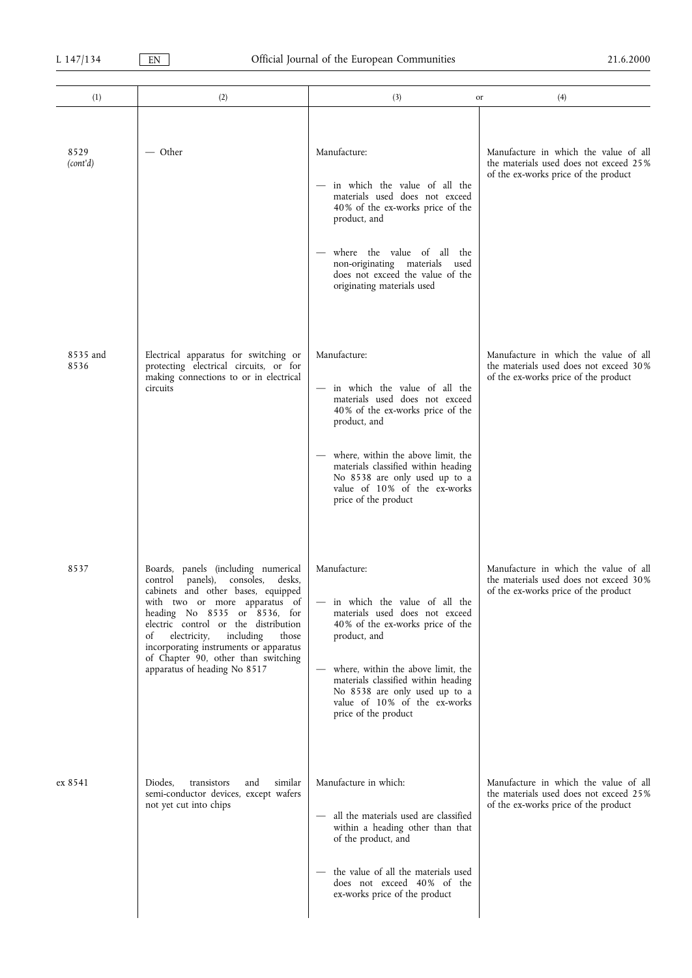| (1)              | (2)                                                                                                                                                                                                                                                                                                                                                                                     | (3)<br>or                                                                                                                                                                                                                                                                                                 | (4)                                                                                                                     |
|------------------|-----------------------------------------------------------------------------------------------------------------------------------------------------------------------------------------------------------------------------------------------------------------------------------------------------------------------------------------------------------------------------------------|-----------------------------------------------------------------------------------------------------------------------------------------------------------------------------------------------------------------------------------------------------------------------------------------------------------|-------------------------------------------------------------------------------------------------------------------------|
| 8529<br>(cont'd) | — Other                                                                                                                                                                                                                                                                                                                                                                                 | Manufacture:<br>in which the value of all the<br>materials used does not exceed<br>40% of the ex-works price of the<br>product, and<br>where the value of all the<br>non-originating materials<br>used<br>does not exceed the value of the<br>originating materials used                                  | Manufacture in which the value of all<br>the materials used does not exceed 25%<br>of the ex-works price of the product |
| 8535 and<br>8536 | Electrical apparatus for switching or<br>protecting electrical circuits, or for<br>making connections to or in electrical<br>circuits                                                                                                                                                                                                                                                   | Manufacture:<br>in which the value of all the<br>materials used does not exceed<br>40% of the ex-works price of the<br>product, and<br>where, within the above limit, the<br>materials classified within heading<br>No 8538 are only used up to a<br>value of 10% of the ex-works<br>price of the product | Manufacture in which the value of all<br>the materials used does not exceed 30%<br>of the ex-works price of the product |
| 8537             | Boards, panels (including numerical<br>control panels), consoles,<br>desks,<br>cabinets and other bases, equipped<br>with two or more apparatus of<br>heading No 8535 or 8536, for<br>electric control or the distribution<br>electricity,<br>including<br>those<br>of<br>incorporating instruments or apparatus<br>of Chapter 90, other than switching<br>apparatus of heading No 8517 | Manufacture:<br>in which the value of all the<br>materials used does not exceed<br>40% of the ex-works price of the<br>product, and<br>where, within the above limit, the<br>materials classified within heading<br>No 8538 are only used up to a<br>value of 10% of the ex-works<br>price of the product | Manufacture in which the value of all<br>the materials used does not exceed 30%<br>of the ex-works price of the product |
| ex 8541          | Diodes,<br>and<br>similar<br>transistors<br>semi-conductor devices, except wafers<br>not yet cut into chips                                                                                                                                                                                                                                                                             | Manufacture in which:<br>all the materials used are classified<br>within a heading other than that<br>of the product, and<br>the value of all the materials used<br>does not exceed 40% of the<br>ex-works price of the product                                                                           | Manufacture in which the value of all<br>the materials used does not exceed 25%<br>of the ex-works price of the product |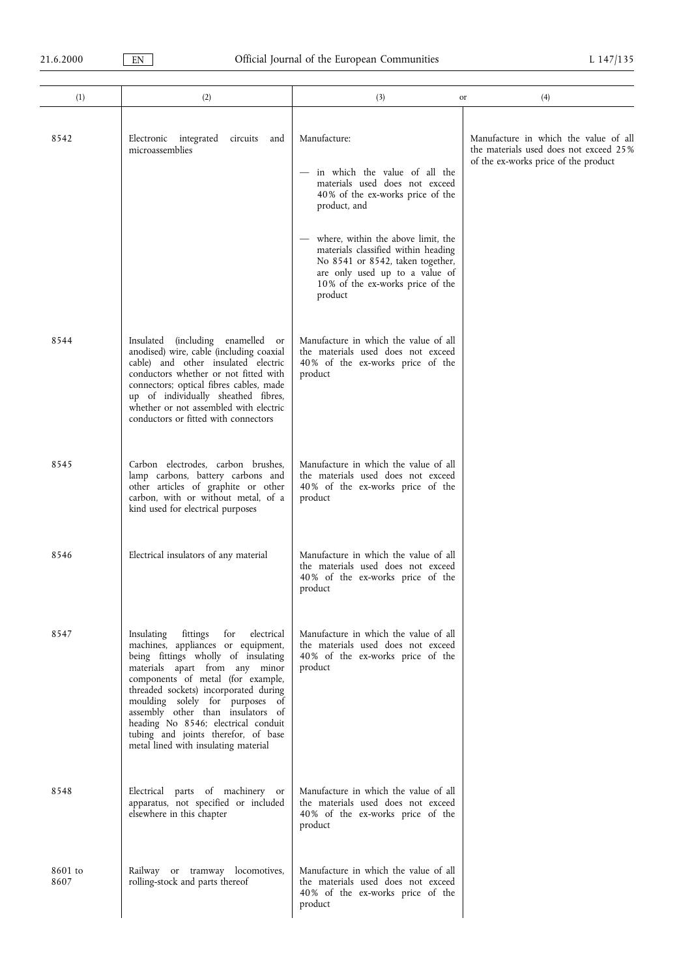| (1)             | (2)                                                                                                                                                                                                                                                                                                                                                                                                                                    | (3)<br>or                                                                                                                                                                                                                                                                                                                               | (4)                                                                                                                     |
|-----------------|----------------------------------------------------------------------------------------------------------------------------------------------------------------------------------------------------------------------------------------------------------------------------------------------------------------------------------------------------------------------------------------------------------------------------------------|-----------------------------------------------------------------------------------------------------------------------------------------------------------------------------------------------------------------------------------------------------------------------------------------------------------------------------------------|-------------------------------------------------------------------------------------------------------------------------|
| 8542            | Electronic integrated<br>circuits<br>and<br>microassemblies                                                                                                                                                                                                                                                                                                                                                                            | Manufacture:<br>- in which the value of all the<br>materials used does not exceed<br>40% of the ex-works price of the<br>product, and<br>where, within the above limit, the<br>materials classified within heading<br>No 8541 or 8542, taken together,<br>are only used up to a value of<br>10% of the ex-works price of the<br>product | Manufacture in which the value of all<br>the materials used does not exceed 25%<br>of the ex-works price of the product |
| 8544            | Insulated (including enamelled<br><sub>or</sub><br>anodised) wire, cable (including coaxial<br>cable) and other insulated electric<br>conductors whether or not fitted with<br>connectors; optical fibres cables, made<br>up of individually sheathed fibres,<br>whether or not assembled with electric<br>conductors or fitted with connectors                                                                                        | Manufacture in which the value of all<br>the materials used does not exceed<br>40% of the ex-works price of the<br>product                                                                                                                                                                                                              |                                                                                                                         |
| 8545            | Carbon electrodes, carbon brushes,<br>lamp carbons, battery carbons and<br>other articles of graphite or other<br>carbon, with or without metal, of a<br>kind used for electrical purposes                                                                                                                                                                                                                                             | Manufacture in which the value of all<br>the materials used does not exceed<br>40% of the ex-works price of the<br>product                                                                                                                                                                                                              |                                                                                                                         |
| 8546            | Electrical insulators of any material                                                                                                                                                                                                                                                                                                                                                                                                  | Manufacture in which the value of all<br>the materials used does not exceed<br>40% of the ex-works price of the<br>product                                                                                                                                                                                                              |                                                                                                                         |
| 8547            | fittings<br>for<br>electrical<br>Insulating<br>machines, appliances or equipment,<br>being fittings wholly of insulating<br>materials apart from any minor<br>components of metal (for example,<br>threaded sockets) incorporated during<br>moulding solely for purposes of<br>assembly other than insulators of<br>heading No 8546; electrical conduit<br>tubing and joints therefor, of base<br>metal lined with insulating material | Manufacture in which the value of all<br>the materials used does not exceed<br>40% of the ex-works price of the<br>product                                                                                                                                                                                                              |                                                                                                                         |
| 8548            | Electrical parts of machinery or<br>apparatus, not specified or included<br>elsewhere in this chapter                                                                                                                                                                                                                                                                                                                                  | Manufacture in which the value of all<br>the materials used does not exceed<br>40% of the ex-works price of the<br>product                                                                                                                                                                                                              |                                                                                                                         |
| 8601 to<br>8607 | Railway or tramway locomotives,<br>rolling-stock and parts thereof                                                                                                                                                                                                                                                                                                                                                                     | Manufacture in which the value of all<br>the materials used does not exceed<br>40% of the ex-works price of the<br>product                                                                                                                                                                                                              |                                                                                                                         |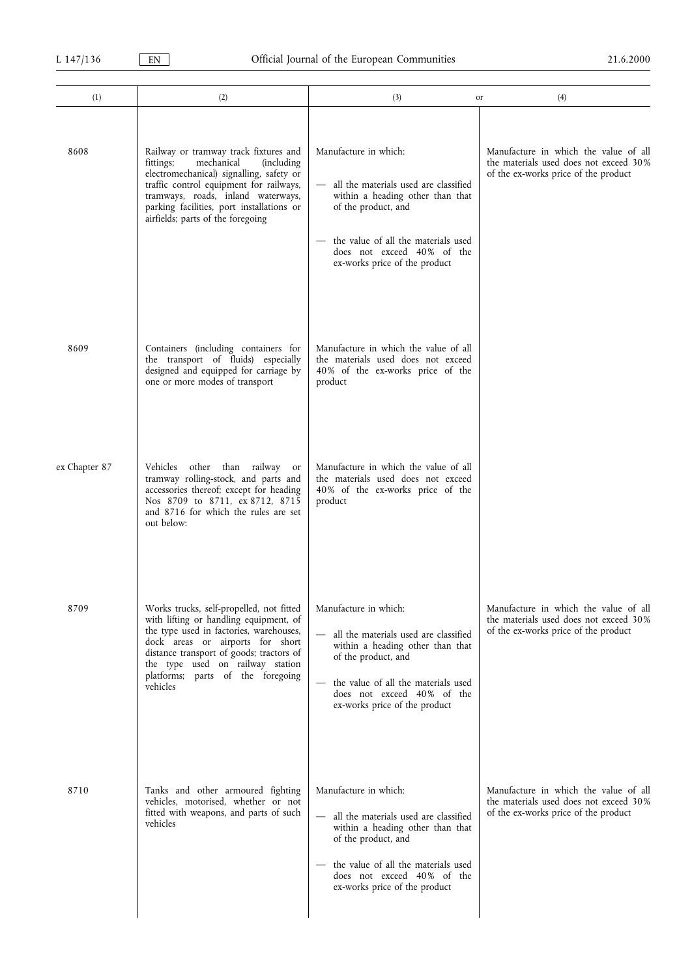| (1)           | (2)                                                                                                                                                                                                                                                                                                   | (3)<br>or                                                                                                                                                                                                                         | (4)                                                                                                                     |
|---------------|-------------------------------------------------------------------------------------------------------------------------------------------------------------------------------------------------------------------------------------------------------------------------------------------------------|-----------------------------------------------------------------------------------------------------------------------------------------------------------------------------------------------------------------------------------|-------------------------------------------------------------------------------------------------------------------------|
| 8608          | Railway or tramway track fixtures and<br>mechanical<br>fittings;<br><i>(including)</i><br>electromechanical) signalling, safety or<br>traffic control equipment for railways,<br>tramways, roads, inland waterways,<br>parking facilities, port installations or<br>airfields; parts of the foregoing | Manufacture in which:<br>all the materials used are classified<br>within a heading other than that<br>of the product, and<br>the value of all the materials used<br>does not exceed 40% of the<br>ex-works price of the product   | Manufacture in which the value of all<br>the materials used does not exceed 30%<br>of the ex-works price of the product |
| 8609          | Containers (including containers for<br>the transport of fluids) especially<br>designed and equipped for carriage by<br>one or more modes of transport                                                                                                                                                | Manufacture in which the value of all<br>the materials used does not exceed<br>40% of the ex-works price of the<br>product                                                                                                        |                                                                                                                         |
| ex Chapter 87 | Vehicles other than railway<br>or<br>tramway rolling-stock, and parts and<br>accessories thereof; except for heading<br>Nos 8709 to 8711, ex 8712, 8715<br>and 8716 for which the rules are set<br>out below:                                                                                         | Manufacture in which the value of all<br>the materials used does not exceed<br>40% of the ex-works price of the<br>product                                                                                                        |                                                                                                                         |
| 8709          | Works trucks, self-propelled, not fitted<br>with lifting or handling equipment, of<br>the type used in factories, warehouses,<br>dock areas or airports for short<br>distance transport of goods; tractors of<br>the type used on railway station<br>platforms; parts of the foregoing<br>vehicles    | Manufacture in which:<br>all the materials used are classified<br>within a heading other than that<br>of the product, and<br>the value of all the materials used<br>does not exceed 40% of the<br>ex-works price of the product   | Manufacture in which the value of all<br>the materials used does not exceed 30%<br>of the ex-works price of the product |
| 8710          | Tanks and other armoured fighting<br>vehicles, motorised, whether or not<br>fitted with weapons, and parts of such<br>vehicles                                                                                                                                                                        | Manufacture in which:<br>- all the materials used are classified<br>within a heading other than that<br>of the product, and<br>the value of all the materials used<br>does not exceed 40% of the<br>ex-works price of the product | Manufacture in which the value of all<br>the materials used does not exceed 30%<br>of the ex-works price of the product |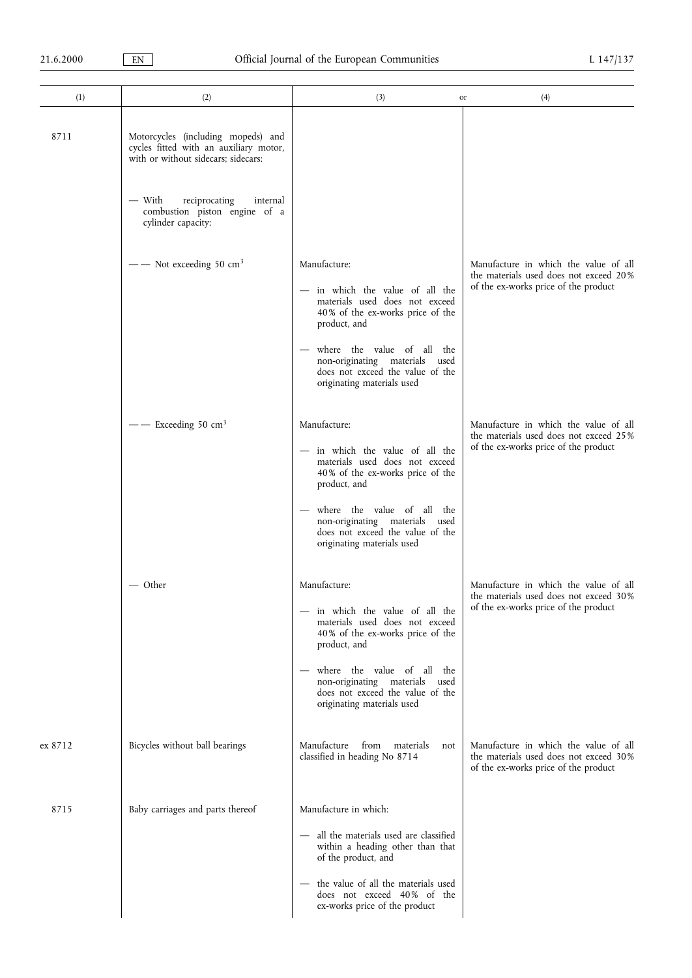| (1)     | (2)                                                                                                                                                                                                               | (3)<br>or                                                                                                                                                                                                                                                                  | (4)                                                                                                                     |
|---------|-------------------------------------------------------------------------------------------------------------------------------------------------------------------------------------------------------------------|----------------------------------------------------------------------------------------------------------------------------------------------------------------------------------------------------------------------------------------------------------------------------|-------------------------------------------------------------------------------------------------------------------------|
| 8711    | Motorcycles (including mopeds) and<br>cycles fitted with an auxiliary motor,<br>with or without sidecars; sidecars:<br>— With<br>reciprocating<br>internal<br>combustion piston engine of a<br>cylinder capacity: |                                                                                                                                                                                                                                                                            |                                                                                                                         |
|         | $\frac{1}{2}$ Not exceeding 50 cm <sup>3</sup>                                                                                                                                                                    | Manufacture:<br>- in which the value of all the<br>materials used does not exceed<br>40% of the ex-works price of the<br>product, and<br>where the value of all the<br>non-originating materials used<br>does not exceed the value of the<br>originating materials used    | Manufacture in which the value of all<br>the materials used does not exceed 20%<br>of the ex-works price of the product |
|         | — $-$ Exceeding 50 cm <sup>3</sup>                                                                                                                                                                                | Manufacture:<br>- in which the value of all the<br>materials used does not exceed<br>40% of the ex-works price of the<br>product, and<br>where the value of all the<br>non-originating materials used<br>does not exceed the value of the<br>originating materials used    | Manufacture in which the value of all<br>the materials used does not exceed 25%<br>of the ex-works price of the product |
|         | — Other                                                                                                                                                                                                           | Manufacture:<br>- in which the value of all the<br>materials used does not exceed<br>40% of the ex-works price of the<br>product, and<br>where the value of all the<br>non-originating materials<br>used<br>does not exceed the value of the<br>originating materials used | Manufacture in which the value of all<br>the materials used does not exceed 30%<br>of the ex-works price of the product |
| ex 8712 | Bicycles without ball bearings                                                                                                                                                                                    | Manufacture<br>from<br>materials<br>not<br>classified in heading No 8714                                                                                                                                                                                                   | Manufacture in which the value of all<br>the materials used does not exceed 30%<br>of the ex-works price of the product |
| 8715    | Baby carriages and parts thereof                                                                                                                                                                                  | Manufacture in which:<br>all the materials used are classified<br>within a heading other than that<br>of the product, and<br>the value of all the materials used<br>does not exceed 40% of the<br>ex-works price of the product                                            |                                                                                                                         |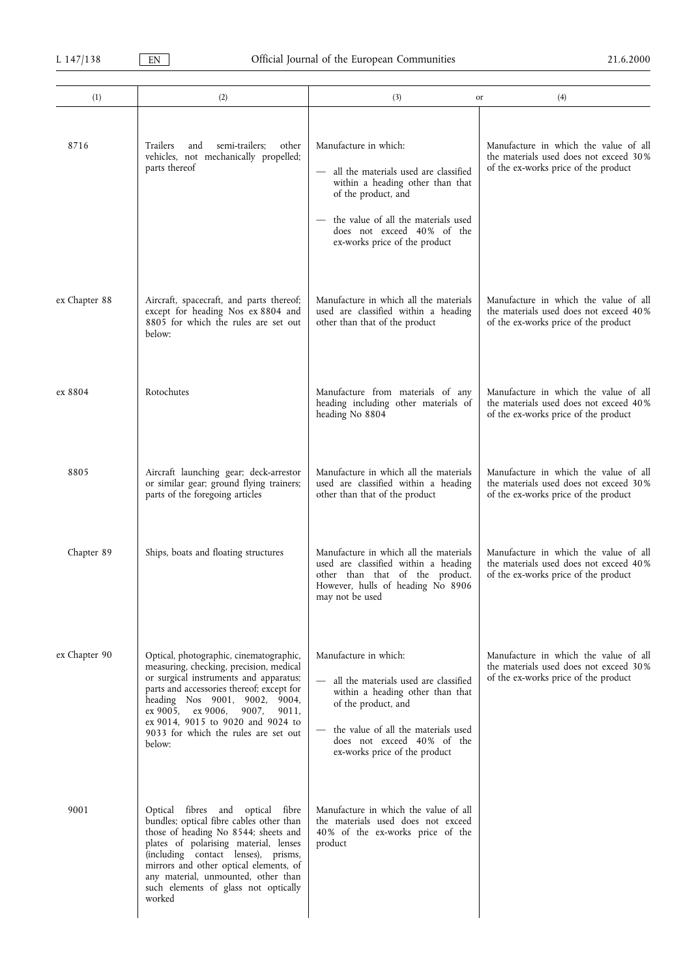| (1)           | (2)                                                                                                                                                                                                                                                                                                                                      | (3)<br>or                                                                                                                                                                                                                       | (4)                                                                                                                     |
|---------------|------------------------------------------------------------------------------------------------------------------------------------------------------------------------------------------------------------------------------------------------------------------------------------------------------------------------------------------|---------------------------------------------------------------------------------------------------------------------------------------------------------------------------------------------------------------------------------|-------------------------------------------------------------------------------------------------------------------------|
| 8716          | semi-trailers;<br>other<br>Trailers<br>and<br>vehicles, not mechanically propelled;<br>parts thereof                                                                                                                                                                                                                                     | Manufacture in which:<br>all the materials used are classified<br>within a heading other than that<br>of the product, and<br>the value of all the materials used<br>does not exceed 40% of the<br>ex-works price of the product | Manufacture in which the value of all<br>the materials used does not exceed 30%<br>of the ex-works price of the product |
| ex Chapter 88 | Aircraft, spacecraft, and parts thereof;<br>except for heading Nos ex 8804 and<br>8805 for which the rules are set out<br>below:                                                                                                                                                                                                         | Manufacture in which all the materials<br>used are classified within a heading<br>other than that of the product                                                                                                                | Manufacture in which the value of all<br>the materials used does not exceed 40%<br>of the ex-works price of the product |
| ex 8804       | Rotochutes                                                                                                                                                                                                                                                                                                                               | Manufacture from materials of any<br>heading including other materials of<br>heading No 8804                                                                                                                                    | Manufacture in which the value of all<br>the materials used does not exceed 40%<br>of the ex-works price of the product |
| 8805          | Aircraft launching gear; deck-arrestor<br>or similar gear; ground flying trainers;<br>parts of the foregoing articles                                                                                                                                                                                                                    | Manufacture in which all the materials<br>used are classified within a heading<br>other than that of the product                                                                                                                | Manufacture in which the value of all<br>the materials used does not exceed 30%<br>of the ex-works price of the product |
| Chapter 89    | Ships, boats and floating structures                                                                                                                                                                                                                                                                                                     | Manufacture in which all the materials<br>used are classified within a heading<br>other than that of the product.<br>However, hulls of heading No 8906<br>may not be used                                                       | Manufacture in which the value of all<br>the materials used does not exceed 40%<br>of the ex-works price of the product |
| ex Chapter 90 | Optical, photographic, cinematographic,<br>measuring, checking, precision, medical<br>or surgical instruments and apparatus;<br>parts and accessories thereof; except for<br>heading Nos 9001, 9002, 9004,<br>ex 9005, ex 9006,<br>9007,<br>9011,<br>ex 9014, 9015 to 9020 and 9024 to<br>9033 for which the rules are set out<br>below: | Manufacture in which:<br>all the materials used are classified<br>within a heading other than that<br>of the product, and<br>the value of all the materials used<br>does not exceed 40% of the<br>ex-works price of the product | Manufacture in which the value of all<br>the materials used does not exceed 30%<br>of the ex-works price of the product |
| 9001          | Optical fibres and optical fibre<br>bundles; optical fibre cables other than<br>those of heading No 8544; sheets and<br>plates of polarising material, lenses<br>(including contact lenses), prisms,<br>mirrors and other optical elements, of<br>any material, unmounted, other than<br>such elements of glass not optically<br>worked  | Manufacture in which the value of all<br>the materials used does not exceed<br>40% of the ex-works price of the<br>product                                                                                                      |                                                                                                                         |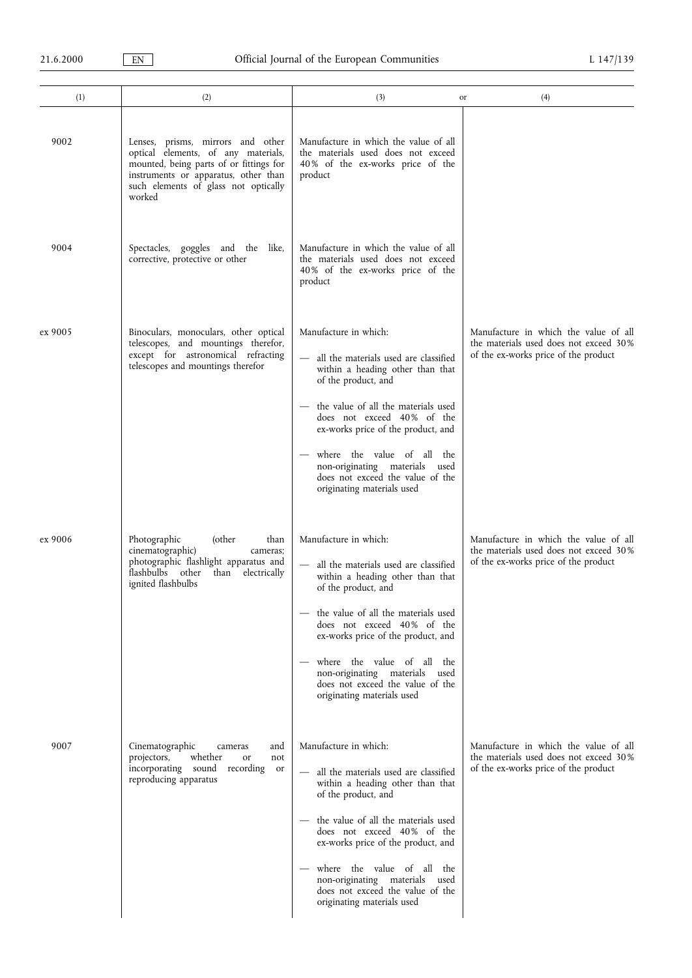| (1)     | (2)                                                                                                                                                                                                           | (3)                                                                                                                                                                                                                                                                                                                                                                      | (4)<br>or                                                                                                               |
|---------|---------------------------------------------------------------------------------------------------------------------------------------------------------------------------------------------------------------|--------------------------------------------------------------------------------------------------------------------------------------------------------------------------------------------------------------------------------------------------------------------------------------------------------------------------------------------------------------------------|-------------------------------------------------------------------------------------------------------------------------|
| 9002    | Lenses, prisms, mirrors and other<br>optical elements, of any materials,<br>mounted, being parts of or fittings for<br>instruments or apparatus, other than<br>such elements of glass not optically<br>worked | Manufacture in which the value of all<br>the materials used does not exceed<br>40% of the ex-works price of the<br>product                                                                                                                                                                                                                                               |                                                                                                                         |
| 9004    | Spectacles, goggles and the like,<br>corrective, protective or other                                                                                                                                          | Manufacture in which the value of all<br>the materials used does not exceed<br>40% of the ex-works price of the<br>product                                                                                                                                                                                                                                               |                                                                                                                         |
| ex 9005 | Binoculars, monoculars, other optical<br>telescopes, and mountings therefor,<br>except for astronomical refracting<br>telescopes and mountings therefor                                                       | Manufacture in which:<br>- all the materials used are classified<br>within a heading other than that<br>of the product, and<br>the value of all the materials used<br>does not exceed 40% of the<br>ex-works price of the product, and<br>where the value of all the<br>non-originating materials used<br>does not exceed the value of the<br>originating materials used | Manufacture in which the value of all<br>the materials used does not exceed 30%<br>of the ex-works price of the product |
| ex 9006 | Photographic<br>(other<br>than<br>cinematographic)<br>cameras;<br>photographic flashlight apparatus and<br>flashbulbs other<br>than electrically<br>ignited flashbulbs                                        | Manufacture in which:<br>all the materials used are classified<br>within a heading other than that<br>of the product, and<br>the value of all the materials used<br>does not exceed 40% of the<br>ex-works price of the product, and<br>where the value of all the<br>non-originating materials used<br>does not exceed the value of the<br>originating materials used   | Manufacture in which the value of all<br>the materials used does not exceed 30%<br>of the ex-works price of the product |
| 9007    | Cinematographic<br>and<br>cameras<br>whether<br>projectors,<br>not<br>or<br>incorporating sound recording<br><sub>or</sub><br>reproducing apparatus                                                           | Manufacture in which:<br>- all the materials used are classified<br>within a heading other than that<br>of the product, and<br>the value of all the materials used<br>does not exceed 40% of the<br>ex-works price of the product, and<br>where the value of all the<br>non-originating materials used<br>does not exceed the value of the<br>originating materials used | Manufacture in which the value of all<br>the materials used does not exceed 30%<br>of the ex-works price of the product |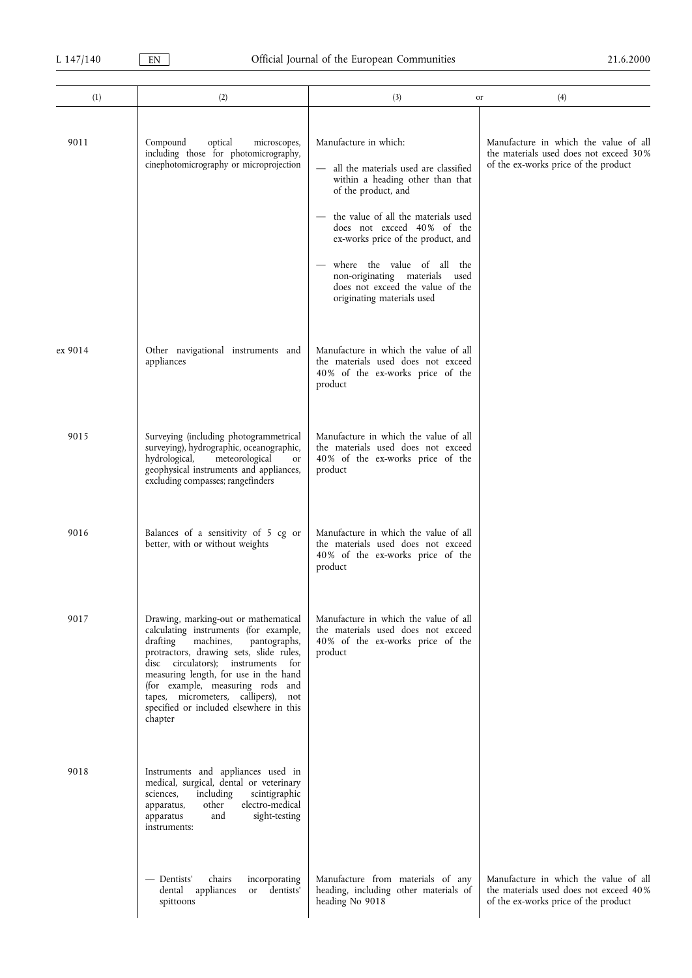| (1)     | (2)                                                                                                                                                                                                                                                                                                                                                                                     | (3)<br>or                                                                                                                                                               | (4)                                                                                                                     |
|---------|-----------------------------------------------------------------------------------------------------------------------------------------------------------------------------------------------------------------------------------------------------------------------------------------------------------------------------------------------------------------------------------------|-------------------------------------------------------------------------------------------------------------------------------------------------------------------------|-------------------------------------------------------------------------------------------------------------------------|
| 9011    | Compound<br>optical<br>microscopes,<br>including those for photomicrography,<br>cinephotomicrography or microprojection                                                                                                                                                                                                                                                                 | Manufacture in which:<br>all the materials used are classified<br>$\overline{\phantom{0}}$<br>within a heading other than that<br>of the product, and                   | Manufacture in which the value of all<br>the materials used does not exceed 30%<br>of the ex-works price of the product |
|         |                                                                                                                                                                                                                                                                                                                                                                                         | the value of all the materials used<br>does not exceed 40% of the<br>ex-works price of the product, and<br>where the value of all the<br>non-originating materials used |                                                                                                                         |
|         |                                                                                                                                                                                                                                                                                                                                                                                         | does not exceed the value of the<br>originating materials used                                                                                                          |                                                                                                                         |
| ex 9014 | Other navigational instruments and<br>appliances                                                                                                                                                                                                                                                                                                                                        | Manufacture in which the value of all<br>the materials used does not exceed<br>40% of the ex-works price of the<br>product                                              |                                                                                                                         |
| 9015    | Surveying (including photogrammetrical<br>surveying), hydrographic, oceanographic,<br>meteorological<br>hydrological,<br>or<br>geophysical instruments and appliances,<br>excluding compasses; rangefinders                                                                                                                                                                             | Manufacture in which the value of all<br>the materials used does not exceed<br>40% of the ex-works price of the<br>product                                              |                                                                                                                         |
| 9016    | Balances of a sensitivity of 5 cg or<br>better, with or without weights                                                                                                                                                                                                                                                                                                                 | Manufacture in which the value of all<br>the materials used does not exceed<br>40% of the ex-works price of the<br>product                                              |                                                                                                                         |
| 9017    | Drawing, marking-out or mathematical<br>calculating instruments (for example,<br>drafting<br>machines,<br>pantographs,<br>protractors, drawing sets, slide rules,<br>disc circulators); instruments<br>for<br>measuring length, for use in the hand<br>(for example, measuring rods and<br>tapes, micrometers, callipers),<br>not<br>specified or included elsewhere in this<br>chapter | Manufacture in which the value of all<br>the materials used does not exceed<br>40% of the ex-works price of the<br>product                                              |                                                                                                                         |
| 9018    | Instruments and appliances used in<br>medical, surgical, dental or veterinary<br>including<br>scintigraphic<br>sciences,<br>other<br>electro-medical<br>apparatus,<br>sight-testing<br>and<br>apparatus<br>instruments:                                                                                                                                                                 |                                                                                                                                                                         |                                                                                                                         |
|         | — Dentists'<br>chairs<br>incorporating<br>dental appliances<br>dentists'<br><b>or</b><br>spittoons                                                                                                                                                                                                                                                                                      | Manufacture from materials of any<br>heading, including other materials of<br>heading No 9018                                                                           | Manufacture in which the value of all<br>the materials used does not exceed 40%<br>of the ex-works price of the product |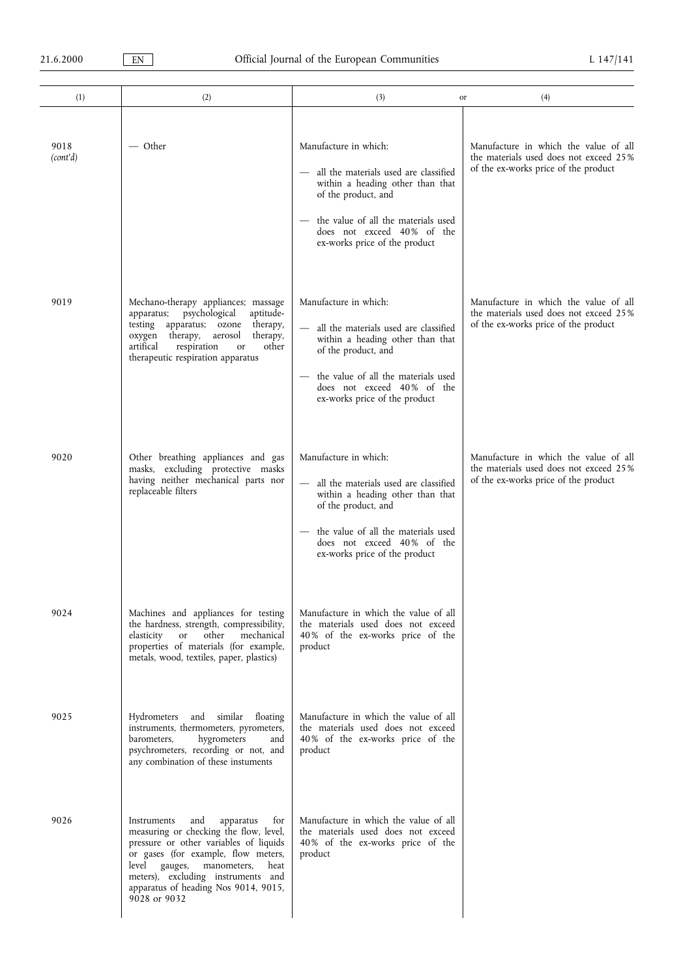| (1)              | (2)                                                                                                                                                                                                                                                                                                  | (3)                                                                                                                                                                                                                               | (4)<br>or                                                                                                               |
|------------------|------------------------------------------------------------------------------------------------------------------------------------------------------------------------------------------------------------------------------------------------------------------------------------------------------|-----------------------------------------------------------------------------------------------------------------------------------------------------------------------------------------------------------------------------------|-------------------------------------------------------------------------------------------------------------------------|
| 9018<br>(cont'd) | $-$ Other                                                                                                                                                                                                                                                                                            | Manufacture in which:<br>all the materials used are classified<br>within a heading other than that<br>of the product, and<br>the value of all the materials used<br>does not exceed 40% of the<br>ex-works price of the product   | Manufacture in which the value of all<br>the materials used does not exceed 25%<br>of the ex-works price of the product |
| 9019             | Mechano-therapy appliances; massage<br>apparatus; psychological<br>aptitude-<br>testing apparatus; ozone<br>therapy,<br>oxygen therapy, aerosol<br>therapy,<br>artifical<br>respiration<br>other<br>or<br>therapeutic respiration apparatus                                                          | Manufacture in which:<br>- all the materials used are classified<br>within a heading other than that<br>of the product, and<br>the value of all the materials used<br>does not exceed 40% of the<br>ex-works price of the product | Manufacture in which the value of all<br>the materials used does not exceed 25%<br>of the ex-works price of the product |
| 9020             | Other breathing appliances and gas<br>masks, excluding protective masks<br>having neither mechanical parts nor<br>replaceable filters                                                                                                                                                                | Manufacture in which:<br>- all the materials used are classified<br>within a heading other than that<br>of the product, and<br>the value of all the materials used<br>does not exceed 40% of the<br>ex-works price of the product | Manufacture in which the value of all<br>the materials used does not exceed 25%<br>of the ex-works price of the product |
| 9024             | Machines and appliances for testing<br>the hardness, strength, compressibility,<br>other<br>elasticity<br><sub>or</sub><br>mechanical<br>properties of materials (for example,<br>metals, wood, textiles, paper, plastics)                                                                           | Manufacture in which the value of all<br>the materials used does not exceed<br>40% of the ex-works price of the<br>product                                                                                                        |                                                                                                                         |
| 9025             | and similar floating<br>Hydrometers<br>instruments, thermometers, pyrometers,<br>hygrometers<br>barometers,<br>and<br>psychrometers, recording or not, and<br>any combination of these instuments                                                                                                    | Manufacture in which the value of all<br>the materials used does not exceed<br>40% of the ex-works price of the<br>product                                                                                                        |                                                                                                                         |
| 9026             | apparatus<br>for<br>Instruments<br>and<br>measuring or checking the flow, level,<br>pressure or other variables of liquids<br>or gases (for example, flow meters,<br>level gauges, manometers,<br>heat<br>meters), excluding instruments and<br>apparatus of heading Nos 9014, 9015,<br>9028 or 9032 | Manufacture in which the value of all<br>the materials used does not exceed<br>40% of the ex-works price of the<br>product                                                                                                        |                                                                                                                         |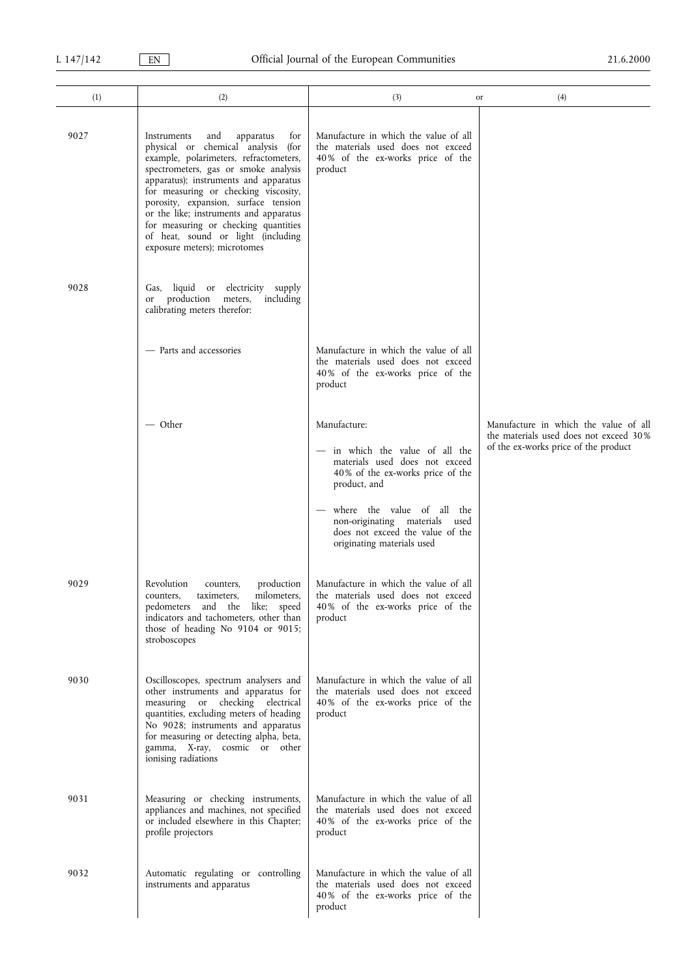| (1)  | (2)                                                                                                                                                                                                                                                                                                                                                                                                                                             | (3)<br>or                                                                                                                                                                                                                                                                | (4)                                                                                                                     |
|------|-------------------------------------------------------------------------------------------------------------------------------------------------------------------------------------------------------------------------------------------------------------------------------------------------------------------------------------------------------------------------------------------------------------------------------------------------|--------------------------------------------------------------------------------------------------------------------------------------------------------------------------------------------------------------------------------------------------------------------------|-------------------------------------------------------------------------------------------------------------------------|
| 9027 | apparatus<br>Instruments<br>and<br>for<br>physical or chemical analysis (for<br>example, polarimeters, refractometers,<br>spectrometers, gas or smoke analysis<br>apparatus); instruments and apparatus<br>for measuring or checking viscosity,<br>porosity, expansion, surface tension<br>or the like; instruments and apparatus<br>for measuring or checking quantities<br>of heat, sound or light (including<br>exposure meters); microtomes | Manufacture in which the value of all<br>the materials used does not exceed<br>40% of the ex-works price of the<br>product                                                                                                                                               |                                                                                                                         |
| 9028 | Gas, liquid or electricity supply<br>or production meters,<br>including<br>calibrating meters therefor:                                                                                                                                                                                                                                                                                                                                         |                                                                                                                                                                                                                                                                          |                                                                                                                         |
|      | - Parts and accessories                                                                                                                                                                                                                                                                                                                                                                                                                         | Manufacture in which the value of all<br>the materials used does not exceed<br>40% of the ex-works price of the<br>product                                                                                                                                               |                                                                                                                         |
|      | — Other                                                                                                                                                                                                                                                                                                                                                                                                                                         | Manufacture:<br>in which the value of all the<br>materials used does not exceed<br>40% of the ex-works price of the<br>product, and<br>where the value of all<br>the<br>non-originating materials used<br>does not exceed the value of the<br>originating materials used | Manufacture in which the value of all<br>the materials used does not exceed 30%<br>of the ex-works price of the product |
| 9029 | Revolution<br>production<br>counters,<br>milometers,<br>taximeters,<br>counters.<br>pedometers and the like; speed<br>indicators and tachometers, other than<br>those of heading No 9104 or 9015;<br>stroboscopes                                                                                                                                                                                                                               | Manufacture in which the value of all<br>the materials used does not exceed<br>40% of the ex-works price of the<br>product                                                                                                                                               |                                                                                                                         |
| 9030 | Oscilloscopes, spectrum analysers and<br>other instruments and apparatus for<br>measuring or checking electrical<br>quantities, excluding meters of heading<br>No 9028; instruments and apparatus<br>for measuring or detecting alpha, beta,<br>gamma, X-ray, cosmic or other<br>ionising radiations                                                                                                                                            | Manufacture in which the value of all<br>the materials used does not exceed<br>40% of the ex-works price of the<br>product                                                                                                                                               |                                                                                                                         |
| 9031 | Measuring or checking instruments,<br>appliances and machines, not specified<br>or included elsewhere in this Chapter;<br>profile projectors                                                                                                                                                                                                                                                                                                    | Manufacture in which the value of all<br>the materials used does not exceed<br>40% of the ex-works price of the<br>product                                                                                                                                               |                                                                                                                         |
| 9032 | Automatic regulating or controlling<br>instruments and apparatus                                                                                                                                                                                                                                                                                                                                                                                | Manufacture in which the value of all<br>the materials used does not exceed<br>40% of the ex-works price of the<br>product                                                                                                                                               |                                                                                                                         |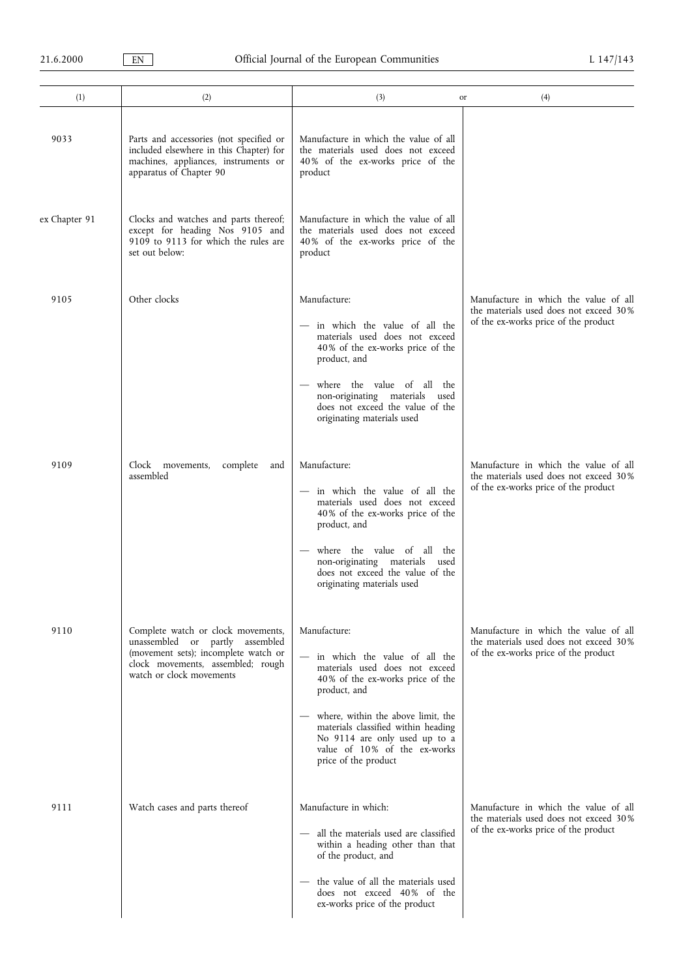| (1)           | (2)                                                                                                                                                                            | (3)<br>or                                                                                                                                                                                                                                                                                                   | (4)                                                                                                                     |
|---------------|--------------------------------------------------------------------------------------------------------------------------------------------------------------------------------|-------------------------------------------------------------------------------------------------------------------------------------------------------------------------------------------------------------------------------------------------------------------------------------------------------------|-------------------------------------------------------------------------------------------------------------------------|
| 9033          | Parts and accessories (not specified or<br>included elsewhere in this Chapter) for<br>machines, appliances, instruments or<br>apparatus of Chapter 90                          | Manufacture in which the value of all<br>the materials used does not exceed<br>40% of the ex-works price of the<br>product                                                                                                                                                                                  |                                                                                                                         |
| ex Chapter 91 | Clocks and watches and parts thereof;<br>except for heading Nos 9105 and<br>9109 to 9113 for which the rules are<br>set out below:                                             | Manufacture in which the value of all<br>the materials used does not exceed<br>40% of the ex-works price of the<br>product                                                                                                                                                                                  |                                                                                                                         |
| 9105          | Other clocks                                                                                                                                                                   | Manufacture:<br>- in which the value of all the<br>materials used does not exceed<br>40% of the ex-works price of the<br>product, and<br>where the value of all the<br>non-originating materials used<br>does not exceed the value of the<br>originating materials used                                     | Manufacture in which the value of all<br>the materials used does not exceed 30%<br>of the ex-works price of the product |
| 9109          | Clock movements,<br>complete<br>and<br>assembled                                                                                                                               | Manufacture:<br>- in which the value of all the<br>materials used does not exceed<br>40% of the ex-works price of the<br>product, and<br>where the value of all the<br>non-originating materials<br>used<br>does not exceed the value of the<br>originating materials used                                  | Manufacture in which the value of all<br>the materials used does not exceed 30%<br>of the ex-works price of the product |
| 9110          | Complete watch or clock movements,<br>unassembled or partly assembled<br>(movement sets); incomplete watch or<br>clock movements, assembled; rough<br>watch or clock movements | Manufacture:<br>- in which the value of all the<br>materials used does not exceed<br>40% of the ex-works price of the<br>product, and<br>where, within the above limit, the<br>materials classified within heading<br>No 9114 are only used up to a<br>value of 10% of the ex-works<br>price of the product | Manufacture in which the value of all<br>the materials used does not exceed 30%<br>of the ex-works price of the product |
| 9111          | Watch cases and parts thereof                                                                                                                                                  | Manufacture in which:<br>- all the materials used are classified<br>within a heading other than that<br>of the product, and<br>the value of all the materials used<br>does not exceed 40% of the<br>ex-works price of the product                                                                           | Manufacture in which the value of all<br>the materials used does not exceed 30%<br>of the ex-works price of the product |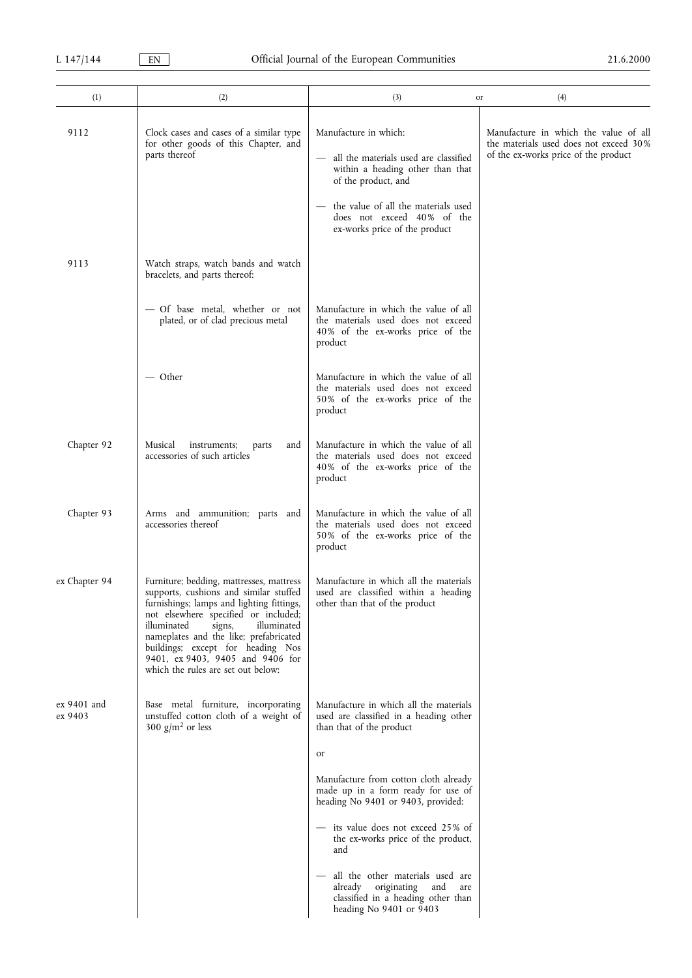| (1)                    | (2)                                                                                                                                                                                                                                                                                                                                                                      | (3)<br>or                                                                                                                              | (4)                                                                                                                     |
|------------------------|--------------------------------------------------------------------------------------------------------------------------------------------------------------------------------------------------------------------------------------------------------------------------------------------------------------------------------------------------------------------------|----------------------------------------------------------------------------------------------------------------------------------------|-------------------------------------------------------------------------------------------------------------------------|
| 9112                   | Clock cases and cases of a similar type<br>for other goods of this Chapter, and<br>parts thereof                                                                                                                                                                                                                                                                         | Manufacture in which:<br>all the materials used are classified<br>within a heading other than that<br>of the product, and              | Manufacture in which the value of all<br>the materials used does not exceed 30%<br>of the ex-works price of the product |
|                        |                                                                                                                                                                                                                                                                                                                                                                          | the value of all the materials used<br>does not exceed 40% of the<br>ex-works price of the product                                     |                                                                                                                         |
| 9113                   | Watch straps, watch bands and watch<br>bracelets, and parts thereof:                                                                                                                                                                                                                                                                                                     |                                                                                                                                        |                                                                                                                         |
|                        | - Of base metal, whether or not<br>plated, or of clad precious metal                                                                                                                                                                                                                                                                                                     | Manufacture in which the value of all<br>the materials used does not exceed<br>40% of the ex-works price of the<br>product             |                                                                                                                         |
|                        | $-$ Other                                                                                                                                                                                                                                                                                                                                                                | Manufacture in which the value of all<br>the materials used does not exceed<br>50% of the ex-works price of the<br>product             |                                                                                                                         |
| Chapter 92             | Musical<br>instruments;<br>and<br>parts<br>accessories of such articles                                                                                                                                                                                                                                                                                                  | Manufacture in which the value of all<br>the materials used does not exceed<br>40% of the ex-works price of the<br>product             |                                                                                                                         |
| Chapter 93             | Arms and ammunition; parts and<br>accessories thereof                                                                                                                                                                                                                                                                                                                    | Manufacture in which the value of all<br>the materials used does not exceed<br>50% of the ex-works price of the<br>product             |                                                                                                                         |
| ex Chapter 94          | Furniture; bedding, mattresses, mattress<br>supports, cushions and similar stuffed<br>furnishings; lamps and lighting fittings,<br>not elsewhere specified or included;<br>illuminated<br>signs,<br>illuminated<br>nameplates and the like; prefabricated<br>buildings; except for heading Nos<br>9401, ex 9403, 9405 and 9406 for<br>which the rules are set out below: | Manufacture in which all the materials<br>used are classified within a heading<br>other than that of the product                       |                                                                                                                         |
| ex 9401 and<br>ex 9403 | Base metal furniture, incorporating<br>unstuffed cotton cloth of a weight of<br>300 $g/m^2$ or less                                                                                                                                                                                                                                                                      | Manufacture in which all the materials<br>used are classified in a heading other<br>than that of the product                           |                                                                                                                         |
|                        |                                                                                                                                                                                                                                                                                                                                                                          | or                                                                                                                                     |                                                                                                                         |
|                        |                                                                                                                                                                                                                                                                                                                                                                          | Manufacture from cotton cloth already<br>made up in a form ready for use of<br>heading No 9401 or 9403, provided:                      |                                                                                                                         |
|                        |                                                                                                                                                                                                                                                                                                                                                                          | - its value does not exceed 25% of<br>the ex-works price of the product,<br>and                                                        |                                                                                                                         |
|                        |                                                                                                                                                                                                                                                                                                                                                                          | all the other materials used are<br>already originating<br>and<br>are<br>classified in a heading other than<br>heading No 9401 or 9403 |                                                                                                                         |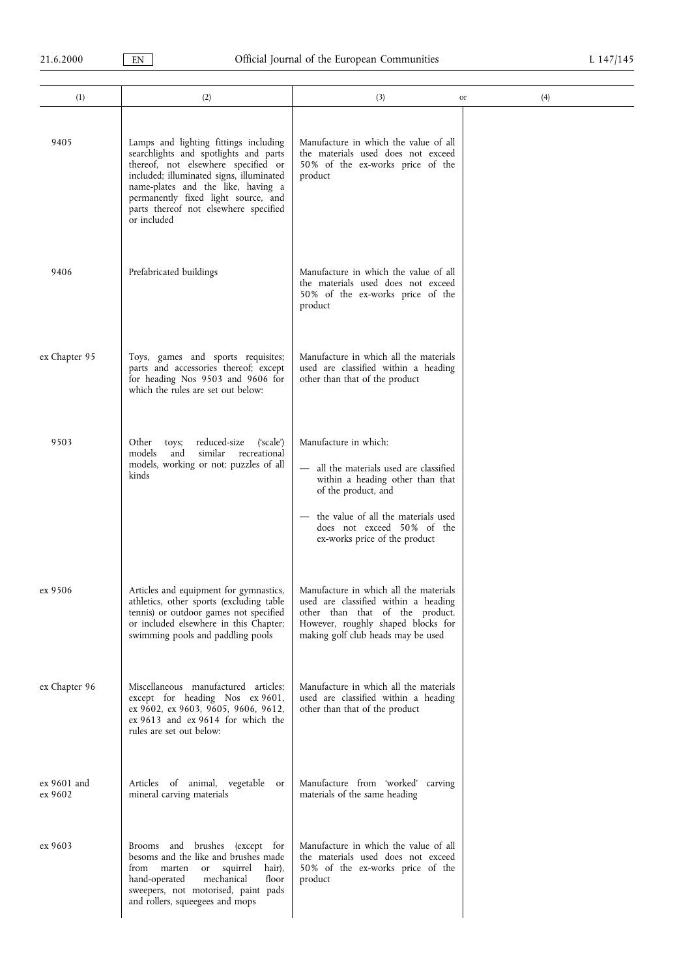| (1)                    | (2)                                                                                                                                                                                                                                                                                                    | (3)                                                                                                                                                                                                                               | (4)<br>or |
|------------------------|--------------------------------------------------------------------------------------------------------------------------------------------------------------------------------------------------------------------------------------------------------------------------------------------------------|-----------------------------------------------------------------------------------------------------------------------------------------------------------------------------------------------------------------------------------|-----------|
| 9405                   | Lamps and lighting fittings including<br>searchlights and spotlights and parts<br>thereof, not elsewhere specified or<br>included; illuminated signs, illuminated<br>name-plates and the like, having a<br>permanently fixed light source, and<br>parts thereof not elsewhere specified<br>or included | Manufacture in which the value of all<br>the materials used does not exceed<br>50% of the ex-works price of the<br>product                                                                                                        |           |
| 9406                   | Prefabricated buildings                                                                                                                                                                                                                                                                                | Manufacture in which the value of all<br>the materials used does not exceed<br>50% of the ex-works price of the<br>product                                                                                                        |           |
| ex Chapter 95          | Toys, games and sports requisites;<br>parts and accessories thereof; except<br>for heading Nos 9503 and 9606 for<br>which the rules are set out below:                                                                                                                                                 | Manufacture in which all the materials<br>used are classified within a heading<br>other than that of the product                                                                                                                  |           |
| 9503                   | reduced-size<br>Other<br>('scale')<br>toys;<br>similar<br>recreational<br>models<br>and<br>models, working or not; puzzles of all<br>kinds                                                                                                                                                             | Manufacture in which:<br>- all the materials used are classified<br>within a heading other than that<br>of the product, and<br>the value of all the materials used<br>does not exceed 50% of the<br>ex-works price of the product |           |
| ex 9506                | Articles and equipment for gymnastics,<br>athletics, other sports (excluding table<br>tennis) or outdoor games not specified<br>or included elsewhere in this Chapter;<br>swimming pools and paddling pools                                                                                            | Manufacture in which all the materials<br>used are classified within a heading<br>other than that of the product.<br>However, roughly shaped blocks for<br>making golf club heads may be used                                     |           |
| ex Chapter 96          | Miscellaneous manufactured articles;<br>except for heading Nos ex 9601,<br>ex 9602, ex 9603, 9605, 9606, 9612,<br>ex 9613 and ex 9614 for which the<br>rules are set out below:                                                                                                                        | Manufacture in which all the materials<br>used are classified within a heading<br>other than that of the product                                                                                                                  |           |
| ex 9601 and<br>ex 9602 | Articles of animal, vegetable or<br>mineral carving materials                                                                                                                                                                                                                                          | Manufacture from 'worked' carving<br>materials of the same heading                                                                                                                                                                |           |
| ex 9603                | Brooms and brushes (except for<br>besoms and the like and brushes made<br>from marten<br>or squirrel<br>hair),<br>mechanical<br>floor<br>hand-operated<br>sweepers, not motorised, paint pads<br>and rollers, squeegees and mops                                                                       | Manufacture in which the value of all<br>the materials used does not exceed<br>50% of the ex-works price of the<br>product                                                                                                        |           |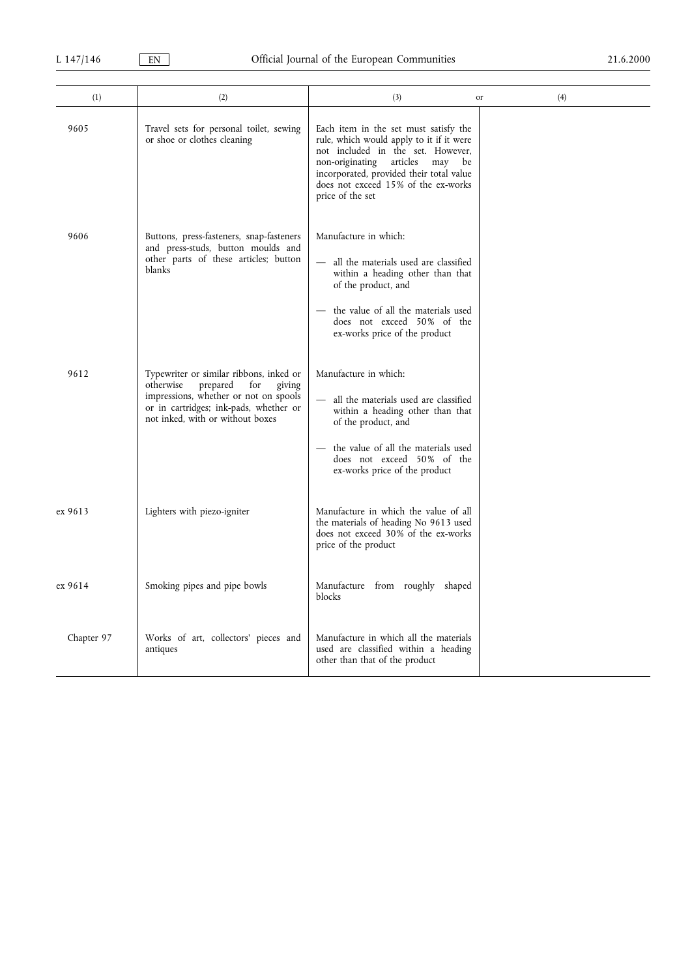| (1)        | (2)                                                                                                                                                                                                      | (3)                                                                                                                                                                                                                                                                       | (4)<br>or |
|------------|----------------------------------------------------------------------------------------------------------------------------------------------------------------------------------------------------------|---------------------------------------------------------------------------------------------------------------------------------------------------------------------------------------------------------------------------------------------------------------------------|-----------|
| 9605       | Travel sets for personal toilet, sewing<br>or shoe or clothes cleaning                                                                                                                                   | Each item in the set must satisfy the<br>rule, which would apply to it if it were<br>not included in the set. However,<br>non-originating<br>articles<br>may<br>be<br>incorporated, provided their total value<br>does not exceed 15% of the ex-works<br>price of the set |           |
| 9606       | Buttons, press-fasteners, snap-fasteners<br>and press-studs, button moulds and<br>other parts of these articles; button<br>blanks                                                                        | Manufacture in which:<br>- all the materials used are classified<br>within a heading other than that<br>of the product, and<br>the value of all the materials used<br>does not exceed 50% of the<br>ex-works price of the product                                         |           |
| 9612       | Typewriter or similar ribbons, inked or<br>otherwise<br>prepared<br>giving<br>for<br>impressions, whether or not on spools<br>or in cartridges; ink-pads, whether or<br>not inked, with or without boxes | Manufacture in which:<br>all the materials used are classified<br>within a heading other than that<br>of the product, and<br>the value of all the materials used<br>does not exceed 50% of the<br>ex-works price of the product                                           |           |
| ex 9613    | Lighters with piezo-igniter                                                                                                                                                                              | Manufacture in which the value of all<br>the materials of heading No 9613 used<br>does not exceed 30% of the ex-works<br>price of the product                                                                                                                             |           |
| ex 9614    | Smoking pipes and pipe bowls                                                                                                                                                                             | Manufacture from roughly shaped<br>blocks                                                                                                                                                                                                                                 |           |
| Chapter 97 | Works of art, collectors' pieces and<br>antiques                                                                                                                                                         | Manufacture in which all the materials<br>used are classified within a heading<br>other than that of the product                                                                                                                                                          |           |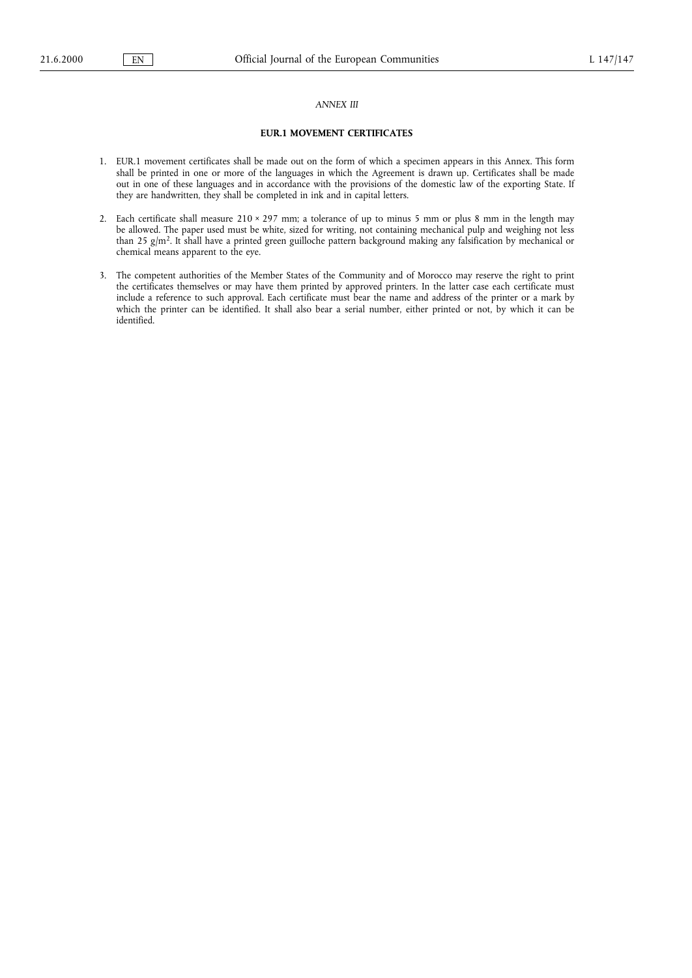# ANNEX III

# EUR.1 MOVEMENT CERTIFICATES

- 1. EUR.1 movement certificates shall be made out on the form of which a specimen appears in this Annex. This form shall be printed in one or more of the languages in which the Agreement is drawn up. Certificates shall be made out in one of these languages and in accordance with the provisions of the domestic law of the exporting State. If they are handwritten, they shall be completed in ink and in capital letters.
- 2. Each certificate shall measure 210 × 297 mm; a tolerance of up to minus 5 mm or plus 8 mm in the length may be allowed. The paper used must be white, sized for writing, not containing mechanical pulp and weighing not less than 25 g/m<sup>2</sup>. It shall have a printed green guilloche pattern background making any falsification by mechanical or chemical means apparent to the eye.
- 3. The competent authorities of the Member States of the Community and of Morocco may reserve the right to print the certificates themselves or may have them printed by approved printers. In the latter case each certificate must include a reference to such approval. Each certificate must bear the name and address of the printer or a mark by which the printer can be identified. It shall also bear a serial number, either printed or not, by which it can be identified.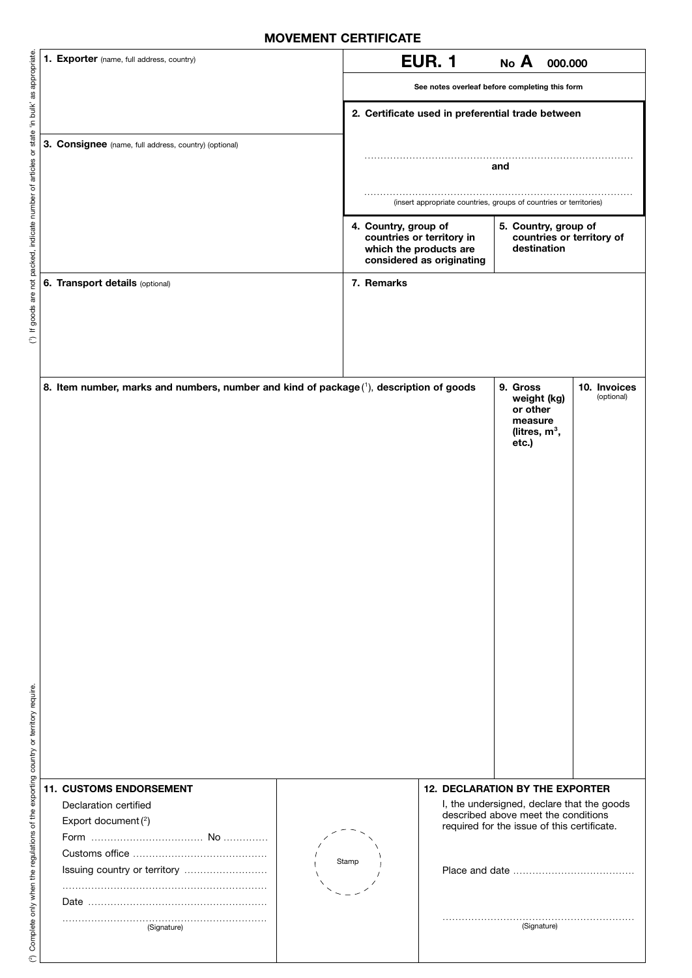| <b>IVIUVEIVIENI VENIIFIVAIE</b>                                                        |                                                                                         |                                                                                                                                                                              |  |  |  |
|----------------------------------------------------------------------------------------|-----------------------------------------------------------------------------------------|------------------------------------------------------------------------------------------------------------------------------------------------------------------------------|--|--|--|
|                                                                                        | 1. Exporter (name, full address, country)                                               | <b>EUR. 1</b><br>No A<br>000.000                                                                                                                                             |  |  |  |
|                                                                                        |                                                                                         | See notes overleaf before completing this form                                                                                                                               |  |  |  |
|                                                                                        |                                                                                         | 2. Certificate used in preferential trade between                                                                                                                            |  |  |  |
|                                                                                        | 3. Consignee (name, full address, country) (optional)                                   |                                                                                                                                                                              |  |  |  |
|                                                                                        |                                                                                         | and                                                                                                                                                                          |  |  |  |
|                                                                                        |                                                                                         |                                                                                                                                                                              |  |  |  |
|                                                                                        |                                                                                         | (insert appropriate countries, groups of countries or territories)                                                                                                           |  |  |  |
| If goods are not packed, indicate number of articles or state 'in bulk' as appropriate |                                                                                         | 4. Country, group of<br>5. Country, group of<br>countries or territory in<br>countries or territory of<br>which the products are<br>destination<br>considered as originating |  |  |  |
|                                                                                        | 6. Transport details (optional)                                                         | 7. Remarks                                                                                                                                                                   |  |  |  |
|                                                                                        |                                                                                         |                                                                                                                                                                              |  |  |  |
| $\in$                                                                                  |                                                                                         |                                                                                                                                                                              |  |  |  |
|                                                                                        |                                                                                         |                                                                                                                                                                              |  |  |  |
|                                                                                        |                                                                                         |                                                                                                                                                                              |  |  |  |
|                                                                                        | 8. Item number, marks and numbers, number and kind of package (1), description of goods | 9. Gross<br>10. Invoices<br>(optional)<br>weight (kg)<br>or other<br>measure<br>(litres, $m^3$ ,                                                                             |  |  |  |
|                                                                                        |                                                                                         | etc.)                                                                                                                                                                        |  |  |  |
|                                                                                        |                                                                                         |                                                                                                                                                                              |  |  |  |
|                                                                                        |                                                                                         |                                                                                                                                                                              |  |  |  |
|                                                                                        |                                                                                         |                                                                                                                                                                              |  |  |  |
|                                                                                        |                                                                                         |                                                                                                                                                                              |  |  |  |
|                                                                                        |                                                                                         |                                                                                                                                                                              |  |  |  |
|                                                                                        |                                                                                         |                                                                                                                                                                              |  |  |  |
|                                                                                        |                                                                                         |                                                                                                                                                                              |  |  |  |
|                                                                                        |                                                                                         |                                                                                                                                                                              |  |  |  |
|                                                                                        |                                                                                         |                                                                                                                                                                              |  |  |  |
|                                                                                        |                                                                                         |                                                                                                                                                                              |  |  |  |
|                                                                                        |                                                                                         |                                                                                                                                                                              |  |  |  |
|                                                                                        |                                                                                         |                                                                                                                                                                              |  |  |  |
|                                                                                        |                                                                                         |                                                                                                                                                                              |  |  |  |
|                                                                                        |                                                                                         |                                                                                                                                                                              |  |  |  |
|                                                                                        |                                                                                         |                                                                                                                                                                              |  |  |  |
|                                                                                        | <b>11. CUSTOMS ENDORSEMENT</b><br>Declaration certified                                 | <b>12. DECLARATION BY THE EXPORTER</b><br>I, the undersigned, declare that the goods                                                                                         |  |  |  |
|                                                                                        | Export document $(2)$                                                                   | described above meet the conditions<br>required for the issue of this certificate.                                                                                           |  |  |  |
|                                                                                        |                                                                                         |                                                                                                                                                                              |  |  |  |
| Complete only when the regulations of the exporting country or territory require.      | Issuing country or territory                                                            | Stamp                                                                                                                                                                        |  |  |  |
|                                                                                        |                                                                                         |                                                                                                                                                                              |  |  |  |
|                                                                                        |                                                                                         |                                                                                                                                                                              |  |  |  |
|                                                                                        | (Signature)                                                                             | (Signature)                                                                                                                                                                  |  |  |  |
| $\widehat{N}$                                                                          |                                                                                         |                                                                                                                                                                              |  |  |  |

 $\check{ }$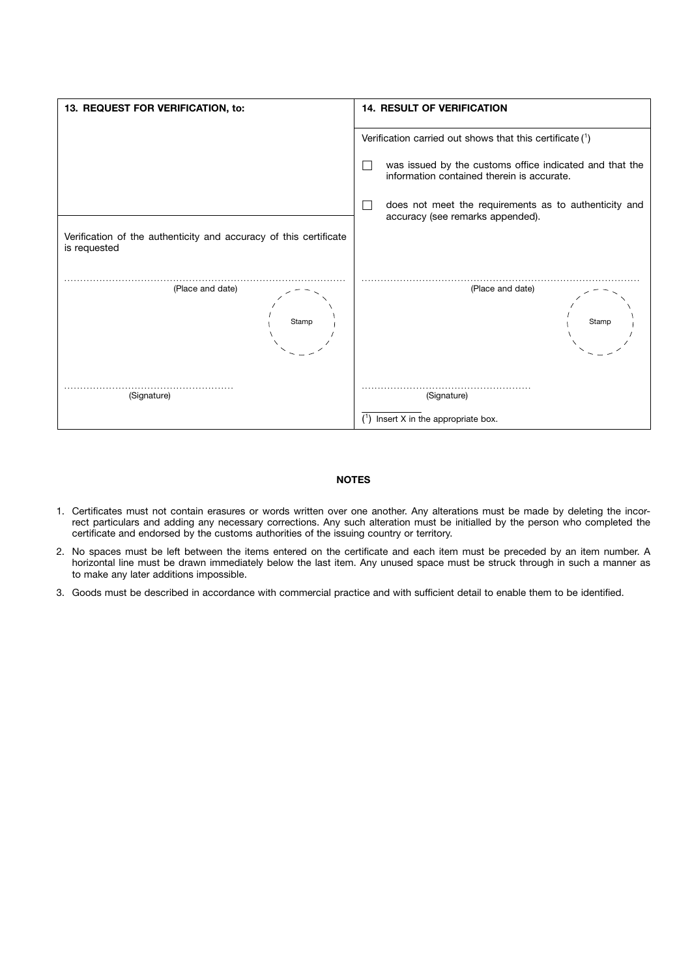

# NOTES

- 1. Certificates must not contain erasures or words written over one another. Any alterations must be made by deleting the incorrect particulars and adding any necessary corrections. Any such alteration must be initialled by the person who completed the certificate and endorsed by the customs authorities of the issuing country or territory.
- 2. No spaces must be left between the items entered on the certificate and each item must be preceded by an item number. A horizontal line must be drawn immediately below the last item. Any unused space must be struck through in such a manner as to make any later additions impossible.
- 3. Goods must be described in accordance with commercial practice and with sufficient detail to enable them to be identified.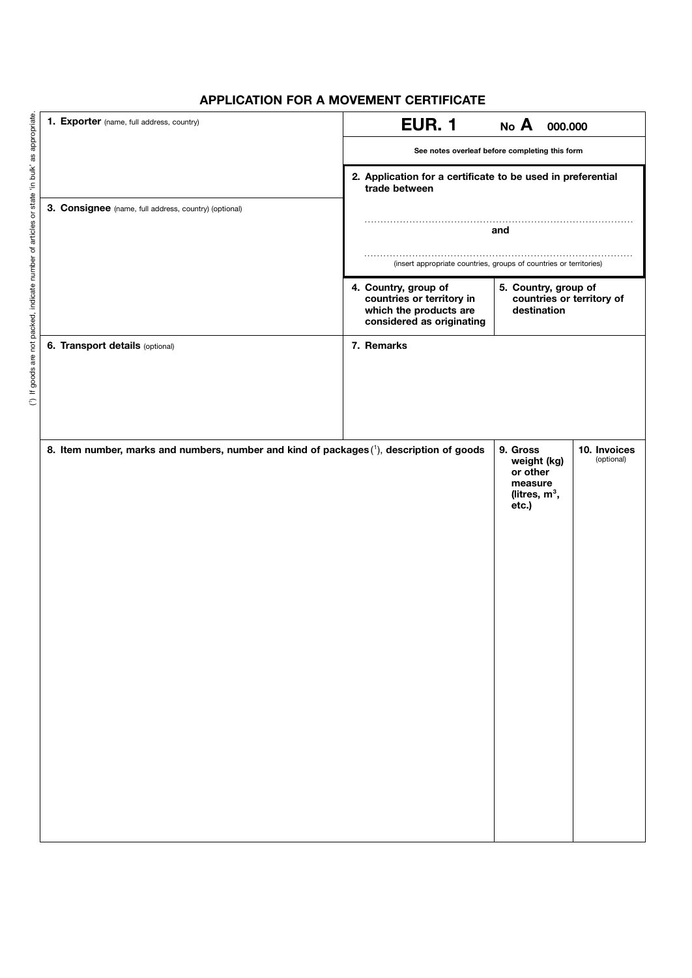# APPLICATION FOR A MOVEMENT CERTIFICATE

|                                                                                             | 1. Exporter (name, full address, country)                                                | <b>EUR. 1</b><br>No A<br>000.000                                                                                                                                             |
|---------------------------------------------------------------------------------------------|------------------------------------------------------------------------------------------|------------------------------------------------------------------------------------------------------------------------------------------------------------------------------|
|                                                                                             |                                                                                          | See notes overleaf before completing this form                                                                                                                               |
|                                                                                             |                                                                                          | 2. Application for a certificate to be used in preferential<br>trade between                                                                                                 |
|                                                                                             | 3. Consignee (name, full address, country) (optional)                                    |                                                                                                                                                                              |
|                                                                                             |                                                                                          | and                                                                                                                                                                          |
|                                                                                             |                                                                                          | (insert appropriate countries, groups of countries or territories)                                                                                                           |
| (1) If goods are not packed, indicate number of articles or state 'in bulk' as appropriate. |                                                                                          | 4. Country, group of<br>5. Country, group of<br>countries or territory in<br>countries or territory of<br>which the products are<br>destination<br>considered as originating |
|                                                                                             | 6. Transport details (optional)                                                          | 7. Remarks                                                                                                                                                                   |
|                                                                                             |                                                                                          |                                                                                                                                                                              |
|                                                                                             |                                                                                          |                                                                                                                                                                              |
|                                                                                             |                                                                                          |                                                                                                                                                                              |
|                                                                                             | 8. Item number, marks and numbers, number and kind of packages (1), description of goods | 10. Invoices<br>9. Gross<br>(optional)<br>weight (kg)<br>or other<br>measure<br>(litres, $m^3$ ,<br>etc.)                                                                    |
|                                                                                             |                                                                                          |                                                                                                                                                                              |
|                                                                                             |                                                                                          |                                                                                                                                                                              |
|                                                                                             |                                                                                          |                                                                                                                                                                              |
|                                                                                             |                                                                                          |                                                                                                                                                                              |
|                                                                                             |                                                                                          |                                                                                                                                                                              |
|                                                                                             |                                                                                          |                                                                                                                                                                              |
|                                                                                             |                                                                                          |                                                                                                                                                                              |
|                                                                                             |                                                                                          |                                                                                                                                                                              |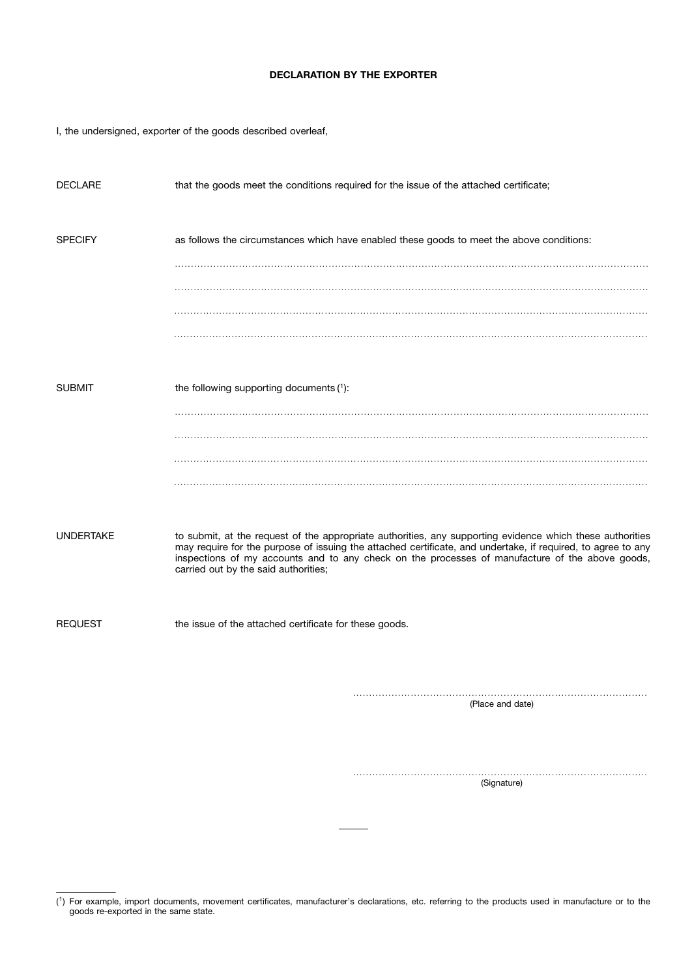# DECLARATION BY THE EXPORTER

I, the undersigned, exporter of the goods described overleaf,

| DECLARE        | that the goods meet the conditions required for the issue of the attached certificate;                                                                                                                                                                                                                                                                               |
|----------------|----------------------------------------------------------------------------------------------------------------------------------------------------------------------------------------------------------------------------------------------------------------------------------------------------------------------------------------------------------------------|
| <b>SPECIFY</b> | as follows the circumstances which have enabled these goods to meet the above conditions:                                                                                                                                                                                                                                                                            |
|                |                                                                                                                                                                                                                                                                                                                                                                      |
|                |                                                                                                                                                                                                                                                                                                                                                                      |
|                |                                                                                                                                                                                                                                                                                                                                                                      |
| SUBMIT         | the following supporting documents (1):                                                                                                                                                                                                                                                                                                                              |
|                |                                                                                                                                                                                                                                                                                                                                                                      |
|                |                                                                                                                                                                                                                                                                                                                                                                      |
| UNDERTAKE      | to submit, at the request of the appropriate authorities, any supporting evidence which these authorities<br>may require for the purpose of issuing the attached certificate, and undertake, if required, to agree to any<br>inspections of my accounts and to any check on the processes of manufacture of the above goods,<br>carried out by the said authorities; |
| <b>REQUEST</b> | the issue of the attached certificate for these goods.                                                                                                                                                                                                                                                                                                               |
|                |                                                                                                                                                                                                                                                                                                                                                                      |
|                | $(Dl$ ang and data)                                                                                                                                                                                                                                                                                                                                                  |

(Place and date)

. . . . . . . . . . . . . . . . . . . . . . . . . . . . . . . . . . . . . . . . . . . . . . . . . . . . . . . . . . . . . . . . . . . . . . . . . . . . . . . . . . . . . . . . . . . . (Signature)

<sup>(</sup> 1) For example, import documents, movement certificates, manufacturer's declarations, etc. referring to the products used in manufacture or to the goods re-exported in the same state.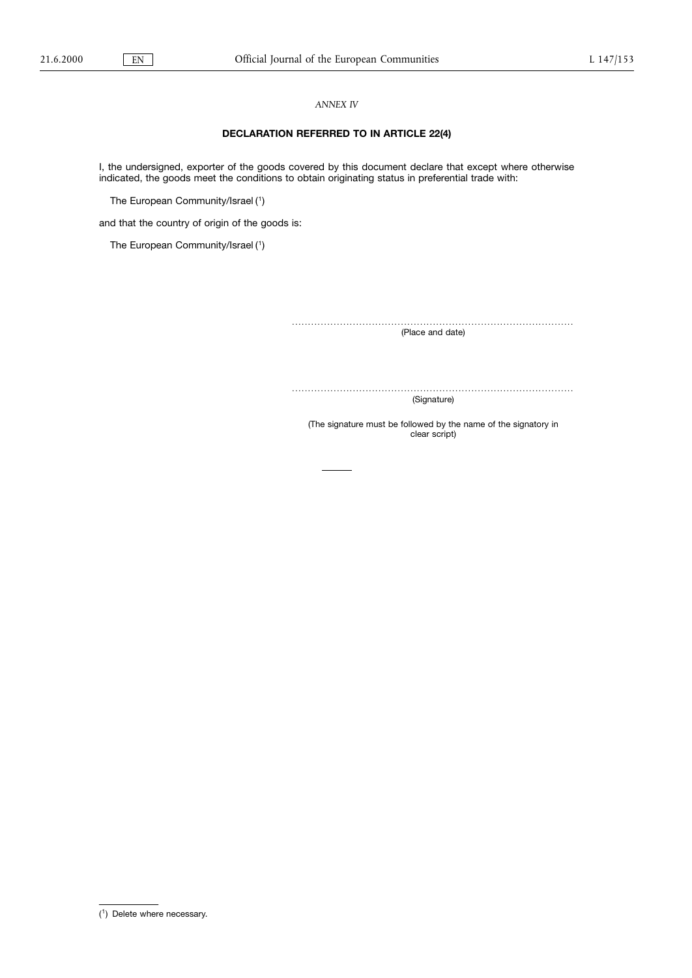# ANNEX IV

# DECLARATION REFERRED TO IN ARTICLE 22(4)

I, the undersigned, exporter of the goods covered by this document declare that except where otherwise indicated, the goods meet the conditions to obtain originating status in preferential trade with:

The European Community/Israel ( 1)

and that the country of origin of the goods is:

The European Community/Israel ( 1)

. . . . . . . . . . . . . . . . . . . . . . . . . . . . . . . . . . . . . . . . . . . . . . . . . . . . . . . . . . . . . . . . . . . . . . . . . . . . . . . . . . . . . . . .

(Place and date)

. . . . . . . . . . . . . . . . . . . . . . . . . . . . . . . . . . . . . . . . . . . . . . . . . . . . . . . . . . . . . . . . . . . . . . . . . . . . . . . . . . . . . . . . (Signature)

(The signature must be followed by the name of the signatory in clear script)

<sup>(</sup> 1) Delete where necessary.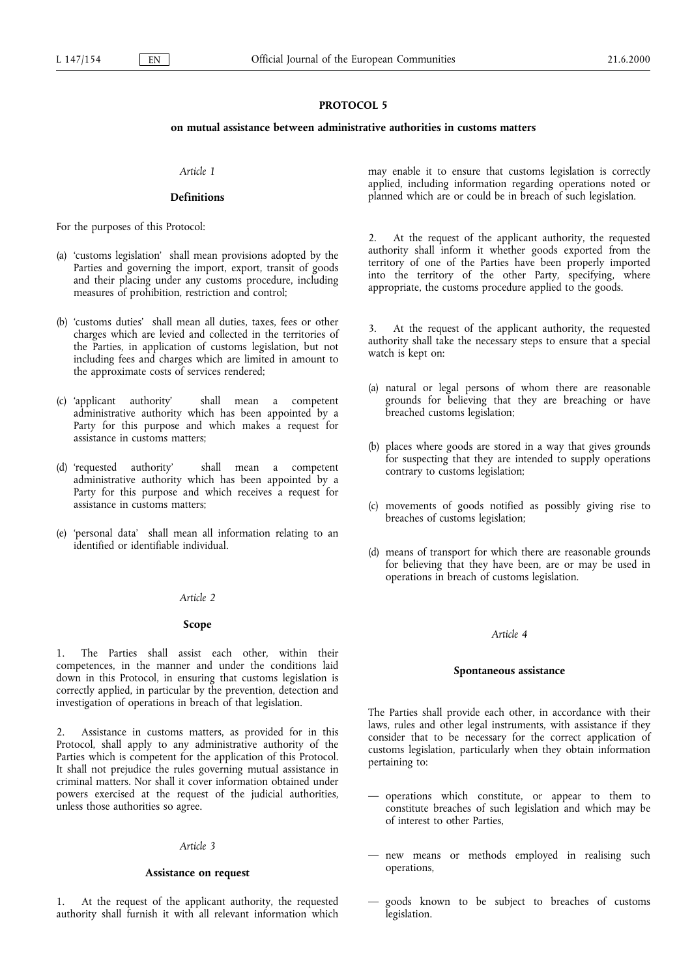# PROTOCOL<sub>5</sub>

# on mutual assistance between administrative authorities in customs matters

# Article 1

# **Definitions**

For the purposes of this Protocol:

- (a) 'customs legislation' shall mean provisions adopted by the Parties and governing the import, export, transit of goods and their placing under any customs procedure, including measures of prohibition, restriction and control;
- (b) 'customs duties' shall mean all duties, taxes, fees or other charges which are levied and collected in the territories of the Parties, in application of customs legislation, but not including fees and charges which are limited in amount to the approximate costs of services rendered;
- (c) applicant authority shall mean a competent administrative authority which has been appointed by a Party for this purpose and which makes a request for assistance in customs matters;
- (d) requested authority shall mean a competent administrative authority which has been appointed by a Party for this purpose and which receives a request for assistance in customs matters;
- (e) 'personal data' shall mean all information relating to an identified or identifiable individual.

#### Article 2

#### Scope

1. The Parties shall assist each other, within their competences, in the manner and under the conditions laid down in this Protocol, in ensuring that customs legislation is correctly applied, in particular by the prevention, detection and investigation of operations in breach of that legislation.

2. Assistance in customs matters, as provided for in this Protocol, shall apply to any administrative authority of the Parties which is competent for the application of this Protocol. It shall not prejudice the rules governing mutual assistance in criminal matters. Nor shall it cover information obtained under powers exercised at the request of the judicial authorities, unless those authorities so agree.

#### Article 3

#### Assistance on request

1. At the request of the applicant authority, the requested authority shall furnish it with all relevant information which may enable it to ensure that customs legislation is correctly applied, including information regarding operations noted or planned which are or could be in breach of such legislation.

At the request of the applicant authority, the requested authority shall inform it whether goods exported from the territory of one of the Parties have been properly imported into the territory of the other Party, specifying, where appropriate, the customs procedure applied to the goods.

3. At the request of the applicant authority, the requested authority shall take the necessary steps to ensure that a special watch is kept on:

- (a) natural or legal persons of whom there are reasonable grounds for believing that they are breaching or have breached customs legislation;
- (b) places where goods are stored in a way that gives grounds for suspecting that they are intended to supply operations contrary to customs legislation;
- (c) movements of goods notified as possibly giving rise to breaches of customs legislation;
- (d) means of transport for which there are reasonable grounds for believing that they have been, are or may be used in operations in breach of customs legislation.

#### Article 4

# Spontaneous assistance

The Parties shall provide each other, in accordance with their laws, rules and other legal instruments, with assistance if they consider that to be necessary for the correct application of customs legislation, particularly when they obtain information pertaining to:

- operations which constitute, or appear to them to constitute breaches of such legislation and which may be of interest to other Parties,
- new means or methods employed in realising such operations,
- goods known to be subject to breaches of customs legislation.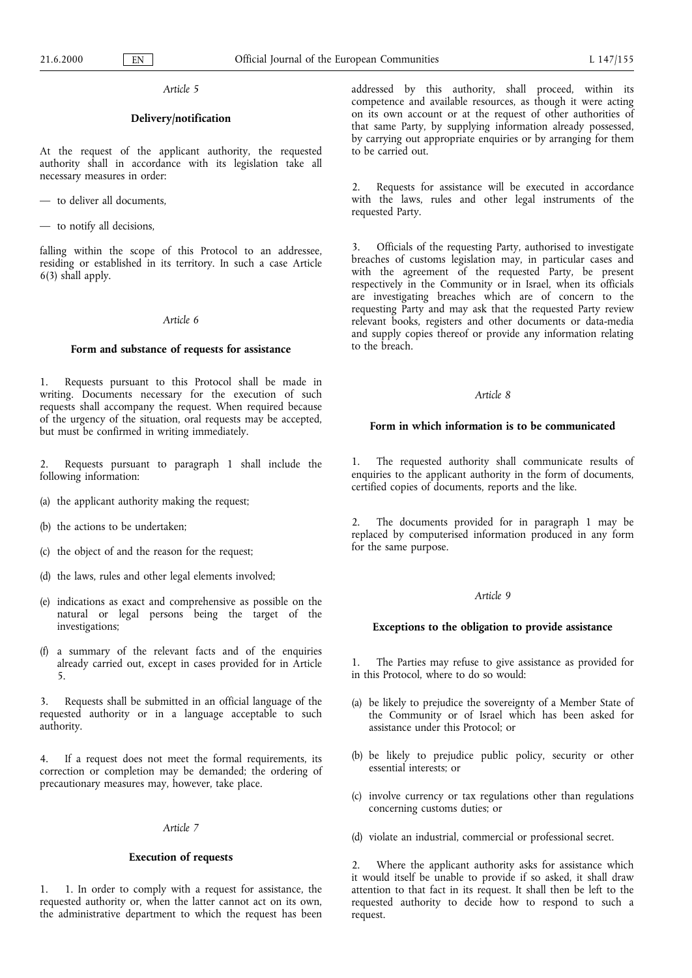Article 5

# Delivery/notification

At the request of the applicant authority, the requested authority shall in accordance with its legislation take all necessary measures in order:

- to deliver all documents,

- to notify all decisions,

falling within the scope of this Protocol to an addressee. residing or established in its territory. In such a case Article 6(3) shall apply.

# Article 6

# Form and substance of requests for assistance

1. Requests pursuant to this Protocol shall be made in writing. Documents necessary for the execution of such requests shall accompany the request. When required because of the urgency of the situation, oral requests may be accepted, but must be confirmed in writing immediately.

2. Requests pursuant to paragraph 1 shall include the following information:

- (a) the applicant authority making the request;
- (b) the actions to be undertaken;
- (c) the object of and the reason for the request;
- (d) the laws, rules and other legal elements involved;
- (e) indications as exact and comprehensive as possible on the natural or legal persons being the target of the investigations;
- (f) a summary of the relevant facts and of the enquiries already carried out, except in cases provided for in Article 5.

3. Requests shall be submitted in an official language of the requested authority or in a language acceptable to such authority.

4. If a request does not meet the formal requirements, its correction or completion may be demanded; the ordering of precautionary measures may, however, take place.

#### Article 7

# Execution of requests

1. 1. In order to comply with a request for assistance, the requested authority or, when the latter cannot act on its own, the administrative department to which the request has been addressed by this authority, shall proceed, within its competence and available resources, as though it were acting on its own account or at the request of other authorities of that same Party, by supplying information already possessed, by carrying out appropriate enquiries or by arranging for them to be carried out.

2. Requests for assistance will be executed in accordance with the laws, rules and other legal instruments of the requested Party.

3. Officials of the requesting Party, authorised to investigate breaches of customs legislation may, in particular cases and with the agreement of the requested Party, be present respectively in the Community or in Israel, when its officials are investigating breaches which are of concern to the requesting Party and may ask that the requested Party review relevant books, registers and other documents or data-media and supply copies thereof or provide any information relating to the breach.

#### Article 8

### Form in which information is to be communicated

1. The requested authority shall communicate results of enquiries to the applicant authority in the form of documents, certified copies of documents, reports and the like.

2. The documents provided for in paragraph 1 may be replaced by computerised information produced in any form for the same purpose.

### Article 9

# Exceptions to the obligation to provide assistance

1. The Parties may refuse to give assistance as provided for in this Protocol, where to do so would:

- (a) be likely to prejudice the sovereignty of a Member State of the Community or of Israel which has been asked for assistance under this Protocol; or
- (b) be likely to prejudice public policy, security or other essential interests; or
- (c) involve currency or tax regulations other than regulations concerning customs duties; or
- (d) violate an industrial, commercial or professional secret.

2. Where the applicant authority asks for assistance which it would itself be unable to provide if so asked, it shall draw attention to that fact in its request. It shall then be left to the requested authority to decide how to respond to such a request.